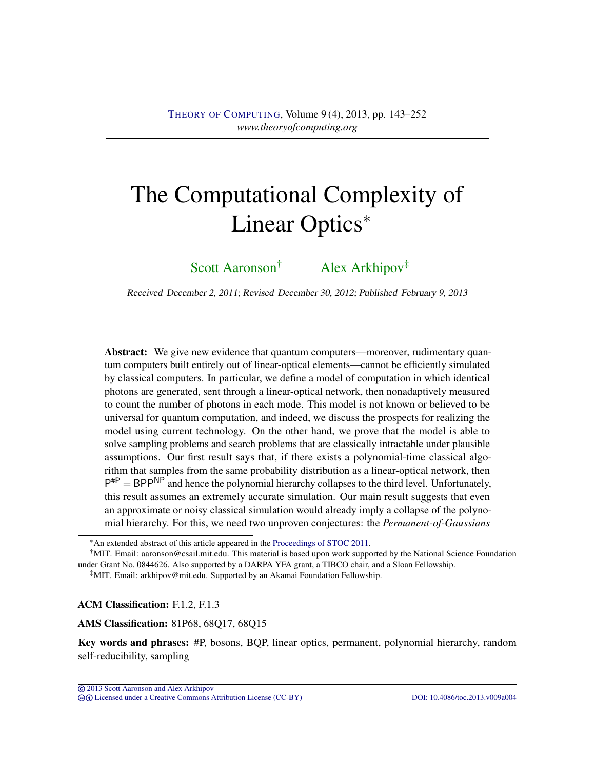# The Computational Complexity of Linear Optics<sup>∗</sup>

[Scott Aaronson](#page-109-0)<sup>†</sup> [Alex Arkhipov](#page-109-1)<sup>‡</sup>

Received December 2, 2011; Revised December 30, 2012; Published February 9, 2013

Abstract: We give new evidence that quantum computers—moreover, rudimentary quantum computers built entirely out of linear-optical elements—cannot be efficiently simulated by classical computers. In particular, we define a model of computation in which identical photons are generated, sent through a linear-optical network, then nonadaptively measured to count the number of photons in each mode. This model is not known or believed to be universal for quantum computation, and indeed, we discuss the prospects for realizing the model using current technology. On the other hand, we prove that the model is able to solve sampling problems and search problems that are classically intractable under plausible assumptions. Our first result says that, if there exists a polynomial-time classical algorithm that samples from the same probability distribution as a linear-optical network, then  $P^{HP}$  = BPP<sup>NP</sup> and hence the polynomial hierarchy collapses to the third level. Unfortunately, this result assumes an extremely accurate simulation. Our main result suggests that even an approximate or noisy classical simulation would already imply a collapse of the polynomial hierarchy. For this, we need two unproven conjectures: the *Permanent-of-Gaussians*

†MIT. Email: aaronson@csail.mit.edu. This material is based upon work supported by the National Science Foundation under Grant No. 0844626. Also supported by a DARPA YFA grant, a TIBCO chair, and a Sloan Fellowship.

‡MIT. Email: arkhipov@mit.edu. Supported by an Akamai Foundation Fellowship.

ACM Classification: F.1.2, F.1.3

AMS Classification: 81P68, 68Q17, 68Q15

Key words and phrases: #P, bosons, BQP, linear optics, permanent, polynomial hierarchy, random self-reducibility, sampling

<sup>∗</sup>An extended abstract of this article appeared in the [Proceedings of STOC 2011.](http://dl.acm.org/citation.cfm?id=1993682)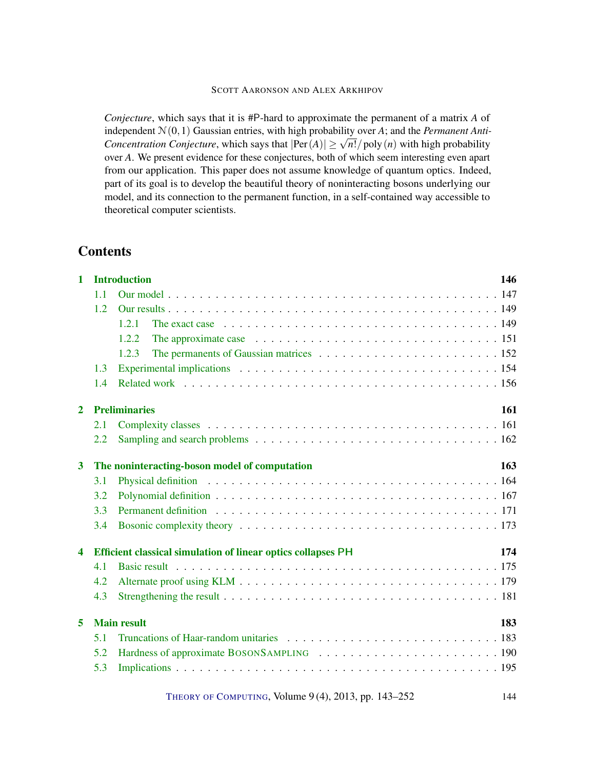*Conjecture*, which says that it is #P-hard to approximate the permanent of a matrix *A* of independent  $\mathcal{N}(0,1)$  Gaussian entries, with high probability over *A*; and the *Permanent Anti-Concentration Conjecture*, which says that  $|\text{Per}(A)| \ge \sqrt{n!}/p$ oly $(n)$  with high probability over *A*. We present evidence for these conjectures, both of which seem interesting even apart from our application. This paper does not assume knowledge of quantum optics. Indeed, part of its goal is to develop the beautiful theory of noninteracting bosons underlying our model, and its connection to the permanent function, in a self-contained way accessible to theoretical computer scientists.

# **Contents**

| $\mathbf{1}$ |                                                                            | <b>Introduction</b><br>146                                                                                                                                                                                                     |  |  |  |  |
|--------------|----------------------------------------------------------------------------|--------------------------------------------------------------------------------------------------------------------------------------------------------------------------------------------------------------------------------|--|--|--|--|
|              | 11                                                                         |                                                                                                                                                                                                                                |  |  |  |  |
|              | 1.2                                                                        |                                                                                                                                                                                                                                |  |  |  |  |
|              |                                                                            | The exact case $\dots \dots \dots \dots \dots \dots \dots \dots \dots \dots \dots \dots \dots \dots \dots 149$<br>1.2.1                                                                                                        |  |  |  |  |
|              |                                                                            | The approximate case $\dots \dots \dots \dots \dots \dots \dots \dots \dots \dots \dots \dots \dots \dots 151$<br>1.2.2                                                                                                        |  |  |  |  |
|              |                                                                            | 1.2.3                                                                                                                                                                                                                          |  |  |  |  |
|              | 1.3                                                                        | Experimental implications extension of the set of the set of the set of the set of the set of the set of the set of the set of the set of the set of the set of the set of the set of the set of the set of the set of the set |  |  |  |  |
|              | 1.4                                                                        |                                                                                                                                                                                                                                |  |  |  |  |
| $\mathbf{2}$ |                                                                            | <b>Preliminaries</b><br>161                                                                                                                                                                                                    |  |  |  |  |
|              | 2.1                                                                        |                                                                                                                                                                                                                                |  |  |  |  |
|              | 2.2                                                                        |                                                                                                                                                                                                                                |  |  |  |  |
| $\mathbf{3}$ |                                                                            | The noninteracting-boson model of computation<br>163                                                                                                                                                                           |  |  |  |  |
|              | 3.1                                                                        |                                                                                                                                                                                                                                |  |  |  |  |
|              | 3.2                                                                        |                                                                                                                                                                                                                                |  |  |  |  |
|              | 3.3                                                                        |                                                                                                                                                                                                                                |  |  |  |  |
|              | 3.4                                                                        |                                                                                                                                                                                                                                |  |  |  |  |
| 4            | <b>Efficient classical simulation of linear optics collapses PH</b><br>174 |                                                                                                                                                                                                                                |  |  |  |  |
|              | 4.1                                                                        |                                                                                                                                                                                                                                |  |  |  |  |
|              | 4.2                                                                        |                                                                                                                                                                                                                                |  |  |  |  |
|              | 4.3                                                                        |                                                                                                                                                                                                                                |  |  |  |  |
| 5            | <b>Main result</b><br>183                                                  |                                                                                                                                                                                                                                |  |  |  |  |
|              | 5.1                                                                        |                                                                                                                                                                                                                                |  |  |  |  |
|              | 5.2                                                                        |                                                                                                                                                                                                                                |  |  |  |  |
|              | 5.3                                                                        |                                                                                                                                                                                                                                |  |  |  |  |
|              |                                                                            |                                                                                                                                                                                                                                |  |  |  |  |

THEORY OF C[OMPUTING](http://dx.doi.org/10.4086/toc), Volume 9(4), 2013, pp. 143–252 144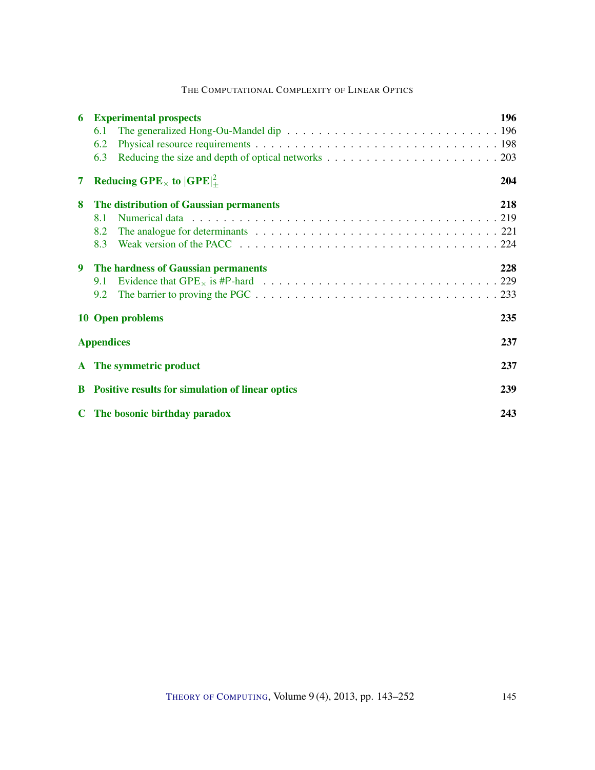| 6 | <b>Experimental prospects</b>                                |     |  |  |
|---|--------------------------------------------------------------|-----|--|--|
|   | 6.1                                                          |     |  |  |
|   | 6.2                                                          |     |  |  |
|   | 6.3                                                          |     |  |  |
| 7 | <b>Reducing GPE</b> <sub>x</sub> to $ {\text{GPE}} _{+}^{2}$ | 204 |  |  |
| 8 | The distribution of Gaussian permanents                      |     |  |  |
|   | 8.1                                                          |     |  |  |
|   | 8.2                                                          |     |  |  |
|   | 8.3                                                          |     |  |  |
| 9 | The hardness of Gaussian permanents                          |     |  |  |
|   | 9.1                                                          |     |  |  |
|   | 9.2                                                          |     |  |  |
|   | 10 Open problems                                             |     |  |  |
|   | <b>Appendices</b>                                            | 237 |  |  |
|   | A The symmetric product                                      |     |  |  |
|   | <b>B</b> Positive results for simulation of linear optics    |     |  |  |
|   | C The bosonic birthday paradox                               |     |  |  |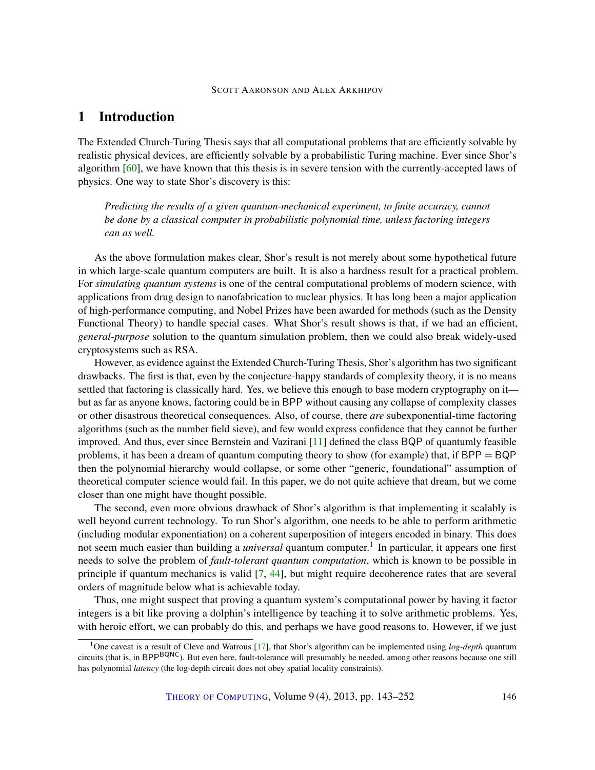# <span id="page-3-0"></span>1 Introduction

The Extended Church-Turing Thesis says that all computational problems that are efficiently solvable by realistic physical devices, are efficiently solvable by a probabilistic Turing machine. Ever since Shor's algorithm [\[60\]](#page-107-0), we have known that this thesis is in severe tension with the currently-accepted laws of physics. One way to state Shor's discovery is this:

*Predicting the results of a given quantum-mechanical experiment, to finite accuracy, cannot be done by a classical computer in probabilistic polynomial time, unless factoring integers can as well.*

As the above formulation makes clear, Shor's result is not merely about some hypothetical future in which large-scale quantum computers are built. It is also a hardness result for a practical problem. For *simulating quantum systems* is one of the central computational problems of modern science, with applications from drug design to nanofabrication to nuclear physics. It has long been a major application of high-performance computing, and Nobel Prizes have been awarded for methods (such as the Density Functional Theory) to handle special cases. What Shor's result shows is that, if we had an efficient, *general-purpose* solution to the quantum simulation problem, then we could also break widely-used cryptosystems such as RSA.

However, as evidence against the Extended Church-Turing Thesis, Shor's algorithm has two significant drawbacks. The first is that, even by the conjecture-happy standards of complexity theory, it is no means settled that factoring is classically hard. Yes, we believe this enough to base modern cryptography on it but as far as anyone knows, factoring could be in BPP without causing any collapse of complexity classes or other disastrous theoretical consequences. Also, of course, there *are* subexponential-time factoring algorithms (such as the number field sieve), and few would express confidence that they cannot be further improved. And thus, ever since Bernstein and Vazirani [\[11\]](#page-104-0) defined the class BQP of quantumly feasible problems, it has been a dream of quantum computing theory to show (for example) that, if  $BPP = BQP$ then the polynomial hierarchy would collapse, or some other "generic, foundational" assumption of theoretical computer science would fail. In this paper, we do not quite achieve that dream, but we come closer than one might have thought possible.

The second, even more obvious drawback of Shor's algorithm is that implementing it scalably is well beyond current technology. To run Shor's algorithm, one needs to be able to perform arithmetic (including modular exponentiation) on a coherent superposition of integers encoded in binary. This does not seem much easier than building a *universal* quantum computer.<sup>1</sup> In particular, it appears one first needs to solve the problem of *fault-tolerant quantum computation*, which is known to be possible in principle if quantum mechanics is valid [\[7,](#page-103-0) [44\]](#page-106-0), but might require decoherence rates that are several orders of magnitude below what is achievable today.

Thus, one might suspect that proving a quantum system's computational power by having it factor integers is a bit like proving a dolphin's intelligence by teaching it to solve arithmetic problems. Yes, with heroic effort, we can probably do this, and perhaps we have good reasons to. However, if we just

<sup>1</sup>One caveat is a result of Cleve and Watrous [\[17\]](#page-104-1), that Shor's algorithm can be implemented using *log-depth* quantum circuits (that is, in BPP<sup>BQNC</sup>). But even here, fault-tolerance will presumably be needed, among other reasons because one still has polynomial *latency* (the log-depth circuit does not obey spatial locality constraints).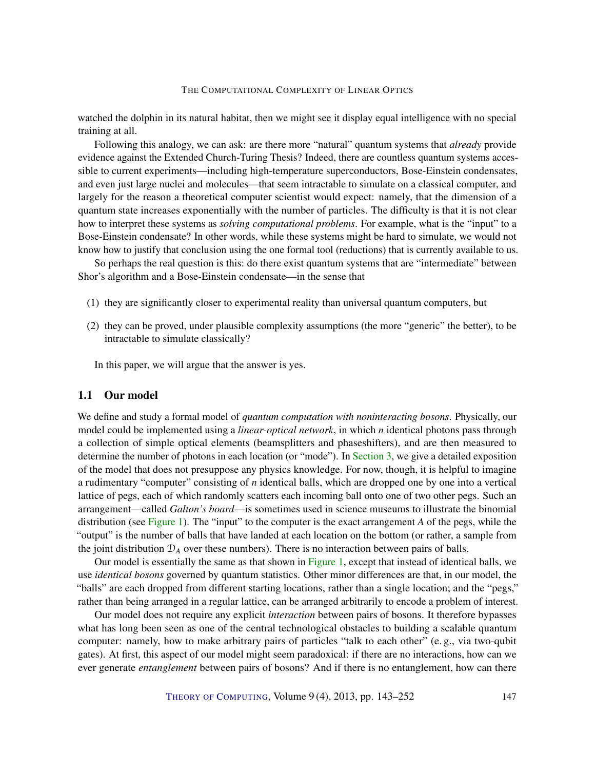watched the dolphin in its natural habitat, then we might see it display equal intelligence with no special training at all.

Following this analogy, we can ask: are there more "natural" quantum systems that *already* provide evidence against the Extended Church-Turing Thesis? Indeed, there are countless quantum systems accessible to current experiments—including high-temperature superconductors, Bose-Einstein condensates, and even just large nuclei and molecules—that seem intractable to simulate on a classical computer, and largely for the reason a theoretical computer scientist would expect: namely, that the dimension of a quantum state increases exponentially with the number of particles. The difficulty is that it is not clear how to interpret these systems as *solving computational problems*. For example, what is the "input" to a Bose-Einstein condensate? In other words, while these systems might be hard to simulate, we would not know how to justify that conclusion using the one formal tool (reductions) that is currently available to us.

So perhaps the real question is this: do there exist quantum systems that are "intermediate" between Shor's algorithm and a Bose-Einstein condensate—in the sense that

- (1) they are significantly closer to experimental reality than universal quantum computers, but
- (2) they can be proved, under plausible complexity assumptions (the more "generic" the better), to be intractable to simulate classically?

In this paper, we will argue that the answer is yes.

# <span id="page-4-0"></span>1.1 Our model

We define and study a formal model of *quantum computation with noninteracting bosons*. Physically, our model could be implemented using a *linear-optical network*, in which *n* identical photons pass through a collection of simple optical elements (beamsplitters and phaseshifters), and are then measured to determine the number of photons in each location (or "mode"). In [Section](#page-20-0) [3,](#page-20-0) we give a detailed exposition of the model that does not presuppose any physics knowledge. For now, though, it is helpful to imagine a rudimentary "computer" consisting of *n* identical balls, which are dropped one by one into a vertical lattice of pegs, each of which randomly scatters each incoming ball onto one of two other pegs. Such an arrangement—called *Galton's board*—is sometimes used in science museums to illustrate the binomial distribution (see [Figure](#page-5-0) [1\)](#page-5-0). The "input" to the computer is the exact arrangement *A* of the pegs, while the "output" is the number of balls that have landed at each location on the bottom (or rather, a sample from the joint distribution  $\mathcal{D}_A$  over these numbers). There is no interaction between pairs of balls.

Our model is essentially the same as that shown in [Figure](#page-5-0) [1,](#page-5-0) except that instead of identical balls, we use *identical bosons* governed by quantum statistics. Other minor differences are that, in our model, the "balls" are each dropped from different starting locations, rather than a single location; and the "pegs," rather than being arranged in a regular lattice, can be arranged arbitrarily to encode a problem of interest.

Our model does not require any explicit *interaction* between pairs of bosons. It therefore bypasses what has long been seen as one of the central technological obstacles to building a scalable quantum computer: namely, how to make arbitrary pairs of particles "talk to each other" (e. g., via two-qubit gates). At first, this aspect of our model might seem paradoxical: if there are no interactions, how can we ever generate *entanglement* between pairs of bosons? And if there is no entanglement, how can there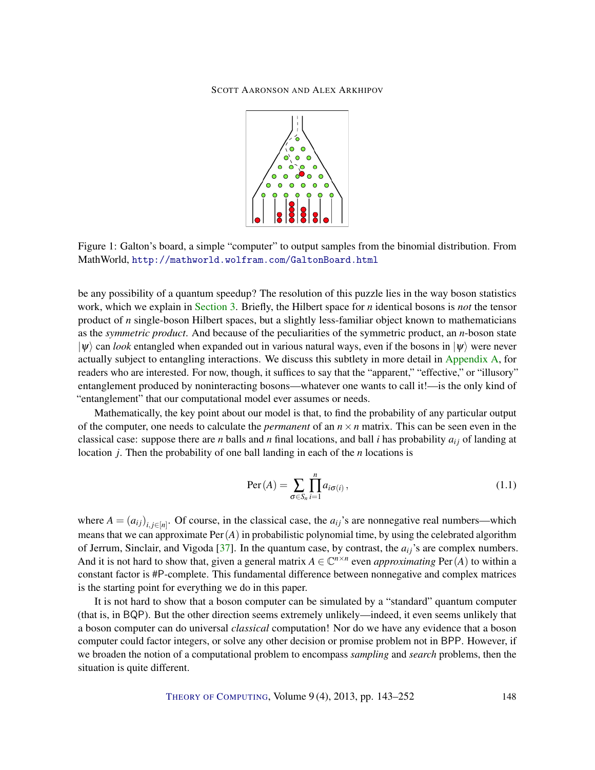

<span id="page-5-0"></span>Figure 1: Galton's board, a simple "computer" to output samples from the binomial distribution. From MathWorld, <http://mathworld.wolfram.com/GaltonBoard.html>

be any possibility of a quantum speedup? The resolution of this puzzle lies in the way boson statistics work, which we explain in [Section](#page-20-0) [3.](#page-20-0) Briefly, the Hilbert space for *n* identical bosons is *not* the tensor product of *n* single-boson Hilbert spaces, but a slightly less-familiar object known to mathematicians as the *symmetric product*. And because of the peculiarities of the symmetric product, an *n*-boson state  $|\psi\rangle$  can *look* entangled when expanded out in various natural ways, even if the bosons in  $|\psi\rangle$  were never actually subject to entangling interactions. We discuss this subtlety in more detail in [Appendix](#page-94-1) [A,](#page-94-1) for readers who are interested. For now, though, it suffices to say that the "apparent," "effective," or "illusory" entanglement produced by noninteracting bosons—whatever one wants to call it!—is the only kind of "entanglement" that our computational model ever assumes or needs.

Mathematically, the key point about our model is that, to find the probability of any particular output of the computer, one needs to calculate the *permanent* of an  $n \times n$  matrix. This can be seen even in the classical case: suppose there are *n* balls and *n* final locations, and ball *i* has probability  $a_{ij}$  of landing at location *j*. Then the probability of one ball landing in each of the *n* locations is

$$
\operatorname{Per}(A) = \sum_{\sigma \in S_n} \prod_{i=1}^n a_{i\sigma(i)},\tag{1.1}
$$

where  $A = (a_{ij})_{i,j \in [n]}$ . Of course, in the classical case, the  $a_{ij}$ 's are nonnegative real numbers—which means that we can approximate  $Per(A)$  in probabilistic polynomial time, by using the celebrated algorithm of Jerrum, Sinclair, and Vigoda [\[37\]](#page-106-1). In the quantum case, by contrast, the *ai j*'s are complex numbers. And it is not hard to show that, given a general matrix  $A \in \mathbb{C}^{n \times n}$  even *approximating* Per(*A*) to within a constant factor is #P-complete. This fundamental difference between nonnegative and complex matrices is the starting point for everything we do in this paper.

It is not hard to show that a boson computer can be simulated by a "standard" quantum computer (that is, in BQP). But the other direction seems extremely unlikely—indeed, it even seems unlikely that a boson computer can do universal *classical* computation! Nor do we have any evidence that a boson computer could factor integers, or solve any other decision or promise problem not in BPP. However, if we broaden the notion of a computational problem to encompass *sampling* and *search* problems, then the situation is quite different.

THEORY OF C[OMPUTING](http://dx.doi.org/10.4086/toc), Volume 9(4), 2013, pp. 143–252 148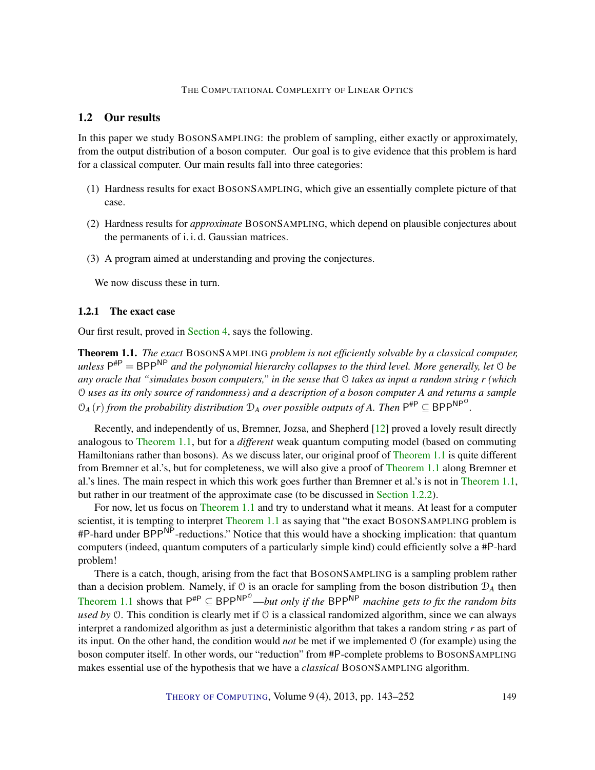# <span id="page-6-0"></span>1.2 Our results

In this paper we study BOSONSAMPLING: the problem of sampling, either exactly or approximately, from the output distribution of a boson computer. Our goal is to give evidence that this problem is hard for a classical computer. Our main results fall into three categories:

- (1) Hardness results for exact BOSONSAMPLING, which give an essentially complete picture of that case.
- (2) Hardness results for *approximate* BOSONSAMPLING, which depend on plausible conjectures about the permanents of i. i. d. Gaussian matrices.
- (3) A program aimed at understanding and proving the conjectures.

We now discuss these in turn.

# <span id="page-6-1"></span>1.2.1 The exact case

Our first result, proved in [Section](#page-31-0) [4,](#page-31-0) says the following.

<span id="page-6-2"></span>Theorem 1.1. *The exact* BOSONSAMPLING *problem is not efficiently solvable by a classical computer, unless* P #<sup>P</sup> = BPPNP *and the polynomial hierarchy collapses to the third level. More generally, let* O *be any oracle that "simulates boson computers," in the sense that* O *takes as input a random string r (which* O *uses as its only source of randomness) and a description of a boson computer A and returns a sample*  $\mathcal{O}_A(r)$  *from the probability distribution*  $\mathcal{D}_A$  *over possible outputs of A. Then*  $P^{\text{HP}} \subseteq \text{BPP}^{\text{NP}^O}$ .

Recently, and independently of us, Bremner, Jozsa, and Shepherd [\[12\]](#page-104-2) proved a lovely result directly analogous to [Theorem](#page-6-2) [1.1,](#page-6-2) but for a *different* weak quantum computing model (based on commuting Hamiltonians rather than bosons). As we discuss later, our original proof of [Theorem](#page-6-2) [1.1](#page-6-2) is quite different from Bremner et al.'s, but for completeness, we will also give a proof of [Theorem](#page-6-2) [1.1](#page-6-2) along Bremner et al.'s lines. The main respect in which this work goes further than Bremner et al.'s is not in [Theorem](#page-6-2) [1.1,](#page-6-2) but rather in our treatment of the approximate case (to be discussed in [Section](#page-8-0) [1.2.2\)](#page-8-0).

For now, let us focus on [Theorem](#page-6-2) [1.1](#page-6-2) and try to understand what it means. At least for a computer scientist, it is tempting to interpret [Theorem](#page-6-2) [1.1](#page-6-2) as saying that "the exact BOSONSAMPLING problem is #P-hard under BPP<sup>NP</sup>-reductions." Notice that this would have a shocking implication: that quantum computers (indeed, quantum computers of a particularly simple kind) could efficiently solve a #P-hard problem!

There is a catch, though, arising from the fact that BOSONSAMPLING is a sampling problem rather than a decision problem. Namely, if  $\theta$  is an oracle for sampling from the boson distribution  $\mathcal{D}_A$  then [Theorem](#page-6-2) [1.1](#page-6-2) shows that  $P^{HP} \subseteq BPP^{NP^0}$ —*but only if the BPP<sup>NP</sup> machine gets to fix the random bits used by* O. This condition is clearly met if O is a classical randomized algorithm, since we can always interpret a randomized algorithm as just a deterministic algorithm that takes a random string *r* as part of its input. On the other hand, the condition would *not* be met if we implemented O (for example) using the boson computer itself. In other words, our "reduction" from #P-complete problems to BOSONSAMPLING makes essential use of the hypothesis that we have a *classical* BOSONSAMPLING algorithm.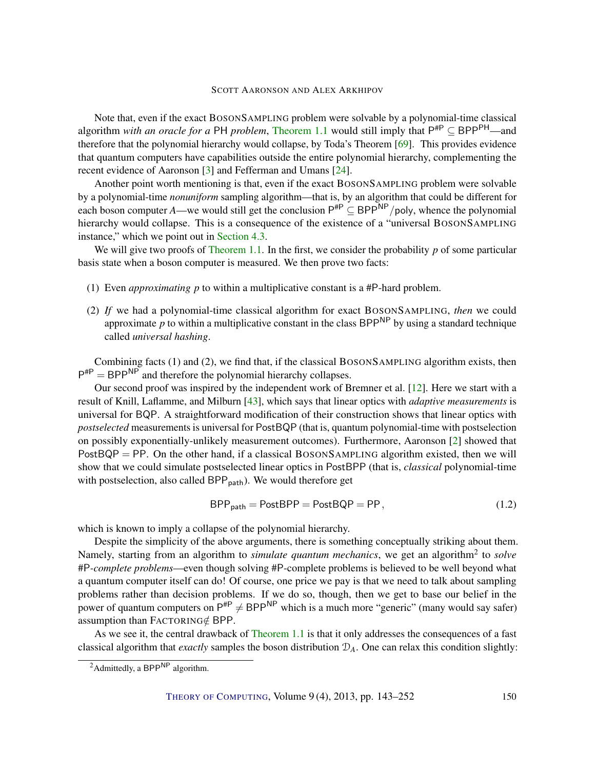Note that, even if the exact BOSONSAMPLING problem were solvable by a polynomial-time classical algorithm *with an oracle for a* PH *problem*, [Theorem](#page-6-2) [1.1](#page-6-2) would still imply that P<sup>#P</sup> ⊆ BPP<sup>PH</sup>—and therefore that the polynomial hierarchy would collapse, by Toda's Theorem [\[69\]](#page-108-0). This provides evidence that quantum computers have capabilities outside the entire polynomial hierarchy, complementing the recent evidence of Aaronson [\[3\]](#page-103-1) and Fefferman and Umans [\[24\]](#page-105-0).

Another point worth mentioning is that, even if the exact BOSONSAMPLING problem were solvable by a polynomial-time *nonuniform* sampling algorithm—that is, by an algorithm that could be different for each boson computer *A*—we would still get the conclusion  $P^{HP} \subseteq BPP^{NP}/poly$ , whence the polynomial hierarchy would collapse. This is a consequence of the existence of a "universal BOSONSAMPLING instance," which we point out in [Section](#page-38-0) [4.3.](#page-38-0)

We will give two proofs of [Theorem](#page-6-2) [1.1.](#page-6-2) In the first, we consider the probability *p* of some particular basis state when a boson computer is measured. We then prove two facts:

- (1) Even *approximating p* to within a multiplicative constant is a #P-hard problem.
- (2) *If* we had a polynomial-time classical algorithm for exact BOSONSAMPLING, *then* we could approximate  $p$  to within a multiplicative constant in the class BPP<sup>NP</sup> by using a standard technique called *universal hashing*.

Combining facts (1) and (2), we find that, if the classical BOSONSAMPLING algorithm exists, then  $P^{HP}$  = BPP<sup>NP</sup> and therefore the polynomial hierarchy collapses.

Our second proof was inspired by the independent work of Bremner et al. [\[12\]](#page-104-2). Here we start with a result of Knill, Laflamme, and Milburn [\[43\]](#page-106-2), which says that linear optics with *adaptive measurements* is universal for BQP. A straightforward modification of their construction shows that linear optics with *postselected* measurements is universal for PostBQP (that is, quantum polynomial-time with postselection on possibly exponentially-unlikely measurement outcomes). Furthermore, Aaronson [\[2\]](#page-103-2) showed that  $PostBQP = PP$ . On the other hand, if a classical BOSONSAMPLING algorithm existed, then we will show that we could simulate postselected linear optics in PostBPP (that is, *classical* polynomial-time with postselection, also called  $BPP_{path}$ ). We would therefore get

$$
BPPpath = PostBPP = PostBQP = PP,
$$
\n(1.2)

which is known to imply a collapse of the polynomial hierarchy.

Despite the simplicity of the above arguments, there is something conceptually striking about them. Namely, starting from an algorithm to *simulate quantum mechanics*, we get an algorithm<sup>2</sup> to *solve* #P*-complete problems*—even though solving #P-complete problems is believed to be well beyond what a quantum computer itself can do! Of course, one price we pay is that we need to talk about sampling problems rather than decision problems. If we do so, though, then we get to base our belief in the power of quantum computers on  $P^{HP} \neq BPP^{NP}$  which is a much more "generic" (many would say safer) assumption than FACTORING∉ BPP.

As we see it, the central drawback of [Theorem](#page-6-2) [1.1](#page-6-2) is that it only addresses the consequences of a fast classical algorithm that *exactly* samples the boson distribution D*A*. One can relax this condition slightly:

<sup>&</sup>lt;sup>2</sup>Admittedly, a BPP<sup>NP</sup> algorithm.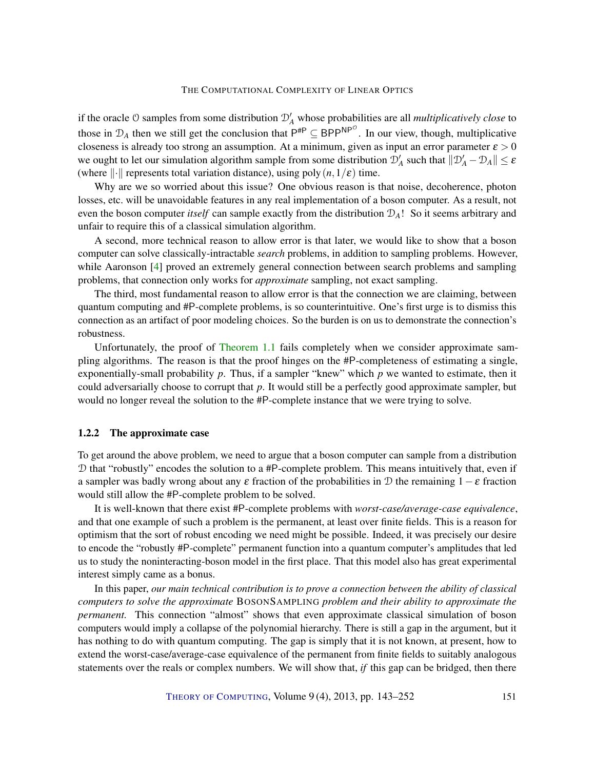if the oracle  $\Omega$  samples from some distribution  $\mathcal{D}'_A$  whose probabilities are all *multiplicatively close* to those in  $\mathcal{D}_A$  then we still get the conclusion that  $P^{HP} \subseteq BPP^{NP^{\circ}}$ . In our view, though, multiplicative closeness is already too strong an assumption. At a minimum, given as input an error parameter  $\varepsilon > 0$ we ought to let our simulation algorithm sample from some distribution  $\mathcal{D}'_A$  such that  $\|\mathcal{D}'_A - \mathcal{D}_A\| \leq \varepsilon$ (where  $\lVert \cdot \rVert$  represents total variation distance), using poly  $(n,1/\varepsilon)$  time.

Why are we so worried about this issue? One obvious reason is that noise, decoherence, photon losses, etc. will be unavoidable features in any real implementation of a boson computer. As a result, not even the boson computer *itself* can sample exactly from the distribution D*A*! So it seems arbitrary and unfair to require this of a classical simulation algorithm.

A second, more technical reason to allow error is that later, we would like to show that a boson computer can solve classically-intractable *search* problems, in addition to sampling problems. However, while Aaronson [\[4\]](#page-103-3) proved an extremely general connection between search problems and sampling problems, that connection only works for *approximate* sampling, not exact sampling.

The third, most fundamental reason to allow error is that the connection we are claiming, between quantum computing and #P-complete problems, is so counterintuitive. One's first urge is to dismiss this connection as an artifact of poor modeling choices. So the burden is on us to demonstrate the connection's robustness.

Unfortunately, the proof of [Theorem](#page-6-2) [1.1](#page-6-2) fails completely when we consider approximate sampling algorithms. The reason is that the proof hinges on the #P-completeness of estimating a single, exponentially-small probability  $p$ . Thus, if a sampler "knew" which  $p$  we wanted to estimate, then it could adversarially choose to corrupt that *p*. It would still be a perfectly good approximate sampler, but would no longer reveal the solution to the #P-complete instance that we were trying to solve.

#### <span id="page-8-0"></span>1.2.2 The approximate case

To get around the above problem, we need to argue that a boson computer can sample from a distribution  $D$  that "robustly" encodes the solution to a #P-complete problem. This means intuitively that, even if a sampler was badly wrong about any  $\varepsilon$  fraction of the probabilities in D the remaining  $1-\varepsilon$  fraction would still allow the #P-complete problem to be solved.

It is well-known that there exist #P-complete problems with *worst-case/average-case equivalence*, and that one example of such a problem is the permanent, at least over finite fields. This is a reason for optimism that the sort of robust encoding we need might be possible. Indeed, it was precisely our desire to encode the "robustly #P-complete" permanent function into a quantum computer's amplitudes that led us to study the noninteracting-boson model in the first place. That this model also has great experimental interest simply came as a bonus.

In this paper, *our main technical contribution is to prove a connection between the ability of classical computers to solve the approximate* BOSONSAMPLING *problem and their ability to approximate the permanent.* This connection "almost" shows that even approximate classical simulation of boson computers would imply a collapse of the polynomial hierarchy. There is still a gap in the argument, but it has nothing to do with quantum computing. The gap is simply that it is not known, at present, how to extend the worst-case/average-case equivalence of the permanent from finite fields to suitably analogous statements over the reals or complex numbers. We will show that, *if* this gap can be bridged, then there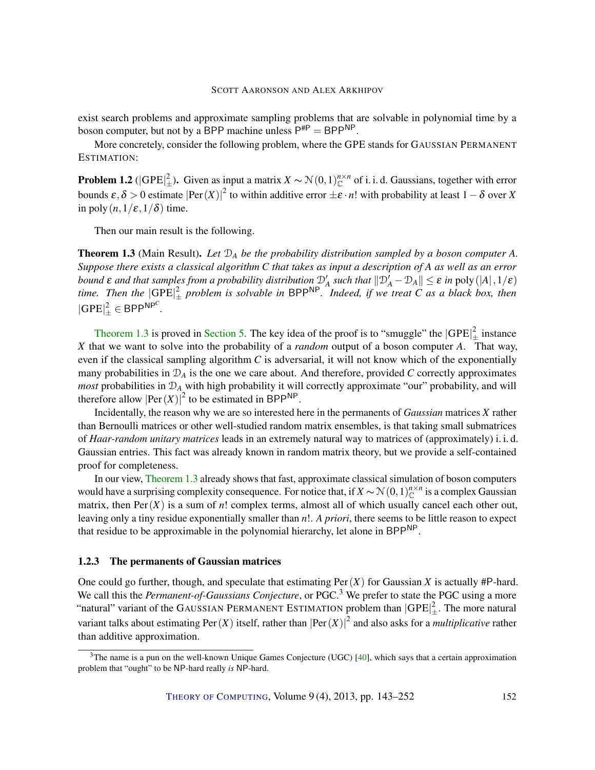exist search problems and approximate sampling problems that are solvable in polynomial time by a boson computer, but not by a BPP machine unless  $P^{HP} = BPP^{NP}$ .

More concretely, consider the following problem, where the GPE stands for GAUSSIAN PERMANENT ESTIMATION:

**Problem 1.2** ( $|GPE|_+^2$ ). Given as input a matrix  $X \sim \mathcal{N}(0,1)_{\mathbb{C}}^{n \times n}$  of i. i. d. Gaussians, together with error bounds  $\varepsilon, \delta > 0$  estimate  $|Per(X)|^2$  to within additive error  $\pm \varepsilon \cdot n!$  with probability at least  $1-\delta$  over *X* in poly  $(n, 1/\varepsilon, 1/\delta)$  time.

Then our main result is the following.

<span id="page-9-1"></span>Theorem 1.3 (Main Result). *Let* D*<sup>A</sup> be the probability distribution sampled by a boson computer A. Suppose there exists a classical algorithm C that takes as input a description of A as well as an error bound*  $\varepsilon$  *and that samples from a probability distribution*  $\mathcal{D}'_A$  *such that*  $\|\mathcal{D}'_A - \mathcal{D}_A\| \leq \varepsilon$  *in* poly  $(|A|, 1/\varepsilon)$ *time. Then the* |GPE| 2 <sup>±</sup> *problem is solvable in* BPPNP*. Indeed, if we treat C as a black box, then*  $|\text{GPE}|^2_{\pm} \in \text{BPP}^{\text{NP}^C}.$ 

[Theorem](#page-9-1) [1.3](#page-9-1) is proved in [Section](#page-40-0) [5.](#page-40-0) The key idea of the proof is to "smuggle" the  $|GPE|_{\pm}^2$  instance *X* that we want to solve into the probability of a *random* output of a boson computer *A*. That way, even if the classical sampling algorithm *C* is adversarial, it will not know which of the exponentially many probabilities in  $\mathcal{D}_A$  is the one we care about. And therefore, provided *C* correctly approximates *most* probabilities in D*<sup>A</sup>* with high probability it will correctly approximate "our" probability, and will therefore allow  $|Per(X)|^2$  to be estimated in BPP<sup>NP</sup>.

Incidentally, the reason why we are so interested here in the permanents of *Gaussian* matrices *X* rather than Bernoulli matrices or other well-studied random matrix ensembles, is that taking small submatrices of *Haar-random unitary matrices* leads in an extremely natural way to matrices of (approximately) i. i. d. Gaussian entries. This fact was already known in random matrix theory, but we provide a self-contained proof for completeness.

In our view, [Theorem](#page-9-1) [1.3](#page-9-1) already shows that fast, approximate classical simulation of boson computers would have a surprising complexity consequence. For notice that, if  $X \sim \mathcal{N}(0,1)_{\mathbb{C}}^{n \times n}$  is a complex Gaussian matrix, then  $\text{Per}(X)$  is a sum of *n*! complex terms, almost all of which usually cancel each other out, leaving only a tiny residue exponentially smaller than *n*!. *A priori*, there seems to be little reason to expect that residue to be approximable in the polynomial hierarchy, let alone in BPP<sup>NP</sup>.

#### <span id="page-9-0"></span>1.2.3 The permanents of Gaussian matrices

One could go further, though, and speculate that estimating  $Per(X)$  for Gaussian *X* is actually #P-hard. We call this the *Permanent-of-Gaussians Conjecture*, or PGC.<sup>3</sup> We prefer to state the PGC using a more "natural" variant of the GAUSSIAN PERMANENT ESTIMATION problem than  $|GPE|_{\pm}^2$ . The more natural variant talks about estimating Per $(X)$  itself, rather than  $|Per(X)|^2$  and also asks for a *multiplicative* rather than additive approximation.

 $3$ The name is a pun on the well-known Unique Games Conjecture (UGC)  $[40]$ , which says that a certain approximation problem that "ought" to be NP-hard really *is* NP-hard.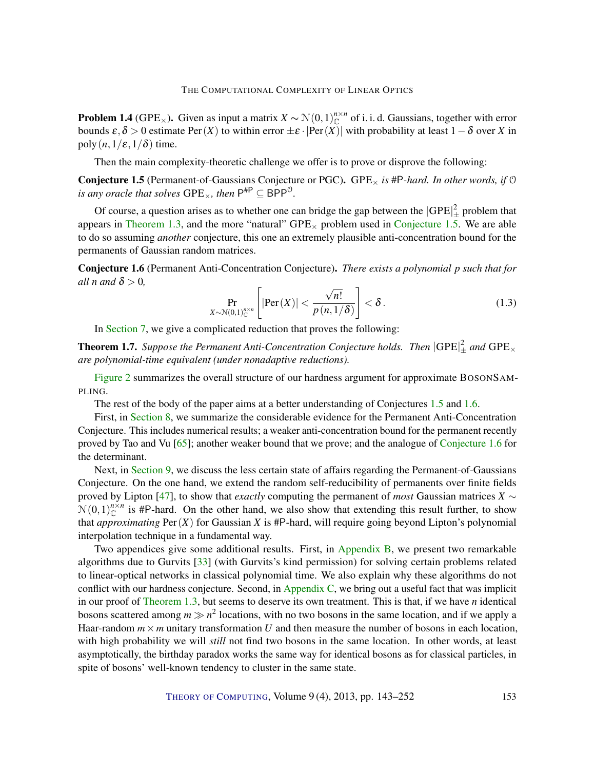**Problem 1.4** (GPE<sub>×</sub>). Given as input a matrix  $X \sim N(0,1)_{\mathbb{C}}^{n \times n}$  of i. i. d. Gaussians, together with error bounds  $\varepsilon, \delta > 0$  estimate Per(*X*) to within error  $\pm \varepsilon$  ·  $|\text{Per}(X)|$  with probability at least  $1-\delta$  over *X* in poly  $(n,1/\varepsilon,1/\delta)$  time.

Then the main complexity-theoretic challenge we offer is to prove or disprove the following:

<span id="page-10-0"></span>**Conjecture 1.5** (Permanent-of-Gaussians Conjecture or PGC). GPE<sub>×</sub> is #P-hard. In other words, if 0 *is any oracle that solves*  $\text{GPE}_{\times}$ *, then*  $\text{P}^{\text{#P}} \subseteq \text{BPP}^{\text{O}}$ *.* 

Of course, a question arises as to whether one can bridge the gap between the  $|GPE|_{\pm}^2$  problem that appears in [Theorem](#page-9-1) [1.3,](#page-9-1) and the more "natural"  $GPE<sub>x</sub>$  problem used in [Conjecture](#page-10-0) [1.5.](#page-10-0) We are able to do so assuming *another* conjecture, this one an extremely plausible anti-concentration bound for the permanents of Gaussian random matrices.

<span id="page-10-1"></span>Conjecture 1.6 (Permanent Anti-Concentration Conjecture). *There exists a polynomial p such that for all n and*  $\delta > 0$ , √

$$
\Pr_{X \sim \mathcal{N}(0,1)_{\mathbb{C}}^{n \times n}} \left[ |\text{Per}(X)| < \frac{\sqrt{n!}}{p(n,1/\delta)} \right] < \delta. \tag{1.3}
$$

In [Section](#page-61-0) [7,](#page-61-0) we give a complicated reduction that proves the following:

<span id="page-10-2"></span>**Theorem 1.7.** Suppose the Permanent Anti-Concentration Conjecture holds. Then  $|\text{GPE}|^2_{\pm}$  and  $\text{GPE}_{\times}$ *are polynomial-time equivalent (under nonadaptive reductions).*

[Figure](#page-11-1) [2](#page-11-1) summarizes the overall structure of our hardness argument for approximate BOSONSAM-PLING.

The rest of the body of the paper aims at a better understanding of Conjectures [1.5](#page-10-0) and [1.6.](#page-10-1)

First, in [Section](#page-75-0) [8,](#page-75-0) we summarize the considerable evidence for the Permanent Anti-Concentration Conjecture. This includes numerical results; a weaker anti-concentration bound for the permanent recently proved by Tao and Vu [\[65\]](#page-108-1); another weaker bound that we prove; and the analogue of [Conjecture](#page-10-1) [1.6](#page-10-1) for the determinant.

Next, in [Section](#page-85-0) [9,](#page-85-0) we discuss the less certain state of affairs regarding the Permanent-of-Gaussians Conjecture. On the one hand, we extend the random self-reducibility of permanents over finite fields proved by Lipton [\[47\]](#page-106-4), to show that *exactly* computing the permanent of *most* Gaussian matrices  $X \sim$  $\mathcal{N}(0,1)_{\mathbb{C}}^{n\times n}$  is #P-hard. On the other hand, we also show that extending this result further, to show that *approximating*  $Per(X)$  for Gaussian *X* is #P-hard, will require going beyond Lipton's polynomial interpolation technique in a fundamental way.

Two appendices give some additional results. First, in [Appendix](#page-96-0) [B,](#page-96-0) we present two remarkable algorithms due to Gurvits [\[33\]](#page-105-1) (with Gurvits's kind permission) for solving certain problems related to linear-optical networks in classical polynomial time. We also explain why these algorithms do not conflict with our hardness conjecture. Second, in [Appendix](#page-100-0) [C,](#page-100-0) we bring out a useful fact that was implicit in our proof of [Theorem](#page-9-1) [1.3,](#page-9-1) but seems to deserve its own treatment. This is that, if we have *n* identical bosons scattered among  $m \gg n^2$  locations, with no two bosons in the same location, and if we apply a Haar-random  $m \times m$  unitary transformation U and then measure the number of bosons in each location, with high probability we will *still* not find two bosons in the same location. In other words, at least asymptotically, the birthday paradox works the same way for identical bosons as for classical particles, in spite of bosons' well-known tendency to cluster in the same state.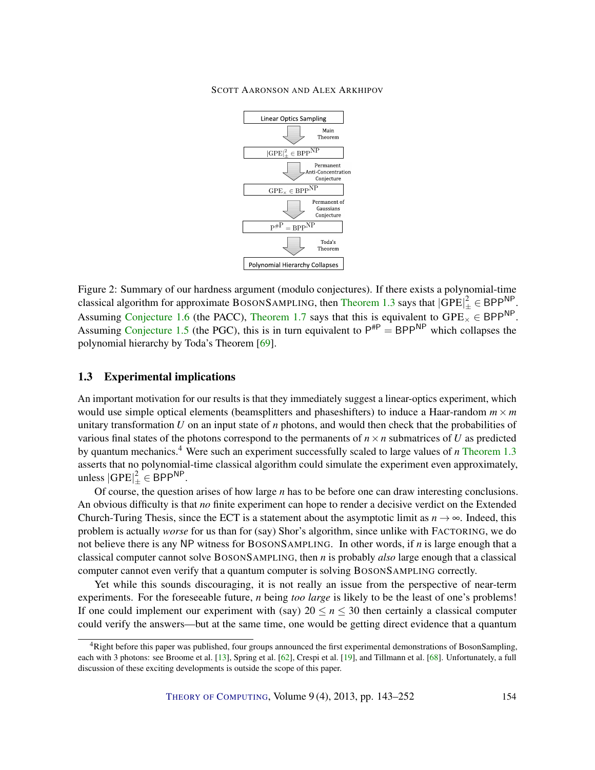

<span id="page-11-1"></span>Figure 2: Summary of our hardness argument (modulo conjectures). If there exists a polynomial-time classical algorithm for approximate BOSONSAMPLING, then [Theorem](#page-9-1) [1.3](#page-9-1) says that  $|GPE|_{\pm}^2 \in BPP^{NP}$ . Assuming [Conjecture](#page-10-1) [1.6](#page-10-1) (the PACC), [Theorem](#page-10-2) [1.7](#page-10-2) says that this is equivalent to  $\text{GPE}_{\times} \in \text{BPP}^{\text{NP}}$ . Assuming [Conjecture](#page-10-0) [1.5](#page-10-0) (the PGC), this is in turn equivalent to  $P^{HP} = BPP^{NP}$  which collapses the polynomial hierarchy by Toda's Theorem [\[69\]](#page-108-0).

# <span id="page-11-0"></span>1.3 Experimental implications

An important motivation for our results is that they immediately suggest a linear-optics experiment, which would use simple optical elements (beamsplitters and phaseshifters) to induce a Haar-random  $m \times m$ unitary transformation *U* on an input state of *n* photons, and would then check that the probabilities of various final states of the photons correspond to the permanents of  $n \times n$  submatrices of *U* as predicted by quantum mechanics.<sup>4</sup> Were such an experiment successfully scaled to large values of *n* [Theorem](#page-9-1) [1.3](#page-9-1) asserts that no polynomial-time classical algorithm could simulate the experiment even approximately, unless  $|GPE|^2_{\pm} \in BPP^{NP}$ .

Of course, the question arises of how large *n* has to be before one can draw interesting conclusions. An obvious difficulty is that *no* finite experiment can hope to render a decisive verdict on the Extended Church-Turing Thesis, since the ECT is a statement about the asymptotic limit as  $n \to \infty$ . Indeed, this problem is actually *worse* for us than for (say) Shor's algorithm, since unlike with FACTORING, we do not believe there is any NP witness for BOSONSAMPLING. In other words, if *n* is large enough that a classical computer cannot solve BOSONSAMPLING, then *n* is probably *also* large enough that a classical computer cannot even verify that a quantum computer is solving BOSONSAMPLING correctly.

Yet while this sounds discouraging, it is not really an issue from the perspective of near-term experiments. For the foreseeable future, *n* being *too large* is likely to be the least of one's problems! If one could implement our experiment with (say)  $20 \le n \le 30$  then certainly a classical computer could verify the answers—but at the same time, one would be getting direct evidence that a quantum

 ${}^{4}$ Right before this paper was published, four groups announced the first experimental demonstrations of BosonSampling, each with 3 photons: see Broome et al. [\[13\]](#page-104-3), Spring et al. [\[62\]](#page-107-1), Crespi et al. [\[19\]](#page-104-4), and Tillmann et al. [\[68\]](#page-108-2). Unfortunately, a full discussion of these exciting developments is outside the scope of this paper.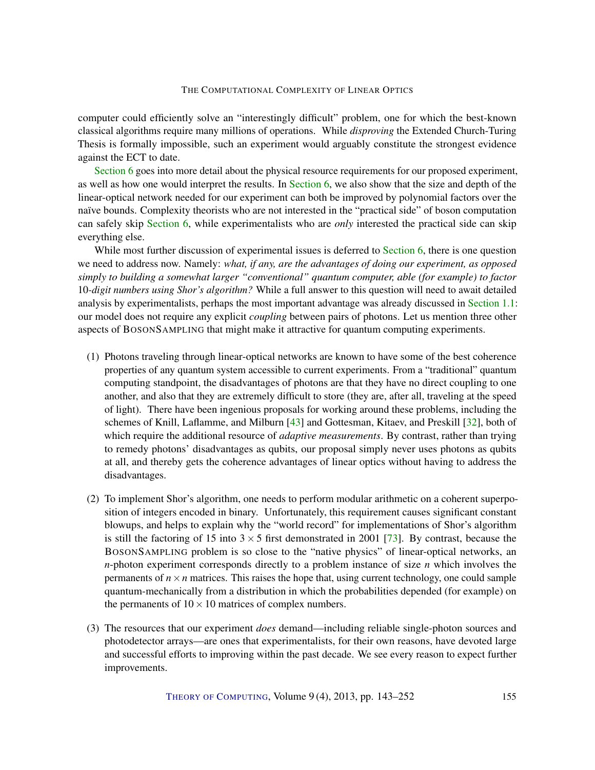computer could efficiently solve an "interestingly difficult" problem, one for which the best-known classical algorithms require many millions of operations. While *disproving* the Extended Church-Turing Thesis is formally impossible, such an experiment would arguably constitute the strongest evidence against the ECT to date.

[Section](#page-53-0) [6](#page-53-0) goes into more detail about the physical resource requirements for our proposed experiment, as well as how one would interpret the results. In [Section](#page-53-0) [6,](#page-53-0) we also show that the size and depth of the linear-optical network needed for our experiment can both be improved by polynomial factors over the naïve bounds. Complexity theorists who are not interested in the "practical side" of boson computation can safely skip [Section](#page-53-0) [6,](#page-53-0) while experimentalists who are *only* interested the practical side can skip everything else.

While most further discussion of experimental issues is deferred to [Section](#page-53-0) [6,](#page-53-0) there is one question we need to address now. Namely: *what, if any, are the advantages of doing our experiment, as opposed simply to building a somewhat larger "conventional" quantum computer, able (for example) to factor* 10*-digit numbers using Shor's algorithm?* While a full answer to this question will need to await detailed analysis by experimentalists, perhaps the most important advantage was already discussed in [Section](#page-4-0) [1.1:](#page-4-0) our model does not require any explicit *coupling* between pairs of photons. Let us mention three other aspects of BOSONSAMPLING that might make it attractive for quantum computing experiments.

- (1) Photons traveling through linear-optical networks are known to have some of the best coherence properties of any quantum system accessible to current experiments. From a "traditional" quantum computing standpoint, the disadvantages of photons are that they have no direct coupling to one another, and also that they are extremely difficult to store (they are, after all, traveling at the speed of light). There have been ingenious proposals for working around these problems, including the schemes of Knill, Laflamme, and Milburn [\[43\]](#page-106-2) and Gottesman, Kitaev, and Preskill [\[32\]](#page-105-2), both of which require the additional resource of *adaptive measurements*. By contrast, rather than trying to remedy photons' disadvantages as qubits, our proposal simply never uses photons as qubits at all, and thereby gets the coherence advantages of linear optics without having to address the disadvantages.
- (2) To implement Shor's algorithm, one needs to perform modular arithmetic on a coherent superposition of integers encoded in binary. Unfortunately, this requirement causes significant constant blowups, and helps to explain why the "world record" for implementations of Shor's algorithm is still the factoring of 15 into  $3 \times 5$  first demonstrated in 2001 [\[73\]](#page-108-3). By contrast, because the BOSONSAMPLING problem is so close to the "native physics" of linear-optical networks, an *n*-photon experiment corresponds directly to a problem instance of size *n* which involves the permanents of  $n \times n$  matrices. This raises the hope that, using current technology, one could sample quantum-mechanically from a distribution in which the probabilities depended (for example) on the permanents of  $10 \times 10$  matrices of complex numbers.
- (3) The resources that our experiment *does* demand—including reliable single-photon sources and photodetector arrays—are ones that experimentalists, for their own reasons, have devoted large and successful efforts to improving within the past decade. We see every reason to expect further improvements.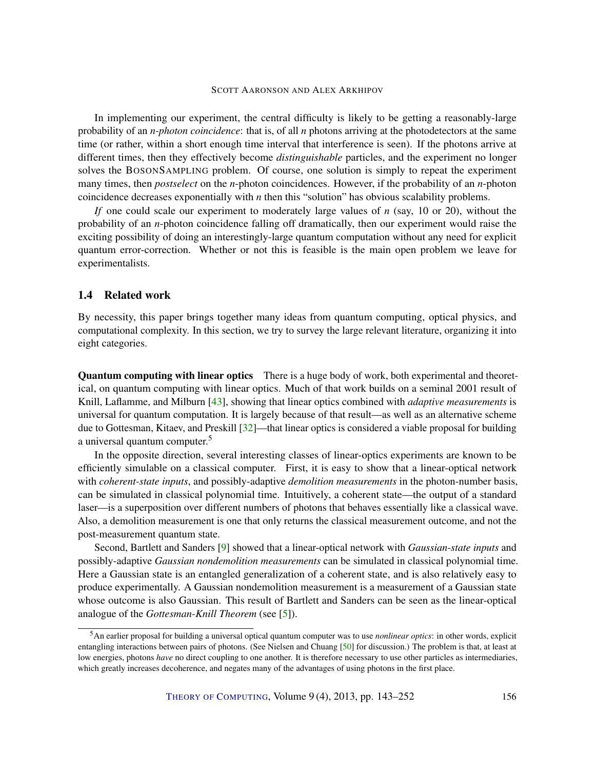In implementing our experiment, the central difficulty is likely to be getting a reasonably-large probability of an *n-photon coincidence*: that is, of all *n* photons arriving at the photodetectors at the same time (or rather, within a short enough time interval that interference is seen). If the photons arrive at different times, then they effectively become *distinguishable* particles, and the experiment no longer solves the BOSONSAMPLING problem. Of course, one solution is simply to repeat the experiment many times, then *postselect* on the *n*-photon coincidences. However, if the probability of an *n*-photon coincidence decreases exponentially with *n* then this "solution" has obvious scalability problems.

*If* one could scale our experiment to moderately large values of *n* (say, 10 or 20), without the probability of an *n*-photon coincidence falling off dramatically, then our experiment would raise the exciting possibility of doing an interestingly-large quantum computation without any need for explicit quantum error-correction. Whether or not this is feasible is the main open problem we leave for experimentalists.

# <span id="page-13-0"></span>1.4 Related work

By necessity, this paper brings together many ideas from quantum computing, optical physics, and computational complexity. In this section, we try to survey the large relevant literature, organizing it into eight categories.

Quantum computing with linear optics There is a huge body of work, both experimental and theoretical, on quantum computing with linear optics. Much of that work builds on a seminal 2001 result of Knill, Laflamme, and Milburn [\[43\]](#page-106-2), showing that linear optics combined with *adaptive measurements* is universal for quantum computation. It is largely because of that result—as well as an alternative scheme due to Gottesman, Kitaev, and Preskill [\[32\]](#page-105-2)—that linear optics is considered a viable proposal for building a universal quantum computer.<sup>5</sup>

In the opposite direction, several interesting classes of linear-optics experiments are known to be efficiently simulable on a classical computer. First, it is easy to show that a linear-optical network with *coherent-state inputs*, and possibly-adaptive *demolition measurements* in the photon-number basis, can be simulated in classical polynomial time. Intuitively, a coherent state—the output of a standard laser—is a superposition over different numbers of photons that behaves essentially like a classical wave. Also, a demolition measurement is one that only returns the classical measurement outcome, and not the post-measurement quantum state.

Second, Bartlett and Sanders [\[9\]](#page-103-4) showed that a linear-optical network with *Gaussian-state inputs* and possibly-adaptive *Gaussian nondemolition measurements* can be simulated in classical polynomial time. Here a Gaussian state is an entangled generalization of a coherent state, and is also relatively easy to produce experimentally. A Gaussian nondemolition measurement is a measurement of a Gaussian state whose outcome is also Gaussian. This result of Bartlett and Sanders can be seen as the linear-optical analogue of the *Gottesman-Knill Theorem* (see [\[5\]](#page-103-5)).

<sup>5</sup>An earlier proposal for building a universal optical quantum computer was to use *nonlinear optics*: in other words, explicit entangling interactions between pairs of photons. (See Nielsen and Chuang [\[50\]](#page-107-2) for discussion.) The problem is that, at least at low energies, photons *have* no direct coupling to one another. It is therefore necessary to use other particles as intermediaries, which greatly increases decoherence, and negates many of the advantages of using photons in the first place.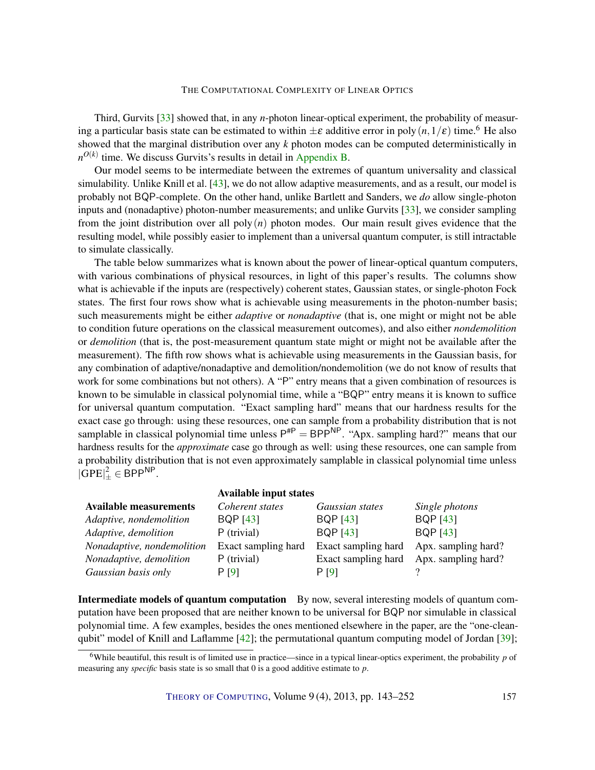Third, Gurvits [\[33\]](#page-105-1) showed that, in any *n*-photon linear-optical experiment, the probability of measuring a particular basis state can be estimated to within  $\pm \varepsilon$  additive error in poly $(n,1/\varepsilon)$  time.<sup>6</sup> He also showed that the marginal distribution over any *k* photon modes can be computed deterministically in  $n^{O(k)}$  time. We discuss Gurvits's results in detail in [Appendix](#page-96-0) [B.](#page-96-0)

Our model seems to be intermediate between the extremes of quantum universality and classical simulability. Unlike Knill et al. [\[43\]](#page-106-2), we do not allow adaptive measurements, and as a result, our model is probably not BQP-complete. On the other hand, unlike Bartlett and Sanders, we *do* allow single-photon inputs and (nonadaptive) photon-number measurements; and unlike Gurvits [\[33\]](#page-105-1), we consider sampling from the joint distribution over all poly(*n*) photon modes. Our main result gives evidence that the resulting model, while possibly easier to implement than a universal quantum computer, is still intractable to simulate classically.

The table below summarizes what is known about the power of linear-optical quantum computers, with various combinations of physical resources, in light of this paper's results. The columns show what is achievable if the inputs are (respectively) coherent states, Gaussian states, or single-photon Fock states. The first four rows show what is achievable using measurements in the photon-number basis; such measurements might be either *adaptive* or *nonadaptive* (that is, one might or might not be able to condition future operations on the classical measurement outcomes), and also either *nondemolition* or *demolition* (that is, the post-measurement quantum state might or might not be available after the measurement). The fifth row shows what is achievable using measurements in the Gaussian basis, for any combination of adaptive/nonadaptive and demolition/nondemolition (we do not know of results that work for some combinations but not others). A "P" entry means that a given combination of resources is known to be simulable in classical polynomial time, while a "BQP" entry means it is known to suffice for universal quantum computation. "Exact sampling hard" means that our hardness results for the exact case go through: using these resources, one can sample from a probability distribution that is not samplable in classical polynomial time unless  $P^{HP} = BPP^{NP}$ . "Apx. sampling hard?" means that our hardness results for the *approximate* case go through as well: using these resources, one can sample from a probability distribution that is not even approximately samplable in classical polynomial time unless  $|\text{GPE}|^2_{\pm} \in \text{BPP}^{\text{NP}}$ .

## Available input states

| <b>Available measurements</b> | Coherent states     | Gaussian states     | Single photons      |
|-------------------------------|---------------------|---------------------|---------------------|
| Adaptive, nondemolition       | <b>BQP [43]</b>     | <b>BQP</b> [43]     | <b>BQP</b> [43]     |
| Adaptive, demolition          | $P$ (trivial)       | <b>BQP</b> [43]     | <b>BQP [43]</b>     |
| Nonadaptive, nondemolition    | Exact sampling hard | Exact sampling hard | Apx. sampling hard? |
| Nonadaptive, demolition       | $P$ (trivial)       | Exact sampling hard | Apx. sampling hard? |
| Gaussian basis only           | P [9]               | P [9]               |                     |

Intermediate models of quantum computation By now, several interesting models of quantum computation have been proposed that are neither known to be universal for BQP nor simulable in classical polynomial time. A few examples, besides the ones mentioned elsewhere in the paper, are the "one-cleanqubit" model of Knill and Laflamme [\[42\]](#page-106-5); the permutational quantum computing model of Jordan [\[39\]](#page-106-6);

<sup>&</sup>lt;sup>6</sup>While beautiful, this result is of limited use in practice—since in a typical linear-optics experiment, the probability  $p$  of measuring any *specific* basis state is so small that 0 is a good additive estimate to *p*.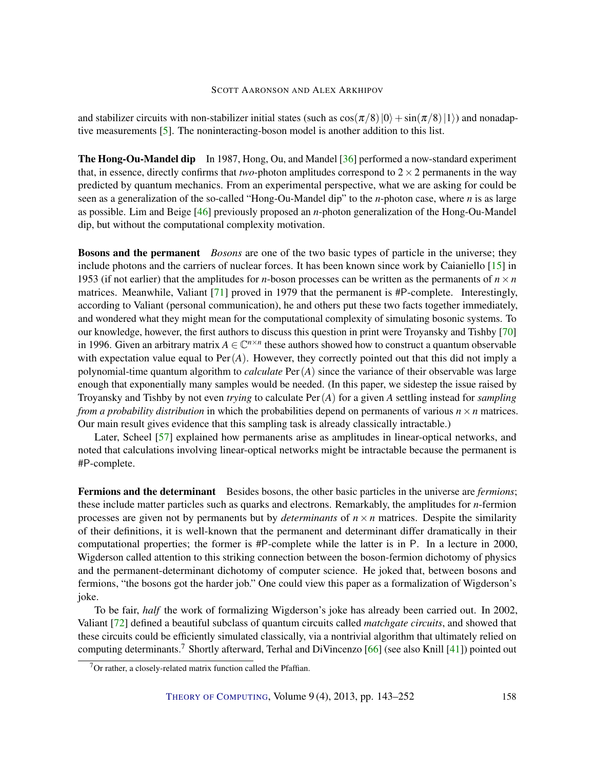and stabilizer circuits with non-stabilizer initial states (such as  $\cos(\pi/8)|0\rangle + \sin(\pi/8)|1\rangle$ ) and nonadaptive measurements [\[5\]](#page-103-5). The noninteracting-boson model is another addition to this list.

The Hong-Ou-Mandel dip In 1987, Hong, Ou, and Mandel [\[36\]](#page-106-7) performed a now-standard experiment that, in essence, directly confirms that *two*-photon amplitudes correspond to  $2 \times 2$  permanents in the way predicted by quantum mechanics. From an experimental perspective, what we are asking for could be seen as a generalization of the so-called "Hong-Ou-Mandel dip" to the *n*-photon case, where *n* is as large as possible. Lim and Beige [\[46\]](#page-106-8) previously proposed an *n*-photon generalization of the Hong-Ou-Mandel dip, but without the computational complexity motivation.

Bosons and the permanent *Bosons* are one of the two basic types of particle in the universe; they include photons and the carriers of nuclear forces. It has been known since work by Caianiello [\[15\]](#page-104-5) in 1953 (if not earlier) that the amplitudes for *n*-boson processes can be written as the permanents of  $n \times n$ matrices. Meanwhile, Valiant [\[71\]](#page-108-4) proved in 1979 that the permanent is #P-complete. Interestingly, according to Valiant (personal communication), he and others put these two facts together immediately, and wondered what they might mean for the computational complexity of simulating bosonic systems. To our knowledge, however, the first authors to discuss this question in print were Troyansky and Tishby [\[70\]](#page-108-5) in 1996. Given an arbitrary matrix  $A \in \mathbb{C}^{n \times n}$  these authors showed how to construct a quantum observable with expectation value equal to  $Per(A)$ . However, they correctly pointed out that this did not imply a polynomial-time quantum algorithm to *calculate* Per(*A*) since the variance of their observable was large enough that exponentially many samples would be needed. (In this paper, we sidestep the issue raised by Troyansky and Tishby by not even *trying* to calculate Per(*A*) for a given *A* settling instead for *sampling from a probability distribution* in which the probabilities depend on permanents of various  $n \times n$  matrices. Our main result gives evidence that this sampling task is already classically intractable.)

Later, Scheel [\[57\]](#page-107-3) explained how permanents arise as amplitudes in linear-optical networks, and noted that calculations involving linear-optical networks might be intractable because the permanent is #P-complete.

Fermions and the determinant Besides bosons, the other basic particles in the universe are *fermions*; these include matter particles such as quarks and electrons. Remarkably, the amplitudes for *n*-fermion processes are given not by permanents but by *determinants* of  $n \times n$  matrices. Despite the similarity of their definitions, it is well-known that the permanent and determinant differ dramatically in their computational properties; the former is #P-complete while the latter is in P. In a lecture in 2000, Wigderson called attention to this striking connection between the boson-fermion dichotomy of physics and the permanent-determinant dichotomy of computer science. He joked that, between bosons and fermions, "the bosons got the harder job." One could view this paper as a formalization of Wigderson's joke.

To be fair, *half* the work of formalizing Wigderson's joke has already been carried out. In 2002, Valiant [\[72\]](#page-108-6) defined a beautiful subclass of quantum circuits called *matchgate circuits*, and showed that these circuits could be efficiently simulated classically, via a nontrivial algorithm that ultimately relied on computing determinants.<sup>7</sup> Shortly afterward, Terhal and DiVincenzo [\[66\]](#page-108-7) (see also Knill [\[41\]](#page-106-9)) pointed out

 $7$ Or rather, a closely-related matrix function called the Pfaffian.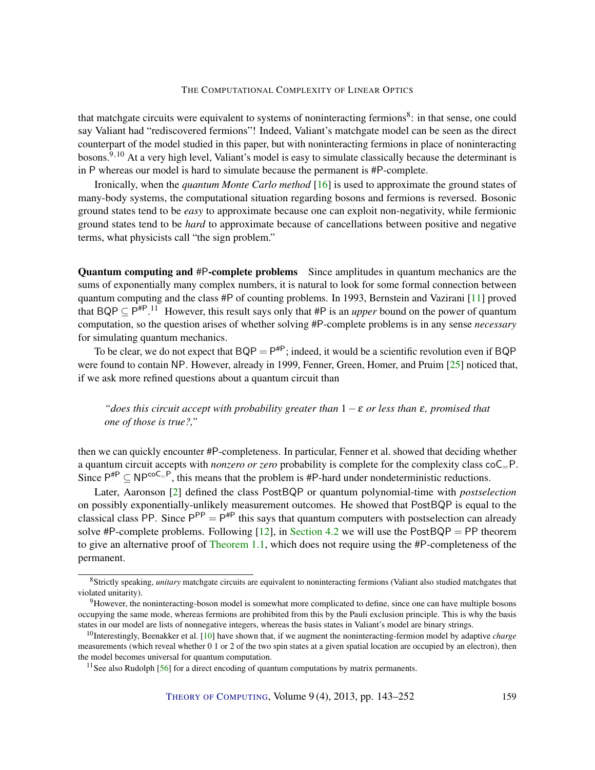that matchgate circuits were equivalent to systems of noninteracting fermions<sup>8</sup>: in that sense, one could say Valiant had "rediscovered fermions"! Indeed, Valiant's matchgate model can be seen as the direct counterpart of the model studied in this paper, but with noninteracting fermions in place of noninteracting bosons.9,<sup>10</sup> At a very high level, Valiant's model is easy to simulate classically because the determinant is in P whereas our model is hard to simulate because the permanent is #P-complete.

Ironically, when the *quantum Monte Carlo method* [\[16\]](#page-104-6) is used to approximate the ground states of many-body systems, the computational situation regarding bosons and fermions is reversed. Bosonic ground states tend to be *easy* to approximate because one can exploit non-negativity, while fermionic ground states tend to be *hard* to approximate because of cancellations between positive and negative terms, what physicists call "the sign problem."

Quantum computing and #P-complete problems Since amplitudes in quantum mechanics are the sums of exponentially many complex numbers, it is natural to look for some formal connection between quantum computing and the class #P of counting problems. In 1993, Bernstein and Vazirani [\[11\]](#page-104-0) proved that BQP  $\subseteq$  P<sup>#P</sup>.<sup>11</sup> However, this result says only that #P is an *upper* bound on the power of quantum computation, so the question arises of whether solving #P-complete problems is in any sense *necessary* for simulating quantum mechanics.

To be clear, we do not expect that  $BQP = P^{HP}$ ; indeed, it would be a scientific revolution even if  $BQP$ were found to contain NP. However, already in 1999, Fenner, Green, Homer, and Pruim [\[25\]](#page-105-3) noticed that, if we ask more refined questions about a quantum circuit than

*"does this circuit accept with probability greater than* 1−ε *or less than* ε*, promised that one of those is true?,"*

then we can quickly encounter #P-completeness. In particular, Fenner et al. showed that deciding whether a quantum circuit accepts with *nonzero or zero* probability is complete for the complexity class coC=P. Since  $P^{HP} \subseteq NP^{coC=P}$ , this means that the problem is #P-hard under nondeterministic reductions.

Later, Aaronson [\[2\]](#page-103-2) defined the class PostBQP or quantum polynomial-time with *postselection* on possibly exponentially-unlikely measurement outcomes. He showed that PostBQP is equal to the classical class PP. Since  $P^{PP} = P^{HP}$  this says that quantum computers with postselection can already solve #P-complete problems. Following [\[12\]](#page-104-2), in [Section](#page-36-0) [4.2](#page-36-0) we will use the PostBQP = PP theorem to give an alternative proof of [Theorem](#page-6-2) [1.1,](#page-6-2) which does not require using the #P-completeness of the permanent.

<sup>8</sup>Strictly speaking, *unitary* matchgate circuits are equivalent to noninteracting fermions (Valiant also studied matchgates that violated unitarity).

<sup>9</sup>However, the noninteracting-boson model is somewhat more complicated to define, since one can have multiple bosons occupying the same mode, whereas fermions are prohibited from this by the Pauli exclusion principle. This is why the basis states in our model are lists of nonnegative integers, whereas the basis states in Valiant's model are binary strings.

<sup>10</sup>Interestingly, Beenakker et al. [\[10\]](#page-103-6) have shown that, if we augment the noninteracting-fermion model by adaptive *charge* measurements (which reveal whether 0 1 or 2 of the two spin states at a given spatial location are occupied by an electron), then the model becomes universal for quantum computation.

<sup>&</sup>lt;sup>11</sup>See also Rudolph [\[56\]](#page-107-4) for a direct encoding of quantum computations by matrix permanents.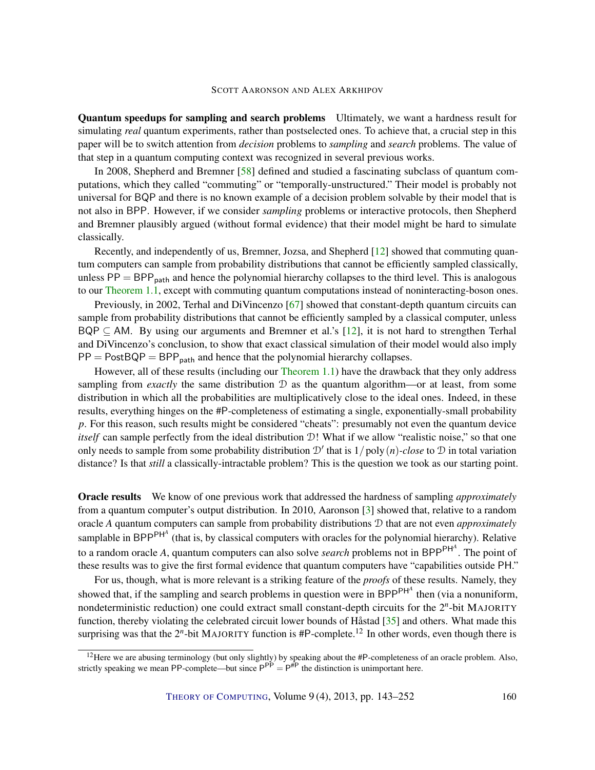Quantum speedups for sampling and search problems Ultimately, we want a hardness result for simulating *real* quantum experiments, rather than postselected ones. To achieve that, a crucial step in this paper will be to switch attention from *decision* problems to *sampling* and *search* problems. The value of that step in a quantum computing context was recognized in several previous works.

In 2008, Shepherd and Bremner [\[58\]](#page-107-5) defined and studied a fascinating subclass of quantum computations, which they called "commuting" or "temporally-unstructured." Their model is probably not universal for BQP and there is no known example of a decision problem solvable by their model that is not also in BPP. However, if we consider *sampling* problems or interactive protocols, then Shepherd and Bremner plausibly argued (without formal evidence) that their model might be hard to simulate classically.

Recently, and independently of us, Bremner, Jozsa, and Shepherd [\[12\]](#page-104-2) showed that commuting quantum computers can sample from probability distributions that cannot be efficiently sampled classically, unless  $PP = BPP<sub>path</sub>$  and hence the polynomial hierarchy collapses to the third level. This is analogous to our [Theorem](#page-6-2) [1.1,](#page-6-2) except with commuting quantum computations instead of noninteracting-boson ones.

Previously, in 2002, Terhal and DiVincenzo [\[67\]](#page-108-8) showed that constant-depth quantum circuits can sample from probability distributions that cannot be efficiently sampled by a classical computer, unless  $BQP \subseteq AM$ . By using our arguments and Bremner et al.'s [\[12\]](#page-104-2), it is not hard to strengthen Terhal and DiVincenzo's conclusion, to show that exact classical simulation of their model would also imply  $PP = PostBQP = BPP_{path}$  and hence that the polynomial hierarchy collapses.

However, all of these results (including our [Theorem](#page-6-2) [1.1\)](#page-6-2) have the drawback that they only address sampling from *exactly* the same distribution  $D$  as the quantum algorithm—or at least, from some distribution in which all the probabilities are multiplicatively close to the ideal ones. Indeed, in these results, everything hinges on the #P-completeness of estimating a single, exponentially-small probability *p*. For this reason, such results might be considered "cheats": presumably not even the quantum device *itself* can sample perfectly from the ideal distribution D! What if we allow "realistic noise," so that one only needs to sample from some probability distribution  $\mathcal{D}'$  that is  $1/poly(n)$ *-close* to  $\mathcal D$  in total variation distance? Is that *still* a classically-intractable problem? This is the question we took as our starting point.

Oracle results We know of one previous work that addressed the hardness of sampling *approximately* from a quantum computer's output distribution. In 2010, Aaronson [\[3\]](#page-103-1) showed that, relative to a random oracle *A* quantum computers can sample from probability distributions D that are not even *approximately* samplable in BPP<sup>PH<sup>A</sup></sup> (that is, by classical computers with oracles for the polynomial hierarchy). Relative to a random oracle *A*, quantum computers can also solve *search* problems not in BPPPH*<sup>A</sup>* . The point of these results was to give the first formal evidence that quantum computers have "capabilities outside PH."

For us, though, what is more relevant is a striking feature of the *proofs* of these results. Namely, they showed that, if the sampling and search problems in question were in BPP<sup>PH<sup>A</sup> then (via a nonuniform,</sup> nondeterministic reduction) one could extract small constant-depth circuits for the  $2^n$ -bit MAJORITY function, thereby violating the celebrated circuit lower bounds of Håstad [\[35\]](#page-106-10) and others. What made this surprising was that the  $2^n$ -bit MAJORITY function is  $\#P$ -complete.<sup>12</sup> In other words, even though there is

 $12$ Here we are abusing terminology (but only slightly) by speaking about the #P-completeness of an oracle problem. Also, strictly speaking we mean PP-complete—but since  $P^{PP} = P^{HP}$  the distinction is unimportant here.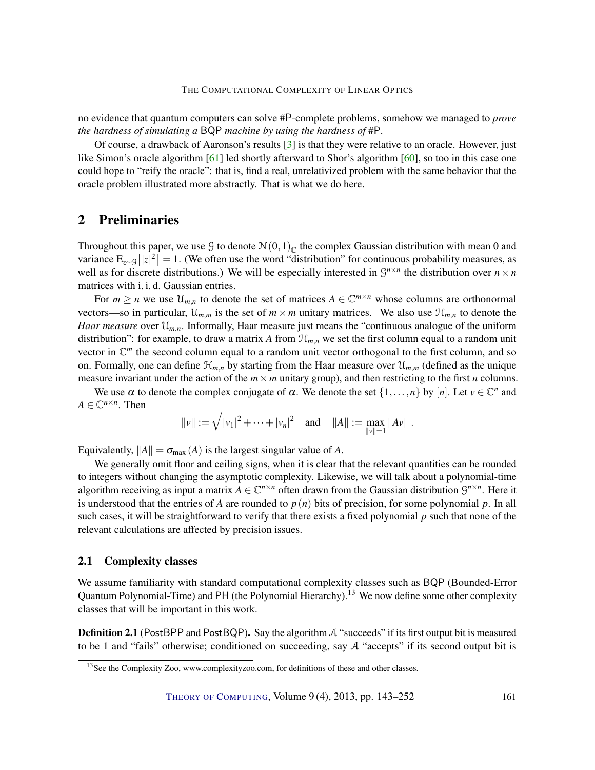no evidence that quantum computers can solve #P-complete problems, somehow we managed to *prove the hardness of simulating a* BQP *machine by using the hardness of* #P.

Of course, a drawback of Aaronson's results [\[3\]](#page-103-1) is that they were relative to an oracle. However, just like Simon's oracle algorithm [\[61\]](#page-107-6) led shortly afterward to Shor's algorithm [\[60\]](#page-107-0), so too in this case one could hope to "reify the oracle": that is, find a real, unrelativized problem with the same behavior that the oracle problem illustrated more abstractly. That is what we do here.

# <span id="page-18-0"></span>2 Preliminaries

Throughout this paper, we use  $\mathcal{G}$  to denote  $\mathcal{N}(0,1)_{\mathbb{C}}$  the complex Gaussian distribution with mean 0 and variance  $E_{z\sim g} [ |z|^2 ] = 1$ . (We often use the word "distribution" for continuous probability measures, as well as for discrete distributions.) We will be especially interested in  $\mathcal{G}^{n \times n}$  the distribution over  $n \times n$ matrices with i. i. d. Gaussian entries.

For  $m \ge n$  we use  $\mathcal{U}_{m,n}$  to denote the set of matrices  $A \in \mathbb{C}^{m \times n}$  whose columns are orthonormal vectors—so in particular,  $\mathcal{U}_{m,m}$  is the set of  $m \times m$  unitary matrices. We also use  $\mathcal{H}_{m,n}$  to denote the *Haar measure* over U*m*,*n*. Informally, Haar measure just means the "continuous analogue of the uniform distribution": for example, to draw a matrix A from  $\mathcal{H}_{m,n}$  we set the first column equal to a random unit vector in  $\mathbb{C}^m$  the second column equal to a random unit vector orthogonal to the first column, and so on. Formally, one can define  $\mathcal{H}_{m,n}$  by starting from the Haar measure over  $\mathcal{U}_{m,m}$  (defined as the unique measure invariant under the action of the  $m \times m$  unitary group), and then restricting to the first *n* columns.

We use  $\overline{\alpha}$  to denote the complex conjugate of  $\alpha$ . We denote the set  $\{1,\ldots,n\}$  by  $[n]$ . Let  $v \in \mathbb{C}^n$  and  $A \in \mathbb{C}^{n \times n}$ . Then

$$
||v|| := \sqrt{|v_1|^2 + \cdots + |v_n|^2}
$$
 and  $||A|| := \max_{||v||=1} ||Av||$ .

Equivalently,  $||A|| = \sigma_{\text{max}}(A)$  is the largest singular value of A.

We generally omit floor and ceiling signs, when it is clear that the relevant quantities can be rounded to integers without changing the asymptotic complexity. Likewise, we will talk about a polynomial-time algorithm receiving as input a matrix  $A \in \mathbb{C}^{n \times n}$  often drawn from the Gaussian distribution  $\mathcal{G}^{n \times n}$ . Here it is understood that the entries of *A* are rounded to  $p(n)$  bits of precision, for some polynomial p. In all such cases, it will be straightforward to verify that there exists a fixed polynomial *p* such that none of the relevant calculations are affected by precision issues.

# <span id="page-18-1"></span>2.1 Complexity classes

We assume familiarity with standard computational complexity classes such as BQP (Bounded-Error Quantum Polynomial-Time) and PH (the Polynomial Hierarchy).<sup>13</sup> We now define some other complexity classes that will be important in this work.

**Definition 2.1** (PostBPP and PostBQP). Say the algorithm  $A$  "succeeds" if its first output bit is measured to be 1 and "fails" otherwise; conditioned on succeeding, say  $A$  "accepts" if its second output bit is

<sup>13</sup>See the Complexity Zoo, www.complexityzoo.com, for definitions of these and other classes.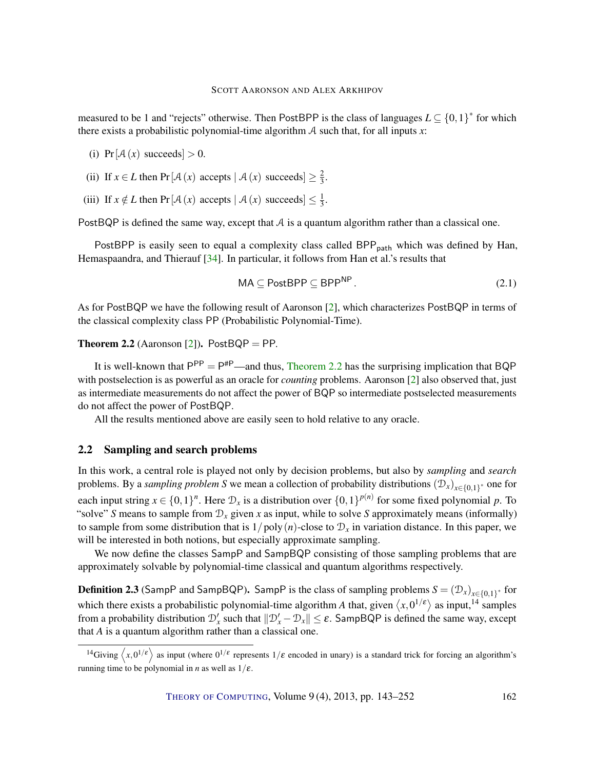measured to be 1 and "rejects" otherwise. Then PostBPP is the class of languages  $L \subseteq \{0,1\}^*$  for which there exists a probabilistic polynomial-time algorithm  $\mathcal A$  such that, for all inputs  $x$ :

- (i)  $Pr[\mathcal{A}(x) \text{ succeeds}] > 0$ .
- (ii) If  $x \in L$  then Pr[ $\mathcal{A}(x)$  accepts  $\mathcal{A}(x)$  succeeds]  $\geq \frac{2}{3}$  $\frac{2}{3}$ .
- (iii) If  $x \notin L$  then Pr[ $\mathcal{A}(x)$  accepts  $\mathcal{A}(x)$  succeeds]  $\leq \frac{1}{3}$  $rac{1}{3}$ .

PostBQP is defined the same way, except that  $A$  is a quantum algorithm rather than a classical one.

PostBPP is easily seen to equal a complexity class called BPP $_{\text{path}}$  which was defined by Han, Hemaspaandra, and Thierauf [\[34\]](#page-105-4). In particular, it follows from Han et al.'s results that

$$
MA \subseteq PostBPP \subseteq BPP^{NP}.
$$
 (2.1)

As for PostBQP we have the following result of Aaronson [\[2\]](#page-103-2), which characterizes PostBQP in terms of the classical complexity class PP (Probabilistic Polynomial-Time).

<span id="page-19-1"></span>**Theorem 2.2** (Aaronson [\[2\]](#page-103-2)). PostBQP = PP.

It is well-known that  $P^{PP} = P^{HP}$ —and thus, [Theorem](#page-19-1) [2.2](#page-19-1) has the surprising implication that BQP with postselection is as powerful as an oracle for *counting* problems. Aaronson [\[2\]](#page-103-2) also observed that, just as intermediate measurements do not affect the power of BQP so intermediate postselected measurements do not affect the power of PostBQP.

All the results mentioned above are easily seen to hold relative to any oracle.

# <span id="page-19-0"></span>2.2 Sampling and search problems

In this work, a central role is played not only by decision problems, but also by *sampling* and *search* problems. By a *sampling problem S* we mean a collection of probability distributions  $(D_x)_{x \in \{0,1\}^*}$  one for each input string  $x \in \{0,1\}^n$ . Here  $\mathcal{D}_x$  is a distribution over  $\{0,1\}^{p(n)}$  for some fixed polynomial p. To "solve" *S* means to sample from  $\mathcal{D}_x$  given *x* as input, while to solve *S* approximately means (informally) to sample from some distribution that is  $1/poly(n)$ -close to  $\mathcal{D}_x$  in variation distance. In this paper, we will be interested in both notions, but especially approximate sampling.

We now define the classes SampP and SampBQP consisting of those sampling problems that are approximately solvable by polynomial-time classical and quantum algorithms respectively.

**Definition 2.3** (SampP and SampBQP). SampP is the class of sampling problems  $S = (\mathcal{D}_x)_{x \in \{0,1\}^*}$  for which there exists a probabilistic polynomial-time algorithm *A* that, given  $\langle x, 0^{1/\epsilon} \rangle$  as input,<sup>14</sup> samples from a probability distribution  $\mathcal{D}'_x$  such that  $||\mathcal{D}'_x - \mathcal{D}_x|| \leq \varepsilon$ . SampBQP is defined the same way, except that *A* is a quantum algorithm rather than a classical one.

<sup>&</sup>lt;sup>14</sup>Giving  $\langle x, 0^{1/\varepsilon} \rangle$  as input (where  $0^{1/\varepsilon}$  represents  $1/\varepsilon$  encoded in unary) is a standard trick for forcing an algorithm's running time to be polynomial in *n* as well as  $1/\varepsilon$ .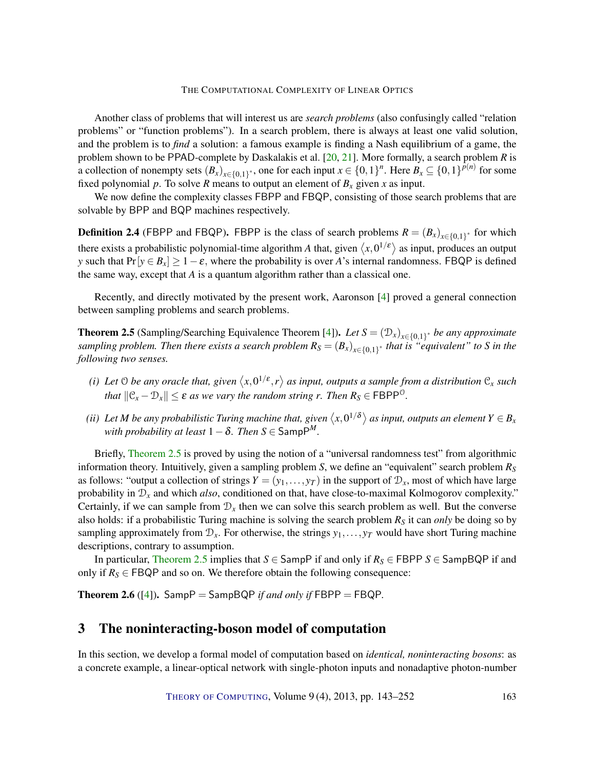Another class of problems that will interest us are *search problems* (also confusingly called "relation problems" or "function problems"). In a search problem, there is always at least one valid solution, and the problem is to *find* a solution: a famous example is finding a Nash equilibrium of a game, the problem shown to be PPAD-complete by Daskalakis et al. [\[20,](#page-104-7) [21\]](#page-104-8). More formally, a search problem *R* is a collection of nonempty sets  $(B_x)_{x \in \{0,1\}^*}$ , one for each input  $x \in \{0,1\}^n$ . Here  $B_x \subseteq \{0,1\}^{p(n)}$  for some fixed polynomial p. To solve R means to output an element of  $B_x$  given x as input.

We now define the complexity classes FBPP and FBQP, consisting of those search problems that are solvable by BPP and BQP machines respectively.

**Definition 2.4** (FBPP and FBQP). FBPP is the class of search problems  $R = (B_x)_{x \in \{0,1\}^*}$  for which there exists a probabilistic polynomial-time algorithm *A* that, given  $\langle x, 0^{1/\epsilon} \rangle$  as input, produces an output *y* such that  $Pr[y \in B_x] \ge 1 - \varepsilon$ , where the probability is over *A*'s internal randomness. FBQP is defined the same way, except that *A* is a quantum algorithm rather than a classical one.

Recently, and directly motivated by the present work, Aaronson [\[4\]](#page-103-3) proved a general connection between sampling problems and search problems.

<span id="page-20-1"></span>**Theorem 2.5** (Sampling/Searching Equivalence Theorem [\[4\]](#page-103-3)). Let  $S = (\mathcal{D}_x)_{x \in \{0,1\}^*}$  be any approximate *sampling problem. Then there exists a search problem*  $R_S = (B_x)_{x \in \{0,1\}^*}$  *that is "equivalent" to S in the following two senses.*

- (*i*) Let  $\odot$  be any oracle that, given  $\langle x, 0^{1/\epsilon}, r \rangle$  as input, outputs a sample from a distribution  $C_x$  such *that*  $||C_x - D_x|| \leq \varepsilon$  *as we vary the random string r. Then*  $R_S \in \mathsf{FBPP}^0$ .
- (ii) Let M be any probabilistic Turing machine that, given  $\langle x,0^{1/\delta}\rangle$  as input, outputs an element  $Y\in B_x$ *with probability at least*  $1 - \delta$ *. Then*  $S \in$  Samp $P^M$ *.*

Briefly, [Theorem](#page-20-1) [2.5](#page-20-1) is proved by using the notion of a "universal randomness test" from algorithmic information theory. Intuitively, given a sampling problem *S*, we define an "equivalent" search problem *R<sup>S</sup>* as follows: "output a collection of strings  $Y = (y_1, \ldots, y_T)$  in the support of  $\mathcal{D}_x$ , most of which have large probability in D*<sup>x</sup>* and which *also*, conditioned on that, have close-to-maximal Kolmogorov complexity." Certainly, if we can sample from  $\mathcal{D}_x$  then we can solve this search problem as well. But the converse also holds: if a probabilistic Turing machine is solving the search problem *R<sup>S</sup>* it can *only* be doing so by sampling approximately from  $\mathcal{D}_x$ . For otherwise, the strings  $y_1, \ldots, y_T$  would have short Turing machine descriptions, contrary to assumption.

In particular, [Theorem](#page-20-1) [2.5](#page-20-1) implies that  $S \in$  SampP if and only if  $R_S \in$  FBPP  $S \in$  SampBQP if and only if  $R_S \in FBQP$  and so on. We therefore obtain the following consequence:

**Theorem 2.6** ([\[4\]](#page-103-3)). SampP = SampBQP *if and only if*  $FBPP = FBQP$ .

# <span id="page-20-0"></span>3 The noninteracting-boson model of computation

In this section, we develop a formal model of computation based on *identical, noninteracting bosons*: as a concrete example, a linear-optical network with single-photon inputs and nonadaptive photon-number

THEORY OF C[OMPUTING](http://dx.doi.org/10.4086/toc), Volume 9(4), 2013, pp. 143–252 163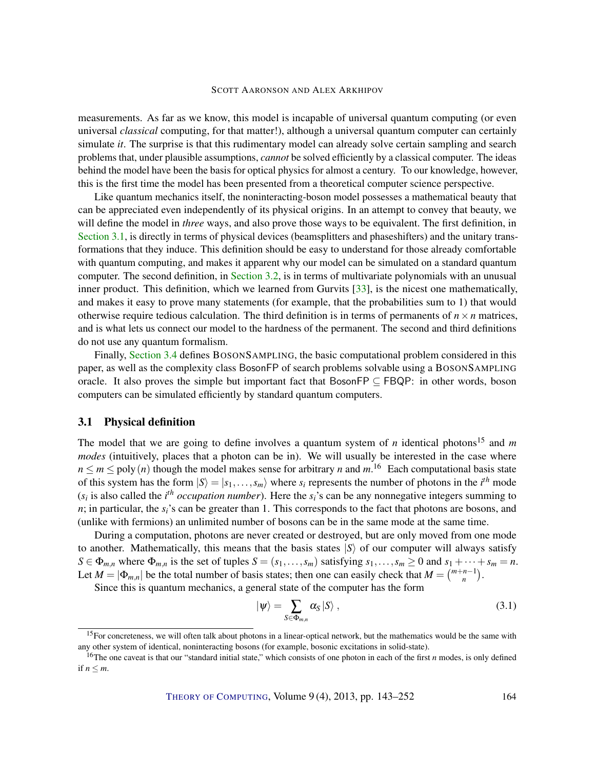measurements. As far as we know, this model is incapable of universal quantum computing (or even universal *classical* computing, for that matter!), although a universal quantum computer can certainly simulate *it*. The surprise is that this rudimentary model can already solve certain sampling and search problems that, under plausible assumptions, *cannot* be solved efficiently by a classical computer. The ideas behind the model have been the basis for optical physics for almost a century. To our knowledge, however, this is the first time the model has been presented from a theoretical computer science perspective.

Like quantum mechanics itself, the noninteracting-boson model possesses a mathematical beauty that can be appreciated even independently of its physical origins. In an attempt to convey that beauty, we will define the model in *three* ways, and also prove those ways to be equivalent. The first definition, in [Section](#page-21-0) [3.1,](#page-21-0) is directly in terms of physical devices (beamsplitters and phaseshifters) and the unitary transformations that they induce. This definition should be easy to understand for those already comfortable with quantum computing, and makes it apparent why our model can be simulated on a standard quantum computer. The second definition, in [Section](#page-24-0) [3.2,](#page-24-0) is in terms of multivariate polynomials with an unusual inner product. This definition, which we learned from Gurvits [\[33\]](#page-105-1), is the nicest one mathematically, and makes it easy to prove many statements (for example, that the probabilities sum to 1) that would otherwise require tedious calculation. The third definition is in terms of permanents of  $n \times n$  matrices, and is what lets us connect our model to the hardness of the permanent. The second and third definitions do not use any quantum formalism.

Finally, [Section](#page-30-0) [3.4](#page-30-0) defines BOSONSAMPLING, the basic computational problem considered in this paper, as well as the complexity class BosonFP of search problems solvable using a BOSONSAMPLING oracle. It also proves the simple but important fact that BosonFP  $\subseteq$  FBQP: in other words, boson computers can be simulated efficiently by standard quantum computers.

# <span id="page-21-0"></span>3.1 Physical definition

The model that we are going to define involves a quantum system of  $n$  identical photons<sup>15</sup> and  $m$ *modes* (intuitively, places that a photon can be in). We will usually be interested in the case where  $n \le m \le \text{poly}(n)$  though the model makes sense for arbitrary *n* and  $m$ .<sup>16</sup> Each computational basis state of this system has the form  $|S\rangle = |s_1, \ldots, s_m\rangle$  where  $s_i$  represents the number of photons in the  $i^{th}$  mode  $(s_i$  is also called the *i*<sup>th</sup> *occupation number*). Here the  $s_i$ 's can be any nonnegative integers summing to *n*; in particular, the *si*'s can be greater than 1. This corresponds to the fact that photons are bosons, and (unlike with fermions) an unlimited number of bosons can be in the same mode at the same time.

During a computation, photons are never created or destroyed, but are only moved from one mode to another. Mathematically, this means that the basis states  $|S\rangle$  of our computer will always satisfy  $S \in \Phi_{m,n}$  where  $\Phi_{m,n}$  is the set of tuples  $S = (s_1, \ldots, s_m)$  satisfying  $s_1, \ldots, s_m \geq 0$  and  $s_1 + \cdots + s_m = n$ . Let  $M = |\Phi_{m,n}|$  be the total number of basis states; then one can easily check that  $M = \binom{m+n-1}{n}$ .

Since this is quantum mechanics, a general state of the computer has the form

$$
|\psi\rangle = \sum_{S \in \Phi_{m,n}} \alpha_S |S\rangle , \qquad (3.1)
$$

 $15$ For concreteness, we will often talk about photons in a linear-optical network, but the mathematics would be the same with any other system of identical, noninteracting bosons (for example, bosonic excitations in solid-state).

<sup>&</sup>lt;sup>16</sup>The one caveat is that our "standard initial state," which consists of one photon in each of the first *n* modes, is only defined if  $n \leq m$ .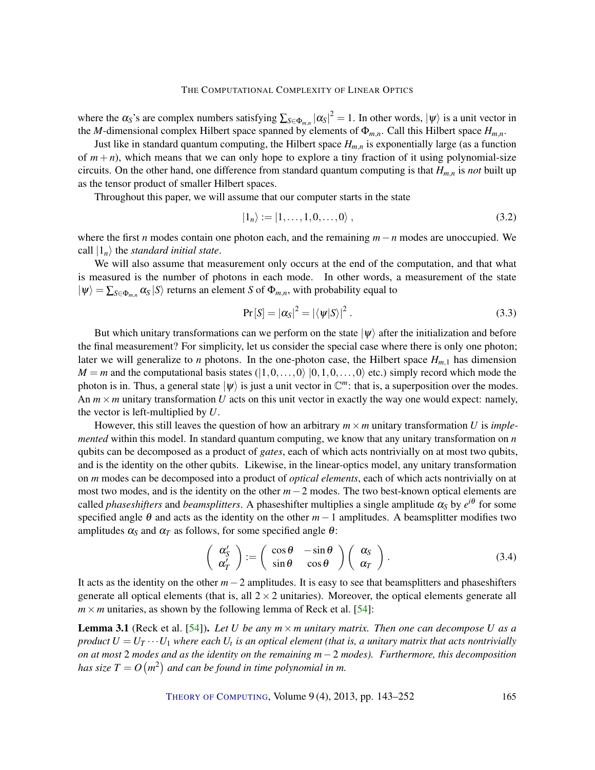where the  $\alpha_S$ 's are complex numbers satisfying  $\sum_{S \in \Phi_{m,n}} |\alpha_S|^2 = 1$ . In other words,  $|\psi\rangle$  is a unit vector in the *M*-dimensional complex Hilbert space spanned by elements of  $\Phi_{m,n}$ . Call this Hilbert space  $H_{m,n}$ .

Just like in standard quantum computing, the Hilbert space *Hm*,*<sup>n</sup>* is exponentially large (as a function of  $m + n$ ), which means that we can only hope to explore a tiny fraction of it using polynomial-size circuits. On the other hand, one difference from standard quantum computing is that *Hm*,*<sup>n</sup>* is *not* built up as the tensor product of smaller Hilbert spaces.

Throughout this paper, we will assume that our computer starts in the state

$$
|1_n\rangle := |1,\ldots,1,0,\ldots,0\rangle ,\qquad(3.2)
$$

where the first *n* modes contain one photon each, and the remaining *m*−*n* modes are unoccupied. We call  $|1_n\rangle$  the *standard initial state*.

We will also assume that measurement only occurs at the end of the computation, and that what is measured is the number of photons in each mode. In other words, a measurement of the state  $|\psi\rangle = \sum_{S \in \Phi_{m,n}} \alpha_S |S\rangle$  returns an element *S* of  $\Phi_{m,n}$ , with probability equal to

$$
Pr[S] = |\alpha_S|^2 = |\langle \psi | S \rangle|^2. \tag{3.3}
$$

But which unitary transformations can we perform on the state  $|\psi\rangle$  after the initialization and before the final measurement? For simplicity, let us consider the special case where there is only one photon; later we will generalize to *n* photons. In the one-photon case, the Hilbert space  $H_{m,1}$  has dimension  $M = m$  and the computational basis states  $(1,0,\ldots,0)$   $(0,1,0,\ldots,0)$  etc.) simply record which mode the photon is in. Thus, a general state  $|\psi\rangle$  is just a unit vector in  $\mathbb{C}^m$ : that is, a superposition over the modes. An  $m \times m$  unitary transformation U acts on this unit vector in exactly the way one would expect: namely, the vector is left-multiplied by *U*.

However, this still leaves the question of how an arbitrary  $m \times m$  unitary transformation U is *implemented* within this model. In standard quantum computing, we know that any unitary transformation on *n* qubits can be decomposed as a product of *gates*, each of which acts nontrivially on at most two qubits, and is the identity on the other qubits. Likewise, in the linear-optics model, any unitary transformation on *m* modes can be decomposed into a product of *optical elements*, each of which acts nontrivially on at most two modes, and is the identity on the other *m*−2 modes. The two best-known optical elements are called *phaseshifters* and *beamsplitters*. A phaseshifter multiplies a single amplitude  $\alpha_S$  by  $e^{i\theta}$  for some specified angle  $\theta$  and acts as the identity on the other  $m-1$  amplitudes. A beamsplitter modifies two amplitudes  $\alpha_s$  and  $\alpha_T$  as follows, for some specified angle  $\theta$ :

$$
\begin{pmatrix} \alpha'_{S} \\ \alpha'_{T} \end{pmatrix} := \begin{pmatrix} \cos \theta & -\sin \theta \\ \sin \theta & \cos \theta \end{pmatrix} \begin{pmatrix} \alpha_{S} \\ \alpha_{T} \end{pmatrix}.
$$
 (3.4)

It acts as the identity on the other *m*−2 amplitudes. It is easy to see that beamsplitters and phaseshifters generate all optical elements (that is, all  $2 \times 2$  unitaries). Moreover, the optical elements generate all  $m \times m$  unitaries, as shown by the following lemma of Reck et al. [\[54\]](#page-107-7):

<span id="page-22-0"></span>**Lemma 3.1** (Reck et al. [\[54\]](#page-107-7)). Let *U* be any  $m \times m$  *unitary matrix. Then one can decompose U as a*  $p$ roduct  $U = U_T \cdots U_1$  where each  $U_t$  is an optical element (that is, a unitary matrix that acts nontrivially *on at most* 2 *modes and as the identity on the remaining m*−2 *modes). Furthermore, this decomposition has size*  $T = O(m^2)$  and can be found in time polynomial in m.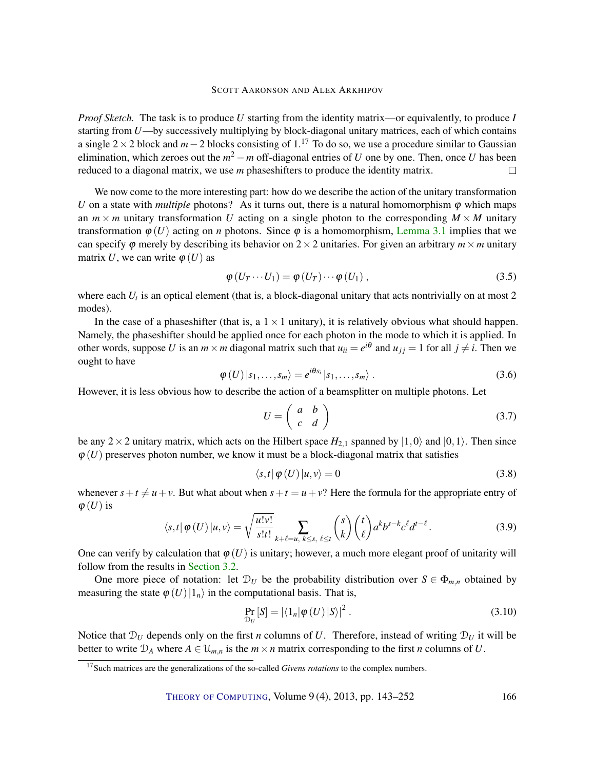*Proof Sketch.* The task is to produce *U* starting from the identity matrix—or equivalently, to produce *I* starting from *U*—by successively multiplying by block-diagonal unitary matrices, each of which contains a single 2  $\times$  2 block and *m* − 2 blocks consisting of 1.<sup>17</sup> To do so, we use a procedure similar to Gaussian elimination, which zeroes out the  $m^2 - m$  off-diagonal entries of *U* one by one. Then, once *U* has been reduced to a diagonal matrix, we use *m* phaseshifters to produce the identity matrix.  $\Box$ 

We now come to the more interesting part: how do we describe the action of the unitary transformation *U* on a state with *multiple* photons? As it turns out, there is a natural homomorphism  $\varphi$  which maps an  $m \times m$  unitary transformation U acting on a single photon to the corresponding  $M \times M$  unitary transformation  $\varphi$  (*U*) acting on *n* photons. Since  $\varphi$  is a homomorphism, [Lemma](#page-22-0) [3.1](#page-22-0) implies that we can specify  $\varphi$  merely by describing its behavior on  $2 \times 2$  unitaries. For given an arbitrary  $m \times m$  unitary matrix *U*, we can write  $\varphi$  (*U*) as

$$
\varphi(U_T \cdots U_1) = \varphi(U_T) \cdots \varphi(U_1) , \qquad (3.5)
$$

where each  $U_t$  is an optical element (that is, a block-diagonal unitary that acts nontrivially on at most 2 modes).

In the case of a phaseshifter (that is, a  $1 \times 1$  unitary), it is relatively obvious what should happen. Namely, the phaseshifter should be applied once for each photon in the mode to which it is applied. In other words, suppose *U* is an  $m \times m$  diagonal matrix such that  $u_{ii} = e^{i\theta}$  and  $u_{jj} = 1$  for all  $j \neq i$ . Then we ought to have

$$
\varphi(U) \, | s_1, \ldots, s_m \rangle = e^{i \theta s_i} \, | s_1, \ldots, s_m \rangle \,. \tag{3.6}
$$

However, it is less obvious how to describe the action of a beamsplitter on multiple photons. Let

$$
U = \left(\begin{array}{cc} a & b \\ c & d \end{array}\right) \tag{3.7}
$$

be any  $2 \times 2$  unitary matrix, which acts on the Hilbert space  $H_{2,1}$  spanned by  $|1,0\rangle$  and  $|0,1\rangle$ . Then since  $\varphi$  (*U*) preserves photon number, we know it must be a block-diagonal matrix that satisfies

$$
\langle s,t|\,\varphi\left(U\right)|u,v\rangle=0\tag{3.8}
$$

whenever  $s + t \neq u + v$ . But what about when  $s + t = u + v$ ? Here the formula for the appropriate entry of  $\varphi(U)$  is

<span id="page-23-0"></span>
$$
\langle s,t|\,\varphi\left(U\right)|u,v\rangle = \sqrt{\frac{u!v!}{s!t!}}\sum_{k+\ell=u,\;k\leq s,\;\ell\leq t} {s \choose k}{t \choose \ell}a^k b^{s-k}c^{\ell}d^{t-\ell}.
$$

One can verify by calculation that  $\varphi(U)$  is unitary; however, a much more elegant proof of unitarity will follow from the results in [Section](#page-24-0) [3.2.](#page-24-0)

One more piece of notation: let  $\mathcal{D}_U$  be the probability distribution over  $S \in \Phi_{m,n}$  obtained by measuring the state  $\varphi(U)|1_n\rangle$  in the computational basis. That is,

$$
\Pr_{\mathcal{D}_U} \left[ S \right] = \left| \langle 1_n | \varphi(U) | S \rangle \right|^2. \tag{3.10}
$$

Notice that  $\mathcal{D}_U$  depends only on the first *n* columns of *U*. Therefore, instead of writing  $\mathcal{D}_U$  it will be better to write  $D_A$  where  $A \in \mathcal{U}_{m,n}$  is the  $m \times n$  matrix corresponding to the first *n* columns of *U*.

<sup>17</sup>Such matrices are the generalizations of the so-called *Givens rotations* to the complex numbers.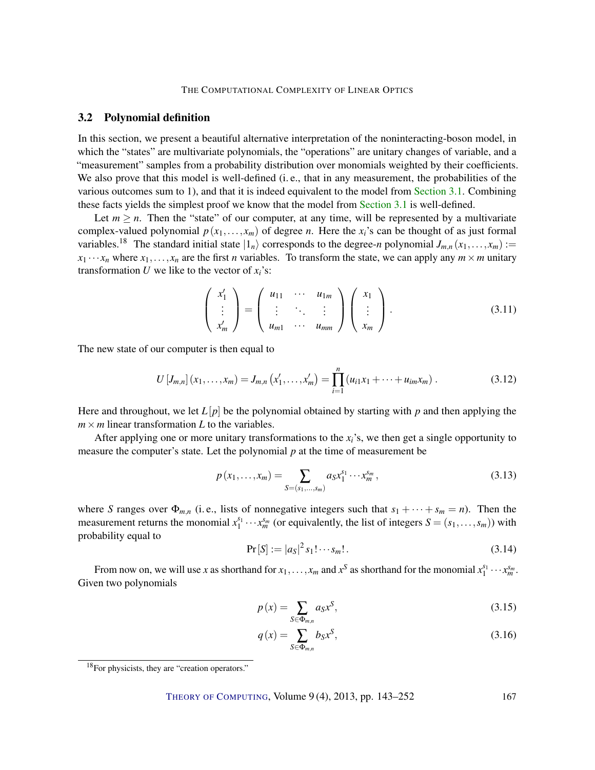# <span id="page-24-0"></span>3.2 Polynomial definition

In this section, we present a beautiful alternative interpretation of the noninteracting-boson model, in which the "states" are multivariate polynomials, the "operations" are unitary changes of variable, and a "measurement" samples from a probability distribution over monomials weighted by their coefficients. We also prove that this model is well-defined (i.e., that in any measurement, the probabilities of the various outcomes sum to 1), and that it is indeed equivalent to the model from [Section](#page-21-0) [3.1.](#page-21-0) Combining these facts yields the simplest proof we know that the model from [Section](#page-21-0) [3.1](#page-21-0) is well-defined.

Let  $m \geq n$ . Then the "state" of our computer, at any time, will be represented by a multivariate complex-valued polynomial  $p(x_1,...,x_m)$  of degree *n*. Here the  $x_i$ 's can be thought of as just formal variables.<sup>18</sup> The standard initial state  $|1_n\rangle$  corresponds to the degree-*n* polynomial  $J_{m,n}(x_1,...,x_m)$ :=  $x_1 \cdots x_n$  where  $x_1, \ldots, x_n$  are the first *n* variables. To transform the state, we can apply any  $m \times m$  unitary transformation *U* we like to the vector of  $x_i$ 's:

$$
\begin{pmatrix} x_1' \\ \vdots \\ x_m' \end{pmatrix} = \begin{pmatrix} u_{11} & \cdots & u_{1m} \\ \vdots & \ddots & \vdots \\ u_{m1} & \cdots & u_{mm} \end{pmatrix} \begin{pmatrix} x_1 \\ \vdots \\ x_m \end{pmatrix}.
$$
 (3.11)

The new state of our computer is then equal to

$$
U\left[J_{m,n}\right](x_1,\ldots,x_m)=J_{m,n}\left(x'_1,\ldots,x'_m\right)=\prod_{i=1}^n\left(u_{i1}x_1+\cdots+u_{im}x_m\right).
$$
 (3.12)

Here and throughout, we let  $L[p]$  be the polynomial obtained by starting with *p* and then applying the  $m \times m$  linear transformation *L* to the variables.

After applying one or more unitary transformations to the  $x_i$ 's, we then get a single opportunity to measure the computer's state. Let the polynomial *p* at the time of measurement be

$$
p(x_1,...,x_m) = \sum_{S=(s_1,...,s_m)} a_S x_1^{s_1} \cdots x_m^{s_m},
$$
\n(3.13)

where *S* ranges over  $\Phi_{m,n}$  (i.e., lists of nonnegative integers such that  $s_1 + \cdots + s_m = n$ ). Then the measurement returns the monomial  $x_1^{s_1} \cdots x_m^{s_m}$  (or equivalently, the list of integers  $S = (s_1, \ldots, s_m)$ ) with probability equal to

$$
\Pr\left[S\right] := |a_{S}|^{2} s_{1}! \cdots s_{m}! \,. \tag{3.14}
$$

From now on, we will use *x* as shorthand for  $x_1, \ldots, x_m$  and  $x^S$  as shorthand for the monomial  $x_1^{s_1} \cdots x_m^{s_m}$ . Given two polynomials

$$
p(x) = \sum_{S \in \Phi_{m,n}} a_S x^S,
$$
\n(3.15)

$$
q\left(x\right) = \sum_{S \in \Phi_{m,n}} b_S x^S,\tag{3.16}
$$

THEORY OF C[OMPUTING](http://dx.doi.org/10.4086/toc), Volume 9(4), 2013, pp. 143–252 167

<sup>&</sup>lt;sup>18</sup>For physicists, they are "creation operators."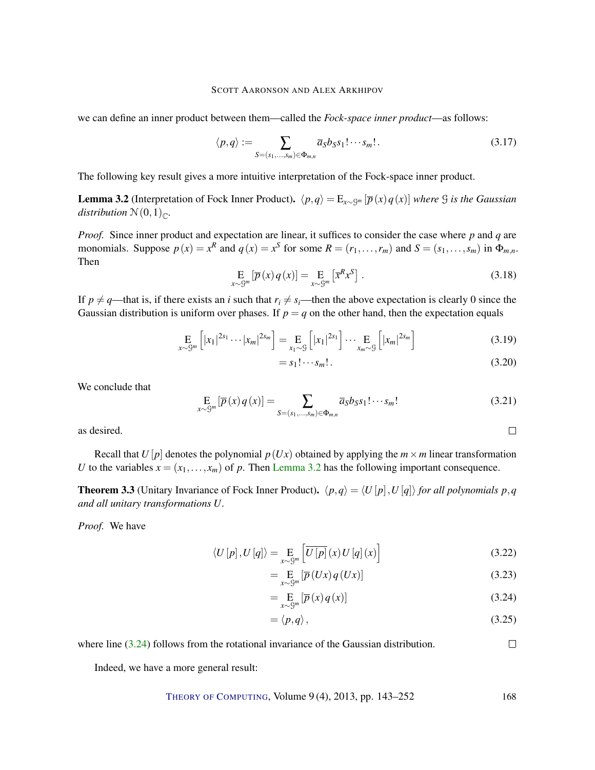we can define an inner product between them—called the *Fock-space inner product*—as follows:

$$
\langle p,q \rangle := \sum_{S=(s_1,\ldots,s_m)\in\Phi_{m,n}} \overline{a}_S b_S s_1! \cdots s_m! \tag{3.17}
$$

The following key result gives a more intuitive interpretation of the Fock-space inner product.

<span id="page-25-0"></span>**Lemma 3.2** (Interpretation of Fock Inner Product).  $\langle p, q \rangle = \mathbb{E}_{x \sim \mathbb{S}^m} [\overline{p}(x) q(x)]$  *where*  $\mathbb{S}$  *is the Gaussian distribution*  $N(0,1)_{\mathbb{C}}$ *.* 

*Proof.* Since inner product and expectation are linear, it suffices to consider the case where *p* and *q* are monomials. Suppose  $p(x) = x^R$  and  $q(x) = x^S$  for some  $R = (r_1, \ldots, r_m)$  and  $S = (s_1, \ldots, s_m)$  in  $\Phi_{m,n}$ . Then

$$
\underset{x \sim \mathcal{G}^m}{\mathcal{E}} \left[ \overline{p}(x) q(x) \right] = \underset{x \sim \mathcal{G}^m}{\mathcal{E}} \left[ \overline{x}^R x^S \right]. \tag{3.18}
$$

If  $p \neq q$ —that is, if there exists an *i* such that  $r_i \neq s_i$ —then the above expectation is clearly 0 since the Gaussian distribution is uniform over phases. If  $p = q$  on the other hand, then the expectation equals

$$
\underset{x \sim \mathcal{G}^m}{\mathbf{E}} \left[ |x_1|^{2s_1} \cdots |x_m|^{2s_m} \right] = \underset{x_1 \sim \mathcal{G}}{\mathbf{E}} \left[ |x_1|^{2s_1} \right] \cdots \underset{x_m \sim \mathcal{G}}{\mathbf{E}} \left[ |x_m|^{2s_m} \right] \tag{3.19}
$$

$$
=s_1!\cdots s_m! \tag{3.20}
$$

<span id="page-25-1"></span> $\Box$ 

We conclude that

$$
\underset{x \sim \mathcal{G}^m}{\mathcal{E}} \left[ \overline{p}(x) \, q(x) \right] = \sum_{S = (s_1, \ldots, s_m) \in \Phi_{m,n}} \overline{a}_S b_S s_1! \cdots s_m! \tag{3.21}
$$

as desired.

Recall that  $U[p]$  denotes the polynomial  $p(Ux)$  obtained by applying the  $m \times m$  linear transformation *U* to the variables  $x = (x_1, \ldots, x_m)$  of *p*. Then [Lemma](#page-25-0) [3.2](#page-25-0) has the following important consequence.

<span id="page-25-2"></span>**Theorem 3.3** (Unitary Invariance of Fock Inner Product).  $\langle p,q \rangle = \langle U[p], U[q] \rangle$  *for all polynomials*  $p,q$ *and all unitary transformations U.*

*Proof.* We have

$$
\langle U[p], U[q] \rangle = \underset{x \sim \mathcal{G}^m}{\mathbb{E}} \left[ \overline{U[p]}(x) U[q](x) \right] \tag{3.22}
$$

$$
=\underset{x\sim\mathcal{G}^{m}}{\mathrm{E}}\left[\overline{p}\left(Ux\right)q\left(Ux\right)\right]
$$
\n(3.23)

$$
=\underset{x\sim\mathcal{G}^{m}}{\mathrm{E}}\left[\overline{p}\left(x\right)q\left(x\right)\right]
$$
\n(3.24)

$$
=\langle p,q\rangle,\tag{3.25}
$$

where line  $(3.24)$  follows from the rotational invariance of the Gaussian distribution.  $\Box$ 

Indeed, we have a more general result:

THEORY OF C[OMPUTING](http://dx.doi.org/10.4086/toc), Volume 9 (4), 2013, pp. 143–252 168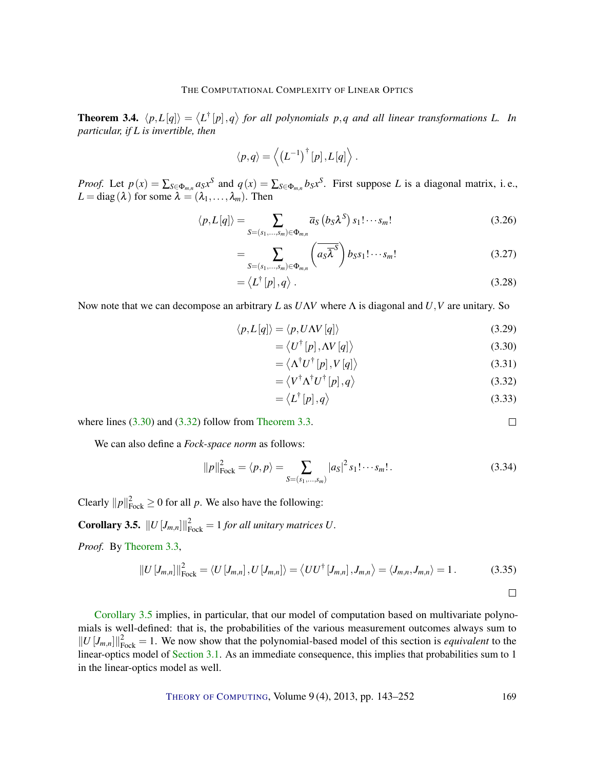<span id="page-26-3"></span>**Theorem 3.4.**  $\langle p, L[q] \rangle = \langle L^{\dagger}[p], q \rangle$  for all polynomials  $p, q$  and all linear transformations L. In *particular, if L is invertible, then*

$$
\langle p,q\rangle = \langle (L^{-1})^{\dagger} [p], L[q] \rangle.
$$

*Proof.* Let  $p(x) = \sum_{S \in \Phi_{m,n}} a_S x^S$  and  $q(x) = \sum_{S \in \Phi_{m,n}} b_S x^S$ . First suppose L is a diagonal matrix, i.e.,  $L = \text{diag}(\lambda)$  for some  $\lambda = (\lambda_1, \dots, \lambda_m)$ . Then

$$
\langle p, L[q] \rangle = \sum_{S = (s_1, \dots, s_m) \in \Phi_{m,n}} \overline{a}_S \left( b_S \lambda^S \right) s_1! \cdots s_m!
$$
 (3.26)

$$
=\sum_{S=(s_1,\ldots,s_m)\in\Phi_{m,n}}\left(\overline{a_S\overline{\lambda}^S}\right)b_Ss_1!\cdots s_m!\tag{3.27}
$$

$$
= \langle L^{\dagger} [p], q \rangle. \tag{3.28}
$$

Now note that we can decompose an arbitrary *L* as *U*Λ*V* where Λ is diagonal and *U*,*V* are unitary. So

$$
\langle p, L[q] \rangle = \langle p, U\Lambda V[q] \rangle \tag{3.29}
$$

$$
= \langle U^{\dagger} [p], \Lambda V [q] \rangle \tag{3.30}
$$

$$
= \langle \Lambda^{\dagger} U^{\dagger} [p], V [q] \rangle \tag{3.31}
$$

$$
= \langle V^{\dagger} \Lambda^{\dagger} U^{\dagger} [p], q \rangle \tag{3.32}
$$

$$
=\langle L^{\dagger}[p],q\rangle \tag{3.33}
$$

where lines  $(3.30)$  and  $(3.32)$  follow from [Theorem](#page-25-2) [3.3.](#page-25-2)

We can also define a *Fock-space norm* as follows:

$$
||p||_{\text{Fock}}^2 = \langle p, p \rangle = \sum_{S = (s_1, \dots, s_m)} |a_S|^2 s_1! \cdots s_m!.
$$
 (3.34)

Clearly  $||p||_{Fock}^2 \ge 0$  for all *p*. We also have the following:

<span id="page-26-2"></span>**Corollary 3.5.**  $||U [J_{m,n}]||_{Fock}^2 = 1$  *for all unitary matrices U.* 

*Proof.* By [Theorem](#page-25-2) [3.3,](#page-25-2)

$$
||U[J_{m,n}]||_{\text{Fock}}^2 = \langle U[J_{m,n}], U[J_{m,n}]\rangle = \langle UU^{\dagger}[J_{m,n}], J_{m,n}\rangle = \langle J_{m,n}, J_{m,n}\rangle = 1. \tag{3.35}
$$

$$
\Box
$$

<span id="page-26-1"></span><span id="page-26-0"></span> $\Box$ 

[Corollary](#page-26-2) [3.5](#page-26-2) implies, in particular, that our model of computation based on multivariate polynomials is well-defined: that is, the probabilities of the various measurement outcomes always sum to  $||U [J_{m,n}]||^2_{\text{Fock}} = 1$ . We now show that the polynomial-based model of this section is *equivalent* to the linear-optics model of [Section](#page-21-0) [3.1.](#page-21-0) As an immediate consequence, this implies that probabilities sum to 1 in the linear-optics model as well.

THEORY OF C[OMPUTING](http://dx.doi.org/10.4086/toc), Volume 9 (4), 2013, pp. 143–252 169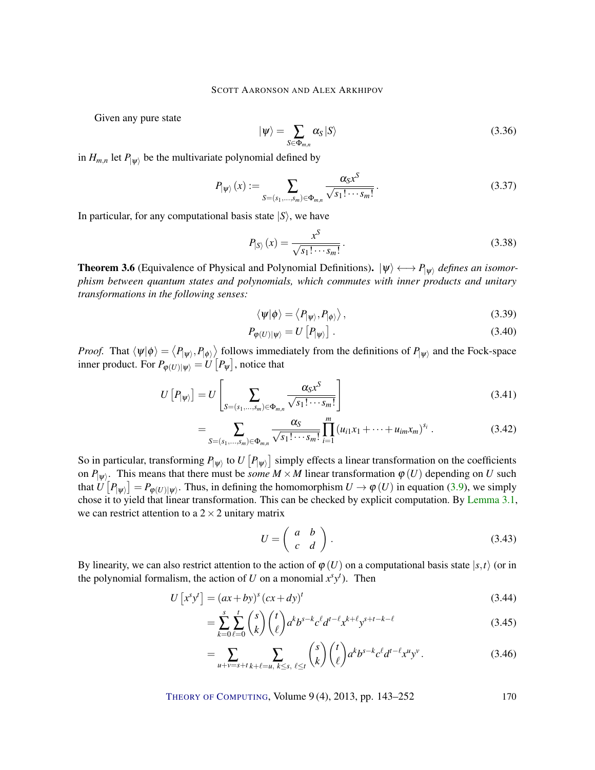Given any pure state

$$
|\psi\rangle = \sum_{S \in \Phi_{m,n}} \alpha_S |S\rangle \tag{3.36}
$$

in  $H_{m,n}$  let  $P_{|\psi\rangle}$  be the multivariate polynomial defined by

$$
P_{\left|\psi\right\rangle}(x) := \sum_{S=(s_1,\ldots,s_m)\in\Phi_{m,n}} \frac{\alpha_S x^S}{\sqrt{s_1! \cdots s_m!}}\,. \tag{3.37}
$$

In particular, for any computational basis state  $|S\rangle$ , we have

$$
P_{|S\rangle}(x) = \frac{x^S}{\sqrt{s_1! \cdots s_m!}}.
$$
\n(3.38)

<span id="page-27-0"></span>**Theorem 3.6** (Equivalence of Physical and Polynomial Definitions).  $|\psi\rangle \leftrightarrow P_{|\psi\rangle}$  *defines an isomorphism between quantum states and polynomials, which commutes with inner products and unitary transformations in the following senses:*

$$
\langle \psi | \phi \rangle = \langle P_{|\psi \rangle}, P_{|\phi \rangle} \rangle, \tag{3.39}
$$

$$
P_{\varphi(U)|\psi\rangle} = U\left[P_{|\psi\rangle}\right].\tag{3.40}
$$

*Proof.* That  $\langle \psi | \phi \rangle = \langle P_{|\psi \rangle}, P_{|\phi \rangle} \rangle$  follows immediately from the definitions of  $P_{|\psi \rangle}$  and the Fock-space inner product. For  $P_{\varphi(U)|\psi\rangle} = U[P_{\psi}]$ , notice that

$$
U\left[P_{\left|\psi\right\rangle}\right] = U\left[\sum_{S=(s_1,\ldots,s_m)\in\Phi_{m,n}} \frac{\alpha_S x^S}{\sqrt{s_1!\cdots s_m!}}\right]
$$
\n(3.41)

$$
= \sum_{S=(s_1,\ldots,s_m)\in\Phi_{m,n}} \frac{\alpha_S}{\sqrt{s_1!\cdots s_m!}} \prod_{i=1}^m (u_{i1}x_1+\cdots+u_{im}x_m)^{s_i} . \hspace{1cm} (3.42)
$$

So in particular, transforming  $P_{|\psi\rangle}$  to  $U\left[P_{|\psi\rangle}\right]$  simply effects a linear transformation on the coefficients on  $P_{|\psi\rangle}$ . This means that there must be *some*  $M \times M$  linear transformation  $\varphi(U)$  depending on *U* such that  $U[P_{|\psi\rangle}] = P_{\phi(U)|\psi\rangle}$ . Thus, in defining the homomorphism  $U \to \phi(U)$  in equation [\(3.9\)](#page-23-0), we simply chose it to yield that linear transformation. This can be checked by explicit computation. By [Lemma](#page-22-0) [3.1,](#page-22-0) we can restrict attention to a  $2 \times 2$  unitary matrix

$$
U = \left(\begin{array}{cc} a & b \\ c & d \end{array}\right). \tag{3.43}
$$

By linearity, we can also restrict attention to the action of  $\varphi(U)$  on a computational basis state  $|s,t\rangle$  (or in the polynomial formalism, the action of *U* on a monomial  $x^s y^t$ ). Then

$$
U\left[x^s y^t\right] = \left(ax + by\right)^s \left(cx + dy\right)^t\tag{3.44}
$$

$$
= \sum_{k=0}^{s} \sum_{\ell=0}^{t} \binom{s}{k} \binom{t}{\ell} a^k b^{s-k} c^{\ell} d^{t-\ell} x^{k+\ell} y^{s+t-k-\ell} \tag{3.45}
$$

$$
= \sum_{u+v=s+t} \sum_{k+\ell=u, k\leq s, \ell \leq t} {s \choose k} {t \choose \ell} a^k b^{s-k} c^\ell d^{t-\ell} x^u y^v.
$$
 (3.46)

THEORY OF C[OMPUTING](http://dx.doi.org/10.4086/toc), Volume 9(4), 2013, pp. 143–252 170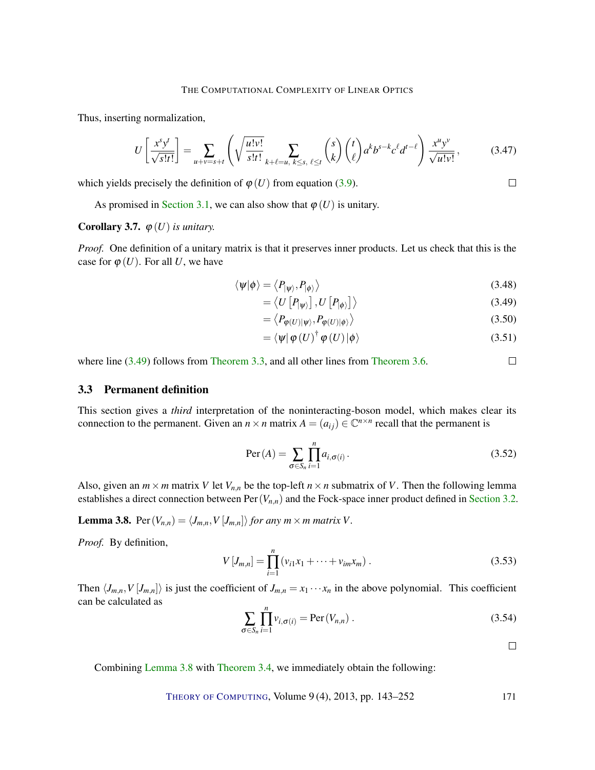Thus, inserting normalization,

$$
U\left[\frac{x^s y^t}{\sqrt{s!t!}}\right] = \sum_{u+v=s+t} \left(\sqrt{\frac{u!v!}{s!t!}} \sum_{k+\ell=u, k\leq s, \ell \leq t} {s \choose k} {t \choose \ell} a^k b^{s-k} c^\ell d^{t-\ell} \right) \frac{x^u y^v}{\sqrt{u!v!}},\tag{3.47}
$$

which yields precisely the definition of  $\varphi(U)$  from equation [\(3.9\)](#page-23-0).

As promised in [Section](#page-21-0) [3.1,](#page-21-0) we can also show that  $\varphi(U)$  is unitary.

**Corollary 3.7.**  $\varphi(U)$  *is unitary.* 

*Proof.* One definition of a unitary matrix is that it preserves inner products. Let us check that this is the case for  $\varphi(U)$ . For all *U*, we have

$$
\langle \psi | \phi \rangle = \langle P_{|\psi \rangle}, P_{|\phi \rangle} \rangle \tag{3.48}
$$

$$
= \langle U\left[P_{|\psi\rangle}\right], U\left[P_{|\phi\rangle}\right] \rangle \tag{3.49}
$$

$$
= \langle P_{\varphi(U)|\psi\rangle}, P_{\varphi(U)|\phi\rangle} \rangle \tag{3.50}
$$

$$
= \langle \psi | \varphi \left( U \right)^{\dagger} \varphi \left( U \right) | \phi \rangle \tag{3.51}
$$

where line [\(3.49\)](#page-28-1) follows from [Theorem](#page-27-0) [3.3,](#page-25-2) and all other lines from Theorem [3.6.](#page-27-0)

# <span id="page-28-0"></span>3.3 Permanent definition

This section gives a *third* interpretation of the noninteracting-boson model, which makes clear its connection to the permanent. Given an  $n \times n$  matrix  $A = (a_{ij}) \in \mathbb{C}^{n \times n}$  recall that the permanent is

$$
\operatorname{Per}(A) = \sum_{\sigma \in S_n} \prod_{i=1}^n a_{i,\sigma(i)}.
$$
\n(3.52)

Also, given an  $m \times m$  matrix *V* let  $V_{n,n}$  be the top-left  $n \times n$  submatrix of *V*. Then the following lemma establishes a direct connection between Per $(V_{n,n})$  and the Fock-space inner product defined in [Section](#page-24-0) [3.2.](#page-24-0)

<span id="page-28-2"></span>**Lemma 3.8.** Per $(V_{n,n}) = \langle J_{m,n}, V[J_{m,n}] \rangle$  for any  $m \times m$  matrix V.

*Proof.* By definition,

$$
V\left[J_{m,n}\right] = \prod_{i=1}^{n} \left(v_{i1}x_1 + \dots + v_{im}x_m\right). \tag{3.53}
$$

Then  $\langle J_{m,n}, V | J_{m,n} \rangle$  is just the coefficient of  $J_{m,n} = x_1 \cdots x_n$  in the above polynomial. This coefficient can be calculated as

$$
\sum_{\sigma \in S_n} \prod_{i=1}^n v_{i,\sigma(i)} = \text{Per}(V_{n,n}) \ . \tag{3.54}
$$

Combining [Lemma](#page-28-2) [3.8](#page-28-2) with [Theorem](#page-26-3) [3.4,](#page-26-3) we immediately obtain the following:

THEORY OF C[OMPUTING](http://dx.doi.org/10.4086/toc), Volume 9(4), 2013, pp. 143–252 171

$$
\Box
$$

<span id="page-28-1"></span> $\Box$ 

 $\Box$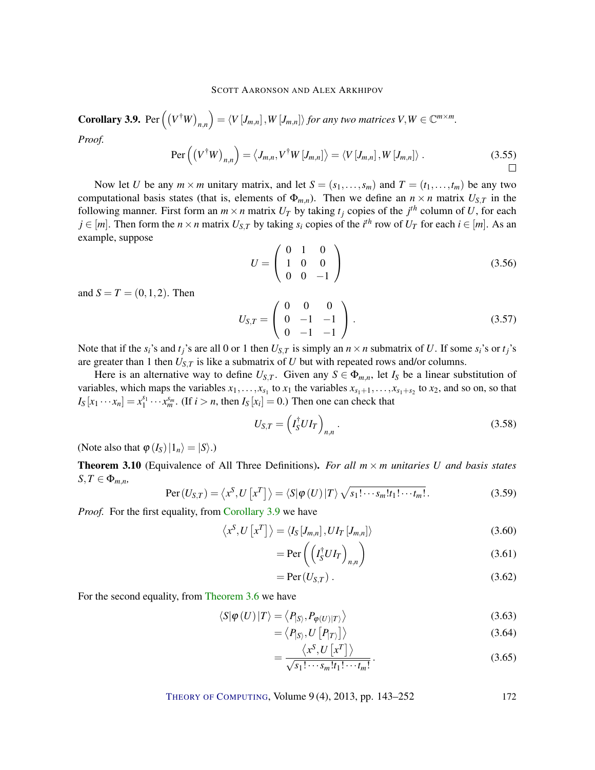<span id="page-29-0"></span>**Corollary 3.9.** Per  $((V^{\dagger}W)_{n,n}) = \langle V[J_{m,n}], W[J_{m,n}] \rangle$  for any two matrices  $V, W \in \mathbb{C}^{m \times m}$ .

*Proof.*

$$
\operatorname{Per}\left(\left(V^{\dagger}W\right)_{n,n}\right)=\left\langle J_{m,n},V^{\dagger}W\left[J_{m,n}\right]\right\rangle=\left\langle V\left[J_{m,n}\right],W\left[J_{m,n}\right]\right\rangle. \tag{3.55}
$$

Now let *U* be any  $m \times m$  unitary matrix, and let  $S = (s_1, \ldots, s_m)$  and  $T = (t_1, \ldots, t_m)$  be any two computational basis states (that is, elements of  $\Phi_{m,n}$ ). Then we define an  $n \times n$  matrix  $U_{S,T}$  in the following manner. First form an  $m \times n$  matrix  $U_T$  by taking  $t_j$  copies of the  $j<sup>th</sup>$  column of  $U$ , for each  $j \in [m]$ . Then form the  $n \times n$  matrix  $U_{S,T}$  by taking  $s_i$  copies of the  $i^{th}$  row of  $U_T$  for each  $i \in [m]$ . As an example, suppose

$$
U = \left(\begin{array}{ccc} 0 & 1 & 0 \\ 1 & 0 & 0 \\ 0 & 0 & -1 \end{array}\right) \tag{3.56}
$$

and  $S = T = (0, 1, 2)$ . Then

$$
U_{S,T} = \begin{pmatrix} 0 & 0 & 0 \\ 0 & -1 & -1 \\ 0 & -1 & -1 \end{pmatrix} . \tag{3.57}
$$

Note that if the  $s_i$ 's and  $t_j$ 's are all 0 or 1 then  $U_{S,T}$  is simply an  $n \times n$  submatrix of U. If some  $s_i$ 's or  $t_j$ 's are greater than 1 then  $U_{S,T}$  is like a submatrix of *U* but with repeated rows and/or columns.

Here is an alternative way to define  $U_{S,T}$ . Given any  $S \in \Phi_{m,n}$ , let  $I_S$  be a linear substitution of variables, which maps the variables  $x_1, \ldots, x_{s_1}$  to  $x_1$  the variables  $x_{s_1+1}, \ldots, x_{s_1+s_2}$  to  $x_2$ , and so on, so that  $I_S[x_1 \cdots x_n] = x_1^{s_1} \cdots x_m^{s_m}$ . (If  $i > n$ , then  $I_S[x_i] = 0$ .) Then one can check that

$$
U_{S,T} = \left(\overline{I_S^{\dagger}} U I_T\right)_{n,n}.
$$
\n(3.58)

(Note also that  $\varphi(I_S)|1_n\rangle = |S\rangle$ .)

<span id="page-29-1"></span>**Theorem 3.10** (Equivalence of All Three Definitions). For all  $m \times m$  *unitaries U* and basis states  $S, T \in \Phi_{m,n}$ *,* 

$$
\operatorname{Per}(U_{S,T}) = \langle x^S, U[x^T] \rangle = \langle S | \varphi(U) | T \rangle \sqrt{s_1! \cdots s_m! t_1! \cdots t_m!}. \tag{3.59}
$$

*Proof.* For the first equality, from [Corollary](#page-29-0) [3.9](#page-29-0) we have

$$
\left\langle x^S, U\left[x^T\right]\right\rangle = \left\langle I_S\left[J_{m,n}\right], U I_T\left[J_{m,n}\right]\right\rangle\tag{3.60}
$$

$$
= \operatorname{Per}\left(\left(I_S^{\dagger} U I_T\right)_{n,n}\right) \tag{3.61}
$$

$$
= \operatorname{Per}(U_{S,T}) . \tag{3.62}
$$

For the second equality, from [Theorem](#page-27-0) [3.6](#page-27-0) we have

$$
\langle S|\varphi(U)|T\rangle = \langle P_{|S\rangle}, P_{\varphi(U)|T\rangle}\rangle \tag{3.63}
$$

$$
= \langle P_{|S\rangle}, U\left[P_{|T\rangle}\right] \rangle \tag{3.64}
$$

$$
=\frac{\langle x^S, U[x^T]\rangle}{\sqrt{s_1! \cdots s_m! t_1! \cdots t_m!}}.
$$
\n(3.65)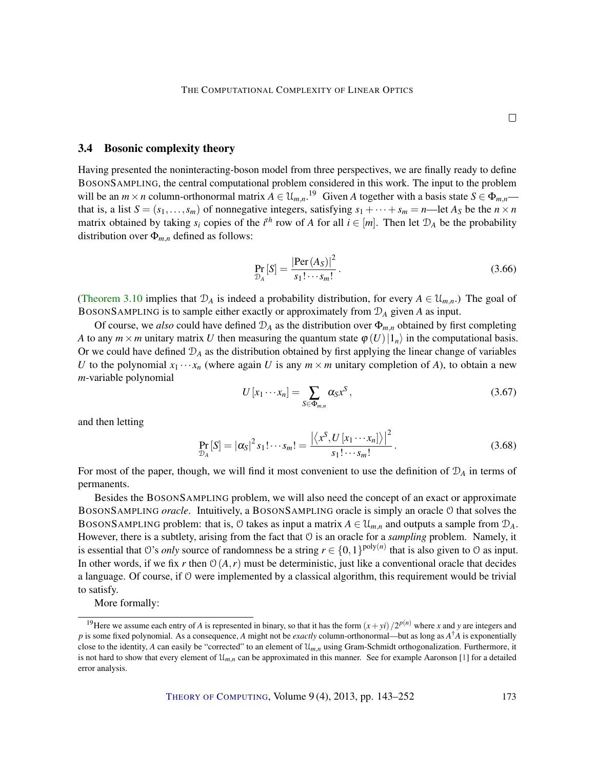## <span id="page-30-0"></span>3.4 Bosonic complexity theory

Having presented the noninteracting-boson model from three perspectives, we are finally ready to define BOSONSAMPLING, the central computational problem considered in this work. The input to the problem will be an  $m \times n$  column-orthonormal matrix  $A \in U_{m,n}$ .<sup>19</sup> Given A together with a basis state  $S \in \Phi_{m,n}$  that is, a list  $S = (s_1, \ldots, s_m)$  of nonnegative integers, satisfying  $s_1 + \cdots + s_m = n$ —let  $A_S$  be the  $n \times n$ matrix obtained by taking  $s_i$  copies of the  $i^{th}$  row of *A* for all  $i \in [m]$ . Then let  $\mathcal{D}_A$  be the probability distribution over  $\Phi_{m,n}$  defined as follows:

$$
\Pr_{\mathcal{D}_A} \left[ S \right] = \frac{|\text{Per}(A_S)|^2}{s_1! \cdots s_m!}.
$$
\n(3.66)

[\(Theorem](#page-29-1) [3.10](#page-29-1) implies that  $D_A$  is indeed a probability distribution, for every  $A \in \mathcal{U}_{m,n}$ .) The goal of BOSONSAMPLING is to sample either exactly or approximately from D*<sup>A</sup>* given *A* as input.

Of course, we *also* could have defined  $\mathcal{D}_A$  as the distribution over  $\Phi_{m,n}$  obtained by first completing *A* to any  $m \times m$  unitary matrix *U* then measuring the quantum state  $\varphi(U)|1_n\rangle$  in the computational basis. Or we could have defined  $D_A$  as the distribution obtained by first applying the linear change of variables *U* to the polynomial  $x_1 \cdots x_n$  (where again *U* is any  $m \times m$  unitary completion of *A*), to obtain a new *m*-variable polynomial

$$
U\left[x_1 \cdots x_n\right] = \sum_{S \in \Phi_{m,n}} \alpha_S x^S, \tag{3.67}
$$

and then letting

$$
\Pr_{\mathcal{D}_A}[S] = |\alpha_S|^2 s_1! \cdots s_m! = \frac{|\langle x^S, U[x_1 \cdots x_n] \rangle|^2}{s_1! \cdots s_m!}.
$$
\n(3.68)

For most of the paper, though, we will find it most convenient to use the definition of D*<sup>A</sup>* in terms of permanents.

Besides the BOSONSAMPLING problem, we will also need the concept of an exact or approximate BOSONSAMPLING *oracle*. Intuitively, a BOSONSAMPLING oracle is simply an oracle O that solves the BOSONSAMPLING problem: that is,  $\theta$  takes as input a matrix  $A \in \mathcal{U}_{m,n}$  and outputs a sample from  $\mathcal{D}_A$ . However, there is a subtlety, arising from the fact that  $\theta$  is an oracle for a *sampling* problem. Namely, it is essential that  $\mathcal{O}'s$  *only* source of randomness be a string  $r \in \{0,1\}^{\text{poly}(n)}$  that is also given to  $\mathcal{O}$  as input. In other words, if we fix *r* then  $O(A, r)$  must be deterministic, just like a conventional oracle that decides a language. Of course, if O were implemented by a classical algorithm, this requirement would be trivial to satisfy.

More formally:

<sup>&</sup>lt;sup>19</sup>Here we assume each entry of A is represented in binary, so that it has the form  $(x + yi)/2^{p(n)}$  where *x* and *y* are integers and *p* is some fixed polynomial. As a consequence, *A* might not be *exactly* column-orthonormal—but as long as *A* †*A* is exponentially close to the identity, *A* can easily be "corrected" to an element of U*m*,*n* using Gram-Schmidt orthogonalization. Furthermore, it is not hard to show that every element of  $\mathfrak{U}_{m,n}$  can be approximated in this manner. See for example Aaronson [\[1\]](#page-103-7) for a detailed error analysis.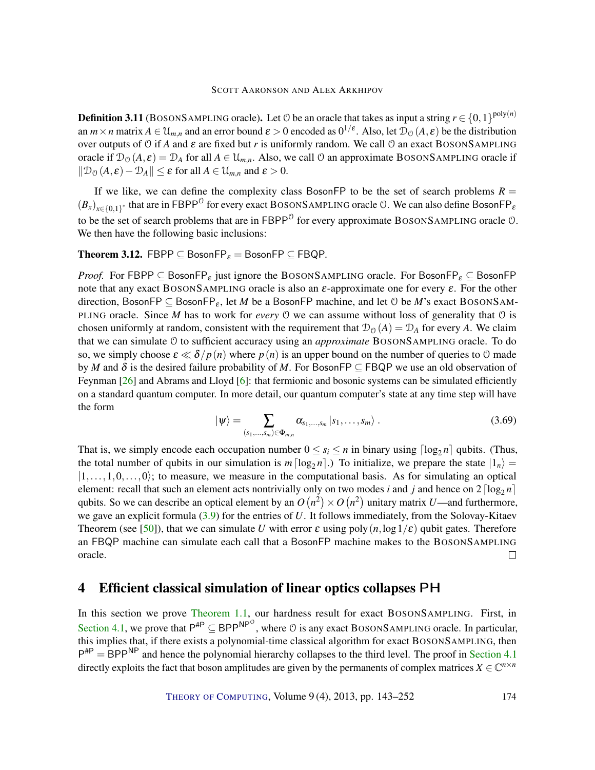**Definition 3.11** (BOSONSAMPLING oracle). Let  $\emptyset$  be an oracle that takes as input a string  $r \in \{0,1\}^{\text{poly}(n)}$ an  $m \times n$  matrix  $A \in U_{m,n}$  and an error bound  $\varepsilon > 0$  encoded as  $0^{1/\varepsilon}$ . Also, let  $\mathcal{D}_{\mathcal{O}}(A,\varepsilon)$  be the distribution over outputs of O if *A* and ε are fixed but *r* is uniformly random. We call O an exact BOSONSAMPLING oracle if  $\mathcal{D}_{\mathcal{O}}(A,\varepsilon) = \mathcal{D}_A$  for all  $A \in \mathcal{U}_{m,n}$ . Also, we call  $\mathcal{O}$  an approximate BOSONSAMPLING oracle if  $\|\mathcal{D}_{\mathcal{O}}(A, \varepsilon) - \mathcal{D}_{A}\| \leq \varepsilon$  for all  $A \in \mathcal{U}_{m,n}$  and  $\varepsilon > 0$ .

If we like, we can define the complexity class BosonFP to be the set of search problems  $R =$  $(B_x)_{x\in\{0,1\}^*}$  that are in FBPP<sup>O</sup> for every exact BOSONSAMPLING oracle O. We can also define BosonFP<sub>ε</sub> to be the set of search problems that are in  $\mathsf{FBPP}^\mathcal{O}$  for every approximate BOSONSAMPLING oracle  $\mathcal{O}$ . We then have the following basic inclusions:

# Theorem 3.12. FBPP  $\subseteq$  BosonFP<sub> $\varepsilon$ </sub> = BosonFP  $\subseteq$  FBQP.

*Proof.* For FBPP  $\subseteq$  BosonFP<sub> $\varepsilon$ </sub> just ignore the BOSONSAMPLING oracle. For BosonFP<sub> $\varepsilon$ </sub>  $\subseteq$  BosonFP note that any exact BOSONSAMPLING oracle is also an  $ε$ -approximate one for every  $ε$ . For the other direction, BosonFP  $\subseteq$  BosonFP<sub> $\varepsilon$ </sub>, let *M* be a BosonFP machine, and let  $\theta$  be *M*'s exact BOSONSAM-PLING oracle. Since  $M$  has to work for *every*  $\theta$  we can assume without loss of generality that  $\theta$  is chosen uniformly at random, consistent with the requirement that  $\mathcal{D}_{\mathcal{O}}(A) = \mathcal{D}_A$  for every *A*. We claim that we can simulate O to sufficient accuracy using an *approximate* BOSONSAMPLING oracle. To do so, we simply choose  $\varepsilon \ll \delta/p(n)$  where  $p(n)$  is an upper bound on the number of queries to 0 made by *M* and  $\delta$  is the desired failure probability of *M*. For BosonFP  $\subseteq$  FBQP we use an old observation of Feynman [\[26\]](#page-105-5) and Abrams and Lloyd [\[6\]](#page-103-8): that fermionic and bosonic systems can be simulated efficiently on a standard quantum computer. In more detail, our quantum computer's state at any time step will have the form

$$
|\psi\rangle = \sum_{(s_1,\ldots,s_m)\in\Phi_{m,n}} \alpha_{s_1,\ldots,s_m} |s_1,\ldots,s_m\rangle.
$$
 (3.69)

That is, we simply encode each occupation number  $0 \le s_i \le n$  in binary using  $\lceil \log_2 n \rceil$  qubits. (Thus, the total number of qubits in our simulation is  $m \lceil \log_2 n \rceil$ .) To initialize, we prepare the state  $|1_n\rangle$  =  $|1,\ldots,1,0,\ldots,0\rangle$ ; to measure, we measure in the computational basis. As for simulating an optical element: recall that such an element acts nontrivially only on two modes *i* and *j* and hence on  $2 \lceil \log_2 n \rceil$ qubits. So we can describe an optical element by an  $O(n^2) \times O(n^2)$  unitary matrix *U*—and furthermore, we gave an explicit formula [\(3.9\)](#page-23-0) for the entries of *U*. It follows immediately, from the Solovay-Kitaev Theorem (see [\[50\]](#page-107-2)), that we can simulate *U* with error  $\varepsilon$  using poly  $(n, \log 1/\varepsilon)$  qubit gates. Therefore an FBQP machine can simulate each call that a BosonFP machine makes to the BOSONSAMPLING oracle.  $\Box$ 

# <span id="page-31-0"></span>4 Efficient classical simulation of linear optics collapses PH

In this section we prove [Theorem](#page-6-2) [1.1,](#page-6-2) our hardness result for exact BOSONSAMPLING. First, in [Section](#page-32-0) [4.1,](#page-32-0) we prove that  $P^{HP} \subseteq BPP^{NP^{\circ}}$ , where  $\circ$  is any exact BOSONSAMPLING oracle. In particular, this implies that, if there exists a polynomial-time classical algorithm for exact BOSONSAMPLING, then  $P^{HP}$  = BPP<sup>NP</sup> and hence the polynomial hierarchy collapses to the third level. The proof in [Section](#page-32-0) [4.1](#page-32-0) directly exploits the fact that boson amplitudes are given by the permanents of complex matrices  $X \in \mathbb{C}^{n \times n}$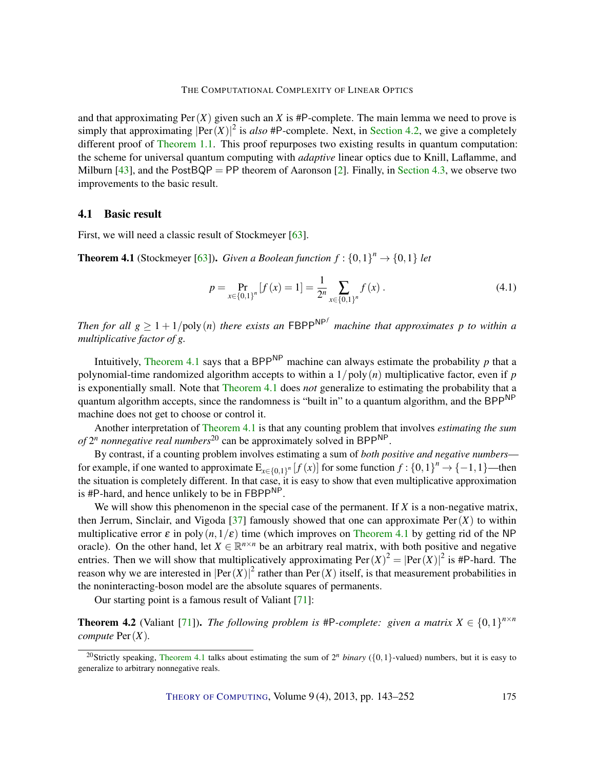and that approximating  $Per(X)$  given such an *X* is #P-complete. The main lemma we need to prove is simply that approximating  $|\text{Per}(X)|^2$  is *also* #P-complete. Next, in [Section](#page-36-0) [4.2,](#page-36-0) we give a completely different proof of [Theorem](#page-6-2) [1.1.](#page-6-2) This proof repurposes two existing results in quantum computation: the scheme for universal quantum computing with *adaptive* linear optics due to Knill, Laflamme, and Milburn [\[43\]](#page-106-2), and the PostBQP = PP theorem of Aaronson [\[2\]](#page-103-2). Finally, in [Section](#page-38-0) [4.3,](#page-38-0) we observe two improvements to the basic result.

# <span id="page-32-0"></span>4.1 Basic result

First, we will need a classic result of Stockmeyer [\[63\]](#page-107-8).

<span id="page-32-1"></span>**Theorem 4.1** (Stockmeyer [\[63\]](#page-107-8)). *Given a Boolean function*  $f: \{0,1\}^n \rightarrow \{0,1\}$  *let* 

$$
p = \Pr_{x \in \{0,1\}^n} [f(x) = 1] = \frac{1}{2^n} \sum_{x \in \{0,1\}^n} f(x).
$$
 (4.1)

*Then for all*  $g \geq 1 + 1/\text{poly}(n)$  *there exists an* FBPP<sup>NP*f*</sup> *machine that approximates p to within a multiplicative factor of g.*

Intuitively, [Theorem](#page-32-1) [4.1](#page-32-1) says that a BPP<sup>NP</sup> machine can always estimate the probability  $p$  that a polynomial-time randomized algorithm accepts to within a  $1/poly(n)$  multiplicative factor, even if *p* is exponentially small. Note that [Theorem](#page-32-1) [4.1](#page-32-1) does *not* generalize to estimating the probability that a quantum algorithm accepts, since the randomness is "built in" to a quantum algorithm, and the BPP<sup>NP</sup> machine does not get to choose or control it.

Another interpretation of [Theorem](#page-32-1) [4.1](#page-32-1) is that any counting problem that involves *estimating the sum* of 2<sup>n</sup> nonnegative real numbers<sup>20</sup> can be approximately solved in BPP<sup>NP</sup>.

By contrast, if a counting problem involves estimating a sum of *both positive and negative numbers* for example, if one wanted to approximate  $E_{x \in \{0,1\}^n} [f(x)]$  for some function  $f: \{0,1\}^n \to \{-1,1\}$ —then the situation is completely different. In that case, it is easy to show that even multiplicative approximation is #P-hard, and hence unlikely to be in  $\mathsf{FBPP}^{\mathsf{NP}}$ .

We will show this phenomenon in the special case of the permanent. If *X* is a non-negative matrix, then Jerrum, Sinclair, and Vigoda  $\lceil 37 \rceil$  famously showed that one can approximate Per $(X)$  to within multiplicative error  $\varepsilon$  in poly  $(n,1/\varepsilon)$  time (which improves on [Theorem](#page-32-1) [4.1](#page-32-1) by getting rid of the NP oracle). On the other hand, let  $X \in \mathbb{R}^{n \times n}$  be an arbitrary real matrix, with both positive and negative entries. Then we will show that multiplicatively approximating  $Per(X)^2 = |Per(X)|^2$  is #P-hard. The reason why we are interested in  $|\text{Per}(X)|^2$  rather than  $\text{Per}(X)$  itself, is that measurement probabilities in the noninteracting-boson model are the absolute squares of permanents.

Our starting point is a famous result of Valiant [\[71\]](#page-108-4):

<span id="page-32-2"></span>**Theorem 4.2** (Valiant [\[71\]](#page-108-4)). *The following problem is* #P-complete: given a matrix  $X \in \{0,1\}^{n \times n}$ *compute* Per(*X*)*.*

<sup>&</sup>lt;sup>20</sup>Strictly speaking, [Theorem](#page-32-1) [4.1](#page-32-1) talks about estimating the sum of  $2^n$  *binary* ( $\{0,1\}$ -valued) numbers, but it is easy to generalize to arbitrary nonnegative reals.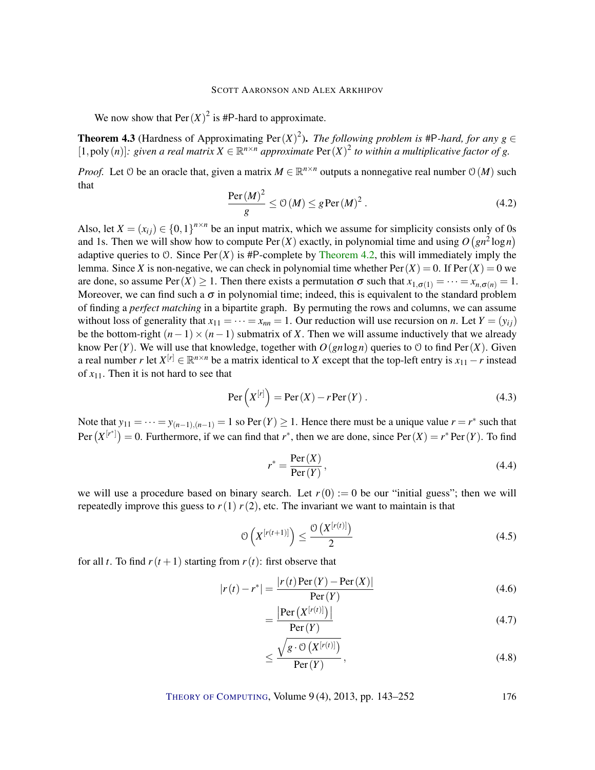We now show that  $Per(X)^2$  is #P-hard to approximate.

<span id="page-33-2"></span>**Theorem 4.3** (Hardness of Approximating Per $(X)^2$ ). *The following problem is* #P-hard, for any  $g \in$  $[1, \text{poly}(n)]$ : given a real matrix  $X \in \mathbb{R}^{n \times n}$  approximate Per $(X)^2$  to within a multiplicative factor of g.

*Proof.* Let 0 be an oracle that, given a matrix  $M \in \mathbb{R}^{n \times n}$  outputs a nonnegative real number 0 (*M*) such that

$$
\frac{\text{Per}(M)^2}{g} \le \mathcal{O}(M) \le g \text{Per}(M)^2. \tag{4.2}
$$

Also, let  $X = (x_{ij}) \in \{0,1\}^{n \times n}$  be an input matrix, which we assume for simplicity consists only of 0s and 1s. Then we will show how to compute Per $(X)$  exactly, in polynomial time and using  $O(qn^2 \log n)$ adaptive queries to  $\mathcal O$ . Since Per $(X)$  is #P-complete by [Theorem](#page-32-2) [4.2,](#page-32-2) this will immediately imply the lemma. Since *X* is non-negative, we can check in polynomial time whether  $Per(X) = 0$ . If  $Per(X) = 0$  we are done, so assume  $\text{Per}(X) \geq 1$ . Then there exists a permutation  $\sigma$  such that  $x_{1,\sigma(1)} = \cdots = x_{n,\sigma(n)} = 1$ . Moreover, we can find such a  $\sigma$  in polynomial time; indeed, this is equivalent to the standard problem of finding a *perfect matching* in a bipartite graph. By permuting the rows and columns, we can assume without loss of generality that  $x_{11} = \cdots = x_{nn} = 1$ . Our reduction will use recursion on *n*. Let  $Y = (y_{ij})$ be the bottom-right  $(n-1) \times (n-1)$  submatrix of *X*. Then we will assume inductively that we already know Per(*Y*). We will use that knowledge, together with  $O(gn \log n)$  queries to  $O$  to find Per(*X*). Given a real number *r* let  $X^{[r]} \in \mathbb{R}^{n \times n}$  be a matrix identical to *X* except that the top-left entry is  $x_{11} - r$  instead of  $x_{11}$ . Then it is not hard to see that

$$
Per(X^{[r]}) = Per(X) - rPer(Y).
$$
\n(4.3)

Note that  $y_{11} = \cdots = y_{(n-1),(n-1)} = 1$  so Per $(Y) \ge 1$ . Hence there must be a unique value  $r = r^*$  such that  $Per(X^{[r^*]}) = 0$ . Furthermore, if we can find that *r*<sup>\*</sup>, then we are done, since  $Per(X) = r^*Per(Y)$ . To find

$$
r^* = \frac{\text{Per}(X)}{\text{Per}(Y)},\tag{4.4}
$$

we will use a procedure based on binary search. Let  $r(0) := 0$  be our "initial guess"; then we will repeatedly improve this guess to  $r(1)$   $r(2)$ , etc. The invariant we want to maintain is that

$$
\mathcal{O}\left(X^{\lceil r(t+1)\rceil}\right) \le \frac{\mathcal{O}\left(X^{\lceil r(t)\rceil}\right)}{2} \tag{4.5}
$$

for all *t*. To find  $r(t+1)$  starting from  $r(t)$ : first observe that

$$
|r(t) - r^*| = \frac{|r(t) \operatorname{Per}(Y) - \operatorname{Per}(X)|}{\operatorname{Per}(Y)}
$$
(4.6)

<span id="page-33-1"></span>
$$
=\frac{\left|\text{Per}\left(X^{[r(t)]}\right)\right|}{\text{Per}\left(Y\right)}\tag{4.7}
$$

<span id="page-33-0"></span>
$$
\leq \frac{\sqrt{g \cdot \mathcal{O}\left(X^{[r(t)]}\right)}}{\text{Per}(Y)},\tag{4.8}
$$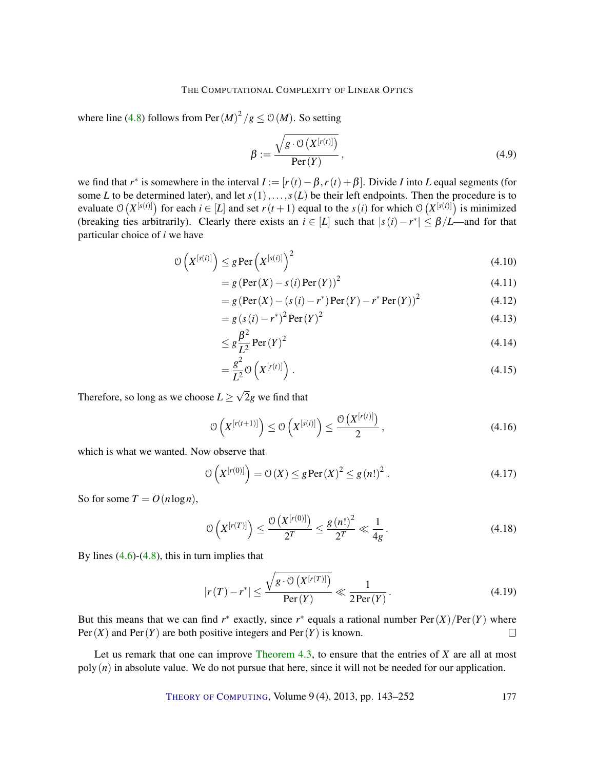where line [\(4.8\)](#page-33-0) follows from  $\text{Per}(M)^2/g \leq \mathcal{O}(M)$ . So setting

$$
\beta := \frac{\sqrt{g \cdot \mathcal{O}\left(X^{[r(t)]}\right)}}{\text{Per}(Y)},\tag{4.9}
$$

we find that  $r^*$  is somewhere in the interval  $I := [r(t) - \beta, r(t) + \beta]$ . Divide *I* into *L* equal segments (for some *L* to be determined later), and let  $s(1),...,s(L)$  be their left endpoints. Then the procedure is to evaluate  $O(X^{[s(i)]})$  for each  $i \in [L]$  and set  $r(t+1)$  equal to the  $s(i)$  for which  $O(X^{[s(i)]})$  is minimized (breaking ties arbitrarily). Clearly there exists an  $i \in [L]$  such that  $|s(i) - r^*| \leq \beta/L$ —and for that particular choice of *i* we have

$$
\mathcal{O}\left(X^{[s(i)]}\right) \leq g \operatorname{Per}\left(X^{[s(i)]}\right)^2 \tag{4.10}
$$

$$
= g\left(\operatorname{Per}(X) - s\left(i\right)\operatorname{Per}(Y)\right)^2\tag{4.11}
$$

$$
= g (Per(X) - (s(i) - r^*) Per(Y) - r^* Per(Y))^2
$$
\n(4.12)

$$
= g (s (i) - r^*)^2 Per(Y)^2
$$
\n(4.13)

$$
\leq g \frac{\beta^2}{L^2} \operatorname{Per}(Y)^2 \tag{4.14}
$$

$$
=\frac{g^2}{L^2}\mathcal{O}\left(X^{\left[r(t)\right]}\right). \tag{4.15}
$$

Therefore, so long as we choose  $L \geq$ 2*g* we find that

$$
\mathcal{O}\left(X^{[r(t+1)]}\right) \le \mathcal{O}\left(X^{[s(t)]}\right) \le \frac{\mathcal{O}\left(X^{[r(t)]}\right)}{2},\tag{4.16}
$$

which is what we wanted. Now observe that

$$
\mathcal{O}\left(X^{[r(0)]}\right) = \mathcal{O}\left(X\right) \le g \operatorname{Per}\left(X\right)^2 \le g\left(n!\right)^2. \tag{4.17}
$$

So for some  $T = O(n \log n)$ ,

$$
\mathcal{O}\left(X^{[r(T)]}\right) \le \frac{\mathcal{O}\left(X^{[r(0)]}\right)}{2^T} \le \frac{g\left(n!\right)^2}{2^T} \ll \frac{1}{4g}.
$$
\n(4.18)

By lines  $(4.6)-(4.8)$  $(4.6)-(4.8)$  $(4.6)-(4.8)$ , this in turn implies that

$$
|r(T) - r^*| \le \frac{\sqrt{g \cdot \mathcal{O}\left(X^{\left[r(T)\right]}\right)}}{\text{Per}(Y)} \ll \frac{1}{2\text{Per}(Y)}\,. \tag{4.19}
$$

But this means that we can find  $r^*$  exactly, since  $r^*$  equals a rational number  $Per(X)/Per(Y)$  where  $Per(X)$  and  $Per(Y)$  are both positive integers and  $Per(Y)$  is known.  $\Box$ 

Let us remark that one can improve [Theorem](#page-33-2) [4.3,](#page-33-2) to ensure that the entries of *X* are all at most poly (*n*) in absolute value. We do not pursue that here, since it will not be needed for our application.

THEORY OF C[OMPUTING](http://dx.doi.org/10.4086/toc), Volume 9 (4), 2013, pp. 143–252 177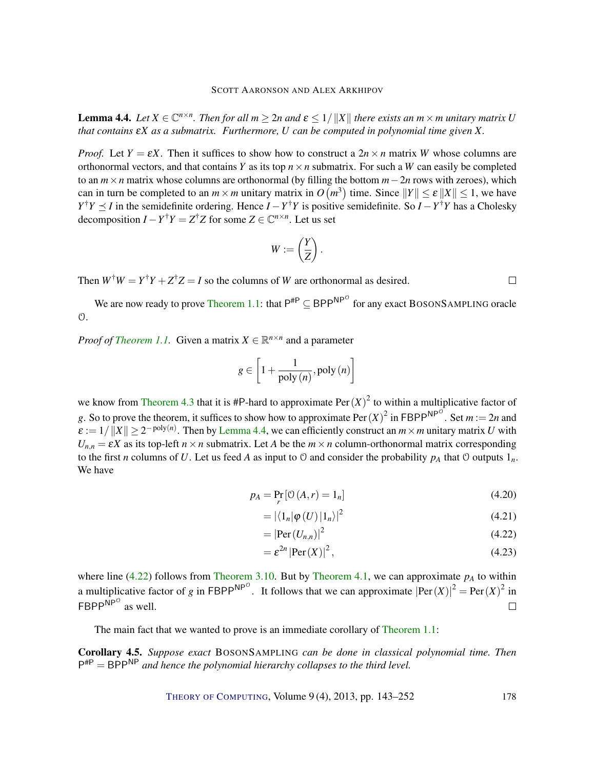<span id="page-35-0"></span>**Lemma 4.4.** Let  $X \in \mathbb{C}^{n \times n}$ . Then for all  $m \geq 2n$  and  $\varepsilon \leq 1/||X||$  there exists an  $m \times m$  unitary matrix U *that contains* ε*X as a submatrix. Furthermore, U can be computed in polynomial time given X.*

*Proof.* Let  $Y = \varepsilon X$ . Then it suffices to show how to construct a  $2n \times n$  matrix *W* whose columns are orthonormal vectors, and that contains *Y* as its top  $n \times n$  submatrix. For such a *W* can easily be completed to an *m*×*n* matrix whose columns are orthonormal (by filling the bottom *m*−2*n* rows with zeroes), which can in turn be completed to an  $m \times m$  unitary matrix in  $O(m^3)$  time. Since  $||Y|| \le \varepsilon ||X|| \le 1$ , we have *Y*<sup>†</sup>*Y*  $\leq$  *I* in the semidefinite ordering. Hence *I* − *Y*<sup>†</sup>*Y* is positive semidefinite. So *I* − *Y*<sup>†</sup>*Y* has a Cholesky decomposition *I* − *Y*<sup>†</sup>*Y* = *Z*<sup>†</sup>*Z* for some *Z* ∈  $\mathbb{C}^{n \times n}$ . Let us set

$$
W:=\left(\frac{Y}{Z}\right).
$$

Then  $W^{\dagger}W = Y^{\dagger}Y + Z^{\dagger}Z = I$  so the columns of *W* are orthonormal as desired.

 $\Box$ 

We are now ready to prove [Theorem](#page-6-2) [1.1:](#page-6-2) that  $P^{HP} \subseteq BPP^{NP^{\circ}}$  for any exact BOSONSAMPLING oracle  $(2)$ .

*Proof of [Theorem](#page-6-2) [1.1.](#page-6-2)* Given a matrix  $X \in \mathbb{R}^{n \times n}$  and a parameter

$$
g \in \left[1 + \frac{1}{\text{poly}(n)}, \text{poly}(n)\right]
$$

we know from [Theorem](#page-33-2) [4.3](#page-33-2) that it is #P-hard to approximate  $Per(X)^2$  to within a multiplicative factor of *g*. So to prove the theorem, it suffices to show how to approximate Per $(X)^2$  in FBPP<sup>NP<sup>O</sup>. Set  $m := 2n$  and</sup>  $\varepsilon := 1/||X|| \geq 2^{-\text{poly}(n)}$ . Then by [Lemma](#page-35-0) [4.4,](#page-35-0) we can efficiently construct an  $m \times m$  unitary matrix *U* with  $U_{n,n} = \varepsilon X$  as its top-left  $n \times n$  submatrix. Let *A* be the  $m \times n$  column-orthonormal matrix corresponding to the first *n* columns of *U*. Let us feed *A* as input to  $\circ$  and consider the probability  $p_A$  that  $\circ$  outputs  $1_n$ . We have

$$
p_A = \Pr_r \left[ \mathcal{O}\left(A, r\right) = 1_n \right] \tag{4.20}
$$

$$
= |\langle 1_n | \varphi(U) | 1_n \rangle|^2 \tag{4.21}
$$

<span id="page-35-1"></span>
$$
=|\text{Per}\left(U_{n,n}\right)|^2\tag{4.22}
$$

$$
= \varepsilon^{2n} |\text{Per}(X)|^2, \tag{4.23}
$$

where line [\(4.22\)](#page-35-1) follows from [Theorem](#page-32-1) [3.10.](#page-29-1) But by Theorem [4.1,](#page-32-1) we can approximate  $p_A$  to within a multiplicative factor of *g* in FBPP<sup>NP<sup>O</sup></sup>. It follows that we can approximate  $|Per(X)|^2 = Per(X)^2$  in FBPP $^{NP^{\circ}}$  as well.  $\Box$ 

The main fact that we wanted to prove is an immediate corollary of [Theorem](#page-6-2) [1.1:](#page-6-2)

Corollary 4.5. *Suppose exact* BOSONSAMPLING *can be done in classical polynomial time. Then*  $P^{\text{HP}} = \text{BPP}^{\text{NP}}$  and hence the polynomial hierarchy collapses to the third level.

THEORY OF C[OMPUTING](http://dx.doi.org/10.4086/toc), Volume 9(4), 2013, pp. 143–252 178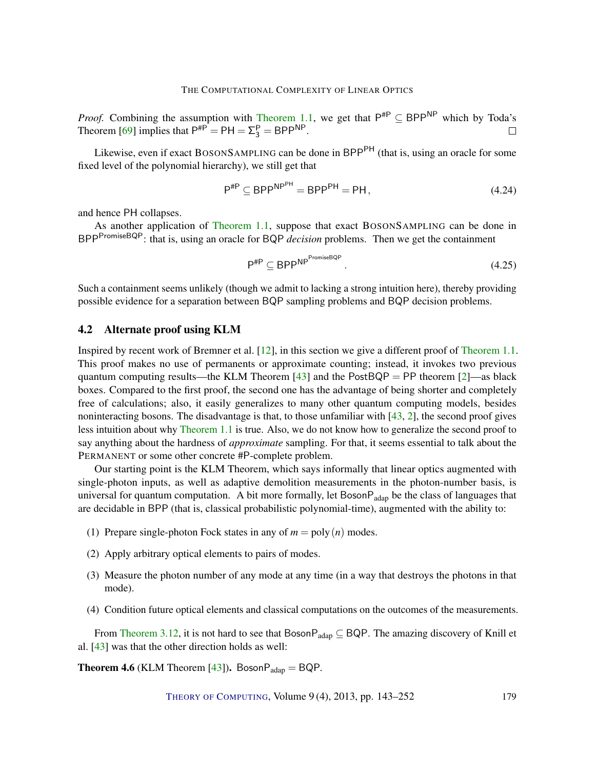*Proof.* Combining the assumption with [Theorem](#page-6-0) [1.1,](#page-6-0) we get that  $P^{#P} \subseteq BPP^{NP}$  which by Toda's Theorem [\[69\]](#page-108-0) implies that  $P^{HP} = PH = \Sigma_3^P = BPP^{NP}$ .

Likewise, even if exact BOSONSAMPLING can be done in BPP<sup>PH</sup> (that is, using an oracle for some fixed level of the polynomial hierarchy), we still get that

$$
P^{\text{HP}} \subseteq \text{BPP}^{\text{NP}^{\text{PH}}} = \text{BPP}^{\text{PH}} = \text{PH},\tag{4.24}
$$

and hence PH collapses.

As another application of [Theorem](#page-6-0) [1.1,](#page-6-0) suppose that exact BOSONSAMPLING can be done in BPPPromiseBQP: that is, using an oracle for BQP *decision* problems. Then we get the containment

$$
P^{\text{HP}} \subseteq \text{BPP}^{\text{PP}}^{\text{PromiseBQP}}.\tag{4.25}
$$

Such a containment seems unlikely (though we admit to lacking a strong intuition here), thereby providing possible evidence for a separation between BQP sampling problems and BQP decision problems.

# <span id="page-36-1"></span>4.2 Alternate proof using KLM

Inspired by recent work of Bremner et al. [\[12\]](#page-104-0), in this section we give a different proof of [Theorem](#page-6-0) [1.1.](#page-6-0) This proof makes no use of permanents or approximate counting; instead, it invokes two previous quantum computing results—the KLM Theorem [\[43\]](#page-106-0) and the PostBQP = PP theorem [\[2\]](#page-103-0)—as black boxes. Compared to the first proof, the second one has the advantage of being shorter and completely free of calculations; also, it easily generalizes to many other quantum computing models, besides noninteracting bosons. The disadvantage is that, to those unfamiliar with  $[43, 2]$  $[43, 2]$  $[43, 2]$ , the second proof gives less intuition about why [Theorem](#page-6-0) [1.1](#page-6-0) is true. Also, we do not know how to generalize the second proof to say anything about the hardness of *approximate* sampling. For that, it seems essential to talk about the PERMANENT or some other concrete #P-complete problem.

Our starting point is the KLM Theorem, which says informally that linear optics augmented with single-photon inputs, as well as adaptive demolition measurements in the photon-number basis, is universal for quantum computation. A bit more formally, let Boson $P_{\text{adan}}$  be the class of languages that are decidable in BPP (that is, classical probabilistic polynomial-time), augmented with the ability to:

- (1) Prepare single-photon Fock states in any of  $m = \text{poly}(n)$  modes.
- (2) Apply arbitrary optical elements to pairs of modes.
- (3) Measure the photon number of any mode at any time (in a way that destroys the photons in that mode).
- (4) Condition future optical elements and classical computations on the outcomes of the measurements.

From [Theorem](#page-31-0) [3.12,](#page-31-0) it is not hard to see that Boson $P_{adap} \subseteq BQP$ . The amazing discovery of Knill et al. [\[43\]](#page-106-0) was that the other direction holds as well:

<span id="page-36-0"></span>**Theorem 4.6** (KLM Theorem  $[43]$ ). Boson $P_{\text{adap}} = BQP$ .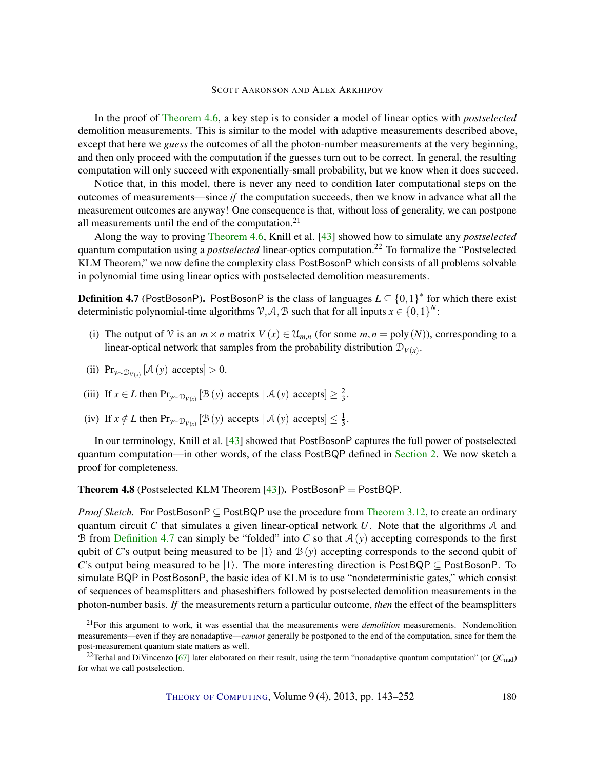In the proof of [Theorem](#page-36-0) [4.6,](#page-36-0) a key step is to consider a model of linear optics with *postselected* demolition measurements. This is similar to the model with adaptive measurements described above, except that here we *guess* the outcomes of all the photon-number measurements at the very beginning, and then only proceed with the computation if the guesses turn out to be correct. In general, the resulting computation will only succeed with exponentially-small probability, but we know when it does succeed.

Notice that, in this model, there is never any need to condition later computational steps on the outcomes of measurements—since *if* the computation succeeds, then we know in advance what all the measurement outcomes are anyway! One consequence is that, without loss of generality, we can postpone all measurements until the end of the computation. $2<sup>1</sup>$ 

Along the way to proving [Theorem](#page-36-0) [4.6,](#page-36-0) Knill et al. [\[43\]](#page-106-0) showed how to simulate any *postselected* quantum computation using a *postselected* linear-optics computation.<sup>22</sup> To formalize the "Postselected KLM Theorem," we now define the complexity class PostBosonP which consists of all problems solvable in polynomial time using linear optics with postselected demolition measurements.

<span id="page-37-0"></span>**Definition 4.7** (PostBosonP). PostBosonP is the class of languages  $L \subseteq \{0,1\}^*$  for which there exist deterministic polynomial-time algorithms  $\mathcal{V}, \mathcal{A}, \mathcal{B}$  such that for all inputs  $x \in \{0,1\}^N$ :

- (i) The output of V is an  $m \times n$  matrix  $V(x) \in \mathcal{U}_{m,n}$  (for some  $m,n = \text{poly}(N)$ ), corresponding to a linear-optical network that samples from the probability distribution  $\mathcal{D}_{V(x)}$ .
- (ii)  $Pr_{y \sim D_{V(x)}}$  [A(*y*) accepts] > 0.
- (iii) If *x* ∈ *L* then Pr<sub>*y*∼ $\mathcal{D}_{V(x)}$ </sub> [B(*y*) accepts  $\mathcal{A}(y)$  accepts]  $\geq \frac{2}{3}$  $\frac{2}{3}$ .
- (iv) If  $x \notin L$  then  $Pr_{y \sim \mathcal{D}_{V(x)}} [\mathcal{B}(y) \text{ accepts} | \mathcal{A}(y) \text{ accepts}] \le \frac{1}{3}$  $\frac{1}{3}$ .

In our terminology, Knill et al. [\[43\]](#page-106-0) showed that PostBosonP captures the full power of postselected quantum computation—in other words, of the class PostBQP defined in [Section](#page-18-0) [2.](#page-18-0) We now sketch a proof for completeness.

<span id="page-37-1"></span>**Theorem 4.8** (Postselected KLM Theorem [\[43\]](#page-106-0)). PostBosonP = PostBQP.

*Proof Sketch.* For PostBosonP  $\subseteq$  PostBQP use the procedure from [Theorem](#page-31-0) [3.12,](#page-31-0) to create an ordinary quantum circuit C that simulates a given linear-optical network  $U$ . Note that the algorithms  $A$  and B from [Definition](#page-37-0) [4.7](#page-37-0) can simply be "folded" into *C* so that  $A(y)$  accepting corresponds to the first qubit of *C*'s output being measured to be  $|1\rangle$  and  $B(y)$  accepting corresponds to the second qubit of *C*'s output being measured to be  $|1\rangle$ . The more interesting direction is PostBQP ⊆ PostBosonP. To simulate BQP in PostBosonP, the basic idea of KLM is to use "nondeterministic gates," which consist of sequences of beamsplitters and phaseshifters followed by postselected demolition measurements in the photon-number basis. *If* the measurements return a particular outcome, *then* the effect of the beamsplitters

<sup>21</sup>For this argument to work, it was essential that the measurements were *demolition* measurements. Nondemolition measurements—even if they are nonadaptive—*cannot* generally be postponed to the end of the computation, since for them the post-measurement quantum state matters as well.

<sup>&</sup>lt;sup>22</sup>Terhal and DiVincenzo [\[67\]](#page-108-1) later elaborated on their result, using the term "nonadaptive quantum computation" (or  $QC_{\text{nad}}$ ) for what we call postselection.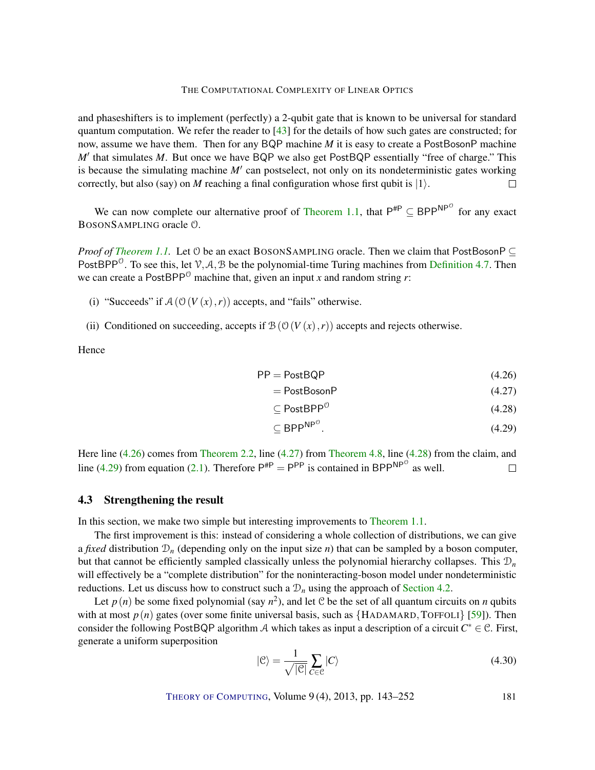and phaseshifters is to implement (perfectly) a 2-qubit gate that is known to be universal for standard quantum computation. We refer the reader to  $[43]$  for the details of how such gates are constructed; for now, assume we have them. Then for any BQP machine *M* it is easy to create a PostBosonP machine *M'* that simulates *M*. But once we have BQP we also get PostBQP essentially "free of charge." This is because the simulating machine  $M'$  can postselect, not only on its nondeterministic gates working correctly, but also (say) on *M* reaching a final configuration whose first qubit is  $|1\rangle$ .  $\Box$ 

We can now complete our alternative proof of [Theorem](#page-6-0) [1.1,](#page-6-0) that  $P^{HP} \subseteq BPP^{NP^{\circ}}$  for any exact BOSONSAMPLING oracle O.

*Proof of [Theorem](#page-6-0) [1.1.](#page-6-0)* Let © be an exact BOSONSAMPLING oracle. Then we claim that PostBosonP ⊆ PostBPP<sup>O</sup>. To see this, let  $V, A, B$  be the polynomial-time Turing machines from [Definition](#page-37-0) [4.7.](#page-37-0) Then we can create a PostBPP<sup> $\circ$ </sup> machine that, given an input *x* and random string *r*:

- (i) "Succeeds" if  $A(0(V(x), r))$  accepts, and "fails" otherwise.
- (ii) Conditioned on succeeding, accepts if  $B(0(V(x), r))$  accepts and rejects otherwise.

Hence

$$
PP = PostBQP \tag{4.26}
$$

$$
= PostBosonP \tag{4.27}
$$

<span id="page-38-2"></span><span id="page-38-1"></span><span id="page-38-0"></span>
$$
\subseteq \text{PostBPP}^0 \tag{4.28}
$$

<span id="page-38-3"></span>
$$
\subseteq \mathsf{BPP}^{\mathsf{NP}^0}.\tag{4.29}
$$

Here line [\(4.26\)](#page-38-0) comes from [Theorem](#page-37-1) [2.2,](#page-19-0) line [\(4.27\)](#page-38-1) from Theorem [4.8,](#page-37-1) line [\(4.28\)](#page-38-2) from the claim, and line [\(4.29\)](#page-38-3) from equation [\(2.1\)](#page-19-1). Therefore  $P^{\#P} = P^{PP}$  is contained in BPP<sup>NP<sup>o</sup></sup> as well.  $\Box$ 

## 4.3 Strengthening the result

In this section, we make two simple but interesting improvements to [Theorem](#page-6-0) [1.1.](#page-6-0)

The first improvement is this: instead of considering a whole collection of distributions, we can give a *fixed* distribution  $\mathcal{D}_n$  (depending only on the input size *n*) that can be sampled by a boson computer, but that cannot be efficiently sampled classically unless the polynomial hierarchy collapses. This  $\mathcal{D}_n$ will effectively be a "complete distribution" for the noninteracting-boson model under nondeterministic reductions. Let us discuss how to construct such a  $\mathcal{D}_n$  using the approach of [Section](#page-36-1) [4.2.](#page-36-1)

Let  $p(n)$  be some fixed polynomial (say  $n^2$ ), and let C be the set of all quantum circuits on *n* qubits with at most  $p(n)$  gates (over some finite universal basis, such as  $\{HADAMARD, TOFFOLI\}$  [\[59\]](#page-107-0)). Then consider the following PostBQP algorithm A which takes as input a description of a circuit  $C^* \in \mathcal{C}$ . First, generate a uniform superposition

$$
|\mathcal{C}\rangle = \frac{1}{\sqrt{|\mathcal{C}|}} \sum_{C \in \mathcal{C}} |C\rangle
$$
\n(4.30)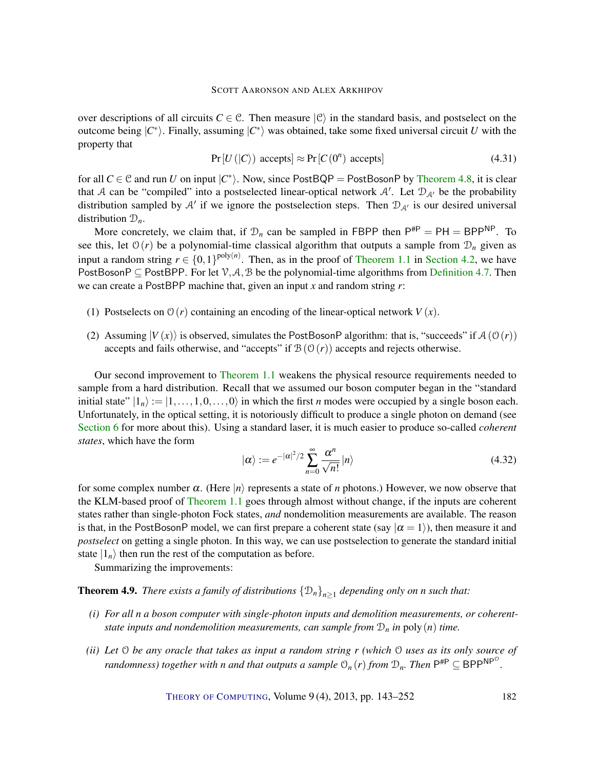over descriptions of all circuits  $C \in \mathcal{C}$ . Then measure  $|\mathcal{C}\rangle$  in the standard basis, and postselect on the outcome being  $|C^* \rangle$ . Finally, assuming  $|C^* \rangle$  was obtained, take some fixed universal circuit *U* with the property that

$$
Pr[U(|C\rangle) accepts] \approx Pr[C(0^n) accepts]
$$
\n(4.31)

for all  $C \in \mathcal{C}$  and run *U* on input  $|C^* \rangle$ . Now, since PostBQP = PostBosonP by [Theorem](#page-37-1) [4.8,](#page-37-1) it is clear that A can be "compiled" into a postselected linear-optical network  $A'$ . Let  $\mathcal{D}_{A'}$  be the probability distribution sampled by  $A'$  if we ignore the postselection steps. Then  $\mathcal{D}_{A'}$  is our desired universal distribution D*n*.

More concretely, we claim that, if  $\mathcal{D}_n$  can be sampled in FBPP then  $P^{HP} = PH = BPP^{NP}$ . To see this, let  $O(r)$  be a polynomial-time classical algorithm that outputs a sample from  $D_n$  given as input a random string  $r \in \{0,1\}^{\text{poly}(n)}$ . Then, as in the proof of [Theorem](#page-6-0) [1.1](#page-6-0) in [Section](#page-36-1) [4.2,](#page-36-1) we have PostBosonP  $\subseteq$  PostBPP. For let  $\mathcal{V}, \mathcal{A}, \mathcal{B}$  be the polynomial-time algorithms from [Definition](#page-37-0) [4.7.](#page-37-0) Then we can create a PostBPP machine that, given an input *x* and random string *r*:

- (1) Postselects on  $\mathcal{O}(r)$  containing an encoding of the linear-optical network  $V(x)$ .
- (2) Assuming  $|V(x)\rangle$  is observed, simulates the PostBosonP algorithm: that is, "succeeds" if  $A(0(r))$ accepts and fails otherwise, and "accepts" if  $\mathcal{B}(\mathcal{O}(r))$  accepts and rejects otherwise.

Our second improvement to [Theorem](#page-6-0) [1.1](#page-6-0) weakens the physical resource requirements needed to sample from a hard distribution. Recall that we assumed our boson computer began in the "standard initial state"  $|1_n\rangle := |1, \ldots, 1, 0, \ldots, 0\rangle$  in which the first *n* modes were occupied by a single boson each. Unfortunately, in the optical setting, it is notoriously difficult to produce a single photon on demand (see [Section](#page-53-0) [6](#page-53-0) for more about this). Using a standard laser, it is much easier to produce so-called *coherent states*, which have the form

$$
|\alpha\rangle := e^{-|\alpha|^2/2} \sum_{n=0}^{\infty} \frac{\alpha^n}{\sqrt{n!}} |n\rangle
$$
\n(4.32)

for some complex number α. (Here |*n*i represents a state of *n* photons.) However, we now observe that the KLM-based proof of [Theorem](#page-6-0) [1.1](#page-6-0) goes through almost without change, if the inputs are coherent states rather than single-photon Fock states, *and* nondemolition measurements are available. The reason is that, in the PostBosonP model, we can first prepare a coherent state (say  $|\alpha = 1\rangle$ ), then measure it and *postselect* on getting a single photon. In this way, we can use postselection to generate the standard initial state  $|1_n\rangle$  then run the rest of the computation as before.

Summarizing the improvements:

<span id="page-39-0"></span>**Theorem 4.9.** *There exists a family of distributions*  $\{D_n\}_{n\geq 1}$  *depending only on n such that:* 

- *(i) For all n a boson computer with single-photon inputs and demolition measurements, or coherentstate inputs and nondemolition measurements, can sample from*  $D_n$  *in* poly (*n*) *time.*
- *(ii) Let* O *be any oracle that takes as input a random string r (which* O *uses as its only source of randomness) together with n and that outputs a sample*  $\mathcal{O}_n(r)$  *from*  $\mathcal{D}_n$ *. Then*  $\mathsf{P}^{\text{HP}} \subseteq \mathsf{BPP}^{\mathsf{NP}^{\mathcal{O}}}$ *.*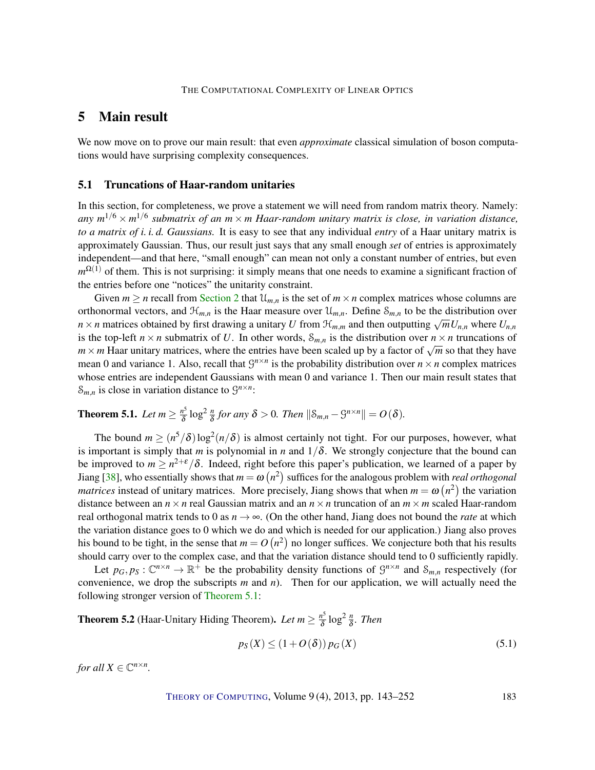# 5 Main result

We now move on to prove our main result: that even *approximate* classical simulation of boson computations would have surprising complexity consequences.

# <span id="page-40-2"></span>5.1 Truncations of Haar-random unitaries

In this section, for completeness, we prove a statement we will need from random matrix theory. Namely: *any m* <sup>1</sup>/<sup>6</sup> × *m* 1/6 *submatrix of an m* × *m Haar-random unitary matrix is close, in variation distance, to a matrix of i. i. d. Gaussians.* It is easy to see that any individual *entry* of a Haar unitary matrix is approximately Gaussian. Thus, our result just says that any small enough *set* of entries is approximately independent—and that here, "small enough" can mean not only a constant number of entries, but even *m*<sup>Ω(1)</sup> of them. This is not surprising: it simply means that one needs to examine a significant fraction of the entries before one "notices" the unitarity constraint.

Given  $m \ge n$  recall from [Section](#page-18-0) [2](#page-18-0) that  $\mathcal{U}_{m,n}$  is the set of  $m \times n$  complex matrices whose columns are orthonormal vectors, and  $\mathcal{H}_{m,n}$  is the Haar measure over  $\mathcal{U}_{m,n}$ . Define  $\mathcal{S}_{m,n}$  to be the distribution over *n* × *n* matrices obtained by first drawing a unitary *U* from  $\mathcal{H}_{m,n}$  and then outputting  $\sqrt{m}U_{n,n}$  where  $U_{n,n}$ is the top-left  $n \times n$  submatrix of *U*. In other words,  $S_{m,n}$  is the distribution over  $n \times n$  truncations of *m*×*m* Haar unitary matrices, where the entries have been scaled up by a factor of  $\sqrt{m}$  so that they have  $m \times m$  Haar unitary matrices, where the entries have been scaled up by a factor of  $\sqrt{m}$  so that they have mean 0 and variance 1. Also, recall that  $\mathcal{G}^{n \times n}$  is the probability distribution over  $n \times n$  complex matrices whose entries are independent Gaussians with mean 0 and variance 1. Then our main result states that  $S_{m,n}$  is close in variation distance to  $\mathcal{G}^{n \times n}$ :

#### <span id="page-40-0"></span>**Theorem 5.1.** *Let*  $m \geq \frac{n^5}{5}$  $\frac{n^5}{\delta} \log^2 \frac{n}{\delta}$  for any  $\delta > 0$ . Then  $\|\mathcal{S}_{m,n} - \mathcal{G}^{n \times n}\| = O(\delta)$ .

The bound  $m \ge (n^5/\delta) \log^2(n/\delta)$  is almost certainly not tight. For our purposes, however, what is important is simply that *m* is polynomial in *n* and  $1/\delta$ . We strongly conjecture that the bound can be improved to  $m \ge n^{2+\epsilon}/\delta$ . Indeed, right before this paper's publication, we learned of a paper by Jiang [\[38\]](#page-106-1), who essentially shows that  $m = \omega(n^2)$  suffices for the analogous problem with *real orthogonal matrices* instead of unitary matrices. More precisely, Jiang shows that when  $m = \omega(n^2)$  the variation distance between an  $n \times n$  real Gaussian matrix and an  $n \times n$  truncation of an  $m \times m$  scaled Haar-random real orthogonal matrix tends to 0 as  $n \to \infty$ . (On the other hand, Jiang does not bound the *rate* at which the variation distance goes to 0 which we do and which is needed for our application.) Jiang also proves his bound to be tight, in the sense that  $m = O(n^2)$  no longer suffices. We conjecture both that his results should carry over to the complex case, and that the variation distance should tend to 0 sufficiently rapidly.

Let  $p_G, p_S: \mathbb{C}^{n \times n} \to \mathbb{R}^+$  be the probability density functions of  $\mathcal{G}^{n \times n}$  and  $\mathcal{S}_{m,n}$  respectively (for convenience, we drop the subscripts *m* and *n*). Then for our application, we will actually need the following stronger version of [Theorem](#page-40-0) [5.1:](#page-40-0)

<span id="page-40-1"></span>**Theorem 5.2** (Haar-Unitary Hiding Theorem). Let  $m \geq \frac{n^5}{5}$ δ log<sup>2</sup> *<sup>n</sup>* δ *. Then*

$$
p_S(X) \le (1 + O(\delta)) p_G(X) \tag{5.1}
$$

*for all*  $X \in \mathbb{C}^{n \times n}$ *.*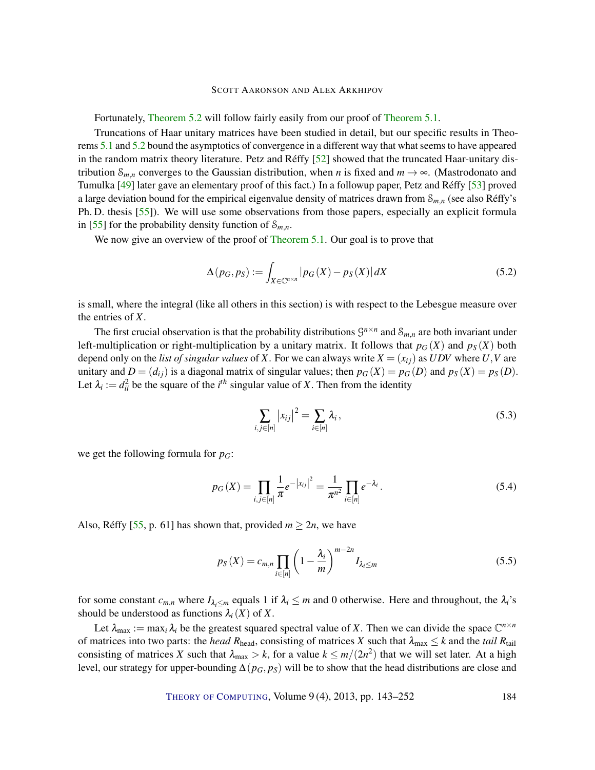Fortunately, [Theorem](#page-40-1) [5.2](#page-40-1) will follow fairly easily from our proof of [Theorem](#page-40-0) [5.1.](#page-40-0)

Truncations of Haar unitary matrices have been studied in detail, but our specific results in Theorems [5.1](#page-40-0) and [5.2](#page-40-1) bound the asymptotics of convergence in a different way that what seems to have appeared in the random matrix theory literature. Petz and Réffy [\[52\]](#page-107-1) showed that the truncated Haar-unitary distribution  $S_{m,n}$  converges to the Gaussian distribution, when *n* is fixed and  $m \to \infty$ . (Mastrodonato and Tumulka [\[49\]](#page-106-2) later gave an elementary proof of this fact.) In a followup paper, Petz and Réffy [\[53\]](#page-107-2) proved a large deviation bound for the empirical eigenvalue density of matrices drawn from S*m*,*<sup>n</sup>* (see also Réffy's Ph. D. thesis [\[55\]](#page-107-3)). We will use some observations from those papers, especially an explicit formula in [\[55\]](#page-107-3) for the probability density function of  $S_{m,n}$ .

We now give an overview of the proof of [Theorem](#page-40-0) [5.1.](#page-40-0) Our goal is to prove that

$$
\Delta(p_G, p_S) := \int_{X \in \mathbb{C}^{n \times n}} |p_G(X) - p_S(X)| \, dX \tag{5.2}
$$

is small, where the integral (like all others in this section) is with respect to the Lebesgue measure over the entries of *X*.

The first crucial observation is that the probability distributions  $\mathcal{G}^{n \times n}$  and  $\mathcal{S}_{m,n}$  are both invariant under left-multiplication or right-multiplication by a unitary matrix. It follows that  $p_G(X)$  and  $p_S(X)$  both depend only on the *list of singular values* of X. For we can always write  $X = (x_{ij})$  as *UDV* where *U*, *V* are unitary and  $D = (d_{ij})$  is a diagonal matrix of singular values; then  $p_G(X) = p_G(D)$  and  $p_S(X) = p_S(D)$ . Let  $\lambda_i := d_{ii}^2$  be the square of the *i*<sup>th</sup> singular value of *X*. Then from the identity

<span id="page-41-0"></span>
$$
\sum_{i,j \in [n]} |x_{ij}|^2 = \sum_{i \in [n]} \lambda_i, \tag{5.3}
$$

we get the following formula for *pG*:

$$
p_G(X) = \prod_{i,j \in [n]} \frac{1}{\pi} e^{-|x_{ij}|^2} = \frac{1}{\pi^{n^2}} \prod_{i \in [n]} e^{-\lambda_i}.
$$
 (5.4)

Also, Réffy [\[55,](#page-107-3) p. 61] has shown that, provided  $m \geq 2n$ , we have

<span id="page-41-1"></span>
$$
p_S(X) = c_{m,n} \prod_{i \in [n]} \left( 1 - \frac{\lambda_i}{m} \right)^{m-2n} I_{\lambda_i \le m} \tag{5.5}
$$

for some constant  $c_{m,n}$  where  $I_{\lambda_i \leq m}$  equals 1 if  $\lambda_i \leq m$  and 0 otherwise. Here and throughout, the  $\lambda_i$ 's should be understood as functions  $\lambda_i(X)$  of X.

Let  $\lambda_{\max} := \max_i \lambda_i$  be the greatest squared spectral value of X. Then we can divide the space  $\mathbb{C}^{n \times n}$ of matrices into two parts: the *head*  $R_{head}$ , consisting of matrices *X* such that  $\lambda_{max} \leq k$  and the *tail*  $R_{tail}$ consisting of matrices *X* such that  $\lambda_{\text{max}} > k$ , for a value  $k \leq m/(2n^2)$  that we will set later. At a high level, our strategy for upper-bounding ∆(*pG*, *pS*) will be to show that the head distributions are close and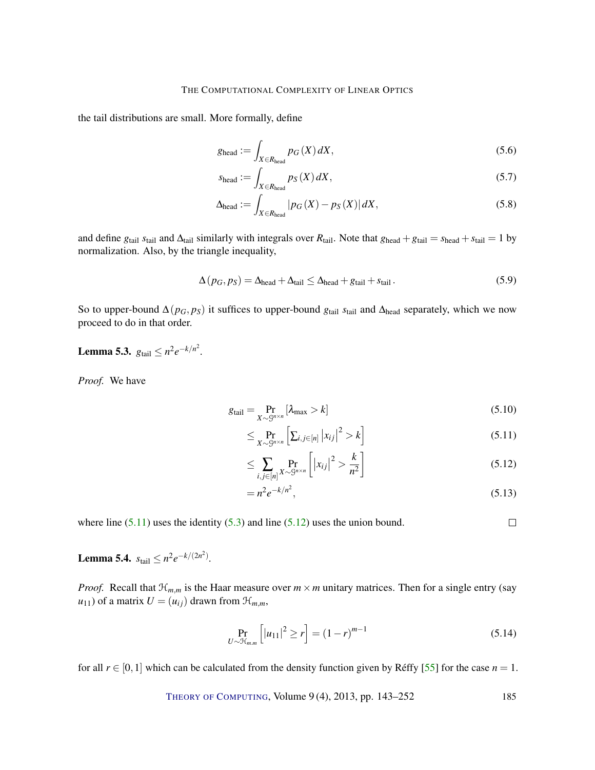the tail distributions are small. More formally, define

$$
g_{\text{head}} := \int_{X \in R_{\text{head}}} p_G(X) \, dX,\tag{5.6}
$$

$$
s_{\text{head}} := \int_{X \in R_{\text{head}}} p_S(X) \, dX,\tag{5.7}
$$

$$
\Delta_{\text{head}} := \int_{X \in R_{\text{head}}} |p_G(X) - p_S(X)| \, dX,\tag{5.8}
$$

and define  $g_{tail}$   $s_{tail}$  and  $\Delta_{tail}$  similarly with integrals over  $R_{tail}$ . Note that  $g_{head} + g_{tail} = s_{head} + s_{tail} = 1$  by normalization. Also, by the triangle inequality,

$$
\Delta(p_G, p_S) = \Delta_{\text{head}} + \Delta_{\text{tail}} \le \Delta_{\text{head}} + g_{\text{tail}} + s_{\text{tail}}.
$$
\n(5.9)

So to upper-bound  $\Delta(p_G, p_S)$  it suffices to upper-bound  $g_{tail}$   $s_{tail}$  and  $\Delta_{head}$  separately, which we now proceed to do in that order.

# <span id="page-42-2"></span>**Lemma 5.3.**  $g_{tail} \leq n^2 e^{-k/n^2}$ .

*Proof.* We have

$$
g_{\text{tail}} = \Pr_{X \sim \mathcal{G}^{n \times n}} \left[ \lambda_{\text{max}} > k \right] \tag{5.10}
$$

$$
\leq \Pr_{X \sim \mathcal{G}^{n \times n}} \left[ \sum_{i,j \in [n]} |x_{ij}|^2 > k \right] \tag{5.11}
$$

$$
\leq \sum_{i,j\in[n]} \Pr_{X\sim\mathcal{G}^{n\times n}} \left[ \left| x_{ij} \right|^2 > \frac{k}{n^2} \right] \tag{5.12}
$$

$$
= n^2 e^{-k/n^2}, \tag{5.13}
$$

where line  $(5.11)$  uses the identity  $(5.3)$  and line  $(5.12)$  uses the union bound.

<span id="page-42-1"></span><span id="page-42-0"></span> $\Box$ 

# <span id="page-42-3"></span>**Lemma 5.4.**  $s_{\text{tail}} \leq n^2 e^{-k/(2n^2)}$ .

*Proof.* Recall that  $\mathcal{H}_{m,m}$  is the Haar measure over  $m \times m$  unitary matrices. Then for a single entry (say  $u_{11}$ ) of a matrix  $U = (u_{ij})$  drawn from  $\mathcal{H}_{m,m}$ ,

$$
\Pr_{U \sim \mathcal{H}_{m,m}} \left[ |u_{11}|^2 \ge r \right] = (1 - r)^{m-1} \tag{5.14}
$$

for all  $r \in [0,1]$  which can be calculated from the density function given by Réffy [\[55\]](#page-107-3) for the case  $n = 1$ .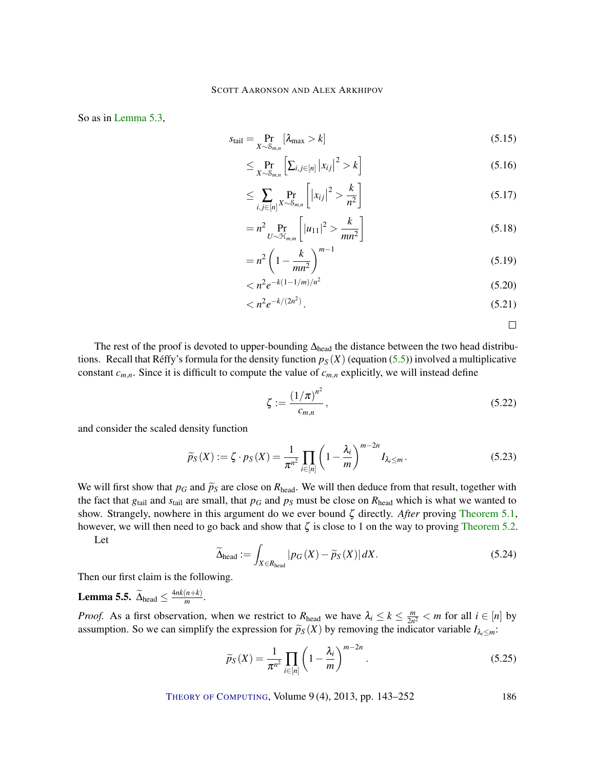So as in [Lemma](#page-42-2) [5.3,](#page-42-2)

$$
s_{\text{tail}} = \Pr_{X \sim \mathcal{S}_{m,n}} [\lambda_{\max} > k] \tag{5.15}
$$

$$
\leq \Pr_{X \sim S_{m,n}} \left[ \sum_{i,j \in [n]} |x_{ij}|^2 > k \right] \tag{5.16}
$$

$$
\leq \sum_{i,j\in[n]} \Pr_{X\sim\mathcal{S}_{m,n}} \left[ \left| x_{ij} \right|^2 > \frac{k}{n^2} \right] \tag{5.17}
$$

$$
= n^2 \Pr_{U \sim \mathcal{H}_{m,m}} \left[ |u_{11}|^2 > \frac{k}{mn^2} \right]
$$
 (5.18)

$$
= n^2 \left(1 - \frac{k}{mn^2}\right)^{m-1}
$$
 (5.19)

$$
\langle n^2 e^{-k(1-1/m)/n^2} \tag{5.20}
$$

$$
\langle n^2 e^{-k/(2n^2)}.\tag{5.21}
$$

 $\Box$ 

The rest of the proof is devoted to upper-bounding  $\Delta_{head}$  the distance between the two head distributions. Recall that Réffy's formula for the density function  $p_S(X)$  (equation [\(5.5\)](#page-41-1)) involved a multiplicative constant  $c_{m,n}$ . Since it is difficult to compute the value of  $c_{m,n}$  explicitly, we will instead define

$$
\zeta := \frac{(1/\pi)^{n^2}}{c_{m,n}},
$$
\n(5.22)

and consider the scaled density function

$$
\widetilde{p}_S(X) := \zeta \cdot p_S(X) = \frac{1}{\pi^{n^2}} \prod_{i \in [n]} \left( 1 - \frac{\lambda_i}{m} \right)^{m-2n} I_{\lambda_i \le m}.
$$
\n(5.23)

We will first show that  $p_G$  and  $\tilde{p}_S$  are close on  $R_{head}$ . We will then deduce from that result, together with the fact that *g*tail and *s*tail are small, that *p<sup>G</sup>* and *p<sup>S</sup>* must be close on *R*head which is what we wanted to show. Strangely, nowhere in this argument do we ever bound ζ directly. *After* proving [Theorem](#page-40-0) [5.1,](#page-40-0) however, we will then need to go back and show that  $\zeta$  is close to 1 on the way to proving [Theorem](#page-40-1) [5.2.](#page-40-1)

Let

<span id="page-43-0"></span>
$$
\widetilde{\Delta}_{\text{head}} := \int_{X \in R_{\text{head}}} |p_G(X) - \widetilde{p}_S(X)| \, dX. \tag{5.24}
$$

Then our first claim is the following.

<span id="page-43-1"></span>**Lemma 5.5.** 
$$
\widetilde{\Delta}_{\text{head}} \leq \frac{4nk(n+k)}{m}
$$
.

*Proof.* As a first observation, when we restrict to  $R_{head}$  we have  $\lambda_i \leq k \leq \frac{m}{2n}$  $\frac{m}{2n^2}$  < *m* for all *i*  $\in$  [*n*] by assumption. So we can simplify the expression for  $\widetilde{p}_S(X)$  by removing the indicator variable  $I_{\lambda_i \leq m}$ :

$$
\widetilde{p}_S(X) = \frac{1}{\pi^{n^2}} \prod_{i \in [n]} \left( 1 - \frac{\lambda_i}{m} \right)^{m-2n} . \tag{5.25}
$$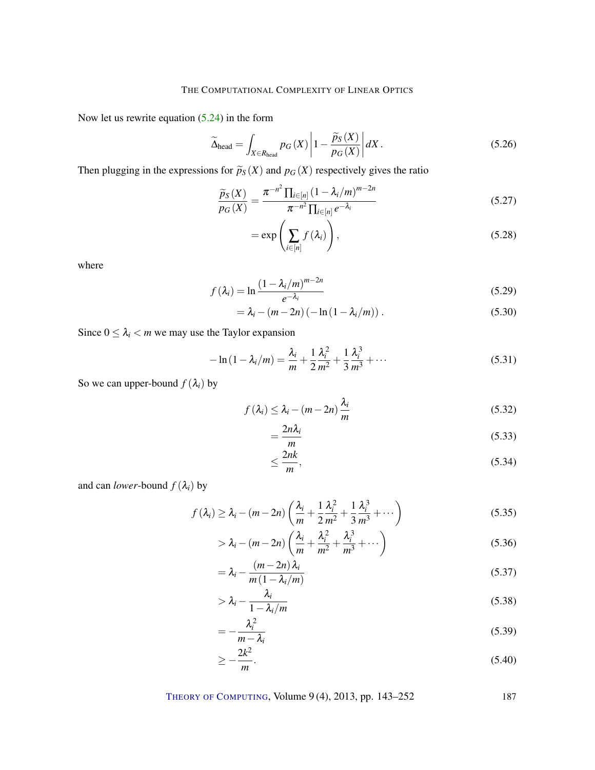Now let us rewrite equation [\(5.24\)](#page-43-0) in the form

$$
\widetilde{\Delta}_{\text{head}} = \int_{X \in R_{\text{head}}} p_G(X) \left| 1 - \frac{\widetilde{p}_S(X)}{p_G(X)} \right| dX. \tag{5.26}
$$

Then plugging in the expressions for  $\widetilde{p}_S(X)$  and  $p_G(X)$  respectively gives the ratio

$$
\frac{\widetilde{p}_S(X)}{p_G(X)} = \frac{\pi^{-n^2} \prod_{i \in [n]} (1 - \lambda_i/m)^{m-2n}}{\pi^{-n^2} \prod_{i \in [n]} e^{-\lambda_i}}
$$
(5.27)

$$
= \exp\left(\sum_{i \in [n]} f(\lambda_i)\right),\tag{5.28}
$$

where

$$
f(\lambda_i) = \ln \frac{(1 - \lambda_i/m)^{m-2n}}{e^{-\lambda_i}}
$$
\n(5.29)

$$
= \lambda_i - (m - 2n) \left( -\ln\left(1 - \lambda_i / m\right) \right). \tag{5.30}
$$

Since  $0 \leq \lambda_i < m$  we may use the Taylor expansion

$$
-\ln(1 - \lambda_i/m) = \frac{\lambda_i}{m} + \frac{1}{2} \frac{\lambda_i^2}{m^2} + \frac{1}{3} \frac{\lambda_i^3}{m^3} + \cdots
$$
 (5.31)

So we can upper-bound  $f(\lambda_i)$  by

$$
f(\lambda_i) \leq \lambda_i - (m - 2n) \frac{\lambda_i}{m}
$$
\n(5.32)

$$
=\frac{2n\lambda_i}{m}\tag{5.33}
$$

$$
\leq \frac{2nk}{m},\tag{5.34}
$$

and can *lower*-bound  $f(\lambda_i)$  by

$$
f(\lambda_i) \geq \lambda_i - (m - 2n) \left( \frac{\lambda_i}{m} + \frac{1}{2} \frac{\lambda_i^2}{m^2} + \frac{1}{3} \frac{\lambda_i^3}{m^3} + \cdots \right)
$$
 (5.35)

$$
> \lambda_i - (m-2n) \left( \frac{\lambda_i}{m} + \frac{\lambda_i^2}{m^2} + \frac{\lambda_i^3}{m^3} + \cdots \right)
$$
 (5.36)

$$
= \lambda_i - \frac{(m-2n)\lambda_i}{m(1-\lambda_i/m)}
$$
(5.37)

$$
>\lambda_i - \frac{\lambda_i}{1 - \lambda_i / m} \tag{5.38}
$$

$$
=-\frac{\lambda_i^2}{m-\lambda_i}
$$
\n(5.39)

$$
\geq -\frac{2k^2}{m}.\tag{5.40}
$$

<span id="page-44-0"></span>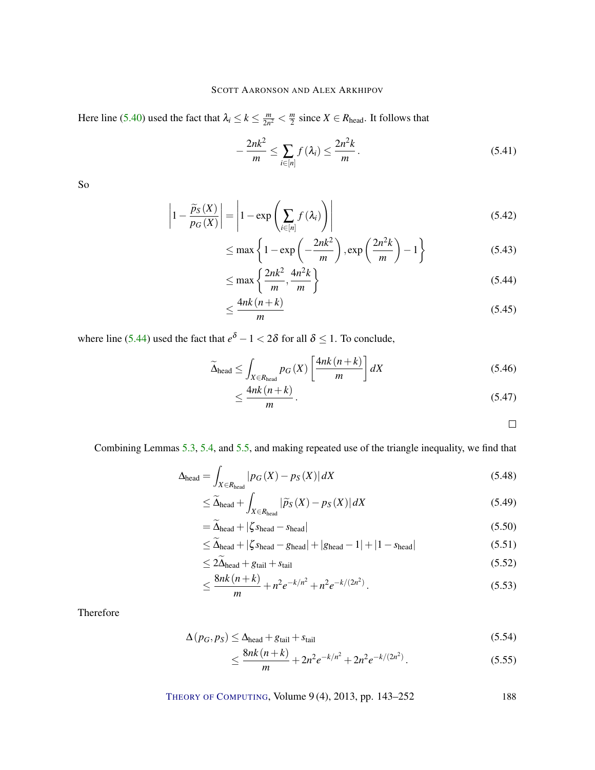Here line [\(5.40\)](#page-44-0) used the fact that  $\lambda_i \leq k \leq \frac{m}{2n^2}$  $\frac{m}{2n^2} < \frac{m}{2}$  $\frac{m}{2}$  since *X*  $\in$  *R*<sub>head</sub>. It follows that

$$
-\frac{2nk^2}{m} \le \sum_{i\in[n]} f(\lambda_i) \le \frac{2n^2k}{m}.
$$
\n(5.41)

So

$$
\left|1 - \frac{\widetilde{p}_S(X)}{p_G(X)}\right| = \left|1 - \exp\left(\sum_{i \in [n]} f(\lambda_i)\right)\right| \tag{5.42}
$$

$$
\leq \max\left\{1 - \exp\left(-\frac{2nk^2}{m}\right), \exp\left(\frac{2n^2k}{m}\right) - 1\right\} \tag{5.43}
$$

$$
\leq \max\left\{\frac{2nk^2}{m}, \frac{4n^2k}{m}\right\} \tag{5.44}
$$

$$
\leq \frac{4nk(n+k)}{m} \tag{5.45}
$$

where line [\(5.44\)](#page-45-0) used the fact that  $e^{\delta} - 1 < 2\delta$  for all  $\delta \le 1$ . To conclude,

$$
\widetilde{\Delta}_{\text{head}} \le \int_{X \in R_{\text{head}}} p_G(X) \left[ \frac{4nk(n+k)}{m} \right] dX \tag{5.46}
$$

$$
\leq \frac{4nk(n+k)}{m}.\tag{5.47}
$$

<span id="page-45-0"></span> $\Box$ 

Combining Lemmas [5.3,](#page-42-2) [5.4,](#page-42-3) and [5.5,](#page-43-1) and making repeated use of the triangle inequality, we find that

$$
\Delta_{\text{head}} = \int_{X \in R_{\text{head}}} |p_G(X) - p_S(X)| \, dX \tag{5.48}
$$

$$
\leq \widetilde{\Delta}_{head} + \int_{X \in R_{head}} |\widetilde{p}_S(X) - p_S(X)| dX \tag{5.49}
$$

$$
=\widetilde{\Delta}_{head}+|\zeta s_{head}-s_{head}|
$$
\n(5.50)

$$
\leq \Delta_{\text{head}} + |\zeta s_{\text{head}} - g_{\text{head}}| + |g_{\text{head}} - 1| + |1 - s_{\text{head}}| \tag{5.51}
$$

$$
\leq 2\Delta_{\text{head}} + g_{\text{tail}} + s_{\text{tail}} \tag{5.52}
$$

$$
\leq \frac{8nk(n+k)}{m} + n^2 e^{-k/n^2} + n^2 e^{-k/(2n^2)}.
$$
\n(5.53)

Therefore

$$
\Delta(p_G, p_S) \le \Delta_{\text{head}} + g_{\text{tail}} + s_{\text{tail}} \tag{5.54}
$$

$$
\leq \frac{8nk(n+k)}{m} + 2n^2e^{-k/n^2} + 2n^2e^{-k/(2n^2)}.\tag{5.55}
$$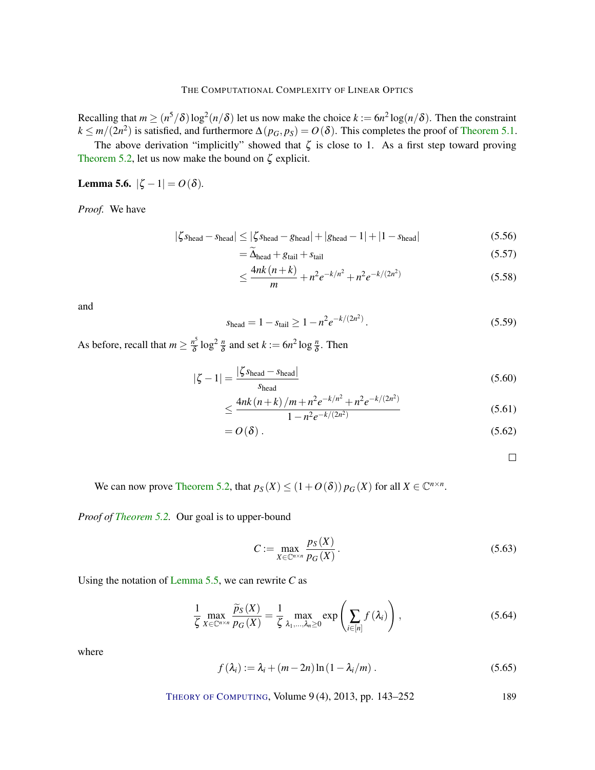Recalling that  $m \ge (n^5/\delta) \log^2(n/\delta)$  let us now make the choice  $k := 6n^2 \log(n/\delta)$ . Then the constraint  $k ≤ m/(2n^2)$  is satisfied, and furthermore  $\Delta(p_G, p_S) = O(\delta)$ . This completes the proof of [Theorem](#page-40-0) [5.1.](#page-40-0)

The above derivation "implicitly" showed that  $\zeta$  is close to 1. As a first step toward proving [Theorem](#page-40-1) [5.2,](#page-40-1) let us now make the bound on  $\zeta$  explicit.

<span id="page-46-0"></span>**Lemma 5.6.**  $|\zeta - 1| = O(\delta)$ .

*Proof.* We have

$$
|\zeta s_{\text{head}} - s_{\text{head}}| \le |\zeta s_{\text{head}} - g_{\text{head}}| + |g_{\text{head}} - 1| + |1 - s_{\text{head}}| \tag{5.56}
$$

$$
=\Delta_{\text{head}} + g_{\text{tail}} + s_{\text{tail}} \tag{5.57}
$$

$$
\leq \frac{4nk(n+k)}{m} + n^2 e^{-k/n^2} + n^2 e^{-k/(2n^2)} \tag{5.58}
$$

and

$$
s_{\text{head}} = 1 - s_{\text{tail}} \ge 1 - n^2 e^{-k/(2n^2)}.
$$
\n(5.59)

As before, recall that  $m \geq \frac{n^5}{\delta}$  $\int_{\delta}^{\frac{n^5}{2}} \log^2 \frac{n}{\delta}$  and set  $k := 6n^2 \log \frac{n}{\delta}$ . Then

$$
|\zeta - 1| = \frac{|\zeta s_{\text{head}} - s_{\text{head}}|}{s_{\text{head}}}
$$
\n(5.60)

$$
\leq \frac{4nk(n+k)/m+n^2e^{-k/n^2}+n^2e^{-k/(2n^2)}}{1-n^2e^{-k/(2n^2)}}\tag{5.61}
$$

$$
=O(\delta). \tag{5.62}
$$

$$
\Box
$$

We can now prove [Theorem](#page-40-1) [5.2,](#page-40-1) that  $p_S(X) \leq (1 + O(\delta)) p_G(X)$  for all  $X \in \mathbb{C}^{n \times n}$ .

*Proof of [Theorem](#page-40-1) [5.2.](#page-40-1)* Our goal is to upper-bound

$$
C := \max_{X \in \mathbb{C}^{n \times n}} \frac{p_S(X)}{p_G(X)}.
$$
\n(5.63)

Using the notation of [Lemma](#page-43-1) [5.5,](#page-43-1) we can rewrite *C* as

$$
\frac{1}{\zeta} \max_{X \in \mathbb{C}^{n \times n}} \frac{\widetilde{p}_S(X)}{p_G(X)} = \frac{1}{\zeta} \max_{\lambda_1, \dots, \lambda_n \ge 0} \exp\left(\sum_{i \in [n]} f(\lambda_i)\right), \tag{5.64}
$$

where

$$
f(\lambda_i) := \lambda_i + (m - 2n) \ln(1 - \lambda_i/m) \tag{5.65}
$$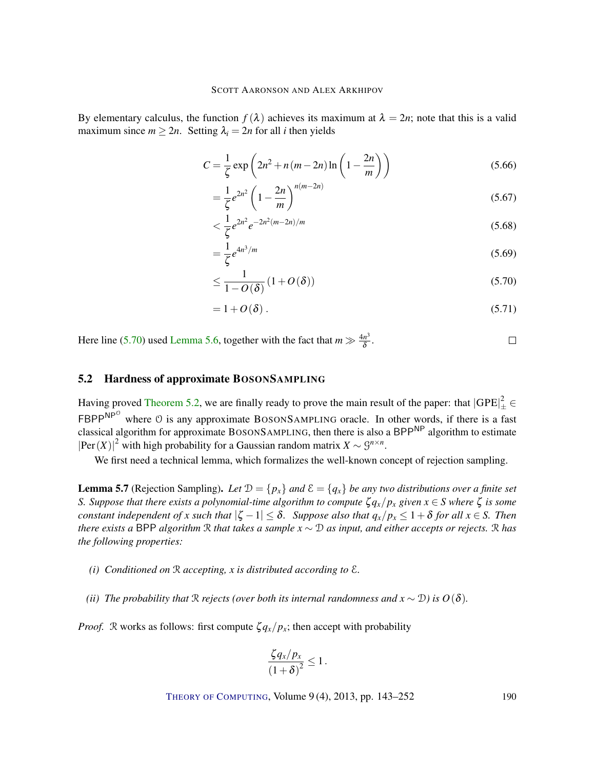By elementary calculus, the function  $f(\lambda)$  achieves its maximum at  $\lambda = 2n$ ; note that this is a valid maximum since  $m \ge 2n$ . Setting  $\lambda_i = 2n$  for all *i* then yields

$$
C = \frac{1}{\zeta} \exp\left(2n^2 + n\left(m - 2n\right)\ln\left(1 - \frac{2n}{m}\right)\right)
$$
\n(5.66)

$$
=\frac{1}{\zeta}e^{2n^2}\left(1-\frac{2n}{m}\right)^{n(m-2n)}
$$
\n(5.67)

$$
\langle \frac{1}{\zeta} e^{2n^2} e^{-2n^2(m-2n)/m} \tag{5.68}
$$

$$
=\frac{1}{\zeta}e^{4n^3/m}\tag{5.69}
$$

$$
\leq \frac{1}{1 - O(\delta)} (1 + O(\delta)) \tag{5.70}
$$

$$
=1+O(\delta).
$$
 (5.71)

Here line [\(5.70\)](#page-47-0) used [Lemma](#page-46-0) [5.6,](#page-46-0) together with the fact that  $m \gg \frac{4n^3}{\delta}$  $rac{n^3}{\delta}$ .

<span id="page-47-0"></span> $\Box$ 

# 5.2 Hardness of approximate BOSONSAMPLING

Having proved [Theorem](#page-40-1) [5.2,](#page-40-1) we are finally ready to prove the main result of the paper: that  $|GPE|_{\pm}^2 \in$ FBPP<sup>NP<sup>O</sup></sup> where O is any approximate BOSONSAMPLING oracle. In other words, if there is a fast classical algorithm for approximate BOSONSAMPLING, then there is also a BPPNP algorithm to estimate  $|\text{Per}(X)|^2$  with high probability for a Gaussian random matrix  $X \sim \mathcal{G}^{n \times n}$ .

We first need a technical lemma, which formalizes the well-known concept of rejection sampling.

<span id="page-47-1"></span>**Lemma 5.7** (Rejection Sampling). Let  $\mathcal{D} = \{p_x\}$  and  $\mathcal{E} = \{q_x\}$  be any two distributions over a finite set *S. Suppose that there exists a polynomial-time algorithm to compute*  $\zeta q_x/p_x$  *given*  $x \in S$  *where*  $\zeta$  *is some constant independent of x such that*  $|\zeta - 1| \leq \delta$ *. Suppose also that*  $q_x/p_x \leq 1 + \delta$  *for all*  $x \in S$ *. Then there exists a* BPP *algorithm* R *that takes a sample x* ∼ D *as input, and either accepts or rejects.* R *has the following properties:*

- *(i) Conditioned on* R *accepting, x is distributed according to* E*.*
- *(ii) The probability that*  $\Re$  *rejects (over both its internal randomness and*  $x \sim \mathcal{D}$ *) is*  $O(\delta)$ *.*

*Proof.* R works as follows: first compute  $\zeta q_x/p_x$ ; then accept with probability

$$
\frac{\zeta q_x/p_x}{\left(1+\delta\right)^2}\leq 1\,.
$$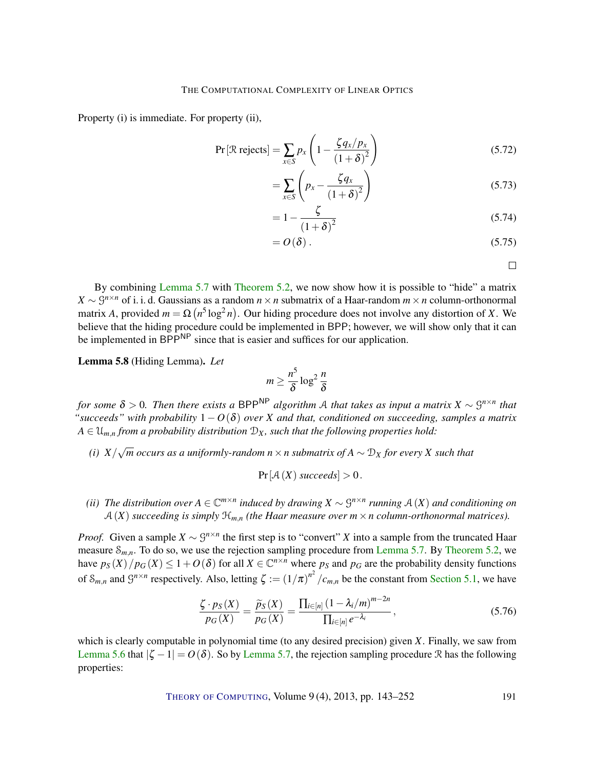Property (i) is immediate. For property (ii),

$$
\Pr[\mathcal{R}\text{ rejects}] = \sum_{x \in S} p_x \left( 1 - \frac{\zeta q_x / p_x}{(1 + \delta)^2} \right) \tag{5.72}
$$

$$
=\sum_{x\in S}\left(p_x-\frac{\zeta q_x}{(1+\delta)^2}\right) \tag{5.73}
$$

$$
= 1 - \frac{\zeta}{(1+\delta)^2}
$$
 (5.74)

$$
=O(\delta). \tag{5.75}
$$

 $\Box$ 

By combining [Lemma](#page-47-1) [5.7](#page-47-1) with [Theorem](#page-40-1) [5.2,](#page-40-1) we now show how it is possible to "hide" a matrix *X* ∼  $\mathcal{G}^{n \times n}$  of i. i. d. Gaussians as a random *n* × *n* submatrix of a Haar-random *m* × *n* column-orthonormal matrix *A*, provided  $m = \Omega(n^5 \log^2 n)$ . Our hiding procedure does not involve any distortion of *X*. We believe that the hiding procedure could be implemented in BPP; however, we will show only that it can be implemented in BPP<sup>NP</sup> since that is easier and suffices for our application.

<span id="page-48-0"></span>Lemma 5.8 (Hiding Lemma). *Let*

$$
m \geq \frac{n^5}{\delta} \log^2 \frac{n}{\delta}
$$

*for some*  $\delta > 0$ . Then there exists a BPP<sup>NP</sup> algorithm A that takes as input a matrix  $X \sim \mathcal{G}^{n \times n}$  that *"succeeds" with probability* 1 − *O*(δ) *over X and that, conditioned on succeeding, samples a matrix*  $A \in \mathcal{U}_{m,n}$  *from a probability distribution*  $\mathcal{D}_X$ *, such that the following properties hold:* 

*(i) X*/ √ *m occurs as a uniformly-random n*×*n submatrix of A* ∼ D*<sup>X</sup> for every X such that*

$$
Pr[\mathcal{A}(X) \: succeeds] > 0.
$$

*(ii) The distribution over*  $A \in \mathbb{C}^{m \times n}$  *induced by drawing*  $X \sim \mathcal{G}^{n \times n}$  *running*  $A(X)$  *and conditioning on*  $A(X)$  *succeeding is simply*  $\mathcal{H}_{m,n}$  *(the Haar measure over m*  $\times$  *n column-orthonormal matrices).* 

*Proof.* Given a sample  $X \sim \mathcal{G}^{n \times n}$  the first step is to "convert" *X* into a sample from the truncated Haar measure  $S_{m,n}$ . To do so, we use the rejection sampling procedure from [Lemma](#page-47-1) [5.7.](#page-47-1) By [Theorem](#page-40-1) [5.2,](#page-40-1) we have  $p_S(X)/p_G(X) \leq 1 + O(\delta)$  for all  $X \in \mathbb{C}^{n \times n}$  where  $p_S$  and  $p_G$  are the probability density functions of  $S_{m,n}$  and  $\mathcal{G}^{n \times n}$  respectively. Also, letting  $\zeta := (1/\pi)^{n^2} / c_{m,n}$  be the constant from [Section](#page-40-2) [5.1,](#page-40-2) we have

$$
\frac{\zeta \cdot p_S(X)}{p_G(X)} = \frac{\widetilde{p}_S(X)}{p_G(X)} = \frac{\prod_{i \in [n]} \left(1 - \lambda_i / m\right)^{m-2n}}{\prod_{i \in [n]} e^{-\lambda_i}},\tag{5.76}
$$

which is clearly computable in polynomial time (to any desired precision) given *X*. Finally, we saw from [Lemma](#page-47-1) [5.6](#page-46-0) that  $|\zeta - 1| = O(\delta)$ . So by Lemma [5.7,](#page-47-1) the rejection sampling procedure R has the following properties: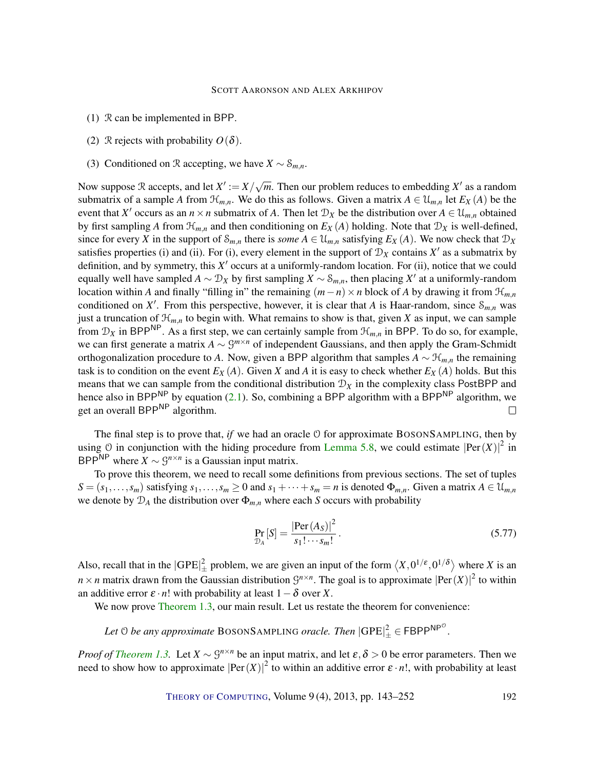- (1) R can be implemented in BPP.
- (2) R rejects with probability  $O(\delta)$ .
- (3) Conditioned on R accepting, we have  $X \sim S_{m,n}$ .

Now suppose  $\Re$  accepts, and let  $X' := X/\sqrt{2}$  $\overline{m}$ . Then our problem reduces to embedding  $X'$  as a random submatrix of a sample *A* from  $\mathcal{H}_{m,n}$ . We do this as follows. Given a matrix  $A \in \mathcal{U}_{m,n}$  let  $E_X(A)$  be the event that X' occurs as an  $n \times n$  submatrix of A. Then let  $\mathcal{D}_X$  be the distribution over  $A \in \mathcal{U}_{m,n}$  obtained by first sampling A from  $\mathcal{H}_{m,n}$  and then conditioning on  $E_X(A)$  holding. Note that  $\mathcal{D}_X$  is well-defined, since for every *X* in the support of  $S_{m,n}$  there is *some*  $A \in \mathcal{U}_{m,n}$  satisfying  $E_X(A)$ . We now check that  $\mathcal{D}_X$ satisfies properties (i) and (ii). For (i), every element in the support of  $\mathcal{D}_X$  contains  $X'$  as a submatrix by definition, and by symmetry, this X' occurs at a uniformly-random location. For (ii), notice that we could equally well have sampled  $A \sim \mathcal{D}_X$  by first sampling  $X \sim \mathcal{S}_{m,n}$ , then placing  $X'$  at a uniformly-random location within *A* and finally "filling in" the remaining  $(m - n) \times n$  block of *A* by drawing it from  $\mathcal{H}_{m,n}$ conditioned on X<sup>'</sup>. From this perspective, however, it is clear that *A* is Haar-random, since  $S_{m,n}$  was just a truncation of  $\mathcal{H}_{m,n}$  to begin with. What remains to show is that, given *X* as input, we can sample from  $\mathcal{D}_X$  in BPP<sup>NP</sup>. As a first step, we can certainly sample from  $\mathcal{H}_{m,n}$  in BPP. To do so, for example, we can first generate a matrix *A* ∼  $\mathcal{G}^{m \times n}$  of independent Gaussians, and then apply the Gram-Schmidt orthogonalization procedure to *A*. Now, given a BPP algorithm that samples  $A \sim \mathcal{H}_{m,n}$  the remaining task is to condition on the event  $E_X(A)$ . Given *X* and *A* it is easy to check whether  $E_X(A)$  holds. But this means that we can sample from the conditional distribution  $\mathcal{D}_X$  in the complexity class PostBPP and hence also in BPP<sup>NP</sup> by equation [\(2.1\)](#page-19-1). So, combining a BPP algorithm with a BPP<sup>NP</sup> algorithm, we get an overall BPP<sup>NP</sup> algorithm.  $\Box$ 

The final step is to prove that, *if* we had an oracle  $\theta$  for approximate BOSONSAMPLING, then by using 0 in conjunction with the hiding procedure from [Lemma](#page-48-0) [5.8,](#page-48-0) we could estimate  $|Per(X)|^2$  in BPP<sup>NP</sup> where  $X \sim \mathcal{G}^{n \times n}$  is a Gaussian input matrix.

To prove this theorem, we need to recall some definitions from previous sections. The set of tuples  $S = (s_1, \ldots, s_m)$  satisfying  $s_1, \ldots, s_m \geq 0$  and  $s_1 + \cdots + s_m = n$  is denoted  $\Phi_{m,n}$ . Given a matrix  $A \in \mathcal{U}_{m,n}$ we denote by  $\mathcal{D}_A$  the distribution over  $\Phi_{m,n}$  where each *S* occurs with probability

$$
\Pr_{\mathcal{D}_A} \left[ S \right] = \frac{|\text{Per}(A_S)|^2}{s_1! \cdots s_m!} \,. \tag{5.77}
$$

Also, recall that in the  $|GPE|^2$  problem, we are given an input of the form  $\langle X, 0^{1/\epsilon}, 0^{1/\delta} \rangle$  where X is an  $n \times n$  matrix drawn from the Gaussian distribution  $\mathcal{G}^{n \times n}$ . The goal is to approximate  $|\text{Per}(X)|^2$  to within an additive error  $\varepsilon \cdot n!$  with probability at least  $1-\delta$  over *X*.

We now prove [Theorem](#page-9-0) [1.3,](#page-9-0) our main result. Let us restate the theorem for convenience:

Let  $\odot$  *be any approximate* BOSONSAMPLING *oracle. Then*  $|GPE|_{\pm}^2 \in \mathsf{FBPP}^{\mathsf{NP}^{\mathcal{O}}}$ .

*Proof of [Theorem](#page-9-0) [1.3.](#page-9-0)* Let  $X \sim \mathcal{G}^{n \times n}$  be an input matrix, and let  $\varepsilon, \delta > 0$  be error parameters. Then we need to show how to approximate  $|\text{Per}(X)|^2$  to within an additive error  $\varepsilon \cdot n!$ , with probability at least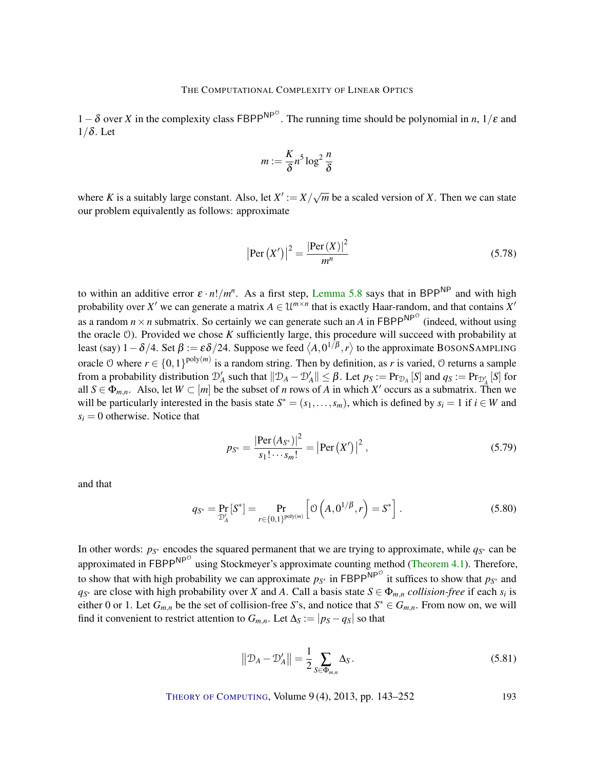1 – δ over *X* in the complexity class FBPP<sup>NP</sup><sup>°</sup>. The running time should be polynomial in *n*, 1/ε and  $1/\delta$ . Let

$$
m:=\frac{K}{\delta}n^5\log^2\frac{n}{\delta}
$$

where *K* is a suitably large constant. Also, let  $X' := X/\sqrt{2}$ *m* be a scaled version of *X*. Then we can state our problem equivalently as follows: approximate

$$
|\text{Per}(X')|^2 = \frac{|\text{Per}(X)|^2}{m^n}
$$
 (5.78)

to within an additive error  $\varepsilon \cdot n! / m^n$ . As a first step, [Lemma](#page-48-0) [5.8](#page-48-0) says that in BPP<sup>NP</sup> and with high probability over X' we can generate a matrix  $A \in \mathbb{U}^{m \times n}$  that is exactly Haar-random, and that contains X' as a random  $n \times n$  submatrix. So certainly we can generate such an *A* in FBPP<sup>NP<sup>O</sup> (indeed, without using</sup> the oracle O). Provided we chose *K* sufficiently large, this procedure will succeed with probability at least (say)  $1-\delta/4$ . Set  $\beta:=\varepsilon\delta/24$ . Suppose we feed  $\langle A,0^{1/\beta},r\rangle$  to the approximate BOSONSAMPLING oracle  $\varnothing$  where  $r \in \{0,1\}^{\text{poly}(m)}$  is a random string. Then by definition, as r is varied,  $\varnothing$  returns a sample from a probability distribution  $D'_A$  such that  $||D_A - D'_A|| \leq \beta$ . Let  $p_S := Pr_{D_A}[S]$  and  $q_S := Pr_{D'_A}[S]$  for all  $S \in \Phi_{m,n}$ . Also, let  $W \subset [m]$  be the subset of *n* rows of *A* in which *X'* occurs as a submatrix. Then we will be particularly interested in the basis state  $S^* = (s_1, \ldots, s_m)$ , which is defined by  $s_i = 1$  if  $i \in W$  and  $s_i = 0$  otherwise. Notice that

$$
p_{S^*} = \frac{|\text{Per}(A_{S^*})|^2}{s_1! \cdots s_m!} = |\text{Per}(X')|^2, \qquad (5.79)
$$

and that

$$
q_{S^*} = \Pr_{\mathcal{D}'_A}[S^*] = \Pr_{r \in \{0,1\}^{\text{poly}(m)}}\left[\mathcal{O}\left(A, 0^{1/\beta}, r\right) = S^*\right].\tag{5.80}
$$

In other words: *p<sup>S</sup>* <sup>∗</sup> encodes the squared permanent that we are trying to approximate, while *q<sup>S</sup>* <sup>∗</sup> can be approximated in FBPP<sup>NP<sup>O</sup> using Stockmeyer's approximate counting method [\(Theorem](#page-32-0) [4.1\)](#page-32-0). Therefore,</sup> to show that with high probability we can approximate  $p_{S^*}$  in FBPP<sup>NP<sup>O</sup></sup> it suffices to show that  $p_{S^*}$  and *q*<sub>*S*<sup>\*</sup></sub> are close with high probability over *X* and *A*. Call a basis state  $S \in \Phi_{m,n}$  *collision-free* if each  $s_i$  is either 0 or 1. Let  $G_{m,n}$  be the set of collision-free *S*'s, and notice that  $S^* \in G_{m,n}$ . From now on, we will find it convenient to restrict attention to  $G_{m,n}$ . Let  $\Delta_S := |p_S - q_S|$  so that

$$
\|\mathcal{D}_A - \mathcal{D}'_A\| = \frac{1}{2} \sum_{S \in \Phi_{m,n}} \Delta_S.
$$
\n(5.81)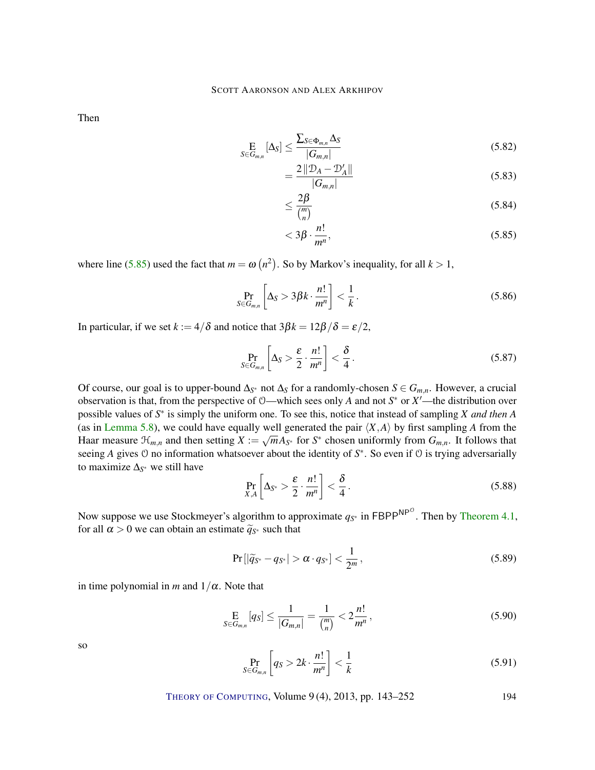Then

$$
\underset{S \in G_{m,n}}{\mathbf{E}} [\Delta_S] \le \frac{\sum_{S \in \Phi_{m,n}} \Delta_S}{|G_{m,n}|} \tag{5.82}
$$

$$
=\frac{2\left\|D_A - D'_A\right\|}{|G_{m,n}|}\tag{5.83}
$$

$$
\leq \frac{2\beta}{\binom{m}{n}}\tag{5.84}
$$

<span id="page-51-0"></span>
$$
\langle 3\beta \cdot \frac{n!}{m^n},\qquad(5.85)
$$

where line [\(5.85\)](#page-51-0) used the fact that  $m = \omega(n^2)$ . So by Markov's inequality, for all  $k > 1$ ,

$$
\Pr_{S \in G_{m,n}} \left[ \Delta_S > 3\beta k \cdot \frac{n!}{m^n} \right] < \frac{1}{k} \,. \tag{5.86}
$$

In particular, if we set  $k := 4/\delta$  and notice that  $3\beta k = 12\beta/\delta = \varepsilon/2$ ,

$$
\Pr_{S \in G_{m,n}} \left[ \Delta_S > \frac{\varepsilon}{2} \cdot \frac{n!}{m^n} \right] < \frac{\delta}{4} \,. \tag{5.87}
$$

Of course, our goal is to upper-bound ∆*<sup>S</sup>* <sup>∗</sup> not ∆*<sup>S</sup>* for a randomly-chosen *S* ∈ *Gm*,*n*. However, a crucial observation is that, from the perspective of  $\mathcal{O}$ —which sees only *A* and not *S*<sup>\*</sup> or *X*'—the distribution over possible values of  $S^*$  is simply the uniform one. To see this, notice that instead of sampling *X and then A* (as in [Lemma](#page-48-0) [5.8\)](#page-48-0), we could have equally well generated the pair  $\langle X, A \rangle$  by first sampling *A* from the Haar measure  $\mathcal{H}_{m,n}$  and then setting  $X := \sqrt{n}$  $\overline{m}A_{S^*}$  for  $S^*$  chosen uniformly from  $G_{m,n}$ . It follows that seeing *A* gives ⊙ no information whatsoever about the identity of S<sup>\*</sup>. So even if ⊙ is trying adversarially to maximize ∆*<sup>S</sup>* <sup>∗</sup> we still have

$$
\Pr_{X,A}\left[\Delta_{S^*} > \frac{\varepsilon}{2} \cdot \frac{n!}{m^n}\right] < \frac{\delta}{4}.
$$
\n(5.88)

Now suppose we use Stockmeyer's algorithm to approximate  $q_{\mathcal{S}^*}$  in FBPP<sup>NP°</sup>. Then by [Theorem](#page-32-0) [4.1,](#page-32-0) for all  $\alpha > 0$  we can obtain an estimate  $\tilde{q}_{S^*}$  such that

$$
\Pr\left[\left|\widetilde{q}_{S^*} - q_{S^*}\right| > \alpha \cdot q_{S^*}\right] < \frac{1}{2^m},\tag{5.89}
$$

in time polynomial in *m* and  $1/\alpha$ . Note that

$$
\mathop{\mathbf{E}}_{S \in G_{m,n}}[q_S] \le \frac{1}{|G_{m,n}|} = \frac{1}{\binom{m}{n}} < 2\frac{n!}{m^n},\tag{5.90}
$$

so

$$
\Pr_{S \in G_{m,n}} \left[ q_S > 2k \cdot \frac{n!}{m^n} \right] < \frac{1}{k} \tag{5.91}
$$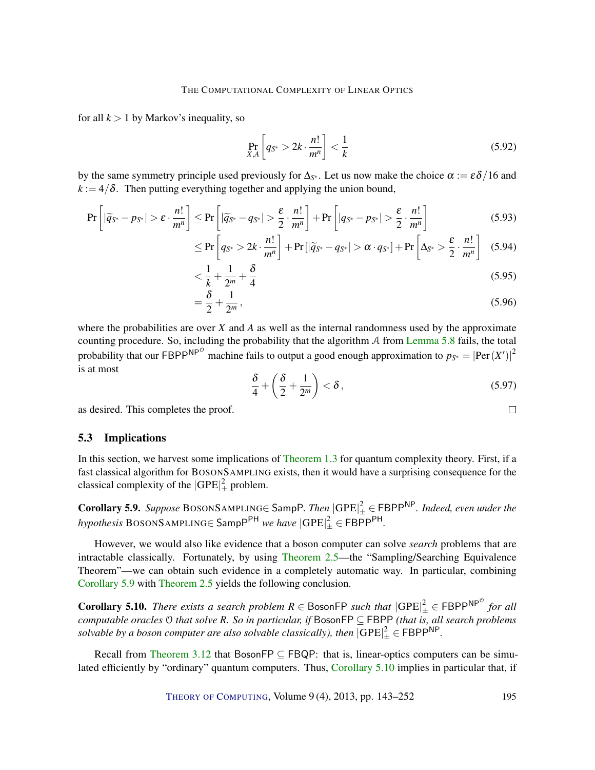for all  $k > 1$  by Markov's inequality, so

$$
\Pr_{X,A}\left[q_{S^*} > 2k \cdot \frac{n!}{m^n}\right] < \frac{1}{k} \tag{5.92}
$$

by the same symmetry principle used previously for  $\Delta_{S^*}$ . Let us now make the choice  $\alpha := \varepsilon \delta/16$  and  $k := 4/\delta$ . Then putting everything together and applying the union bound,

$$
\Pr\left[|\widetilde{q}_{S^*} - p_{S^*}| > \varepsilon \cdot \frac{n!}{m^n}\right] \le \Pr\left[|\widetilde{q}_{S^*} - q_{S^*}| > \frac{\varepsilon}{2} \cdot \frac{n!}{m^n}\right] + \Pr\left[|q_{S^*} - p_{S^*}| > \frac{\varepsilon}{2} \cdot \frac{n!}{m^n}\right] \tag{5.93}
$$

$$
\leq \Pr\left[q_{S^*} > 2k \cdot \frac{n!}{m^n}\right] + \Pr\left[|\widetilde{q}_{S^*} - q_{S^*}| > \alpha \cdot q_{S^*}\right] + \Pr\left[\Delta_{S^*} > \frac{\varepsilon}{2} \cdot \frac{n!}{m^n}\right] \quad (5.94)
$$

$$
\langle \frac{1}{k} + \frac{1}{2^m} + \frac{\delta}{4} \rangle \tag{5.95}
$$

$$
=\frac{\delta}{2}+\frac{1}{2^m},\tag{5.96}
$$

where the probabilities are over *X* and *A* as well as the internal randomness used by the approximate counting procedure. So, including the probability that the algorithm A from [Lemma](#page-48-0) [5.8](#page-48-0) fails, the total probability that our FBPP<sup>NP<sup>o</sup></sup> machine fails to output a good enough approximation to  $p_{S^*} = |Per(X')|^2$ is at most

$$
\frac{\delta}{4} + \left(\frac{\delta}{2} + \frac{1}{2^m}\right) < \delta \,,\tag{5.97}
$$

 $\Box$ 

as desired. This completes the proof.

# 5.3 Implications

In this section, we harvest some implications of [Theorem](#page-9-0) [1.3](#page-9-0) for quantum complexity theory. First, if a fast classical algorithm for BOSONSAMPLING exists, then it would have a surprising consequence for the classical complexity of the  $|GPE|_{\pm}^2$  problem.

<span id="page-52-0"></span> $\bf{Corollary 5.9.}$   $\it{Suppose \, Bosons}$   $\rm{AMPLING}\in \bf{SampP.}$   $\it{Then \,}|\rm{GPE}|^2_\pm \in \bf{FBPP^{NP}}.$  Indeed, even under the  $h$ ypothesis  $\text{Bosons}$ AMPLING $\in$  Samp $\mathsf{P}^\mathsf{PH}$  *we have*  $|\mathsf{GPE}|_\pm^2 \in \mathsf{FBPP}^\mathsf{PH}.$ 

However, we would also like evidence that a boson computer can solve *search* problems that are intractable classically. Fortunately, by using [Theorem](#page-20-0) [2.5—](#page-20-0)the "Sampling/Searching Equivalence Theorem"—we can obtain such evidence in a completely automatic way. In particular, combining [Corollary](#page-52-0) [5.9](#page-52-0) with [Theorem](#page-20-0) [2.5](#page-20-0) yields the following conclusion.

<span id="page-52-1"></span>**Corollary 5.10.** *There exists a search problem*  $R \in \mathsf{BosonFP}$  *such that*  $|\mathsf{GPE}|^2_{\pm} \in \mathsf{FBPP}^{\mathsf{NP}^{\mathsf{O}}}$  *for all computable oracles* O *that solve R. So in particular, if* BosonFP ⊆ FBPP *(that is, all search problems solvable by a boson computer are also solvable classically), then*  $|GPE|_ \pm^2 \in \mathsf{FBPP^{NP}}$ .

Recall from [Theorem](#page-31-0) [3.12](#page-31-0) that BosonFP  $\subseteq$  FBQP: that is, linear-optics computers can be simulated efficiently by "ordinary" quantum computers. Thus, [Corollary](#page-52-1) [5.10](#page-52-1) implies in particular that, if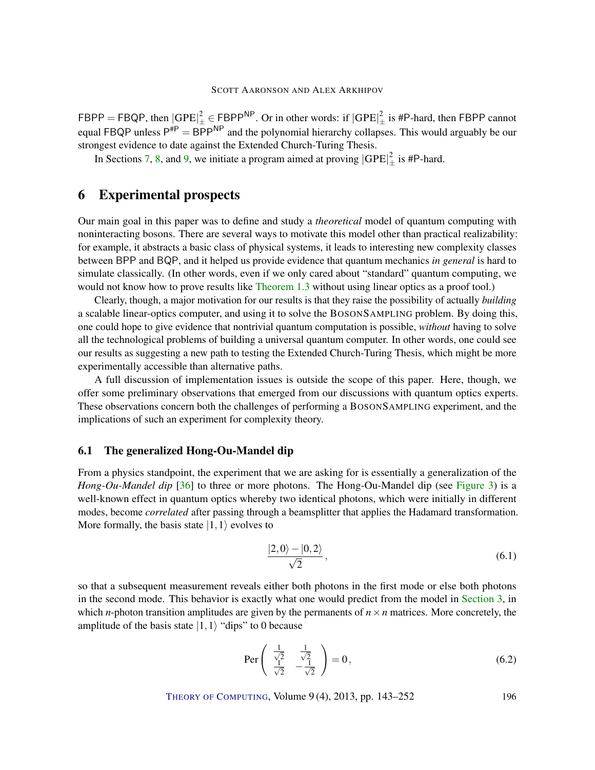FBPP = FBQP, then  $|GPE|^2$   $\in$  FBPP<sup>NP</sup>. Or in other words: if  $|GPE|^2$  is #P-hard, then FBPP cannot equal FBQP unless  $P^{HP} = BPP^{NP}$  and the polynomial hierarchy collapses. This would arguably be our strongest evidence to date against the Extended Church-Turing Thesis.

In Sections [7,](#page-61-0) [8,](#page-75-0) and [9,](#page-85-0) we initiate a program aimed at proving  $|GPE|_+^2$  is #P-hard.

# <span id="page-53-0"></span>6 Experimental prospects

Our main goal in this paper was to define and study a *theoretical* model of quantum computing with noninteracting bosons. There are several ways to motivate this model other than practical realizability: for example, it abstracts a basic class of physical systems, it leads to interesting new complexity classes between BPP and BQP, and it helped us provide evidence that quantum mechanics *in general* is hard to simulate classically. (In other words, even if we only cared about "standard" quantum computing, we would not know how to prove results like [Theorem](#page-9-0) [1.3](#page-9-0) without using linear optics as a proof tool.)

Clearly, though, a major motivation for our results is that they raise the possibility of actually *building* a scalable linear-optics computer, and using it to solve the BOSONSAMPLING problem. By doing this, one could hope to give evidence that nontrivial quantum computation is possible, *without* having to solve all the technological problems of building a universal quantum computer. In other words, one could see our results as suggesting a new path to testing the Extended Church-Turing Thesis, which might be more experimentally accessible than alternative paths.

A full discussion of implementation issues is outside the scope of this paper. Here, though, we offer some preliminary observations that emerged from our discussions with quantum optics experts. These observations concern both the challenges of performing a BOSONSAMPLING experiment, and the implications of such an experiment for complexity theory.

# 6.1 The generalized Hong-Ou-Mandel dip

From a physics standpoint, the experiment that we are asking for is essentially a generalization of the *Hong-Ou-Mandel dip* [\[36\]](#page-106-3) to three or more photons. The Hong-Ou-Mandel dip (see [Figure](#page-54-0) [3\)](#page-54-0) is a well-known effect in quantum optics whereby two identical photons, which were initially in different modes, become *correlated* after passing through a beamsplitter that applies the Hadamard transformation. More formally, the basis state  $|1,1\rangle$  evolves to

$$
\frac{|2,0\rangle - |0,2\rangle}{\sqrt{2}},\tag{6.1}
$$

so that a subsequent measurement reveals either both photons in the first mode or else both photons in the second mode. This behavior is exactly what one would predict from the model in [Section](#page-20-1) [3,](#page-20-1) in which *n*-photon transition amplitudes are given by the permanents of  $n \times n$  matrices. More concretely, the amplitude of the basis state  $|1,1\rangle$  "dips" to 0 because

$$
\Pr\left(\begin{array}{cc} \frac{1}{\sqrt{2}} & \frac{1}{\sqrt{2}}\\ \frac{1}{\sqrt{2}} & -\frac{1}{\sqrt{2}} \end{array}\right) = 0, \tag{6.2}
$$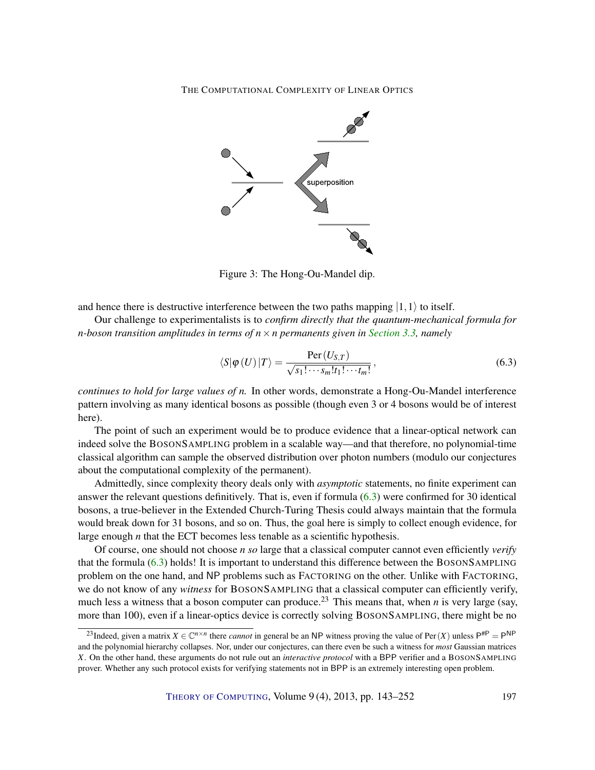

<span id="page-54-0"></span>Figure 3: The Hong-Ou-Mandel dip.

and hence there is destructive interference between the two paths mapping  $|1,1\rangle$  to itself.

Our challenge to experimentalists is to *confirm directly that the quantum-mechanical formula for n-boson transition amplitudes in terms of n*×*n permanents given in [Section](#page-28-0) [3.3,](#page-28-0) namely*

<span id="page-54-1"></span>
$$
\langle S | \varphi(U) | T \rangle = \frac{\text{Per}(U_{S,T})}{\sqrt{s_1! \cdots s_m! t_1! \cdots t_m!}},
$$
\n(6.3)

*continues to hold for large values of n.* In other words, demonstrate a Hong-Ou-Mandel interference pattern involving as many identical bosons as possible (though even 3 or 4 bosons would be of interest here).

The point of such an experiment would be to produce evidence that a linear-optical network can indeed solve the BOSONSAMPLING problem in a scalable way—and that therefore, no polynomial-time classical algorithm can sample the observed distribution over photon numbers (modulo our conjectures about the computational complexity of the permanent).

Admittedly, since complexity theory deals only with *asymptotic* statements, no finite experiment can answer the relevant questions definitively. That is, even if formula [\(6.3\)](#page-54-1) were confirmed for 30 identical bosons, a true-believer in the Extended Church-Turing Thesis could always maintain that the formula would break down for 31 bosons, and so on. Thus, the goal here is simply to collect enough evidence, for large enough *n* that the ECT becomes less tenable as a scientific hypothesis.

Of course, one should not choose *n so* large that a classical computer cannot even efficiently *verify* that the formula [\(6.3\)](#page-54-1) holds! It is important to understand this difference between the BOSONSAMPLING problem on the one hand, and NP problems such as FACTORING on the other. Unlike with FACTORING, we do not know of any *witness* for BOSONSAMPLING that a classical computer can efficiently verify, much less a witness that a boson computer can produce.<sup>23</sup> This means that, when *n* is very large (say, more than 100), even if a linear-optics device is correctly solving BOSONSAMPLING, there might be no

<sup>&</sup>lt;sup>23</sup>Indeed, given a matrix  $X \in \mathbb{C}^{n \times n}$  there *cannot* in general be an NP witness proving the value of Per(*X*) unless  $P^{HP} = P^{NP}$ and the polynomial hierarchy collapses. Nor, under our conjectures, can there even be such a witness for *most* Gaussian matrices *X*. On the other hand, these arguments do not rule out an *interactive protocol* with a BPP verifier and a BOSONSAMPLING prover. Whether any such protocol exists for verifying statements not in BPP is an extremely interesting open problem.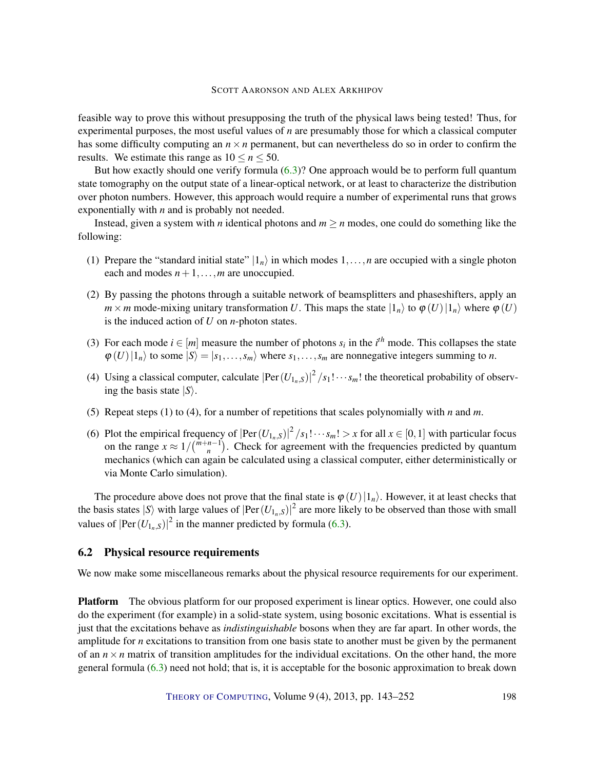feasible way to prove this without presupposing the truth of the physical laws being tested! Thus, for experimental purposes, the most useful values of *n* are presumably those for which a classical computer has some difficulty computing an  $n \times n$  permanent, but can nevertheless do so in order to confirm the results. We estimate this range as  $10 \le n \le 50$ .

But how exactly should one verify formula [\(6.3\)](#page-54-1)? One approach would be to perform full quantum state tomography on the output state of a linear-optical network, or at least to characterize the distribution over photon numbers. However, this approach would require a number of experimental runs that grows exponentially with *n* and is probably not needed.

Instead, given a system with *n* identical photons and  $m \geq n$  modes, one could do something like the following:

- (1) Prepare the "standard initial state"  $|1_n\rangle$  in which modes  $1, \ldots, n$  are occupied with a single photon each and modes  $n+1, \ldots, m$  are unoccupied.
- (2) By passing the photons through a suitable network of beamsplitters and phaseshifters, apply an  $m \times m$  mode-mixing unitary transformation *U*. This maps the state  $|1_n\rangle$  to  $\varphi(U)|1_n\rangle$  where  $\varphi(U)$ is the induced action of *U* on *n*-photon states.
- (3) For each mode  $i \in [m]$  measure the number of photons  $s_i$  in the  $i^{th}$  mode. This collapses the state  $\varphi$  (*U*)|1<sub>n</sub> to some  $|S\rangle = |s_1, \ldots, s_m\rangle$  where  $s_1, \ldots, s_m$  are nonnegative integers summing to *n*.
- (4) Using a classical computer, calculate  $|\text{Per}(U_{1_n,S})|^2 / s_1! \cdots s_m!$  the theoretical probability of observing the basis state  $|S\rangle$ .
- (5) Repeat steps (1) to (4), for a number of repetitions that scales polynomially with *n* and *m*.
- (6) Plot the empirical frequency of  $|\text{Per}(U_{1_n,S})|^2 / s_1! \cdots s_m! > x$  for all  $x \in [0,1]$  with particular focus on the range  $x \approx 1/{\binom{m+n-1}{n}}$ . Check for agreement with the frequencies predicted by quantum mechanics (which can again be calculated using a classical computer, either deterministically or via Monte Carlo simulation).

The procedure above does not prove that the final state is  $\varphi(U)|1_n\rangle$ . However, it at least checks that the basis states  $|S\rangle$  with large values of  $|\text{Per}(U_{1_n,S})|^2$  are more likely to be observed than those with small values of  $|\text{Per}(U_{1_n, S})|^2$  in the manner predicted by formula [\(6.3\)](#page-54-1).

# 6.2 Physical resource requirements

We now make some miscellaneous remarks about the physical resource requirements for our experiment.

Platform The obvious platform for our proposed experiment is linear optics. However, one could also do the experiment (for example) in a solid-state system, using bosonic excitations. What is essential is just that the excitations behave as *indistinguishable* bosons when they are far apart. In other words, the amplitude for *n* excitations to transition from one basis state to another must be given by the permanent of an  $n \times n$  matrix of transition amplitudes for the individual excitations. On the other hand, the more general formula [\(6.3\)](#page-54-1) need not hold; that is, it is acceptable for the bosonic approximation to break down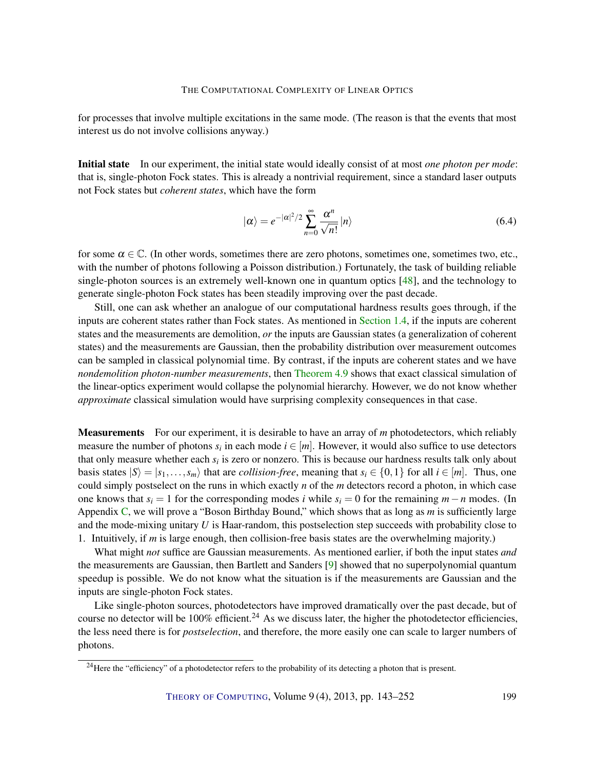for processes that involve multiple excitations in the same mode. (The reason is that the events that most interest us do not involve collisions anyway.)

Initial state In our experiment, the initial state would ideally consist of at most *one photon per mode*: that is, single-photon Fock states. This is already a nontrivial requirement, since a standard laser outputs not Fock states but *coherent states*, which have the form

$$
|\alpha\rangle = e^{-|\alpha|^2/2} \sum_{n=0}^{\infty} \frac{\alpha^n}{\sqrt{n!}} |n\rangle
$$
 (6.4)

for some  $\alpha \in \mathbb{C}$ . (In other words, sometimes there are zero photons, sometimes one, sometimes two, etc., with the number of photons following a Poisson distribution.) Fortunately, the task of building reliable single-photon sources is an extremely well-known one in quantum optics [\[48\]](#page-106-4), and the technology to generate single-photon Fock states has been steadily improving over the past decade.

Still, one can ask whether an analogue of our computational hardness results goes through, if the inputs are coherent states rather than Fock states. As mentioned in [Section](#page-13-0) [1.4,](#page-13-0) if the inputs are coherent states and the measurements are demolition, *or* the inputs are Gaussian states (a generalization of coherent states) and the measurements are Gaussian, then the probability distribution over measurement outcomes can be sampled in classical polynomial time. By contrast, if the inputs are coherent states and we have *nondemolition photon-number measurements*, then [Theorem](#page-39-0) [4.9](#page-39-0) shows that exact classical simulation of the linear-optics experiment would collapse the polynomial hierarchy. However, we do not know whether *approximate* classical simulation would have surprising complexity consequences in that case.

Measurements For our experiment, it is desirable to have an array of *m* photodetectors, which reliably measure the number of photons  $s_i$  in each mode  $i \in [m]$ . However, it would also suffice to use detectors that only measure whether each *s<sup>i</sup>* is zero or nonzero. This is because our hardness results talk only about basis states  $|S\rangle = |s_1, \ldots, s_m\rangle$  that are *collision-free*, meaning that  $s_i \in \{0, 1\}$  for all  $i \in [m]$ . Thus, one could simply postselect on the runs in which exactly *n* of the *m* detectors record a photon, in which case one knows that  $s_i = 1$  for the corresponding modes *i* while  $s_i = 0$  for the remaining  $m - n$  modes. (In Appendix [C,](#page-100-0) we will prove a "Boson Birthday Bound," which shows that as long as *m* is sufficiently large and the mode-mixing unitary *U* is Haar-random, this postselection step succeeds with probability close to 1. Intuitively, if *m* is large enough, then collision-free basis states are the overwhelming majority.)

What might *not* suffice are Gaussian measurements. As mentioned earlier, if both the input states *and* the measurements are Gaussian, then Bartlett and Sanders [\[9\]](#page-103-1) showed that no superpolynomial quantum speedup is possible. We do not know what the situation is if the measurements are Gaussian and the inputs are single-photon Fock states.

Like single-photon sources, photodetectors have improved dramatically over the past decade, but of course no detector will be  $100\%$  efficient.<sup>24</sup> As we discuss later, the higher the photodetector efficiencies, the less need there is for *postselection*, and therefore, the more easily one can scale to larger numbers of photons.

<sup>&</sup>lt;sup>24</sup>Here the "efficiency" of a photodetector refers to the probability of its detecting a photon that is present.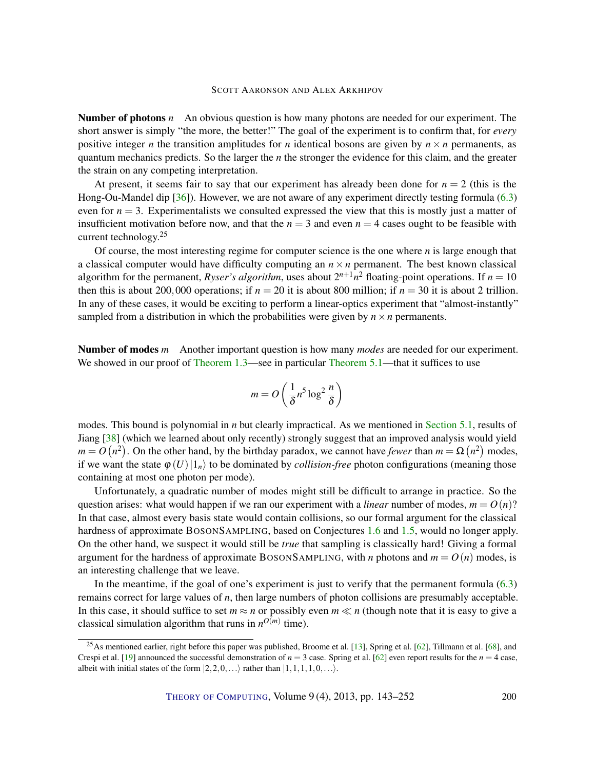Number of photons *n* An obvious question is how many photons are needed for our experiment. The short answer is simply "the more, the better!" The goal of the experiment is to confirm that, for *every* positive integer *n* the transition amplitudes for *n* identical bosons are given by  $n \times n$  permanents, as quantum mechanics predicts. So the larger the *n* the stronger the evidence for this claim, and the greater the strain on any competing interpretation.

At present, it seems fair to say that our experiment has already been done for  $n = 2$  (this is the Hong-Ou-Mandel dip [\[36\]](#page-106-3)). However, we are not aware of any experiment directly testing formula [\(6.3\)](#page-54-1) even for  $n = 3$ . Experimentalists we consulted expressed the view that this is mostly just a matter of insufficient motivation before now, and that the  $n = 3$  and even  $n = 4$  cases ought to be feasible with current technology. $25$ 

Of course, the most interesting regime for computer science is the one where *n* is large enough that a classical computer would have difficulty computing an  $n \times n$  permanent. The best known classical algorithm for the permanent, *Ryser's algorithm*, uses about  $2^{n+1}n^2$  floating-point operations. If  $n = 10$ then this is about 200,000 operations; if  $n = 20$  it is about 800 million; if  $n = 30$  it is about 2 trillion. In any of these cases, it would be exciting to perform a linear-optics experiment that "almost-instantly" sampled from a distribution in which the probabilities were given by  $n \times n$  permanents.

Number of modes *m* Another important question is how many *modes* are needed for our experiment. We showed in our proof of [Theorem](#page-40-0) [1.3—](#page-9-0)see in particular Theorem [5.1—](#page-40-0)that it suffices to use

$$
m = O\left(\frac{1}{\delta}n^5\log^2\frac{n}{\delta}\right)
$$

modes. This bound is polynomial in *n* but clearly impractical. As we mentioned in [Section](#page-40-2) [5.1,](#page-40-2) results of Jiang [\[38\]](#page-106-1) (which we learned about only recently) strongly suggest that an improved analysis would yield  $m = O(n^2)$ . On the other hand, by the birthday paradox, we cannot have *fewer* than  $m = \Omega(n^2)$  modes, if we want the state  $\varphi(U)|1_n\rangle$  to be dominated by *collision-free* photon configurations (meaning those containing at most one photon per mode).

Unfortunately, a quadratic number of modes might still be difficult to arrange in practice. So the question arises: what would happen if we ran our experiment with a *linear* number of modes,  $m = O(n)$ ? In that case, almost every basis state would contain collisions, so our formal argument for the classical hardness of approximate BOSONSAMPLING, based on Conjectures [1.6](#page-10-0) and [1.5,](#page-10-1) would no longer apply. On the other hand, we suspect it would still be *true* that sampling is classically hard! Giving a formal argument for the hardness of approximate BOSONSAMPLING, with *n* photons and  $m = O(n)$  modes, is an interesting challenge that we leave.

In the meantime, if the goal of one's experiment is just to verify that the permanent formula [\(6.3\)](#page-54-1) remains correct for large values of *n*, then large numbers of photon collisions are presumably acceptable. In this case, it should suffice to set  $m \approx n$  or possibly even  $m \ll n$  (though note that it is easy to give a classical simulation algorithm that runs in  $n^{O(m)}$  time).

 $^{25}$ As mentioned earlier, right before this paper was published, Broome et al. [\[13\]](#page-104-1), Spring et al. [\[62\]](#page-107-4), Tillmann et al. [\[68\]](#page-108-2), and Crespi et al. [\[19\]](#page-104-2) announced the successful demonstration of  $n = 3$  case. Spring et al. [\[62\]](#page-107-4) even report results for the  $n = 4$  case, albeit with initial states of the form  $|2,2,0,\ldots\rangle$  rather than  $|1,1,1,1,0,\ldots\rangle$ .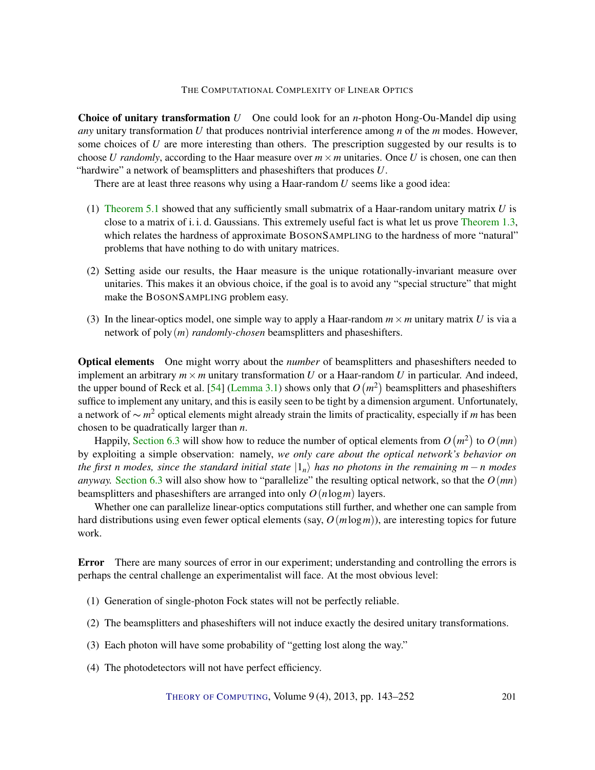Choice of unitary transformation *U* One could look for an *n*-photon Hong-Ou-Mandel dip using *any* unitary transformation *U* that produces nontrivial interference among *n* of the *m* modes. However, some choices of *U* are more interesting than others. The prescription suggested by our results is to choose *U* randomly, according to the Haar measure over  $m \times m$  unitaries. Once *U* is chosen, one can then "hardwire" a network of beamsplitters and phaseshifters that produces *U*.

There are at least three reasons why using a Haar-random *U* seems like a good idea:

- (1) [Theorem](#page-40-0) [5.1](#page-40-0) showed that any sufficiently small submatrix of a Haar-random unitary matrix *U* is close to a matrix of i. i. d. Gaussians. This extremely useful fact is what let us prove [Theorem](#page-9-0) [1.3,](#page-9-0) which relates the hardness of approximate BOSONSAMPLING to the hardness of more "natural" problems that have nothing to do with unitary matrices.
- (2) Setting aside our results, the Haar measure is the unique rotationally-invariant measure over unitaries. This makes it an obvious choice, if the goal is to avoid any "special structure" that might make the BOSONSAMPLING problem easy.
- (3) In the linear-optics model, one simple way to apply a Haar-random  $m \times m$  unitary matrix *U* is via a network of poly(*m*) *randomly-chosen* beamsplitters and phaseshifters.

Optical elements One might worry about the *number* of beamsplitters and phaseshifters needed to implement an arbitrary  $m \times m$  unitary transformation *U* or a Haar-random *U* in particular. And indeed, the upper bound of Reck et al. [\[54\]](#page-107-5) [\(Lemma](#page-22-0) [3.1\)](#page-22-0) shows only that  $O(m^2)$  beamsplitters and phaseshifters suffice to implement any unitary, and this is easily seen to be tight by a dimension argument. Unfortunately, a network of ∼ *m* <sup>2</sup> optical elements might already strain the limits of practicality, especially if *m* has been chosen to be quadratically larger than *n*.

Happily, [Section](#page-60-0) [6.3](#page-60-0) will show how to reduce the number of optical elements from  $O(m^2)$  to  $O(mn)$ by exploiting a simple observation: namely, *we only care about the optical network's behavior on the first n modes, since the standard initial state*  $|1_n\rangle$  *has no photons in the remaining m* − *n modes anyway.* [Section](#page-60-0) [6.3](#page-60-0) will also show how to "parallelize" the resulting optical network, so that the  $O(mn)$ beamsplitters and phaseshifters are arranged into only *O*(*n*log*m*) layers.

Whether one can parallelize linear-optics computations still further, and whether one can sample from hard distributions using even fewer optical elements (say, *O*(*m*log*m*)), are interesting topics for future work.

Error There are many sources of error in our experiment; understanding and controlling the errors is perhaps the central challenge an experimentalist will face. At the most obvious level:

- (1) Generation of single-photon Fock states will not be perfectly reliable.
- (2) The beamsplitters and phaseshifters will not induce exactly the desired unitary transformations.
- (3) Each photon will have some probability of "getting lost along the way."
- (4) The photodetectors will not have perfect efficiency.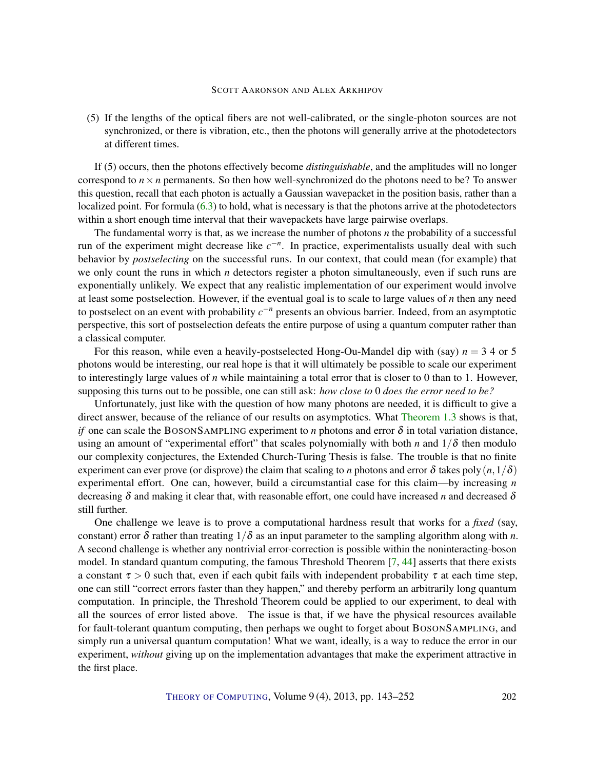(5) If the lengths of the optical fibers are not well-calibrated, or the single-photon sources are not synchronized, or there is vibration, etc., then the photons will generally arrive at the photodetectors at different times.

If (5) occurs, then the photons effectively become *distinguishable*, and the amplitudes will no longer correspond to  $n \times n$  permanents. So then how well-synchronized do the photons need to be? To answer this question, recall that each photon is actually a Gaussian wavepacket in the position basis, rather than a localized point. For formula [\(6.3\)](#page-54-1) to hold, what is necessary is that the photons arrive at the photodetectors within a short enough time interval that their wavepackets have large pairwise overlaps.

The fundamental worry is that, as we increase the number of photons *n* the probability of a successful run of the experiment might decrease like  $c^{-n}$ . In practice, experimentalists usually deal with such behavior by *postselecting* on the successful runs. In our context, that could mean (for example) that we only count the runs in which *n* detectors register a photon simultaneously, even if such runs are exponentially unlikely. We expect that any realistic implementation of our experiment would involve at least some postselection. However, if the eventual goal is to scale to large values of *n* then any need to postselect on an event with probability  $c^{-n}$  presents an obvious barrier. Indeed, from an asymptotic perspective, this sort of postselection defeats the entire purpose of using a quantum computer rather than a classical computer.

For this reason, while even a heavily-postselected Hong-Ou-Mandel dip with (say) *n* = 3 4 or 5 photons would be interesting, our real hope is that it will ultimately be possible to scale our experiment to interestingly large values of *n* while maintaining a total error that is closer to 0 than to 1. However, supposing this turns out to be possible, one can still ask: *how close to* 0 *does the error need to be?*

Unfortunately, just like with the question of how many photons are needed, it is difficult to give a direct answer, because of the reliance of our results on asymptotics. What [Theorem](#page-9-0) [1.3](#page-9-0) shows is that, *if* one can scale the BOSONSAMPLING experiment to *n* photons and error  $\delta$  in total variation distance, using an amount of "experimental effort" that scales polynomially with both *n* and  $1/\delta$  then modulo our complexity conjectures, the Extended Church-Turing Thesis is false. The trouble is that no finite experiment can ever prove (or disprove) the claim that scaling to *n* photons and error  $\delta$  takes poly $(n,1/\delta)$ experimental effort. One can, however, build a circumstantial case for this claim—by increasing *n* decreasing  $\delta$  and making it clear that, with reasonable effort, one could have increased *n* and decreased  $\delta$ still further.

One challenge we leave is to prove a computational hardness result that works for a *fixed* (say, constant) error  $\delta$  rather than treating  $1/\delta$  as an input parameter to the sampling algorithm along with *n*. A second challenge is whether any nontrivial error-correction is possible within the noninteracting-boson model. In standard quantum computing, the famous Threshold Theorem  $[7, 44]$  $[7, 44]$  $[7, 44]$  asserts that there exists a constant  $\tau > 0$  such that, even if each qubit fails with independent probability  $\tau$  at each time step, one can still "correct errors faster than they happen," and thereby perform an arbitrarily long quantum computation. In principle, the Threshold Theorem could be applied to our experiment, to deal with all the sources of error listed above. The issue is that, if we have the physical resources available for fault-tolerant quantum computing, then perhaps we ought to forget about BOSONSAMPLING, and simply run a universal quantum computation! What we want, ideally, is a way to reduce the error in our experiment, *without* giving up on the implementation advantages that make the experiment attractive in the first place.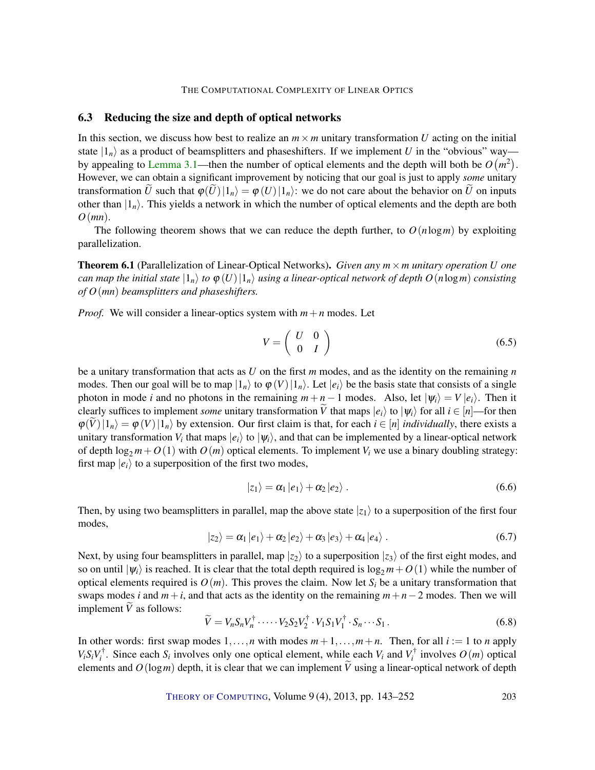# <span id="page-60-0"></span>6.3 Reducing the size and depth of optical networks

In this section, we discuss how best to realize an  $m \times m$  unitary transformation *U* acting on the initial state  $|1<sub>n</sub>\rangle$  as a product of beamsplitters and phaseshifters. If we implement *U* in the "obvious" way— by appealing to [Lemma](#page-22-0) [3.1—](#page-22-0)then the number of optical elements and the depth will both be  $O(m^2)$ . However, we can obtain a significant improvement by noticing that our goal is just to apply *some* unitary transformation *U* such that  $\varphi$ (*U*)|1<sub>*n*</sub>) =  $\varphi$ (*U*)|1<sub>*n*</sub>): we do not care about the behavior on *U* on inputs other than  $|1_n\rangle$ . This yields a network in which the number of optical elements and the depth are both *O*(*mn*).

The following theorem shows that we can reduce the depth further, to  $O(n \log m)$  by exploiting parallelization.

Theorem 6.1 (Parallelization of Linear-Optical Networks). *Given any m*×*m unitary operation U one can map the initial state*  $|1_n\rangle$  *to*  $\varphi(U)|1_n\rangle$  *using a linear-optical network of depth O (nlogm) consisting of O*(*mn*) *beamsplitters and phaseshifters.*

*Proof.* We will consider a linear-optics system with  $m + n$  modes. Let

$$
V = \left(\begin{array}{cc} U & 0 \\ 0 & I \end{array}\right) \tag{6.5}
$$

be a unitary transformation that acts as *U* on the first *m* modes, and as the identity on the remaining *n* modes. Then our goal will be to map  $|1_n\rangle$  to  $\varphi(V)|1_n\rangle$ . Let  $|e_i\rangle$  be the basis state that consists of a single photon in mode *i* and no photons in the remaining  $m + n - 1$  modes. Also, let  $|\psi_i\rangle = V|e_i\rangle$ . Then it clearly suffices to implement *some* unitary transformation *V* that maps  $|e_i\rangle$  to  $|\psi_i\rangle$  for all  $i \in [n]$ —for then  $\varphi(V)|1_n\rangle = \varphi(V)|1_n\rangle$  by extension. Our first claim is that, for each  $i \in [n]$  *individually*, there exists a unitary transformation  $V_i$  that maps  $|e_i\rangle$  to  $|\psi_i\rangle$ , and that can be implemented by a linear-optical network of depth  $\log_2 m + O(1)$  with  $O(m)$  optical elements. To implement  $V_i$  we use a binary doubling strategy: first map  $|e_i\rangle$  to a superposition of the first two modes,

$$
|z_1\rangle = \alpha_1 |e_1\rangle + \alpha_2 |e_2\rangle. \tag{6.6}
$$

Then, by using two beamsplitters in parallel, map the above state  $|z_1\rangle$  to a superposition of the first four modes,

$$
|z_2\rangle = \alpha_1 |e_1\rangle + \alpha_2 |e_2\rangle + \alpha_3 |e_3\rangle + \alpha_4 |e_4\rangle. \qquad (6.7)
$$

Next, by using four beamsplitters in parallel, map  $|z_2\rangle$  to a superposition  $|z_3\rangle$  of the first eight modes, and so on until  $|\psi_i\rangle$  is reached. It is clear that the total depth required is  $\log_2 m + O(1)$  while the number of optical elements required is  $O(m)$ . This proves the claim. Now let  $S_i$  be a unitary transformation that swaps modes *i* and  $m+i$ , and that acts as the identity on the remaining  $m+n-2$  modes. Then we will implement  $\tilde{V}$  as follows:

$$
\widetilde{V} = V_n S_n V_n^{\dagger} \cdots V_2 S_2 V_2^{\dagger} \cdot V_1 S_1 V_1^{\dagger} \cdot S_n \cdots S_1.
$$
\n(6.8)

In other words: first swap modes  $1, \ldots, n$  with modes  $m+1, \ldots, m+n$ . Then, for all  $i := 1$  to *n* apply  $V_i S_i V_i^{\dagger}$ . Since each  $S_i$  involves only one optical element, while each  $V_i$  and  $V_i^{\dagger}$  involves  $O(m)$  optical elements and  $O(log m)$  depth, it is clear that we can implement  $\tilde{V}$  using a linear-optical network of depth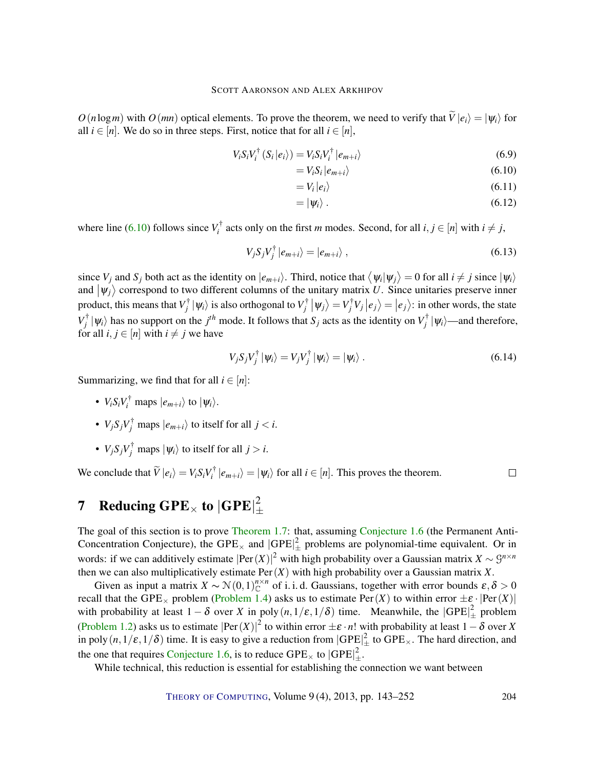$O(n \log m)$  with  $O(mn)$  optical elements. To prove the theorem, we need to verify that  $\widetilde{V}|e_i\rangle = |\psi_i\rangle$  for all  $i \in [n]$ . We do so in three steps. First, notice that for all  $i \in [n]$ ,

$$
V_i S_i V_i^{\dagger} (S_i | e_i \rangle) = V_i S_i V_i^{\dagger} | e_{m+i} \rangle \tag{6.9}
$$

$$
= V_i S_i \left| e_{m+i} \right\rangle \tag{6.10}
$$

<span id="page-61-1"></span>
$$
= V_i |e_i\rangle \tag{6.11}
$$

$$
= |\psi_i\rangle. \tag{6.12}
$$

where line [\(6.10\)](#page-61-1) follows since  $V_i^{\dagger}$  acts only on the first *m* modes. Second, for all  $i, j \in [n]$  with  $i \neq j$ ,

$$
V_j S_j V_j^{\dagger} |e_{m+i}\rangle = |e_{m+i}\rangle , \qquad (6.13)
$$

since  $V_j$  and  $S_j$  both act as the identity on  $|e_{m+i}\rangle$ . Third, notice that  $\langle \psi_i | \psi_j \rangle = 0$  for all  $i \neq j$  since  $|\psi_i\rangle$ and  $|\psi_j\rangle$  correspond to two different columns of the unitary matrix *U*. Since unitaries preserve inner product, this means that  $V_j^{\dagger} | \psi_i \rangle$  is also orthogonal to  $V_j^{\dagger} | \psi_j \rangle = V_j^{\dagger} V_j | e_j \rangle = | e_j \rangle$ : in other words, the state  $V_j^{\dagger} | \psi_i \rangle$  has no support on the *j*<sup>th</sup> mode. It follows that *S<sub>j</sub>* acts as the identity on  $V_j^{\dagger} | \psi_i \rangle$ —and therefore, for all  $i, j \in [n]$  with  $i \neq j$  we have

$$
V_j S_j V_j^{\dagger} | \psi_i \rangle = V_j V_j^{\dagger} | \psi_i \rangle = | \psi_i \rangle . \qquad (6.14)
$$

Summarizing, we find that for all  $i \in [n]$ :

- $V_i S_i V_i^{\dagger}$  maps  $|e_{m+i}\rangle$  to  $|\psi_i\rangle$ .
- $V_j S_j V_j^{\dagger}$  maps  $|e_{m+i}\rangle$  to itself for all  $j < i$ .
- $V_j S_j V_j^{\dagger}$  maps  $|\psi_i\rangle$  to itself for all  $j > i$ .

We conclude that  $\widetilde{V}|e_i\rangle = V_i S_i V_i^{\dagger} |e_{m+i}\rangle = |\psi_i\rangle$  for all  $i \in [n]$ . This proves the theorem.  $\Box$ 

#### <span id="page-61-0"></span>**7** Reducing GPE $_{\times}$  to  $|{\rm GPE}|^2_{\pm}$  $\pm$

The goal of this section is to prove [Theorem](#page-10-2) [1.7:](#page-10-2) that, assuming [Conjecture](#page-10-0) [1.6](#page-10-0) (the Permanent Anti-Concentration Conjecture), the GPE<sub> $\times$ </sub> and  $|GPE|^2_+$  problems are polynomial-time equivalent. Or in words: if we can additively estimate  $|\text{Per}(X)|^2$  with high probability over a Gaussian matrix  $X \sim \mathcal{G}^{n \times n}$ then we can also multiplicatively estimate Per(*X*) with high probability over a Gaussian matrix *X*.

Given as input a matrix  $X \sim \mathcal{N}(0,1)_{\mathbb{C}}^{n \times n}$  of i.i.d. Gaussians, together with error bounds  $\varepsilon, \delta > 0$ recall that the GPE<sub>x</sub> problem [\(Problem](#page-10-3) [1.4\)](#page-10-3) asks us to estimate Per(*X*) to within error  $\pm \varepsilon \cdot |Per(X)|$ with probability at least  $1 - \delta$  over *X* in poly  $(n, 1/\varepsilon, 1/\delta)$  time. Meanwhile, the  $|GPE|_{\pm}^2$  problem [\(Problem](#page-9-1) [1.2\)](#page-9-1) asks us to estimate  $|\text{Per}(X)|^2$  to within error  $\pm \varepsilon \cdot n!$  with probability at least  $1-\delta$  over *X* in poly  $(n,1/\varepsilon,1/\delta)$  time. It is easy to give a reduction from  $|GPE|^2_{\pm}$  to  $GPE_{\times}$ . The hard direction, and the one that requires [Conjecture](#page-10-0) [1.6,](#page-10-0) is to reduce  $\text{GPE}_{\times}$  to  $|\text{GPE}|_{\pm}^2$ .

While technical, this reduction is essential for establishing the connection we want between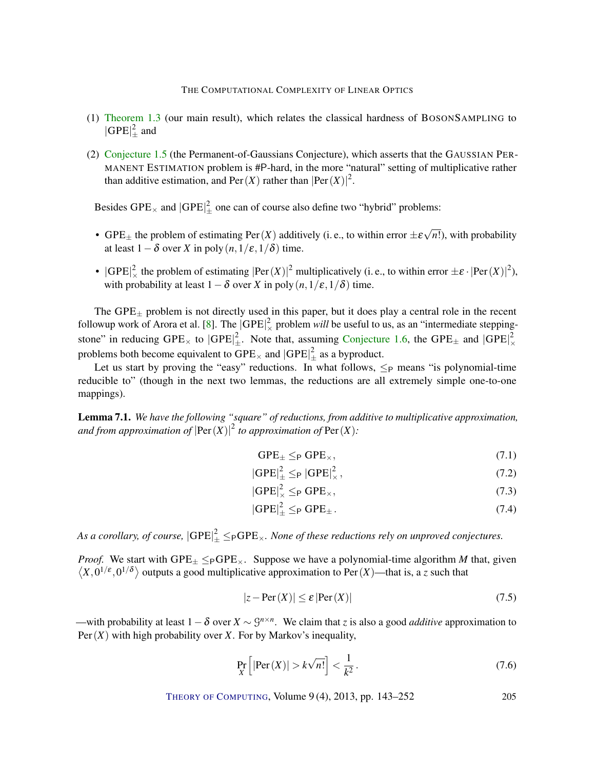- (1) [Theorem](#page-9-0) [1.3](#page-9-0) (our main result), which relates the classical hardness of BOSONSAMPLING to  $|\text{GPE}|^2_{\pm}$  and
- (2) [Conjecture](#page-10-1) [1.5](#page-10-1) (the Permanent-of-Gaussians Conjecture), which asserts that the GAUSSIAN PER-MANENT ESTIMATION problem is #P-hard, in the more "natural" setting of multiplicative rather than additive estimation, and Per $(X)$  rather than  $|Per(X)|^2$ .

Besides GPE<sub> $\times$ </sub> and  $|{\rm GPE}|_{\pm}^2$  one can of course also define two "hybrid" problems:

- GPE<sub> $\pm$ </sub> the problem of estimating Per(*X*) additively (i. e., to within error  $\pm \varepsilon$ √ *n*!), with probability at least  $1-\delta$  over *X* in poly  $(n,1/\varepsilon,1/\delta)$  time.
- $|GPE|_{\times}^2$  the problem of estimating  $|Per(X)|^2$  multiplicatively (i. e., to within error  $\pm \varepsilon \cdot |Per(X)|^2$ ), with probability at least  $1-\delta$  over *X* in poly  $(n,1/\varepsilon,1/\delta)$  time.

The  $\text{GPE}_{\pm}$  problem is not directly used in this paper, but it does play a central role in the recent followup work of Arora et al. [\[8\]](#page-103-3). The  $|GPE|^2$  problem *will* be useful to us, as an "intermediate steppingstone" in reducing  $\text{GPE}_{\times}$  to  $|\text{GPE}|_{\pm}^2$ . Note that, assuming [Conjecture](#page-10-0) [1.6,](#page-10-0) the  $\text{GPE}_{\pm}$  and  $|\text{GPE}|_{\times}^2$ problems both become equivalent to  $\text{GPE}_{\times}$  and  $|\text{GPE}|_{\pm}^2$  as a byproduct.

Let us start by proving the "easy" reductions. In what follows,  $\leq_P$  means "is polynomial-time reducible to" (though in the next two lemmas, the reductions are all extremely simple one-to-one mappings).

<span id="page-62-1"></span>Lemma 7.1. *We have the following "square" of reductions, from additive to multiplicative approximation,* and from approximation of  $|\text{Per}(X)|^2$  to approximation of  $\text{Per}(X)$ :

$$
GPE_{\pm} \leq_P GPE_{\times},\tag{7.1}
$$

$$
|\text{GPE}|_{\pm}^2 \leq_{\text{P}} |\text{GPE}|_{\times}^2, \tag{7.2}
$$

$$
|\text{GPE}|_{\times}^2 \leq_{\text{P}} \text{GPE}_{\times},\tag{7.3}
$$

$$
|\text{GPE}|_{\pm}^2 \leq_{\text{P}} \text{GPE}_{\pm} \,. \tag{7.4}
$$

As a corollary, of course,  $|\text{GPE}|^2_\pm \leq_\text{P} \text{GPE}_\times$ . None of these reductions rely on unproved conjectures.

*Proof.* We start with  $\text{GPE}_{\pm} \leq_{\text{P}} \text{GPE}_{\times}$ . Suppose we have a polynomial-time algorithm *M* that, given  $\langle X, 0^{1/\epsilon}, 0^{1/\delta} \rangle$  outputs a good multiplicative approximation to Per $(X)$ —that is, a *z* such that

$$
|z - \text{Per}(X)| \le \varepsilon |\text{Per}(X)| \tag{7.5}
$$

—with probability at least 1−δ over *X* ∼ G *n*×*n* . We claim that *z* is also a good *additive* approximation to Per(*X*) with high probability over *X*. For by Markov's inequality,

<span id="page-62-0"></span>
$$
\Pr_{X}\left[|\text{Per}(X)| > k\sqrt{n!}\right] < \frac{1}{k^2}.\tag{7.6}
$$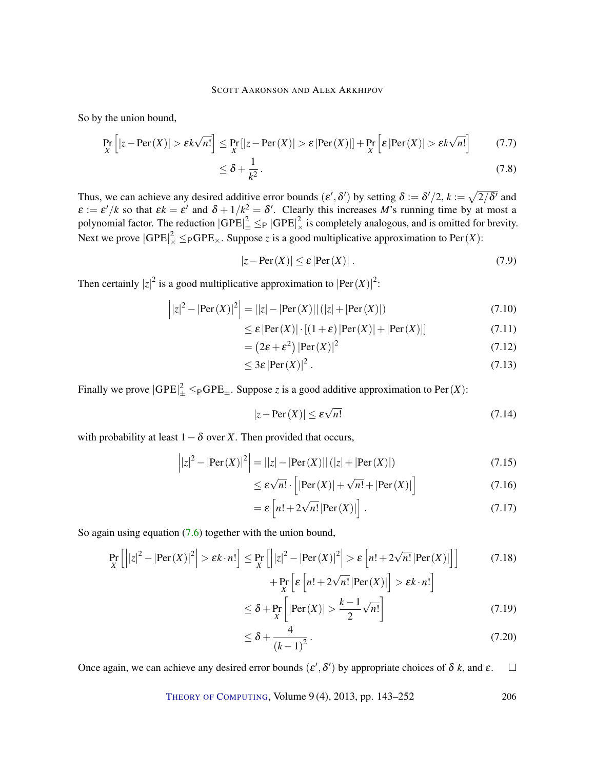So by the union bound,

$$
\Pr_{X}\left[|z - \text{Per}(X)| > \varepsilon k \sqrt{n!}\right] \le \Pr_{X}\left[|z - \text{Per}(X)| > \varepsilon |\text{Per}(X)|\right] + \Pr_{X}\left[\varepsilon |\text{Per}(X)| > \varepsilon k \sqrt{n!}\right] \tag{7.7}
$$

$$
\leq \delta + \frac{1}{k^2} \,. \tag{7.8}
$$

Thus, we can achieve any desired additive error bounds  $(\varepsilon', \delta')$  by setting  $\delta := \delta'/2$ ,  $k := \sqrt{2/\delta'}$  and  $\varepsilon := \varepsilon'/k$  so that  $\varepsilon k = \varepsilon'$  and  $\delta + 1/k^2 = \delta'$ . Clearly this increases *M*'s running time by at most a polynomial factor. The reduction  $|GPE|^2_{\pm} \leq_P |GPE|^2_{\times}$  is completely analogous, and is omitted for brevity. Next we prove  $|{\rm GPE}|^2_{\times} \leq_{\rm P} {\rm GPE}_{\times}$ . Suppose *z* is a good multiplicative approximation to Per(*X*):

$$
|z - \text{Per}(X)| \le \varepsilon |\text{Per}(X)|. \tag{7.9}
$$

Then certainly  $|z|^2$  is a good multiplicative approximation to  $|Per(X)|^2$ :

$$
\left| |z|^2 - |\text{Per}(X)|^2 \right| = ||z| - |\text{Per}(X)| |\left( |z| + |\text{Per}(X)| \right) \tag{7.10}
$$

$$
\leq \varepsilon |\text{Per}(X)| \cdot [(1+\varepsilon)|\text{Per}(X)| + |\text{Per}(X)|] \tag{7.11}
$$

$$
= (2\varepsilon + \varepsilon^2) |\text{Per}(X)|^2
$$
\n(7.12)

$$
\leq 3\varepsilon \left| \text{Per}(X) \right|^2. \tag{7.13}
$$

Finally we prove  $|GPE|^2_{\pm} \leq_{\mathsf{P}} GPE_{\pm}$ . Suppose *z* is a good additive approximation to Per(*X*):

$$
|z - \text{Per}(X)| \le \varepsilon \sqrt{n!}
$$
 (7.14)

with probability at least  $1-\delta$  over *X*. Then provided that occurs,

$$
\left| |z|^2 - |\text{Per}(X)|^2 \right| = ||z| - |\text{Per}(X)||(|z| + |\text{Per}(X)|)
$$
\n(7.15)

$$
\leq \varepsilon \sqrt{n!} \cdot \left[ |\text{Per}(X)| + \sqrt{n!} + |\text{Per}(X)| \right] \tag{7.16}
$$

$$
= \varepsilon \left[ n! + 2\sqrt{n!} \left| \text{Per}(X) \right| \right]. \tag{7.17}
$$

So again using equation  $(7.6)$  together with the union bound,

$$
\Pr_X \left[ \left| |z|^2 - |\text{Per}(X)|^2 \right| > \varepsilon k \cdot n! \right] \le \Pr_X \left[ \left| |z|^2 - |\text{Per}(X)|^2 \right| > \varepsilon \left[ n! + 2\sqrt{n!} |\text{Per}(X)| \right] \right] \tag{7.18}
$$
\n
$$
+ \Pr_X \left[ \varepsilon \left[ n! + 2\sqrt{n!} |\text{Per}(X)| \right] > \varepsilon k \cdot n! \right]
$$

$$
+ \Pr_{X} \left[ \mathcal{E} \left[ n! + 2\sqrt{n!} \left| \text{Per}(X) \right| \right] > \mathcal{E}k \cdot n! \right] \le \delta + \Pr_{X} \left[ \left| \text{Per}(X) \right| > \frac{k-1}{2} \sqrt{n!} \right] \tag{7.19}
$$

$$
\leq \delta + \frac{4}{(k-1)^2}.
$$
 (7.20)

Once again, we can achieve any desired error bounds  $(\varepsilon', \delta')$  by appropriate choices of  $\delta$  k, and  $\varepsilon$ .  $\Box$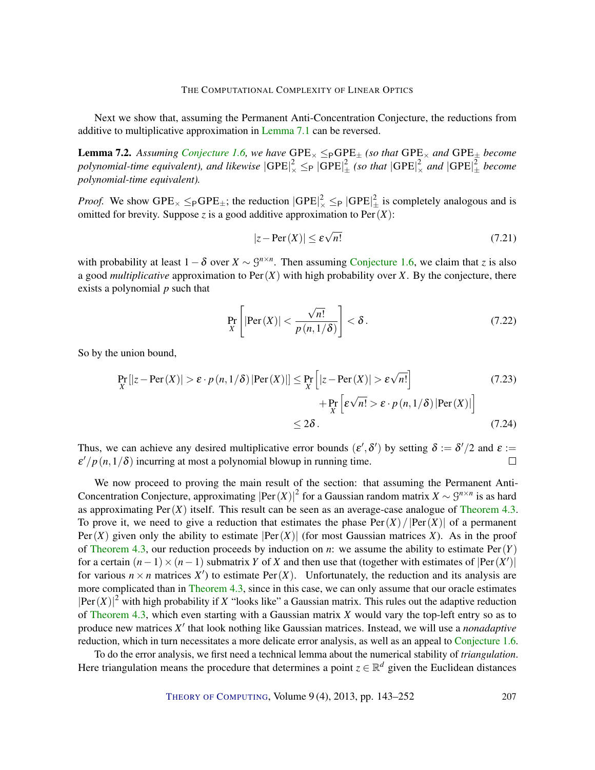Next we show that, assuming the Permanent Anti-Concentration Conjecture, the reductions from additive to multiplicative approximation in [Lemma](#page-62-1) [7.1](#page-62-1) can be reversed.

<span id="page-64-0"></span>**Lemma 7.2.** Assuming [Conjecture](#page-10-0) [1.6,](#page-10-0) we have  $\text{GPE}_{\times} \leq_{\text{P}} \text{GPE}_{\pm}$  (so that  $\text{GPE}_{\times}$  and  $\text{GPE}_{\pm}$  become polynomial-time equivalent), and likewise  $|\text{GPE}|^2_\times \leq_P |\text{GPE}|^2_\pm$  (so that  $|\text{GPE}|^2_\times$  and  $|\text{GPE}|^2_\pm$  become *polynomial-time equivalent).*

*Proof.* We show  $\text{GPE}_{\times} \leq_{\text{P}} \text{GPE}_{\pm}$ ; the reduction  $|\text{GPE}|_{\times}^2 \leq_{\text{P}} |\text{GPE}|_{\pm}^2$  is completely analogous and is omitted for brevity. Suppose *z* is a good additive approximation to Per $(X)$ :

$$
|z - \text{Per}(X)| \le \varepsilon \sqrt{n!} \tag{7.21}
$$

with probability at least  $1 - \delta$  over  $X \sim \mathcal{G}^{n \times n}$ . Then assuming [Conjecture](#page-10-0) [1.6,](#page-10-0) we claim that *z* is also a good *multiplicative* approximation to Per $(X)$  with high probability over X. By the conjecture, there exists a polynomial *p* such that

$$
\Pr_{X}\left[\left|\text{Per}\left(X\right)\right| < \frac{\sqrt{n!}}{p\left(n, 1/\delta\right)}\right] < \delta. \tag{7.22}
$$

So by the union bound,

$$
\Pr_{X} [|z - \text{Per}(X)| > \varepsilon \cdot p(n, 1/\delta) | \text{Per}(X)|] \le \Pr_{X} [|z - \text{Per}(X)| > \varepsilon \sqrt{n!}] + \Pr_{X} [\varepsilon \sqrt{n!} > \varepsilon \cdot p(n, 1/\delta) | \text{Per}(X)|] \le 2\delta.
$$
\n(7.23)

Thus, we can achieve any desired multiplicative error bounds  $(\varepsilon', \delta')$  by setting  $\delta := \delta'/2$  and  $\varepsilon :=$  $\mathcal{E}'/p(n,1/\delta)$  incurring at most a polynomial blowup in running time.  $\Box$ 

We now proceed to proving the main result of the section: that assuming the Permanent Anti-Concentration Conjecture, approximating  $|\text{Per}(X)|^2$  for a Gaussian random matrix  $X \sim \mathcal{G}^{n \times n}$  is as hard as approximating  $Per(X)$  itself. This result can be seen as an average-case analogue of [Theorem](#page-33-0) [4.3.](#page-33-0) To prove it, we need to give a reduction that estimates the phase  $Per(X)/|Per(X)|$  of a permanent Per $(X)$  given only the ability to estimate  $|Per(X)|$  (for most Gaussian matrices X). As in the proof of [Theorem](#page-33-0) [4.3,](#page-33-0) our reduction proceeds by induction on *n*: we assume the ability to estimate Per(*Y*) for a certain  $(n-1) \times (n-1)$  submatrix *Y* of *X* and then use that (together with estimates of  $|Per(X')|$ for various  $n \times n$  matrices  $X'$ ) to estimate Per $(X)$ . Unfortunately, the reduction and its analysis are more complicated than in [Theorem](#page-33-0) [4.3,](#page-33-0) since in this case, we can only assume that our oracle estimates  $|\text{Per}(X)|^2$  with high probability if *X* "looks like" a Gaussian matrix. This rules out the adaptive reduction of [Theorem](#page-33-0) [4.3,](#page-33-0) which even starting with a Gaussian matrix *X* would vary the top-left entry so as to produce new matrices X' that look nothing like Gaussian matrices. Instead, we will use a *nonadaptive* reduction, which in turn necessitates a more delicate error analysis, as well as an appeal to [Conjecture](#page-10-0) [1.6.](#page-10-0)

To do the error analysis, we first need a technical lemma about the numerical stability of *triangulation*. Here triangulation means the procedure that determines a point  $z \in \mathbb{R}^d$  given the Euclidean distances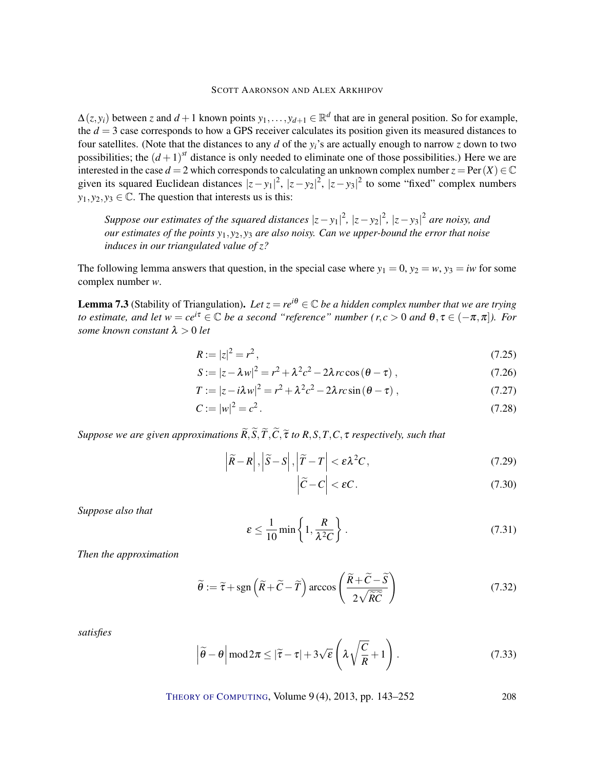$\Delta(z, y_i)$  between *z* and  $d+1$  known points  $y_1, \ldots, y_{d+1} \in \mathbb{R}^d$  that are in general position. So for example, the  $d = 3$  case corresponds to how a GPS receiver calculates its position given its measured distances to four satellites. (Note that the distances to any  $d$  of the  $y_i$ 's are actually enough to narrow  $z$  down to two possibilities; the  $(d+1)^{st}$  distance is only needed to eliminate one of those possibilities.) Here we are interested in the case  $d = 2$  which corresponds to calculating an unknown complex number  $z = Per(X) \in \mathbb{C}$ given its squared Euclidean distances  $|z-y_1|^2$ ,  $|z-y_2|^2$ ,  $|z-y_3|^2$  to some "fixed" complex numbers  $y_1, y_2, y_3 \in \mathbb{C}$ . The question that interests us is this:

Suppose our estimates of the squared distances  $|z-y_1|^2$ ,  $|z-y_2|^2$ ,  $|z-y_3|^2$  are noisy, and *our estimates of the points y*1, *y*2, *y*<sup>3</sup> *are also noisy. Can we upper-bound the error that noise induces in our triangulated value of z?*

The following lemma answers that question, in the special case where  $y_1 = 0$ ,  $y_2 = w$ ,  $y_3 = iw$  for some complex number *w*.

<span id="page-65-0"></span>**Lemma 7.3** (Stability of Triangulation). Let  $z = re^{i\theta} \in \mathbb{C}$  be a hidden complex number that we are trying *to estimate, and let*  $w = ce^{i\tau} \in \mathbb{C}$  *be a second "reference" number*  $(r, c > 0$  *and*  $\theta, \tau \in (-\pi, \pi]$ *). For some known constant* λ > 0 *let*

$$
R := |z|^2 = r^2, \tag{7.25}
$$

$$
S := |z - \lambda w|^2 = r^2 + \lambda^2 c^2 - 2\lambda r c \cos(\theta - \tau) ,
$$
 (7.26)

$$
T := |z - i\lambda w|^2 = r^2 + \lambda^2 c^2 - 2\lambda r c \sin(\theta - \tau) , \qquad (7.27)
$$

$$
C := |w|^2 = c^2. \tag{7.28}
$$

*Suppose we are given approximations*  $\widetilde{R}$ ,  $\widetilde{S}$ ,  $\widetilde{T}$ ,  $\widetilde{C}$ ,  $\widetilde{\tau}$  to  $R$ ,  $S$ ,  $T$ ,  $C$ ,  $\tau$  *respectively, such that* 

$$
\left|\widetilde{R} - R\right|, \left|\widetilde{S} - S\right|, \left|\widetilde{T} - T\right| < \varepsilon \lambda^2 C,\tag{7.29}
$$

$$
\left|\widetilde{C} - C\right| < \varepsilon C. \tag{7.30}
$$

*Suppose also that*

$$
\varepsilon \le \frac{1}{10} \min \left\{ 1, \frac{R}{\lambda^2 C} \right\}.
$$
\n(7.31)

*Then the approximation*

$$
\widetilde{\theta} := \widetilde{\tau} + \text{sgn}\left(\widetilde{R} + \widetilde{C} - \widetilde{T}\right) \arccos\left(\frac{\widetilde{R} + \widetilde{C} - \widetilde{S}}{2\sqrt{\widetilde{R}\widetilde{C}}}\right) \tag{7.32}
$$

*satisfies*

$$
\left|\widetilde{\theta}-\theta\right|\text{mod}2\pi\leq\left|\widetilde{\tau}-\tau\right|+3\sqrt{\varepsilon}\left(\lambda\sqrt{\frac{C}{R}}+1\right).
$$
\n(7.33)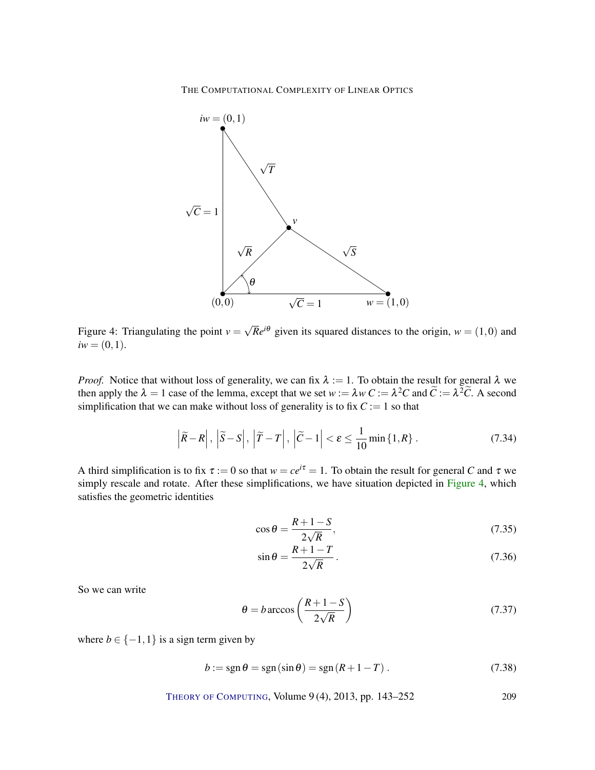

<span id="page-66-0"></span>Figure 4: Triangulating the point  $v =$  $\sqrt{Re}^{i\theta}$  given its squared distances to the origin,  $w = (1,0)$  and  $iw = (0,1).$ 

*Proof.* Notice that without loss of generality, we can fix  $\lambda := 1$ . To obtain the result for general  $\lambda$  we then apply the  $\lambda = 1$  case of the lemma, except that we set  $w := \lambda w C := \lambda^2 C$  and  $\tilde{C} := \lambda^2 \tilde{C}$ . A second simplification that we can make without loss of generality is to fix  $C := 1$  so that

$$
\left|\widetilde{R} - R\right|, \left|\widetilde{S} - S\right|, \left|\widetilde{T} - T\right|, \left|\widetilde{C} - 1\right| < \varepsilon \le \frac{1}{10} \min\{1, R\} \,. \tag{7.34}
$$

A third simplification is to fix  $\tau := 0$  so that  $w = ce^{i\tau} = 1$ . To obtain the result for general *C* and  $\tau$  we simply rescale and rotate. After these simplifications, we have situation depicted in [Figure](#page-66-0) [4,](#page-66-0) which satisfies the geometric identities

$$
\cos \theta = \frac{R + 1 - S}{2\sqrt{R}},\tag{7.35}
$$

$$
\sin \theta = \frac{R + 1 - T}{2\sqrt{R}}.
$$
\n(7.36)

So we can write

$$
\theta = b \arccos\left(\frac{R+1-S}{2\sqrt{R}}\right) \tag{7.37}
$$

where  $b \in \{-1, 1\}$  is a sign term given by

$$
b := \operatorname{sgn} \theta = \operatorname{sgn} \left( \sin \theta \right) = \operatorname{sgn} \left( R + 1 - T \right). \tag{7.38}
$$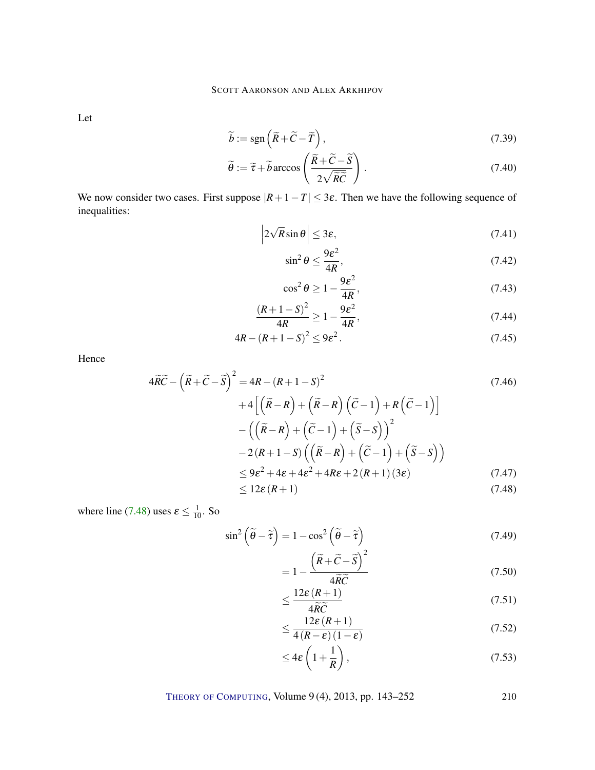Let

$$
\widetilde{b} := \text{sgn}\left(\widetilde{R} + \widetilde{C} - \widetilde{T}\right),\tag{7.39}
$$

$$
\widetilde{\theta} := \widetilde{\tau} + \widetilde{b} \arccos\left(\frac{\widetilde{R} + \widetilde{C} - \widetilde{S}}{2\sqrt{\widetilde{R}\widetilde{C}}}\right). \tag{7.40}
$$

We now consider two cases. First suppose  $|R+1-T| \leq 3\varepsilon$ . Then we have the following sequence of inequalities:

$$
\left|2\sqrt{R}\sin\theta\right| \le 3\varepsilon,\tag{7.41}
$$

$$
\sin^2 \theta \le \frac{9\epsilon^2}{4R},\tag{7.42}
$$

$$
\cos^2 \theta \ge 1 - \frac{9\epsilon^2}{4R},\tag{7.43}
$$

$$
\frac{(R+1-S)^2}{4R} \ge 1 - \frac{9\epsilon^2}{4R},\tag{7.44}
$$

$$
4R - (R + 1 - S)^2 \le 9\varepsilon^2. \tag{7.45}
$$

Hence

$$
4\widetilde{R}\widetilde{C} - \left(\widetilde{R} + \widetilde{C} - \widetilde{S}\right)^2 = 4R - (R + 1 - S)^2
$$
\n
$$
+ 4\left[\left(\widetilde{R} - R\right) + \left(\widetilde{R} - R\right)\left(\widetilde{C} - 1\right) + R\left(\widetilde{C} - 1\right)\right]
$$
\n
$$
- \left(\left(\widetilde{R} - R\right) + \left(\widetilde{C} - 1\right) + \left(\widetilde{S} - S\right)\right)^2
$$
\n
$$
- 2(R + 1 - S)\left(\left(\widetilde{R} - R\right) + \left(\widetilde{C} - 1\right) + \left(\widetilde{S} - S\right)\right)
$$
\n
$$
\leq 9\epsilon^2 + 4\epsilon + 4\epsilon^2 + 4R\epsilon + 2(R + 1)(3\epsilon)
$$
\n
$$
\leq 12\epsilon(R + 1)
$$
\n(7.48)

where line [\(7.48\)](#page-67-0) uses  $\varepsilon \le \frac{1}{10}$ . So

$$
\sin^2\left(\tilde{\theta} - \tilde{\tau}\right) = 1 - \cos^2\left(\tilde{\theta} - \tilde{\tau}\right) \tag{7.49}
$$

<span id="page-67-0"></span>
$$
=1-\frac{\left(\widetilde{R}+\widetilde{C}-\widetilde{S}\right)^{2}}{4\widetilde{R}\widetilde{C}}
$$
\n(7.50)

$$
\leq \frac{12\varepsilon (R+1)}{4\widetilde{RC}}\tag{7.51}
$$

$$
\leq \frac{12\varepsilon (R+1)}{4(R-\varepsilon)(1-\varepsilon)}\tag{7.52}
$$

<span id="page-67-1"></span>
$$
\leq 4\varepsilon \left(1 + \frac{1}{R}\right),\tag{7.53}
$$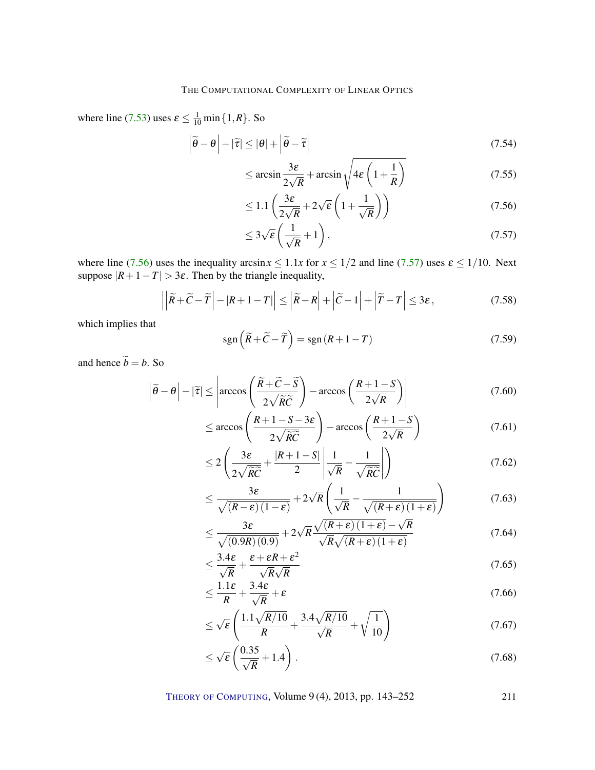where line [\(7.53\)](#page-67-1) uses  $\varepsilon \leq \frac{1}{10} \min\{1, R\}$ . So

$$
\left|\widetilde{\theta} - \theta\right| - \left|\widetilde{\tau}\right| \le |\theta| + \left|\widetilde{\theta} - \widetilde{\tau}\right| \tag{7.54}
$$

$$
\leq \arcsin \frac{3\varepsilon}{2\sqrt{R}} + \arcsin \sqrt{4\varepsilon \left(1 + \frac{1}{R}\right)}
$$
(7.55)

$$
\leq 1.1 \left( \frac{3\varepsilon}{2\sqrt{R}} + 2\sqrt{\varepsilon} \left( 1 + \frac{1}{\sqrt{R}} \right) \right) \tag{7.56}
$$

<span id="page-68-1"></span><span id="page-68-0"></span>
$$
\leq 3\sqrt{\varepsilon}\left(\frac{1}{\sqrt{R}}+1\right),\tag{7.57}
$$

where line [\(7.56\)](#page-68-0) uses the inequality arcsin $x \le 1.1x$  for  $x \le 1/2$  and line [\(7.57\)](#page-68-1) uses  $\varepsilon \le 1/10$ . Next suppose  $|R+1-T| > 3\varepsilon$ . Then by the triangle inequality,

$$
\left| \left| \tilde{R} + \tilde{C} - \tilde{T} \right| - \left| R + 1 - T \right| \right| \le \left| \tilde{R} - R \right| + \left| \tilde{C} - 1 \right| + \left| \tilde{T} - T \right| \le 3\varepsilon, \tag{7.58}
$$

which implies that

<span id="page-68-2"></span>
$$
sgn\left(\widetilde{R} + \widetilde{C} - \widetilde{T}\right) = sgn\left(R + 1 - T\right)
$$
\n(7.59)

and hence  $\tilde{b} = b$ . So

$$
\left| \widetilde{\theta} - \theta \right| - \left| \widetilde{\tau} \right| \le \left| \arccos \left( \frac{\widetilde{R} + \widetilde{C} - \widetilde{S}}{2\sqrt{\widetilde{R}\widetilde{C}}} \right) - \arccos \left( \frac{R + 1 - S}{2\sqrt{R}} \right) \right| \tag{7.60}
$$

$$
\leq \arccos\left(\frac{R+1-S-3\varepsilon}{2\sqrt{\widetilde{RC}}}\right) - \arccos\left(\frac{R+1-S}{2\sqrt{R}}\right) \tag{7.61}
$$

<span id="page-68-3"></span>
$$
\leq 2\left(\frac{3\varepsilon}{2\sqrt{\widetilde{RC}}} + \frac{|R+1-S|}{2}\left|\frac{1}{\sqrt{R}} - \frac{1}{\sqrt{\widetilde{RC}}}\right|\right) \tag{7.62}
$$

<span id="page-68-4"></span>
$$
\leq \frac{3\varepsilon}{\sqrt{(R-\varepsilon)(1-\varepsilon)}} + 2\sqrt{R}\left(\frac{1}{\sqrt{R}} - \frac{1}{\sqrt{(R+\varepsilon)(1+\varepsilon)}}\right) \tag{7.63}
$$

<span id="page-68-5"></span>
$$
\leq \frac{3\varepsilon}{\sqrt{(0.9R)(0.9)}} + 2\sqrt{R}\frac{\sqrt{(R+\varepsilon)(1+\varepsilon)} - \sqrt{R}}{\sqrt{R}\sqrt{(R+\varepsilon)(1+\varepsilon)}}
$$
(7.64)

<span id="page-68-6"></span>
$$
\leq \frac{3.4\epsilon}{\sqrt{R}} + \frac{\epsilon + \epsilon R + \epsilon^2}{\sqrt{R}\sqrt{R}}
$$
\n(7.65)

<span id="page-68-7"></span>
$$
\leq \frac{1.1\epsilon}{R} + \frac{3.4\epsilon}{\sqrt{R}} + \epsilon \tag{7.66}
$$

<span id="page-68-8"></span>
$$
\leq \sqrt{\epsilon} \left( \frac{1.1\sqrt{R/10}}{R} + \frac{3.4\sqrt{R/10}}{\sqrt{R}} + \sqrt{\frac{1}{10}} \right) \tag{7.67}
$$

<span id="page-68-9"></span>
$$
\leq \sqrt{\varepsilon} \left( \frac{0.35}{\sqrt{R}} + 1.4 \right). \tag{7.68}
$$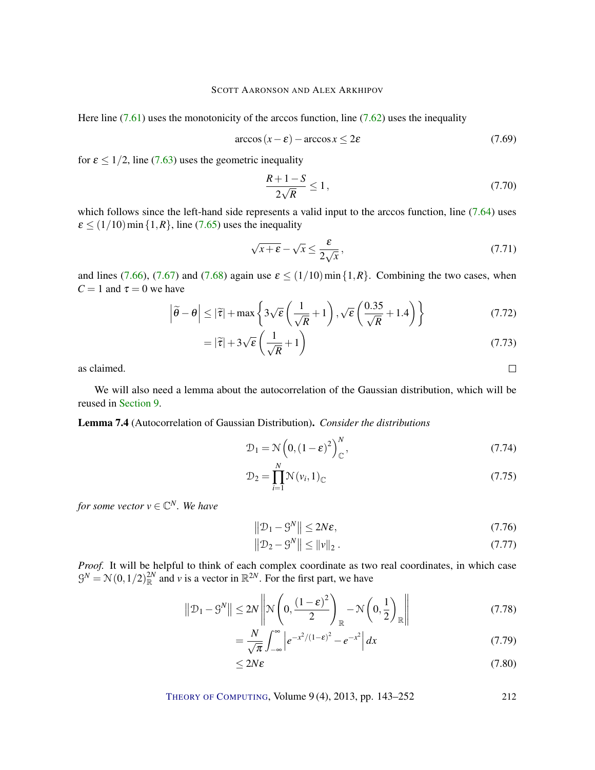Here line  $(7.61)$  uses the monotonicity of the arccos function, line  $(7.62)$  uses the inequality

$$
\arccos(x - \varepsilon) - \arccos x \le 2\varepsilon \tag{7.69}
$$

for  $\varepsilon \le 1/2$ , line [\(7.63\)](#page-68-4) uses the geometric inequality

$$
\frac{R+1-S}{2\sqrt{R}} \le 1\,,\tag{7.70}
$$

which follows since the left-hand side represents a valid input to the arccos function, line [\(7.64\)](#page-68-5) uses  $\varepsilon \le (1/10)$  min  $\{1,R\}$ , line [\(7.65\)](#page-68-6) uses the inequality

$$
\sqrt{x+\varepsilon} - \sqrt{x} \le \frac{\varepsilon}{2\sqrt{x}},\tag{7.71}
$$

and lines [\(7.66\)](#page-68-7), [\(7.67\)](#page-68-8) and [\(7.68\)](#page-68-9) again use  $\varepsilon \le (1/10) \min\{1,R\}$ . Combining the two cases, when  $C = 1$  and  $\tau = 0$  we have

$$
\left| \widetilde{\theta} - \theta \right| \le \left| \widetilde{\tau} \right| + \max \left\{ 3\sqrt{\epsilon} \left( \frac{1}{\sqrt{R}} + 1 \right), \sqrt{\epsilon} \left( \frac{0.35}{\sqrt{R}} + 1.4 \right) \right\} \tag{7.72}
$$

$$
=|\tilde{\tau}|+3\sqrt{\varepsilon}\left(\frac{1}{\sqrt{R}}+1\right) \tag{7.73}
$$

as claimed.

We will also need a lemma about the autocorrelation of the Gaussian distribution, which will be reused in [Section](#page-85-0) [9.](#page-85-0)

<span id="page-69-2"></span>Lemma 7.4 (Autocorrelation of Gaussian Distribution). *Consider the distributions*

$$
\mathcal{D}_1 = \mathcal{N}\left(0, \left(1 - \varepsilon\right)^2\right)_{\mathbb{C}}^N, \tag{7.74}
$$

 $\Box$ 

$$
\mathcal{D}_2 = \prod_{i=1}^N \mathcal{N}(v_i, 1)_{\mathbb{C}} \tag{7.75}
$$

*for some vector*  $v \in \mathbb{C}^N$ *. We have* 

$$
\|\mathcal{D}_1 - \mathcal{G}^N\| \le 2N\varepsilon,\tag{7.76}
$$

$$
\|\mathcal{D}_2 - \mathcal{G}^N\| \le \|v\|_2. \tag{7.77}
$$

<span id="page-69-1"></span><span id="page-69-0"></span> $\mathbf{u}$ 

*Proof.* It will be helpful to think of each complex coordinate as two real coordinates, in which case  $\mathcal{G}^N = \mathcal{N}(0, 1/2)_{\mathbb{R}}^{2N}$  and *v* is a vector in  $\mathbb{R}^{2N}$ . For the first part, we have

$$
\|\mathcal{D}_1 - \mathcal{G}^N\| \le 2N \left\|\mathcal{N}\left(0, \frac{(1-\varepsilon)^2}{2}\right)_{\mathbb{R}} - \mathcal{N}\left(0, \frac{1}{2}\right)_{\mathbb{R}}\right\| \tag{7.78}
$$

$$
=\frac{N}{\sqrt{\pi}}\int_{-\infty}^{\infty}\left|e^{-x^2/(1-\varepsilon)^2}-e^{-x^2}\right|dx\tag{7.79}
$$

$$
\leq 2N\varepsilon\tag{7.80}
$$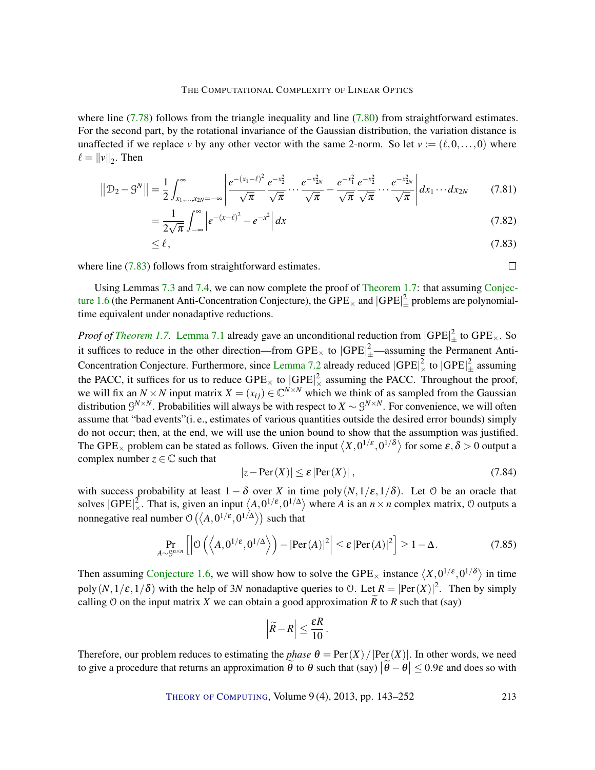where line  $(7.78)$  follows from the triangle inequality and line  $(7.80)$  from straightforward estimates. For the second part, by the rotational invariance of the Gaussian distribution, the variation distance is unaffected if we replace *v* by any other vector with the same 2-norm. So let  $v := (\ell, 0, \ldots, 0)$  where  $\ell = ||v||_2$ . Then

$$
\left\|\mathcal{D}_{2}-\mathcal{G}^{N}\right\| = \frac{1}{2} \int_{x_{1},...,x_{2N}=-\infty}^{\infty} \left| \frac{e^{-(x_{1}-\ell)^{2}}}{\sqrt{\pi}} \frac{e^{-x_{2}^{2}}}{\sqrt{\pi}} \cdots \frac{e^{-x_{2N}^{2}}}{\sqrt{\pi}} - \frac{e^{-x_{1}^{2}}}{\sqrt{\pi}} \frac{e^{-x_{2}^{2}}}{\sqrt{\pi}} \cdots \frac{e^{-x_{2N}^{2}}}{\sqrt{\pi}} \right| dx_{1} \cdots dx_{2N} \tag{7.81}
$$

$$
= \frac{1}{2\sqrt{\pi}} \int_{-\infty}^{\infty} \left| e^{-(x-\ell)^2} - e^{-x^2} \right| dx \tag{7.82}
$$

$$
\leq \ell, \tag{7.83}
$$

where line  $(7.83)$  follows from straightforward estimates.

<span id="page-70-0"></span> $\Box$ 

Using Lemmas [7.3](#page-65-0) and [7.4,](#page-69-2) we can now complete the proof of [Theorem](#page-10-2) [1.7:](#page-10-2) that assuming [Conjec](#page-10-0)[ture](#page-10-0) [1.6](#page-10-0) (the Permanent Anti-Concentration Conjecture), the  $\text{GPE}_{\times}$  and  $|\text{GPE}|_{\pm}^2$  problems are polynomialtime equivalent under nonadaptive reductions.

*Proof of [Theorem](#page-10-2) [1.7.](#page-10-2)* [Lemma](#page-62-1) [7.1](#page-62-1) already gave an unconditional reduction from  $|GPE|^2_{\pm}$  to  $GPE_{\times}$ . So it suffices to reduce in the other direction—from  $\text{GPE}_{\times}$  to  $|\text{GPE}|_{\pm}^2$ —assuming the Permanent Anti-Concentration Conjecture. Furthermore, since [Lemma](#page-64-0) [7.2](#page-64-0) already reduced  $|GPE|_{\times}^2$  to  $|GPE|_{\pm}^2$  assuming the PACC, it suffices for us to reduce  $\text{GPE}_{\times}$  to  $|\text{GPE}|_{\times}^2$  assuming the PACC. Throughout the proof, we will fix an  $N \times N$  input matrix  $X = (x_{ij}) \in \mathbb{C}^{N \times N}$  which we think of as sampled from the Gaussian distribution  $\mathcal{G}^{N\times N}$ . Probabilities will always be with respect to  $X\sim \mathcal{G}^{N\times N}$ . For convenience, we will often assume that "bad events"(i. e., estimates of various quantities outside the desired error bounds) simply do not occur; then, at the end, we will use the union bound to show that the assumption was justified. The GPE<sub>x</sub> problem can be stated as follows. Given the input  $\langle X, 0^{1/\varepsilon}, 0^{1/\delta} \rangle$  for some  $\varepsilon, \delta > 0$  output a complex number  $z \in \mathbb{C}$  such that

$$
|z - \text{Per}(X)| \le \varepsilon |\text{Per}(X)| , \qquad (7.84)
$$

with success probability at least  $1 - \delta$  over *X* in time poly $(N, 1/\varepsilon, 1/\delta)$ . Let 0 be an oracle that solves  $|GPE|_x^2$ . That is, given an input  $\langle A, 0^{1/\varepsilon}, 0^{1/\Delta} \rangle$  where A is an  $n \times n$  complex matrix, O outputs a nonnegative real number  $\mathcal{O}\left(\langle A, 0^{1/\varepsilon}, 0^{1/\Delta} \rangle\right)$  such that

$$
\Pr_{A \sim \mathcal{G}^{n \times n}} \left[ \left| \mathcal{O} \left( \left\langle A, 0^{1/\varepsilon}, 0^{1/\Delta} \right\rangle \right) - \left| \text{Per}(A) \right|^2 \right| \le \varepsilon \left| \text{Per}(A) \right|^2 \right] \ge 1 - \Delta. \tag{7.85}
$$

Then assuming [Conjecture](#page-10-0) [1.6,](#page-10-0) we will show how to solve the GPE<sub>×</sub> instance  $\langle X, 0^{1/\epsilon}, 0^{1/\delta} \rangle$  in time poly  $(N,1/\varepsilon,1/\delta)$  with the help of 3*N* nonadaptive queries to 0. Let  $R = |\text{Per}(X)|^2$ . Then by simply calling  $\theta$  on the input matrix *X* we can obtain a good approximation  $\tilde{R}$  to *R* such that (say)

$$
\left|\widetilde{R}-R\right|\leq \frac{\varepsilon R}{10}.
$$

Therefore, our problem reduces to estimating the *phase*  $\theta = \text{Per}(X)/|\text{Per}(X)|$ . In other words, we need to give a procedure that returns an approximation  $\theta$  to  $\theta$  such that (say)  $|\tilde{\theta} - \theta| \le 0.9 \varepsilon$  and does so with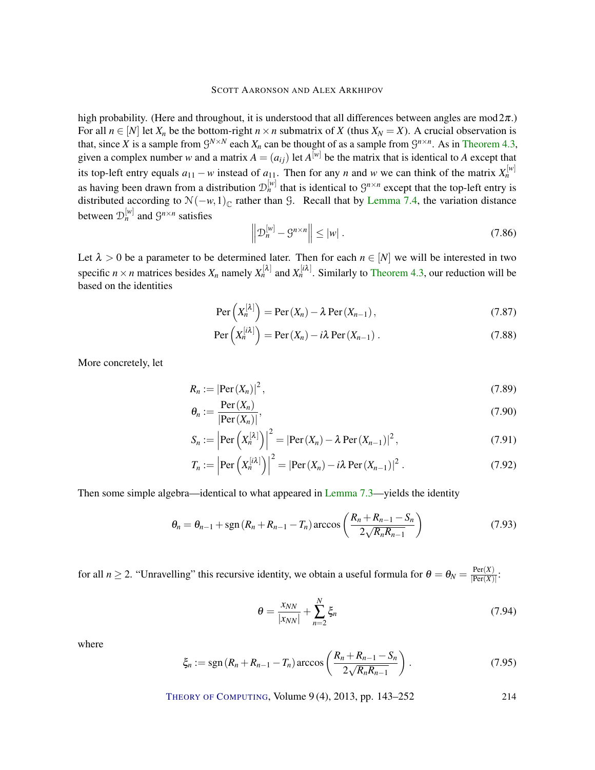high probability. (Here and throughout, it is understood that all differences between angles are mod  $2\pi$ .) For all  $n \in [N]$  let  $X_n$  be the bottom-right  $n \times n$  submatrix of *X* (thus  $X_N = X$ ). A crucial observation is that, since *X* is a sample from  $\mathcal{G}^{N \times N}$  each  $X_n$  can be thought of as a sample from  $\mathcal{G}^{n \times n}$ . As in [Theorem](#page-33-0) [4.3,](#page-33-0) given a complex number *w* and a matrix  $A = (a_{ij})$  let  $A^{[w]}$  be the matrix that is identical to A except that its top-left entry equals  $a_{11} - w$  instead of  $a_{11}$ . Then for any *n* and *w* we can think of the matrix  $X_n^{[w]}$ as having been drawn from a distribution  $\mathcal{D}_n^{[w]}$  that is identical to  $\mathcal{G}^{n \times n}$  except that the top-left entry is distributed according to  $N(-w, 1)_{\mathbb{C}}$  rather than G. Recall that by [Lemma](#page-69-2) [7.4,](#page-69-2) the variation distance between  $\mathcal{D}_n^{[w]}$  and  $\mathcal{G}^{n \times n}$  satisfies

$$
\left\| \mathcal{D}_n^{[w]} - \mathcal{G}^{n \times n} \right\| \le |w| \,. \tag{7.86}
$$

Let  $\lambda > 0$  be a parameter to be determined later. Then for each  $n \in [N]$  we will be interested in two specific  $n \times n$  matrices besides  $X_n$  namely  $X_n^{[\lambda]}$  and  $X_n^{[i\lambda]}$ . Similarly to [Theorem](#page-33-0) [4.3,](#page-33-0) our reduction will be based on the identities

$$
\operatorname{Per}\left(X_n^{[\lambda]}\right) = \operatorname{Per}\left(X_n\right) - \lambda \operatorname{Per}\left(X_{n-1}\right),\tag{7.87}
$$

$$
\operatorname{Per}\left(X_n^{[i\lambda]}\right) = \operatorname{Per}\left(X_n\right) - i\lambda \operatorname{Per}\left(X_{n-1}\right). \tag{7.88}
$$

More concretely, let

$$
R_n := \left| \text{Per}(X_n) \right|^2,\tag{7.89}
$$

$$
\theta_n := \frac{\text{Per}(X_n)}{|\text{Per}(X_n)|},\tag{7.90}
$$

$$
S_n := \left| \operatorname{Per}\left(X_n^{[\lambda]}\right) \right|^2 = \left| \operatorname{Per}(X_n) - \lambda \operatorname{Per}(X_{n-1}) \right|^2, \tag{7.91}
$$

$$
T_n := \left| \operatorname{Per}\left(X_n^{[i\lambda]}\right) \right|^2 = \left| \operatorname{Per}\left(X_n\right) - i\lambda \operatorname{Per}\left(X_{n-1}\right) \right|^2. \tag{7.92}
$$

Then some simple algebra—identical to what appeared in [Lemma](#page-65-0) [7.3—](#page-65-0)yields the identity

$$
\theta_n = \theta_{n-1} + \text{sgn}(R_n + R_{n-1} - T_n)\arccos\left(\frac{R_n + R_{n-1} - S_n}{2\sqrt{R_n R_{n-1}}}\right) \tag{7.93}
$$

for all  $n \ge 2$ . "Unravelling" this recursive identity, we obtain a useful formula for  $\theta = \theta_N = \frac{\text{Per}(X)}{|\text{Per}(X)|}$  $\frac{\text{Per}(A)}{|\text{Per}(X)|}$ :

$$
\theta = \frac{x_{NN}}{|x_{NN}|} + \sum_{n=2}^{N} \xi_n
$$
\n(7.94)

where

$$
\xi_n := \text{sgn}\,(R_n + R_{n-1} - T_n)\arccos\left(\frac{R_n + R_{n-1} - S_n}{2\sqrt{R_n R_{n-1}}}\right). \tag{7.95}
$$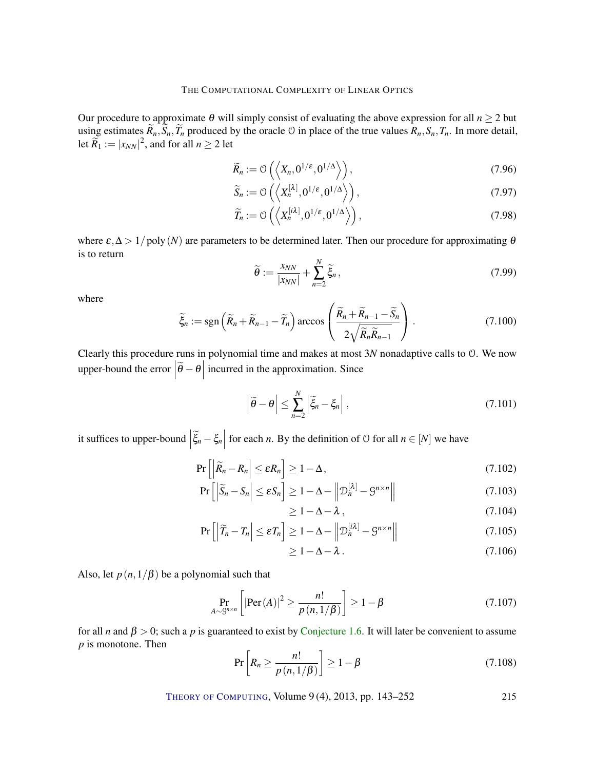Our procedure to approximate  $\theta$  will simply consist of evaluating the above expression for all  $n \geq 2$  but using estimates  $\widetilde{R}_n$ ,  $\widetilde{S}_n$ ,  $\widetilde{T}_n$  produced by the oracle  $\odot$  in place of the true values  $R_n$ ,  $S_n$ ,  $T_n$ . In more detail, let  $\widetilde{R}_1 := |x_{NN}|^2$ , and for all  $n \ge 2$  let

$$
\widetilde{R}_n := \mathcal{O}\left(\left\langle X_n, 0^{1/\varepsilon}, 0^{1/\Delta} \right\rangle\right),\tag{7.96}
$$

$$
\widetilde{S}_n := \mathcal{O}\left(\left\langle X_n^{[\lambda]}, 0^{1/\varepsilon}, 0^{1/\Delta} \right\rangle\right),\tag{7.97}
$$

$$
\widetilde{T}_n := \mathcal{O}\left(\left\langle X_n^{[i\lambda]}, 0^{1/\varepsilon}, 0^{1/\Delta} \right\rangle\right),\tag{7.98}
$$

where  $\varepsilon, \Delta > 1$ /poly(*N*) are parameters to be determined later. Then our procedure for approximating  $\theta$ is to return

$$
\widetilde{\theta} := \frac{x_{NN}}{|x_{NN}|} + \sum_{n=2}^{N} \widetilde{\xi}_n, \qquad (7.99)
$$

where

$$
\widetilde{\xi}_n := \text{sgn}\left(\widetilde{R}_n + \widetilde{R}_{n-1} - \widetilde{T}_n\right) \arccos\left(\frac{\widetilde{R}_n + \widetilde{R}_{n-1} - \widetilde{S}_n}{2\sqrt{\widetilde{R}_n \widetilde{R}_{n-1}}}\right).
$$
\n(7.100)

Clearly this procedure runs in polynomial time and makes at most 3*N* nonadaptive calls to O. We now upper-bound the error  $\left|\widetilde{\theta} - \theta\right|$  incurred in the approximation. Since

$$
\left|\widetilde{\theta}-\theta\right| \leq \sum_{n=2}^{N} \left|\widetilde{\xi}_n - \xi_n\right|,
$$
\n(7.101)

it suffices to upper-bound  $\left|\tilde{\xi}_n - \xi_n\right|$ for each *n*. By the definition of  $\theta$  for all  $n \in [N]$  we have

$$
\Pr\left[\left|\widetilde{R}_n - R_n\right| \le \varepsilon R_n\right] \ge 1 - \Delta,\tag{7.102}
$$

$$
\Pr\left[\left|\widetilde{S}_n - S_n\right| \le \varepsilon S_n\right] \ge 1 - \Delta - \left\|\mathcal{D}_n^{[\lambda]} - \mathcal{G}^{n \times n}\right\| \tag{7.103}
$$

$$
\geq 1 - \Delta - \lambda \,,\tag{7.104}
$$

$$
\Pr\left[\left|\widetilde{T}_n - T_n\right| \le \varepsilon T_n\right] \ge 1 - \Delta - \left\|\mathcal{D}_n^{[i\lambda]} - \mathcal{G}^{n \times n}\right\| \tag{7.105}
$$

 $> 1 - \Delta - \lambda$  . (7.106)

Also, let  $p(n,1/\beta)$  be a polynomial such that

$$
\Pr_{A \sim \mathcal{G}^{n \times n}} \left[ |\text{Per}(A)|^2 \ge \frac{n!}{p(n, 1/\beta)} \right] \ge 1 - \beta \tag{7.107}
$$

for all *n* and  $\beta > 0$ ; such a *p* is guaranteed to exist by [Conjecture](#page-10-0) [1.6.](#page-10-0) It will later be convenient to assume *p* is monotone. Then

$$
\Pr\left[R_n \ge \frac{n!}{p(n, 1/\beta)}\right] \ge 1 - \beta \tag{7.108}
$$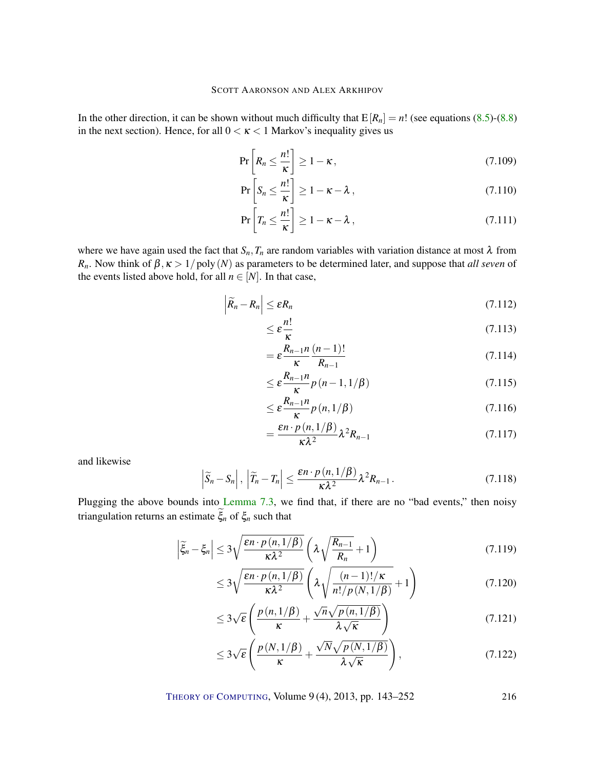In the other direction, it can be shown without much difficulty that  $E[R_n] = n!$  (see equations [\(8.5\)](#page-76-0)-[\(8.8\)](#page-76-1) in the next section). Hence, for all  $0 < \kappa < 1$  Markov's inequality gives us

$$
\Pr\left[R_n \le \frac{n!}{\kappa}\right] \ge 1 - \kappa,\tag{7.109}
$$

$$
\Pr\left[S_n \leq \frac{n!}{\kappa}\right] \geq 1 - \kappa - \lambda\,,\tag{7.110}
$$

$$
\Pr\left[T_n \leq \frac{n!}{\kappa}\right] \geq 1 - \kappa - \lambda\,,\tag{7.111}
$$

where we have again used the fact that  $S_n$ ,  $T_n$  are random variables with variation distance at most  $\lambda$  from *R<sub>n</sub>*. Now think of  $\beta$ ,  $\kappa > 1/poly(N)$  as parameters to be determined later, and suppose that *all seven* of the events listed above hold, for all  $n \in [N]$ . In that case,

$$
\left|\widetilde{R}_n - R_n\right| \le \varepsilon R_n \tag{7.112}
$$

$$
\leq \varepsilon \frac{n!}{\kappa} \tag{7.113}
$$

$$
= \varepsilon \frac{R_{n-1}n}{\kappa} \frac{(n-1)!}{R_{n-1}}
$$
\n(7.114)

$$
\leq \varepsilon \frac{R_{n-1}n}{\kappa} p(n-1,1/\beta) \tag{7.115}
$$

$$
\leq \varepsilon \frac{R_{n-1}n}{\kappa} p(n, 1/\beta) \tag{7.116}
$$

$$
=\frac{\varepsilon n \cdot p\left(n,1/\beta\right)}{\kappa \lambda^2} \lambda^2 R_{n-1} \tag{7.117}
$$

and likewise

$$
\left|\widetilde{S}_n - S_n\right|, \left|\widetilde{T}_n - T_n\right| \le \frac{\varepsilon n \cdot p\left(n, 1/\beta\right)}{\kappa \lambda^2} \lambda^2 R_{n-1} \,. \tag{7.118}
$$

Plugging the above bounds into [Lemma](#page-65-0) [7.3,](#page-65-0) we find that, if there are no "bad events," then noisy triangulation returns an estimate  $\tilde{\xi}_n$  of  $\xi_n$  such that

$$
\left|\tilde{\xi}_n - \xi_n\right| \le 3\sqrt{\frac{\varepsilon n \cdot p\left(n, 1/\beta\right)}{\kappa \lambda^2}} \left(\lambda \sqrt{\frac{R_{n-1}}{R_n}} + 1\right) \tag{7.119}
$$

$$
\leq 3\sqrt{\frac{\varepsilon n \cdot p(n, 1/\beta)}{\kappa \lambda^2}} \left(\lambda \sqrt{\frac{(n-1)!/\kappa}{n!/p(N, 1/\beta)}} + 1\right) \tag{7.120}
$$

$$
\leq 3\sqrt{\varepsilon}\left(\frac{p(n,1/\beta)}{\kappa} + \frac{\sqrt{n}\sqrt{p(n,1/\beta)}}{\lambda\sqrt{\kappa}}\right) \tag{7.121}
$$

<span id="page-73-0"></span>
$$
\leq 3\sqrt{\epsilon}\left(\frac{p(N,1/\beta)}{\kappa}+\frac{\sqrt{N}\sqrt{p(N,1/\beta)}}{\lambda\sqrt{\kappa}}\right),\tag{7.122}
$$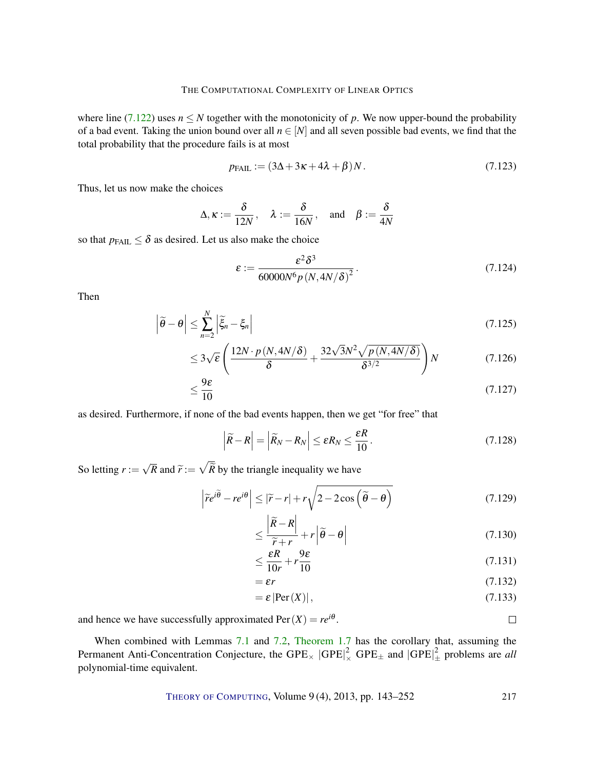where line [\(7.122\)](#page-73-0) uses  $n \le N$  together with the monotonicity of p. We now upper-bound the probability of a bad event. Taking the union bound over all  $n \in [N]$  and all seven possible bad events, we find that the total probability that the procedure fails is at most

$$
p_{\text{FAIL}} := (3\Delta + 3\kappa + 4\lambda + \beta)N. \tag{7.123}
$$

Thus, let us now make the choices

$$
\Delta, \kappa := \frac{\delta}{12N}, \quad \lambda := \frac{\delta}{16N}, \quad \text{and} \quad \beta := \frac{\delta}{4N}
$$

so that  $p_{\text{FAIL}} \leq \delta$  as desired. Let us also make the choice

$$
\varepsilon := \frac{\varepsilon^2 \delta^3}{60000N^6 p (N, 4N/\delta)^2}.
$$
\n(7.124)

Then

$$
\left|\widetilde{\theta} - \theta\right| \le \sum_{n=2}^{N} \left|\widetilde{\xi}_n - \xi_n\right| \tag{7.125}
$$

$$
\leq 3\sqrt{\epsilon}\left(\frac{12N\cdot p\left(N,4N/\delta\right)}{\delta}+\frac{32\sqrt{3}N^{2}\sqrt{p\left(N,4N/\delta\right)}}{\delta^{3/2}}\right)N\tag{7.126}
$$

$$
\leq \frac{9\varepsilon}{10} \tag{7.127}
$$

as desired. Furthermore, if none of the bad events happen, then we get "for free" that

$$
\left|\widetilde{R} - R\right| = \left|\widetilde{R}_N - R_N\right| \le \varepsilon R_N \le \frac{\varepsilon R}{10}.
$$
\n(7.128)

So letting  $r :=$ √  $\overline{R}$  and  $\widetilde{r} := \sqrt{\widetilde{R}}$  by the triangle inequality we have

$$
\left|\widetilde{r}e^{i\widetilde{\theta}} - re^{i\theta}\right| \leq \left|\widetilde{r} - r\right| + r\sqrt{2 - 2\cos\left(\widetilde{\theta} - \theta\right)}
$$
\n(7.129)

$$
\leq \frac{\left|\widetilde{R} - R\right|}{\widetilde{r} + r} + r\left|\widetilde{\theta} - \theta\right|
$$
\n(7.130)

$$
\leq \frac{\varepsilon R}{10r} + r \frac{9\varepsilon}{10} \tag{7.131}
$$

$$
= \varepsilon r \tag{7.132}
$$

$$
= \varepsilon \left| \text{Per}(X) \right|,\tag{7.133}
$$

 $\Box$ 

and hence we have successfully approximated  $Per(X) = re^{i\theta}$ .

When combined with Lemmas [7.1](#page-62-0) and [7.2,](#page-64-0) [Theorem](#page-10-1) [1.7](#page-10-1) has the corollary that, assuming the Permanent Anti-Concentration Conjecture, the  $\text{GPE}_{\times}$   $|\text{GPE}|_{\times}^2$  GPE<sub> $\pm$ </sub> and  $|\text{GPE}|_{\pm}^2$  problems are *all* polynomial-time equivalent.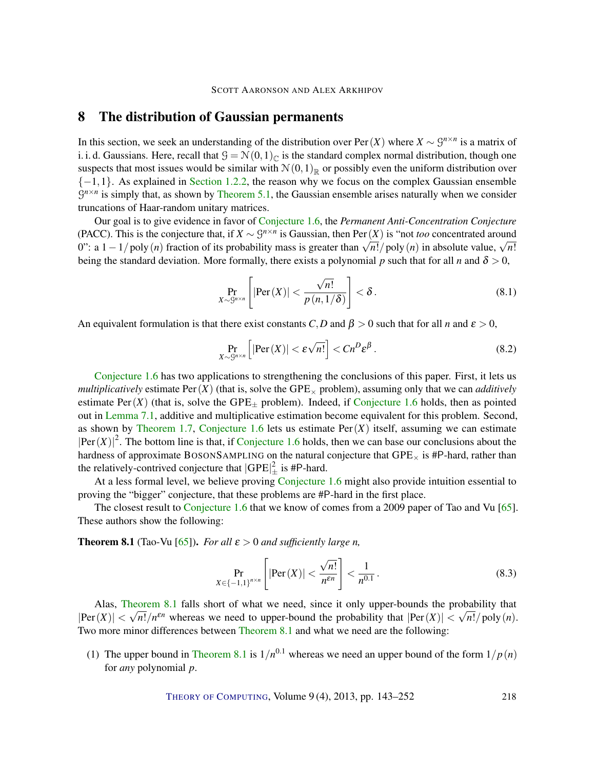## <span id="page-75-1"></span>8 The distribution of Gaussian permanents

In this section, we seek an understanding of the distribution over  $Per(X)$  where  $X \sim \mathcal{G}^{n \times n}$  is a matrix of i. i. d. Gaussians. Here, recall that  $G = \mathcal{N}(0,1)_{\mathbb{C}}$  is the standard complex normal distribution, though one suspects that most issues would be similar with  $N(0,1)_{\mathbb{R}}$  or possibly even the uniform distribution over {−1,1}. As explained in [Section](#page-8-0) [1.2.2,](#page-8-0) the reason why we focus on the complex Gaussian ensemble  $\mathcal{G}^{n \times n}$  is simply that, as shown by [Theorem](#page-40-0) [5.1,](#page-40-0) the Gaussian ensemble arises naturally when we consider truncations of Haar-random unitary matrices.

Our goal is to give evidence in favor of [Conjecture](#page-10-0) [1.6,](#page-10-0) the *Permanent Anti-Concentration Conjecture* (PACC). This is the conjecture that, if  $X \sim \mathcal{G}^{n \times n}$  is Gaussian, then Per(*X*) is "not *too* concentrated around (PACC). This is the conjecture that, if  $X \sim 9$  and is Gaussian, then Per  $(X)$  is the *too* concentrated around 0": a 1 – 1/poly(*n*) fraction of its probability mass is greater than  $\sqrt{n!}$ /poly(*n*) in absolute value, being the standard deviation. More formally, there exists a polynomial *p* such that for all *n* and  $\delta > 0$ ,

$$
\Pr_{X \sim \mathcal{G}^{n \times n}} \left[ \left| \text{Per}(X) \right| < \frac{\sqrt{n!}}{p(n, 1/\delta)} \right] < \delta \,. \tag{8.1}
$$

An equivalent formulation is that there exist constants *C*, *D* and  $\beta > 0$  such that for all *n* and  $\varepsilon > 0$ ,

$$
\Pr_{X \sim \mathcal{G}^{n \times n}} \left[ \left| \text{Per}(X) \right| < \varepsilon \sqrt{n!} \right] < C n^D \varepsilon^\beta \,. \tag{8.2}
$$

[Conjecture](#page-10-0) [1.6](#page-10-0) has two applications to strengthening the conclusions of this paper. First, it lets us *multiplicatively* estimate Per $(X)$  (that is, solve the GPE<sub>×</sub> problem), assuming only that we can *additively* estimate Per $(X)$  (that is, solve the GPE $_{\pm}$  problem). Indeed, if [Conjecture](#page-10-0) [1.6](#page-10-0) holds, then as pointed out in [Lemma](#page-62-0) [7.1,](#page-62-0) additive and multiplicative estimation become equivalent for this problem. Second, as shown by [Theorem](#page-10-1) [1.7,](#page-10-1) [Conjecture](#page-10-0) [1.6](#page-10-0) lets us estimate  $Per(X)$  itself, assuming we can estimate  $|\text{Per}(X)|^2$ . The bottom line is that, if [Conjecture](#page-10-0) [1.6](#page-10-0) holds, then we can base our conclusions about the hardness of approximate BOSONSAMPLING on the natural conjecture that  $\text{GPE}_{\times}$  is #P-hard, rather than the relatively-contrived conjecture that  $|GPE|_{\pm}^2$  is #P-hard.

At a less formal level, we believe proving [Conjecture](#page-10-0) [1.6](#page-10-0) might also provide intuition essential to proving the "bigger" conjecture, that these problems are #P-hard in the first place.

The closest result to [Conjecture](#page-10-0) [1.6](#page-10-0) that we know of comes from a 2009 paper of Tao and Vu [\[65\]](#page-108-0). These authors show the following:

<span id="page-75-0"></span>**Theorem 8.1** (Tao-Vu [\[65\]](#page-108-0)). *For all*  $\varepsilon > 0$  *and sufficiently large n,* 

$$
\Pr_{X \in \{-1,1\}^{n \times n}} \left[ |Per(X)| < \frac{\sqrt{n!}}{n^{\varepsilon n}} \right] < \frac{1}{n^{0.1}}. \tag{8.3}
$$

Alas, [Theorem](#page-75-0) [8.1](#page-75-0) falls short of what we need, since it only upper-bounds the probability that  $|\text{Per}(X)| < \sqrt{n!}/n^{\epsilon n}$  whereas we need to upper-bound the probability that  $|\text{Per}(X)| < \sqrt{n!}/p$ oly $(n)$ . Two more minor differences between [Theorem](#page-75-0) [8.1](#page-75-0) and what we need are the following:

(1) The upper bound in [Theorem](#page-75-0) [8.1](#page-75-0) is  $1/n^{0.1}$  whereas we need an upper bound of the form  $1/p(n)$ for *any* polynomial *p*.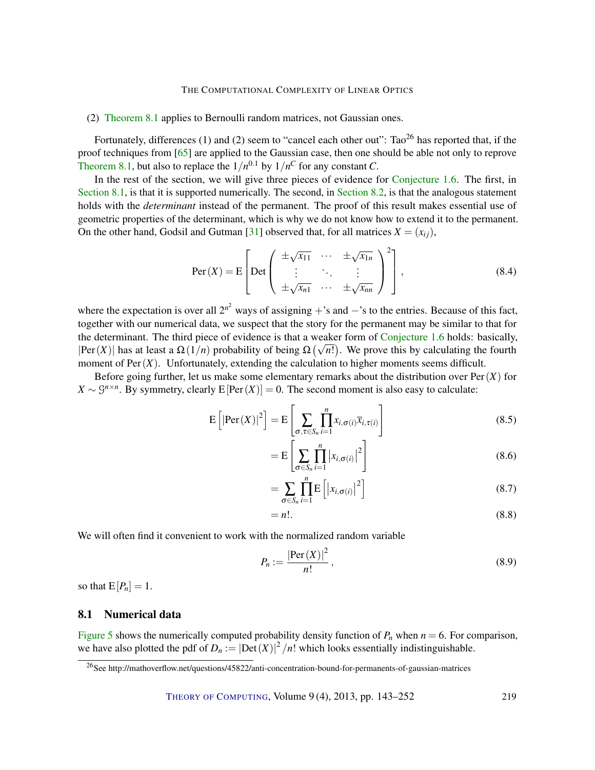<span id="page-76-3"></span>(2) [Theorem](#page-75-0) [8.1](#page-75-0) applies to Bernoulli random matrices, not Gaussian ones.

Fortunately, differences (1) and (2) seem to "cancel each other out":  $Tao^{26}$  has reported that, if the proof techniques from [\[65\]](#page-108-0) are applied to the Gaussian case, then one should be able not only to reprove [Theorem](#page-75-0) [8.1,](#page-75-0) but also to replace the  $1/n^{0.1}$  by  $1/n^C$  for any constant *C*.

In the rest of the section, we will give three pieces of evidence for [Conjecture](#page-10-0) [1.6.](#page-10-0) The first, in [Section](#page-76-2) [8.1,](#page-76-2) is that it is supported numerically. The second, in [Section](#page-78-0) [8.2,](#page-78-0) is that the analogous statement holds with the *determinant* instead of the permanent. The proof of this result makes essential use of geometric properties of the determinant, which is why we do not know how to extend it to the permanent. On the other hand, Godsil and Gutman [\[31\]](#page-105-0) observed that, for all matrices  $X = (x_{ij})$ ,

$$
\operatorname{Per}(X) = \operatorname{E}\left[\operatorname{Det}\left(\begin{array}{ccc} \pm\sqrt{x_{11}} & \cdots & \pm\sqrt{x_{1n}} \\ \vdots & \ddots & \vdots \\ \pm\sqrt{x_{n1}} & \cdots & \pm\sqrt{x_{nn}} \end{array}\right)^2\right],\tag{8.4}
$$

where the expectation is over all  $2^{n^2}$  ways of assigning  $+$ 's and  $-$ 's to the entries. Because of this fact, together with our numerical data, we suspect that the story for the permanent may be similar to that for the determinant. The third piece of evidence is that a weaker form of [Conjecture](#page-10-0) [1.6](#page-10-0) holds: basically, the determinant. The third piece of evidence is that a weaker form of Conjecture 1.6 holds: basically,<br> $|\text{Per}(X)|$  has at least a  $\Omega(1/n)$  probability of being  $\Omega(\sqrt{n!})$ . We prove this by calculating the fourth moment of  $Per(X)$ . Unfortunately, extending the calculation to higher moments seems difficult.

Before going further, let us make some elementary remarks about the distribution over Per(*X*) for  $X \sim \mathcal{G}^{n \times n}$ . By symmetry, clearly  $E[Per(X)] = 0$ . The second moment is also easy to calculate:

$$
E\left[|\text{Per}(X)|^2\right] = E\left[\sum_{\sigma,\tau \in S_n} \prod_{i=1}^n x_{i,\sigma(i)} \overline{x}_{i,\tau(i)}\right]
$$
(8.5)

<span id="page-76-0"></span>
$$
= \mathcal{E}\left[\sum_{\sigma \in S_n} \prod_{i=1}^n \left| x_{i,\sigma(i)} \right|^2 \right] \tag{8.6}
$$

$$
= \sum_{\sigma \in S_n} \prod_{i=1}^n E\left[ \left| x_{i,\sigma(i)} \right|^2 \right] \tag{8.7}
$$

<span id="page-76-1"></span>
$$
= n!.
$$
 (8.8)

We will often find it convenient to work with the normalized random variable

$$
P_n := \frac{|\text{Per}(X)|^2}{n!},\tag{8.9}
$$

so that  $E[P_n] = 1$ .

## <span id="page-76-2"></span>8.1 Numerical data

[Figure](#page-77-0) [5](#page-77-0) shows the numerically computed probability density function of  $P_n$  when  $n = 6$ . For comparison, we have also plotted the pdf of  $D_n := |\text{Det}(X)|^2 / n!$  which looks essentially indistinguishable.

<sup>&</sup>lt;sup>26</sup>See http://mathoverflow.net/questions/45822/anti-concentration-bound-for-permanents-of-gaussian-matrices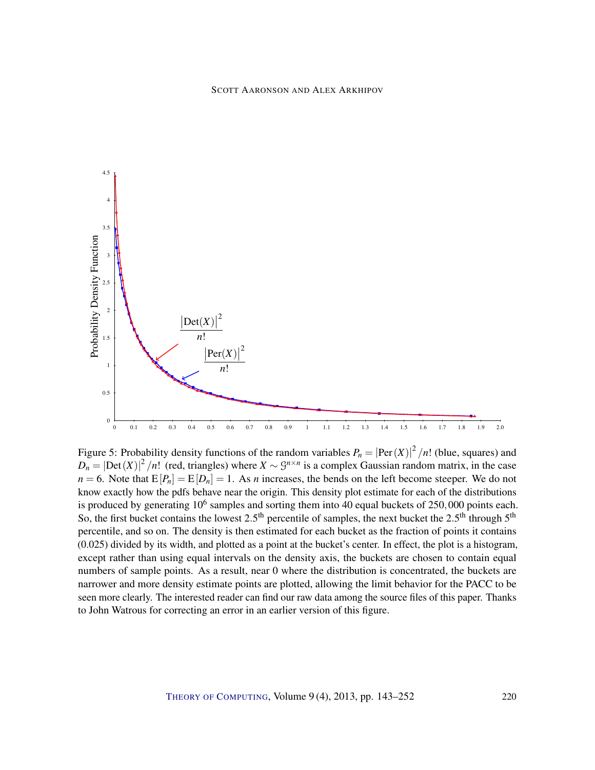

<span id="page-77-0"></span>Figure 5: Probability density functions of the random variables  $P_n = |\text{Per}(X)|^2 / n!$  (blue, squares) and  $D_n = |\text{Det}(X)|^2 / n!$  (red, triangles) where  $X \sim \mathcal{G}^{n \times n}$  is a complex Gaussian random matrix, in the case  $n = 6$ . Note that  $E[P_n] = E[D_n] = 1$ . As *n* increases, the bends on the left become steeper. We do not know exactly how the pdfs behave near the origin. This density plot estimate for each of the distributions is produced by generating  $10^6$  samples and sorting them into 40 equal buckets of 250,000 points each. So, the first bucket contains the lowest 2.5<sup>th</sup> percentile of samples, the next bucket the 2.5<sup>th</sup> through 5<sup>th</sup> percentile, and so on. The density is then estimated for each bucket as the fraction of points it contains (0.025) divided by its width, and plotted as a point at the bucket's center. In effect, the plot is a histogram, except rather than using equal intervals on the density axis, the buckets are chosen to contain equal numbers of sample points. As a result, near 0 where the distribution is concentrated, the buckets are narrower and more density estimate points are plotted, allowing the limit behavior for the PACC to be seen more clearly. The interested reader can find our raw data among the source files of this paper. Thanks to John Watrous for correcting an error in an earlier version of this figure.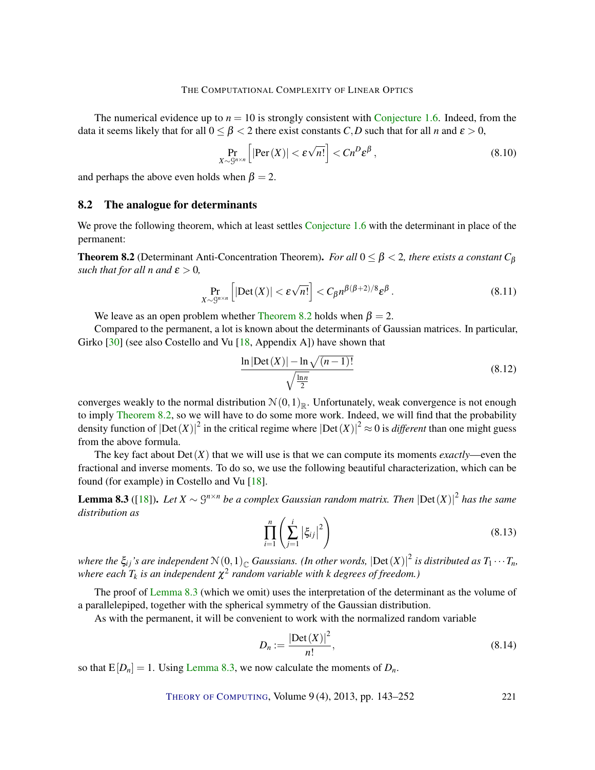<span id="page-78-3"></span>The numerical evidence up to  $n = 10$  is strongly consistent with [Conjecture](#page-10-0) [1.6.](#page-10-0) Indeed, from the data it seems likely that for all  $0 \le \beta < 2$  there exist constants *C*, *D* such that for all *n* and  $\varepsilon > 0$ ,

$$
\Pr_{X \sim \mathcal{G}^{n \times n}} \left[ \left| \text{Per}(X) \right| < \varepsilon \sqrt{n!} \right] < C n^D \varepsilon^\beta \,, \tag{8.10}
$$

and perhaps the above even holds when  $\beta = 2$ .

#### <span id="page-78-0"></span>8.2 The analogue for determinants

We prove the following theorem, which at least settles [Conjecture](#page-10-0) [1.6](#page-10-0) with the determinant in place of the permanent:

<span id="page-78-1"></span>**Theorem 8.2** (Determinant Anti-Concentration Theorem). *For all*  $0 \leq \beta < 2$ , *there exists a constant*  $C_{\beta}$ *such that for all n and*  $\varepsilon > 0$ ,

$$
\Pr_{X \sim \mathcal{G}^{n \times n}} \left[ |\mathrm{Det}(X)| < \varepsilon \sqrt{n!} \right] < C_{\beta} n^{\beta(\beta + 2)/8} \varepsilon^{\beta} \,. \tag{8.11}
$$

We leave as an open problem whether [Theorem](#page-78-1) [8.2](#page-78-1) holds when  $\beta = 2$ .

Compared to the permanent, a lot is known about the determinants of Gaussian matrices. In particular, Girko [\[30\]](#page-105-1) (see also Costello and Vu [\[18,](#page-104-0) Appendix A]) have shown that

$$
\frac{\ln|\text{Det}(X)| - \ln\sqrt{(n-1)!}}{\sqrt{\frac{\ln n}{2}}}
$$
\n(8.12)

converges weakly to the normal distribution  $N(0,1)_{\mathbb{R}}$ . Unfortunately, weak convergence is not enough to imply [Theorem](#page-78-1) [8.2,](#page-78-1) so we will have to do some more work. Indeed, we will find that the probability density function of  $|\text{Det}(X)|^2$  in the critical regime where  $|\text{Det}(X)|^2 \approx 0$  is *different* than one might guess from the above formula.

The key fact about  $Det(X)$  that we will use is that we can compute its moments *exactly—*even the fractional and inverse moments. To do so, we use the following beautiful characterization, which can be found (for example) in Costello and Vu [\[18\]](#page-104-0).

<span id="page-78-2"></span>**Lemma 8.3** ([\[18\]](#page-104-0)). Let  $X \sim \mathcal{G}^{n \times n}$  be a complex Gaussian random matrix. Then  $|\text{Det}(X)|^2$  has the same *distribution as*

$$
\prod_{i=1}^{n} \left( \sum_{j=1}^{i} |\xi_{ij}|^2 \right)
$$
\n(8.13)

where the  $\xi_{ij}$ 's are independent  $\mathcal{N}(0,1)_{\mathbb{C}}$  Gaussians. (In other words,  $|\text{Det}(X)|^2$  is distributed as  $T_1\cdots T_n$ , where each  $T_k$  is an independent  $\chi^2$  random variable with k degrees of freedom.)

The proof of [Lemma](#page-78-2) [8.3](#page-78-2) (which we omit) uses the interpretation of the determinant as the volume of a parallelepiped, together with the spherical symmetry of the Gaussian distribution.

As with the permanent, it will be convenient to work with the normalized random variable

$$
D_n := \frac{|\text{Det}(X)|^2}{n!},\tag{8.14}
$$

so that  $E[D_n] = 1$ . Using [Lemma](#page-78-2) [8.3,](#page-78-2) we now calculate the moments of  $D_n$ .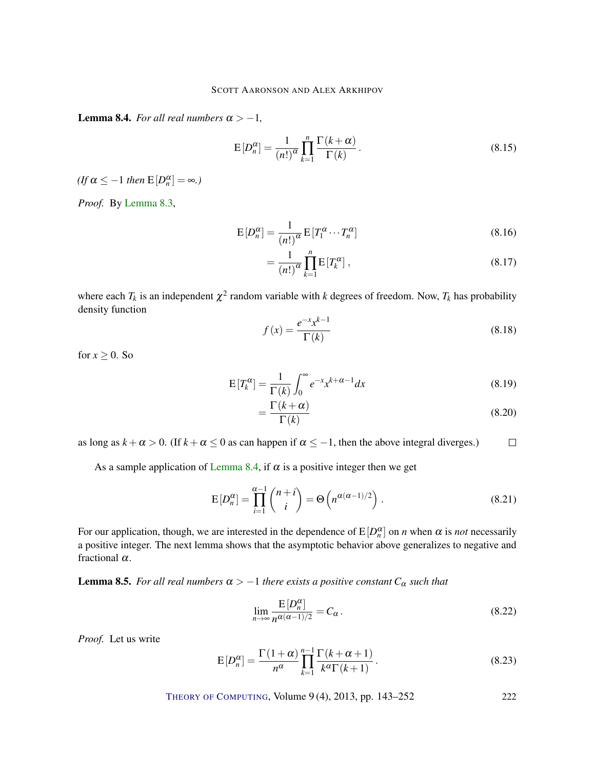<span id="page-79-0"></span>**Lemma 8.4.** *For all real numbers*  $\alpha > -1$ *,* 

$$
E[D_n^{\alpha}] = \frac{1}{(n!)^{\alpha}} \prod_{k=1}^n \frac{\Gamma(k+\alpha)}{\Gamma(k)}.
$$
\n(8.15)

 $(f \alpha \leq -1 \ then \ E[D_n^{\alpha}] = \infty)$ 

*Proof.* By [Lemma](#page-78-2) [8.3,](#page-78-2)

$$
E[D_n^{\alpha}] = \frac{1}{(n!)^{\alpha}} E[T_1^{\alpha} \cdots T_n^{\alpha}]
$$
\n(8.16)

$$
=\frac{1}{(n!)^{\alpha}}\prod_{k=1}^{n}\mathbf{E}[T_{k}^{\alpha}],
$$
\n(8.17)

where each  $T_k$  is an independent  $\chi^2$  random variable with *k* degrees of freedom. Now,  $T_k$  has probability density function

$$
f(x) = \frac{e^{-x}x^{k-1}}{\Gamma(k)}\tag{8.18}
$$

for  $x \geq 0$ . So

$$
E[T_k^{\alpha}] = \frac{1}{\Gamma(k)} \int_0^{\infty} e^{-x} x^{k+\alpha-1} dx
$$
\n(8.19)

$$
=\frac{\Gamma(k+\alpha)}{\Gamma(k)}\tag{8.20}
$$

as long as  $k + \alpha > 0$ . (If  $k + \alpha \leq 0$  as can happen if  $\alpha \leq -1$ , then the above integral diverges.)  $\Box$ 

As a sample application of [Lemma](#page-79-0) [8.4,](#page-79-0) if  $\alpha$  is a positive integer then we get

$$
E[D_n^{\alpha}] = \prod_{i=1}^{\alpha-1} {n+i \choose i} = \Theta\left(n^{\alpha(\alpha-1)/2}\right).
$$
 (8.21)

For our application, though, we are interested in the dependence of  $E[D_n^{\alpha}]$  on *n* when  $\alpha$  is *not* necessarily a positive integer. The next lemma shows that the asymptotic behavior above generalizes to negative and fractional  $\alpha$ .

**Lemma 8.5.** *For all real numbers*  $\alpha > -1$  *there exists a positive constant*  $C_{\alpha}$  *such that* 

$$
\lim_{n \to \infty} \frac{\mathcal{E}[D_n^{\alpha}]}{n^{\alpha(\alpha - 1)/2}} = C_{\alpha}.
$$
\n(8.22)

*Proof.* Let us write

$$
E[D_n^{\alpha}] = \frac{\Gamma(1+\alpha)}{n^{\alpha}} \prod_{k=1}^{n-1} \frac{\Gamma(k+\alpha+1)}{k^{\alpha} \Gamma(k+1)}.
$$
 (8.23)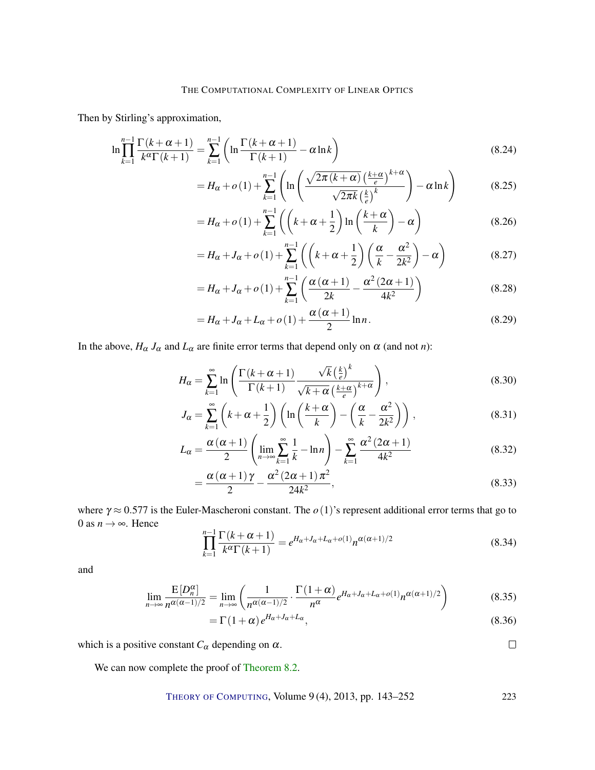Then by Stirling's approximation,

$$
\ln \prod_{k=1}^{n-1} \frac{\Gamma(k+\alpha+1)}{k^{\alpha} \Gamma(k+1)} = \sum_{k=1}^{n-1} \left( \ln \frac{\Gamma(k+\alpha+1)}{\Gamma(k+1)} - \alpha \ln k \right)
$$
(8.24)

$$
=H_{\alpha}+o(1)+\sum_{k=1}^{n-1}\left(\ln\left(\frac{\sqrt{2\pi\left(k+\alpha\right)}\left(\frac{k+\alpha}{e}\right)^{k+\alpha}}{\sqrt{2\pi k}\left(\frac{k}{e}\right)^{k}}\right)-\alpha\ln k\right)\tag{8.25}
$$

$$
=H_{\alpha}+o(1)+\sum_{k=1}^{n-1}\left(\left(k+\alpha+\frac{1}{2}\right)\ln\left(\frac{k+\alpha}{k}\right)-\alpha\right)
$$
(8.26)

$$
=H_{\alpha}+J_{\alpha}+o(1)+\sum_{k=1}^{n-1}\left(\left(k+\alpha+\frac{1}{2}\right)\left(\frac{\alpha}{k}-\frac{\alpha^2}{2k^2}\right)-\alpha\right) \tag{8.27}
$$

$$
=H_{\alpha}+J_{\alpha}+o(1)+\sum_{k=1}^{n-1}\left(\frac{\alpha\left(\alpha+1\right)}{2k}-\frac{\alpha^{2}\left(2\alpha+1\right)}{4k^{2}}\right)
$$
(8.28)

$$
=H_{\alpha}+J_{\alpha}+L_{\alpha}+o(1)+\frac{\alpha(\alpha+1)}{2}\ln n.
$$
\n(8.29)

In the above,  $H_{\alpha}$  *J*<sub>α</sub> and  $L_{\alpha}$  are finite error terms that depend only on  $\alpha$  (and not *n*):

$$
H_{\alpha} = \sum_{k=1}^{\infty} \ln \left( \frac{\Gamma(k+\alpha+1)}{\Gamma(k+1)} \frac{\sqrt{k} \left(\frac{k}{e}\right)^k}{\sqrt{k+\alpha} \left(\frac{k+\alpha}{e}\right)^{k+\alpha}} \right),\tag{8.30}
$$

$$
J_{\alpha} = \sum_{k=1}^{\infty} \left( k + \alpha + \frac{1}{2} \right) \left( \ln \left( \frac{k + \alpha}{k} \right) - \left( \frac{\alpha}{k} - \frac{\alpha^2}{2k^2} \right) \right), \tag{8.31}
$$

$$
L_{\alpha} = \frac{\alpha (\alpha + 1)}{2} \left( \lim_{n \to \infty} \sum_{k=1}^{\infty} \frac{1}{k} - \ln n \right) - \sum_{k=1}^{\infty} \frac{\alpha^2 (2\alpha + 1)}{4k^2}
$$
(8.32)

$$
=\frac{\alpha\left(\alpha+1\right)\gamma}{2}-\frac{\alpha^{2}\left(2\alpha+1\right)\pi^{2}}{24k^{2}},\tag{8.33}
$$

where  $\gamma \approx 0.577$  is the Euler-Mascheroni constant. The  $o(1)$ 's represent additional error terms that go to 0 as  $n \rightarrow \infty$ . Hence

$$
\prod_{k=1}^{n-1} \frac{\Gamma(k+\alpha+1)}{k^{\alpha} \Gamma(k+1)} = e^{H_{\alpha} + J_{\alpha} + L_{\alpha} + o(1)} n^{\alpha(\alpha+1)/2}
$$
\n(8.34)

and

$$
\lim_{n \to \infty} \frac{\mathbb{E}[D_n^{\alpha}]}{n^{\alpha(\alpha - 1)/2}} = \lim_{n \to \infty} \left( \frac{1}{n^{\alpha(\alpha - 1)/2}} \cdot \frac{\Gamma(1 + \alpha)}{n^{\alpha}} e^{H_{\alpha} + J_{\alpha} + L_{\alpha} + o(1)} n^{\alpha(\alpha + 1)/2} \right)
$$
(8.35)

$$
= \Gamma(1+\alpha) e^{H_{\alpha}+J_{\alpha}+L_{\alpha}}, \tag{8.36}
$$

 $\Box$ 

which is a positive constant  $C_{\alpha}$  depending on  $\alpha$ .

We can now complete the proof of [Theorem](#page-78-1) [8.2.](#page-78-1)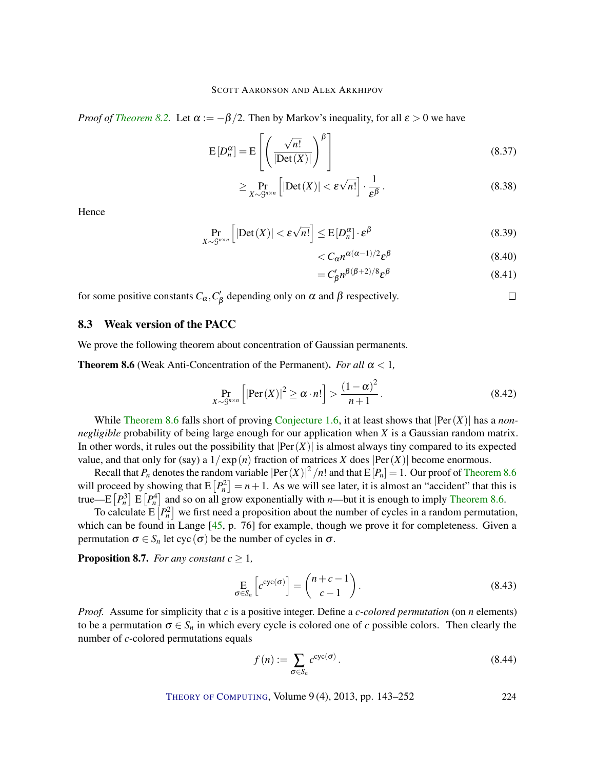<span id="page-81-2"></span>*Proof of [Theorem](#page-78-1) [8.2.](#page-78-1)* Let  $\alpha := -\beta/2$ . Then by Markov's inequality, for all  $\varepsilon > 0$  we have

$$
E[D_n^{\alpha}] = E\left[\left(\frac{\sqrt{n!}}{|\text{Det}(X)|}\right)^{\beta}\right]
$$
\n(8.37)

$$
\geq \Pr_{X \sim \mathcal{G}^{n \times n}} \left[ |\mathrm{Det}(X)| < \varepsilon \sqrt{n!} \right] \cdot \frac{1}{\varepsilon^{\beta}}. \tag{8.38}
$$

Hence

$$
\Pr_{X \sim \mathcal{G}^{n \times n}} \left[ |\mathrm{Det}(X)| < \varepsilon \sqrt{n!} \right] \le \mathrm{E}[D_n^{\alpha}] \cdot \varepsilon^{\beta} \tag{8.39}
$$

$$
\langle C_{\alpha} n^{\alpha(\alpha-1)/2} \varepsilon^{\beta} \tag{8.40}
$$

$$
=C'_{\beta}n^{\beta(\beta+2)/8}\varepsilon^{\beta}\tag{8.41}
$$

 $\Box$ 

for some positive constants  $C_{\alpha}$ ,  $C'_{\beta}$  $\beta$  depending only on α and β respectively.

## 8.3 Weak version of the PACC

We prove the following theorem about concentration of Gaussian permanents.

<span id="page-81-0"></span>**Theorem 8.6** (Weak Anti-Concentration of the Permanent). *For all*  $\alpha$  < 1,

$$
\Pr_{X \sim \mathcal{G}^{n \times n}} \left[ \left| \text{Per}(X) \right|^2 \ge \alpha \cdot n! \right] > \frac{\left( 1 - \alpha \right)^2}{n + 1} \,. \tag{8.42}
$$

While [Theorem](#page-81-0) [8.6](#page-81-0) falls short of proving [Conjecture](#page-10-0) [1.6,](#page-10-0) it at least shows that |Per(*X*)| has a *nonnegligible* probability of being large enough for our application when *X* is a Gaussian random matrix. In other words, it rules out the possibility that  $|\text{Per}(X)|$  is almost always tiny compared to its expected value, and that only for (say) a  $1/\exp(n)$  fraction of matrices *X* does  $|Per(X)|$  become enormous.

Recall that  $P_n$  denotes the random variable  $|\text{Per}(X)|^2/n!$  and that  $E[P_n] = 1$ . Our proof of [Theorem](#page-81-0) [8.6](#page-81-0) will proceed by showing that  $E[P_n^2] = n + 1$ . As we will see later, it is almost an "accident" that this is true—E  $[P_n^3]$  E  $[P_n^4]$  and so on all grow exponentially with *n*—but it is enough to imply [Theorem](#page-81-0) [8.6.](#page-81-0)

To calculate  $E\left[P_n^2\right]$  we first need a proposition about the number of cycles in a random permutation, which can be found in Lange [\[45,](#page-106-0) p. 76] for example, though we prove it for completeness. Given a permutation  $σ ∈ S<sub>n</sub>$  let cyc( $σ$ ) be the number of cycles in  $σ$ .

<span id="page-81-1"></span>**Proposition 8.7.** *For any constant*  $c \geq 1$ *,* 

$$
\mathop{\mathbf{E}}_{\sigma \in S_n} \left[ c^{\operatorname{cyc}(\sigma)} \right] = \binom{n+c-1}{c-1} . \tag{8.43}
$$

*Proof.* Assume for simplicity that *c* is a positive integer. Define a *c-colored permutation* (on *n* elements) to be a permutation  $\sigma \in S_n$  in which every cycle is colored one of *c* possible colors. Then clearly the number of *c*-colored permutations equals

$$
f(n) := \sum_{\sigma \in S_n} c^{\operatorname{cyc}(\sigma)}.
$$
\n(8.44)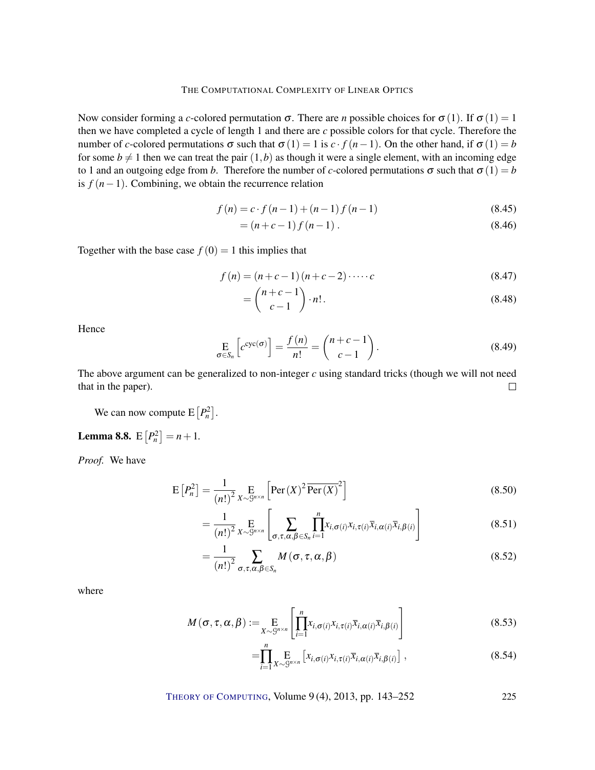Now consider forming a *c*-colored permutation  $\sigma$ . There are *n* possible choices for  $\sigma(1)$ . If  $\sigma(1) = 1$ then we have completed a cycle of length 1 and there are *c* possible colors for that cycle. Therefore the number of *c*-colored permutations  $\sigma$  such that  $\sigma(1) = 1$  is  $c \cdot f(n-1)$ . On the other hand, if  $\sigma(1) = b$ for some  $b \neq 1$  then we can treat the pair  $(1,b)$  as though it were a single element, with an incoming edge to 1 and an outgoing edge from *b*. Therefore the number of *c*-colored permutations  $\sigma$  such that  $\sigma(1) = b$ is  $f(n-1)$ . Combining, we obtain the recurrence relation

$$
f(n) = c \cdot f(n-1) + (n-1)f(n-1)
$$
\n(8.45)

$$
= (n + c - 1) f (n - 1).
$$
 (8.46)

Together with the base case  $f(0) = 1$  this implies that

$$
f(n) = (n+c-1)(n+c-2)\cdots c
$$
 (8.47)

$$
= \binom{n+c-1}{c-1} \cdot n!.
$$
\n(8.48)

Hence

$$
\mathop{\mathbf{E}}_{\sigma \in S_n} \left[ c^{\operatorname{cyc}(\sigma)} \right] = \frac{f(n)}{n!} = \binom{n+c-1}{c-1} . \tag{8.49}
$$

The above argument can be generalized to non-integer *c* using standard tricks (though we will not need  $\Box$ that in the paper).

We can now compute  $E[P_n^2]$ .

<span id="page-82-1"></span>**Lemma 8.8.** 
$$
E[P_n^2] = n + 1.
$$

*Proof.* We have

$$
E[P_n^2] = \frac{1}{(n!)^2} \underset{X \sim \mathcal{G}^{n \times n}}{E} \left[ \text{Per}(X)^2 \overline{\text{Per}(X)}^2 \right]
$$
(8.50)

$$
= \frac{1}{(n!)^2} \mathop{\mathbf{E}}_{X \sim \mathcal{G}^{n \times n}} \left[ \sum_{\sigma, \tau, \alpha, \beta \in S_n} \prod_{i=1}^n x_{i, \sigma(i)} x_{i, \tau(i)} \overline{x}_{i, \alpha(i)} \overline{x}_{i, \beta(i)} \right]
$$
(8.51)

$$
=\frac{1}{(n!)^2}\sum_{\sigma,\tau,\alpha,\beta\in S_n}M(\sigma,\tau,\alpha,\beta)
$$
\n(8.52)

where

$$
M(\sigma, \tau, \alpha, \beta) := \underset{X \sim \mathcal{G}^{n \times n}}{\mathbb{E}} \left[ \prod_{i=1}^{n} x_{i, \sigma(i)} x_{i, \tau(i)} \overline{x}_{i, \alpha(i)} \overline{x}_{i, \beta(i)} \right]
$$
(8.53)

<span id="page-82-0"></span>
$$
= \prod_{i=1}^{n} \underset{X \sim \mathcal{G}^{n \times n}}{\mathbf{E}} \left[ x_{i,\sigma(i)} x_{i,\tau(i)} \overline{x}_{i,\alpha(i)} \overline{x}_{i,\beta(i)} \right], \qquad (8.54)
$$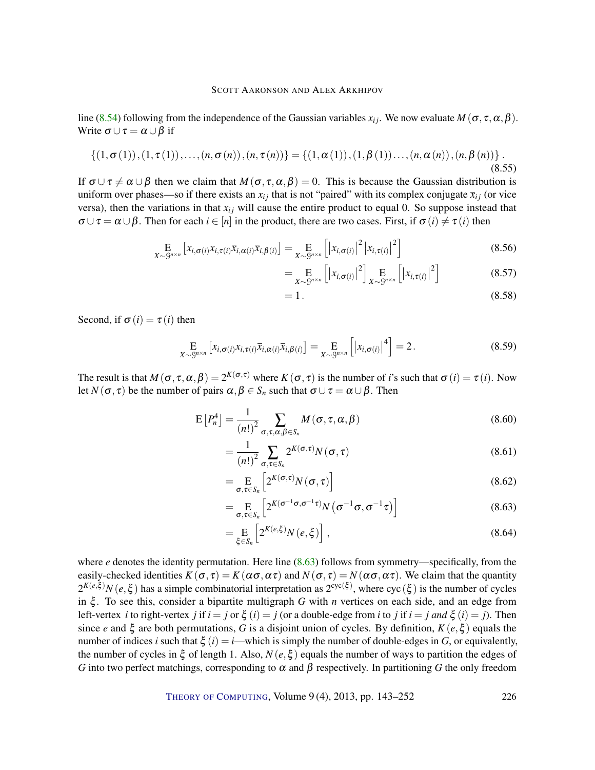line [\(8.54\)](#page-82-0) following from the independence of the Gaussian variables  $x_{ij}$ . We now evaluate  $M(\sigma, \tau, \alpha, \beta)$ . Write  $\sigma \cup \tau = \alpha \cup \beta$  if

$$
\{(1, \sigma(1)), (1, \tau(1)), ..., (n, \sigma(n)), (n, \tau(n))\} = \{(1, \alpha(1)), (1, \beta(1)), ..., (n, \alpha(n)), (n, \beta(n))\}.
$$
\n(8.55)

If  $\sigma \cup \tau \neq \alpha \cup \beta$  then we claim that *M*( $\sigma, \tau, \alpha, \beta$ ) = 0. This is because the Gaussian distribution is uniform over phases—so if there exists an  $x_{ij}$  that is not "paired" with its complex conjugate  $\bar{x}_{ij}$  (or vice versa), then the variations in that  $x_{ij}$  will cause the entire product to equal 0. So suppose instead that  $\sigma \cup \tau = \alpha \cup \beta$ . Then for each  $i \in [n]$  in the product, there are two cases. First, if  $\sigma(i) \neq \tau(i)$  then

$$
\underset{X \sim \mathcal{G}^{n \times n}}{\mathbf{E}} \left[ x_{i,\sigma(i)} x_{i,\tau(i)} \overline{x}_{i,\alpha(i)} \overline{x}_{i,\beta(i)} \right] = \underset{X \sim \mathcal{G}^{n \times n}}{\mathbf{E}} \left[ \left| x_{i,\sigma(i)} \right|^2 \left| x_{i,\tau(i)} \right|^2 \right] \tag{8.56}
$$

$$
= \underset{X \sim \mathcal{G}^{n \times n}}{\mathbf{E}} \left[ \left| x_{i,\sigma(i)} \right|^2 \right] \underset{X \sim \mathcal{G}^{n \times n}}{\mathbf{E}} \left[ \left| x_{i,\tau(i)} \right|^2 \right] \tag{8.57}
$$

$$
=1.
$$

Second, if  $\sigma(i) = \tau(i)$  then

$$
\underset{X \sim \mathcal{G}^{n \times n}}{\mathbf{E}} \left[ x_{i,\sigma(i)} x_{i,\tau(i)} \overline{x}_{i,\alpha(i)} \overline{x}_{i,\beta(i)} \right] = \underset{X \sim \mathcal{G}^{n \times n}}{\mathbf{E}} \left[ \left| x_{i,\sigma(i)} \right|^4 \right] = 2. \tag{8.59}
$$

The result is that  $M(\sigma, \tau, \alpha, \beta) = 2^{K(\sigma, \tau)}$  where  $K(\sigma, \tau)$  is the number of *i*'s such that  $\sigma(i) = \tau(i)$ . Now let *N* ( $\sigma$ ,  $\tau$ ) be the number of pairs  $\alpha$ ,  $\beta \in S_n$  such that  $\sigma \cup \tau = \alpha \cup \beta$ . Then

$$
E[P_n^4] = \frac{1}{(n!)^2} \sum_{\sigma,\tau,\alpha,\beta \in S_n} M(\sigma,\tau,\alpha,\beta)
$$
\n(8.60)

$$
=\frac{1}{(n!)^2}\sum_{\sigma,\tau\in S_n}2^{K(\sigma,\tau)}N(\sigma,\tau)
$$
\n(8.61)

<span id="page-83-0"></span>
$$
= \underset{\sigma,\tau \in S_n}{\mathrm{E}} \left[ 2^{K(\sigma,\tau)} N(\sigma,\tau) \right] \tag{8.62}
$$

$$
= \underset{\sigma,\tau \in S_n}{\mathrm{E}} \left[ 2^{K(\sigma^{-1}\sigma,\sigma^{-1}\tau)} N\left(\sigma^{-1}\sigma,\sigma^{-1}\tau\right) \right]
$$
(8.63)

$$
= \underset{\xi \in S_n}{\mathrm{E}} \left[ 2^{K(e,\xi)} N(e,\xi) \right], \tag{8.64}
$$

where *e* denotes the identity permutation. Here line [\(8.63\)](#page-83-0) follows from symmetry—specifically, from the easily-checked identities  $K(\sigma, \tau) = K(\alpha \sigma, \alpha \tau)$  and  $N(\sigma, \tau) = N(\alpha \sigma, \alpha \tau)$ . We claim that the quantity  $2^{K(e,\xi)}N(e,\xi)$  has a simple combinatorial interpretation as  $2^{cyc(\xi)}$ , where  $cyc(\xi)$  is the number of cycles in ξ . To see this, consider a bipartite multigraph *G* with *n* vertices on each side, and an edge from left-vertex *i* to right-vertex *j* if  $i = j$  or  $\xi(i) = j$  (or a double-edge from *i* to *j* if  $i = j$  *and*  $\xi(i) = j$ ). Then since *e* and  $\xi$  are both permutations, *G* is a disjoint union of cycles. By definition,  $K(e, \xi)$  equals the number of indices *i* such that  $\xi(i) = i$ —which is simply the number of double-edges in *G*, or equivalently, the number of cycles in  $\xi$  of length 1. Also,  $N(e,\xi)$  equals the number of ways to partition the edges of *G* into two perfect matchings, corresponding to  $\alpha$  and  $\beta$  respectively. In partitioning *G* the only freedom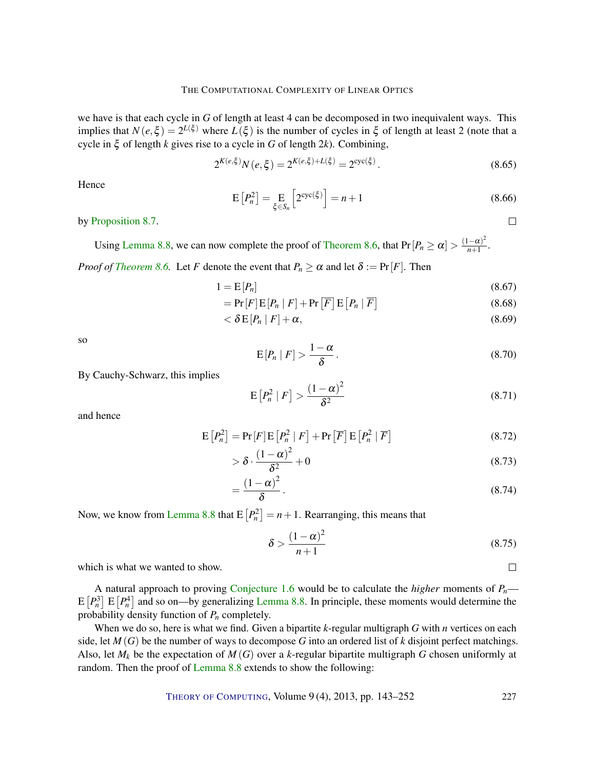we have is that each cycle in *G* of length at least 4 can be decomposed in two inequivalent ways. This implies that  $N(e,\xi) = 2^{L(\xi)}$  where  $L(\xi)$  is the number of cycles in  $\xi$  of length at least 2 (note that a cycle in ξ of length *k* gives rise to a cycle in *G* of length 2*k*). Combining,

$$
2^{K(e,\xi)}N(e,\xi) = 2^{K(e,\xi) + L(\xi)} = 2^{\text{cyc}(\xi)}.
$$
\n(8.65)

Hence

$$
E[P_n^2] = E_{\xi \in S_n} \left[ 2^{\text{cyc}(\xi)} \right] = n + 1 \tag{8.66}
$$

by [Proposition](#page-81-1) [8.7.](#page-81-1)

Using [Lemma](#page-82-1) [8.8,](#page-82-1) we can now complete the proof of [Theorem](#page-81-0) [8.6,](#page-81-0) that  $Pr[P_n \ge \alpha] > \frac{(1-\alpha)^2}{n+1}$  $\frac{n-\alpha}{n+1}$ . *Proof of [Theorem](#page-81-0) [8.6.](#page-81-0)* Let *F* denote the event that  $P_n \ge \alpha$  and let  $\delta := \Pr[F]$ . Then

$$
1 = E[P_n] \tag{8.67}
$$

$$
= \Pr[F] E[P_n | F] + \Pr[\overline{F}] E[P_n | \overline{F}]
$$
\n(8.68)

$$
\langle \delta E[P_n \mid F] + \alpha, \tag{8.69}
$$

so

$$
\mathbb{E}\left[P_n \mid F\right] > \frac{1-\alpha}{\delta} \,. \tag{8.70}
$$

By Cauchy-Schwarz, this implies

$$
\mathbb{E}\left[P_n^2 \mid F\right] > \frac{\left(1 - \alpha\right)^2}{\delta^2} \tag{8.71}
$$

and hence

$$
E[P_n^2] = Pr[F]E[P_n^2 | F] + Pr[\overline{F}]E[P_n^2 | \overline{F}]
$$
\n(8.72)

$$
>\delta \cdot \frac{\left(1-\alpha\right)^2}{\delta^2} + 0\tag{8.73}
$$

$$
=\frac{(1-\alpha)^2}{\delta}.
$$
\n(8.74)

Now, we know from [Lemma](#page-82-1) [8.8](#page-82-1) that  $E[P_n^2] = n + 1$ . Rearranging, this means that

$$
\delta > \frac{(1-\alpha)^2}{n+1} \tag{8.75}
$$

which is what we wanted to show.

A natural approach to proving [Conjecture](#page-10-0) [1.6](#page-10-0) would be to calculate the *higher* moments of  $P_n$ —  $E[P_n^3] E[P_n^4]$  and so on—by generalizing [Lemma](#page-82-1) [8.8.](#page-82-1) In principle, these moments would determine the probability density function of *P<sup>n</sup>* completely.

When we do so, here is what we find. Given a bipartite *k*-regular multigraph *G* with *n* vertices on each side, let *M* (*G*) be the number of ways to decompose *G* into an ordered list of *k* disjoint perfect matchings. Also, let *M<sup>k</sup>* be the expectation of *M* (*G*) over a *k*-regular bipartite multigraph *G* chosen uniformly at random. Then the proof of [Lemma](#page-82-1) [8.8](#page-82-1) extends to show the following:

THEORY OF C[OMPUTING](http://dx.doi.org/10.4086/toc), Volume 9(4), 2013, pp. 143–252 227

$$
\Box
$$

 $\Box$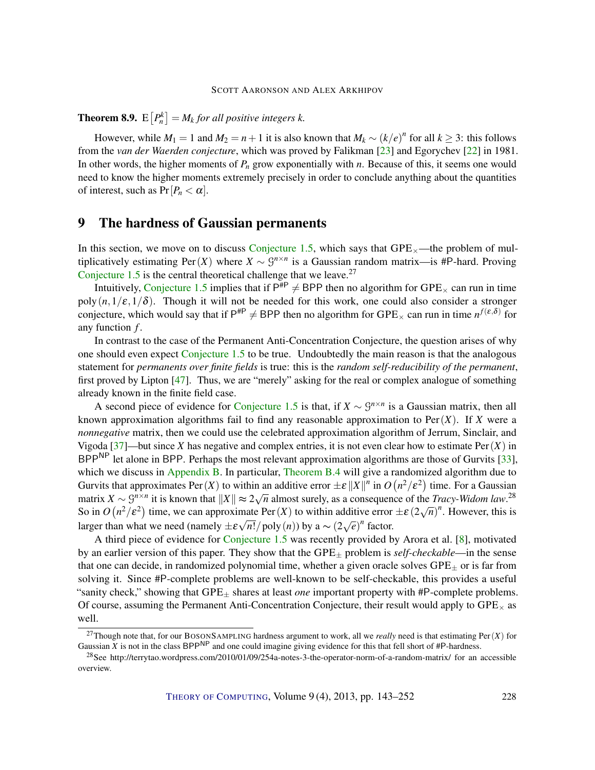<span id="page-85-0"></span>**Theorem 8.9.**  $E[P_n^k] = M_k$  for all positive integers k.

However, while  $M_1 = 1$  and  $M_2 = n + 1$  it is also known that  $M_k \sim (k/e)^n$  for all  $k \geq 3$ : this follows from the *van der Waerden conjecture*, which was proved by Falikman [\[23\]](#page-105-2) and Egorychev [\[22\]](#page-105-3) in 1981. In other words, the higher moments of  $P_n$  grow exponentially with  $n$ . Because of this, it seems one would need to know the higher moments extremely precisely in order to conclude anything about the quantities of interest, such as  $Pr[P_n < \alpha]$ .

## 9 The hardness of Gaussian permanents

In this section, we move on to discuss [Conjecture](#page-10-2) [1.5,](#page-10-2) which says that  $\text{GPE}_{\times}$ —the problem of multiplicatively estimating Per(*X*) where  $X \sim \mathcal{G}^{n \times n}$  is a Gaussian random matrix—is #P-hard. Proving [Conjecture](#page-10-2) [1.5](#page-10-2) is the central theoretical challenge that we leave.<sup>27</sup>

Intuitively, [Conjecture](#page-10-2) [1.5](#page-10-2) implies that if  $\mathsf{P}^{\#P} \neq$  BPP then no algorithm for  $\text{GPE}_{\times}$  can run in time poly  $(n,1/\varepsilon,1/\delta)$ . Though it will not be needed for this work, one could also consider a stronger conjecture, which would say that if  $P^{HP} \neq BPP$  then no algorithm for  $GPE_\times$  can run in time  $n^{f(\epsilon,\delta)}$  for any function *f* .

In contrast to the case of the Permanent Anti-Concentration Conjecture, the question arises of why one should even expect [Conjecture](#page-10-2) [1.5](#page-10-2) to be true. Undoubtedly the main reason is that the analogous statement for *permanents over finite fields* is true: this is the *random self-reducibility of the permanent*, first proved by Lipton [\[47\]](#page-106-1). Thus, we are "merely" asking for the real or complex analogue of something already known in the finite field case.

A second piece of evidence for [Conjecture](#page-10-2) [1.5](#page-10-2) is that, if  $X \sim \mathcal{G}^{n \times n}$  is a Gaussian matrix, then all known approximation algorithms fail to find any reasonable approximation to Per $(X)$ . If *X* were a *nonnegative* matrix, then we could use the celebrated approximation algorithm of Jerrum, Sinclair, and Vigoda [\[37\]](#page-106-2)—but since *X* has negative and complex entries, it is not even clear how to estimate Per $(X)$  in  $BPP<sup>NP</sup>$  let alone in BPP. Perhaps the most relevant approximation algorithms are those of Gurvits [\[33\]](#page-105-4), which we discuss in [Appendix](#page-96-0) [B.](#page-96-0) In particular, [Theorem](#page-97-0) [B.4](#page-97-0) will give a randomized algorithm due to Gurvits that approximates Per(*X*) to within an additive error  $\pm \varepsilon ||X||^n$  in  $O(n^2/\varepsilon^2)$  time. For a Gaussian  $\lim_{x \to a} X \sim \mathcal{G}^{n \times n}$  it is known that  $||X|| \approx 2\sqrt{n}$  $\overline{n}$  almost surely, as a consequence of the *Tracy-Widom law*.<sup>28</sup> So in  $O(n^2/\varepsilon^2)$  time, we can approximate Per(*X*) to within additive error  $\pm \varepsilon (2\sqrt{n})^n$ . However, this is larger than what we need (namely  $\pm \varepsilon \sqrt{n!}/poly(n)$ ) by a ~  $(2\sqrt{e})^n$  factor.

A third piece of evidence for [Conjecture](#page-10-2) [1.5](#page-10-2) was recently provided by Arora et al. [\[8\]](#page-103-0), motivated by an earlier version of this paper. They show that the GPE<sup>±</sup> problem is *self-checkable*—in the sense that one can decide, in randomized polynomial time, whether a given oracle solves  $\text{GPE}_{\pm}$  or is far from solving it. Since #P-complete problems are well-known to be self-checkable, this provides a useful "sanity check," showing that GPE<sub> $\pm$ </sub> shares at least *one* important property with #P-complete problems. Of course, assuming the Permanent Anti-Concentration Conjecture, their result would apply to  $\text{GPE}_{\times}$  as well.

<sup>&</sup>lt;sup>27</sup>Though note that, for our BOSONSAMPLING hardness argument to work, all we *really* need is that estimating Per $(X)$  for Gaussian  $\bar{X}$  is not in the class BPP<sup>NP</sup> and one could imagine giving evidence for this that fell short of #P-hardness.

<sup>28</sup>See http://terrytao.wordpress.com/2010/01/09/254a-notes-3-the-operator-norm-of-a-random-matrix/ for an accessible overview.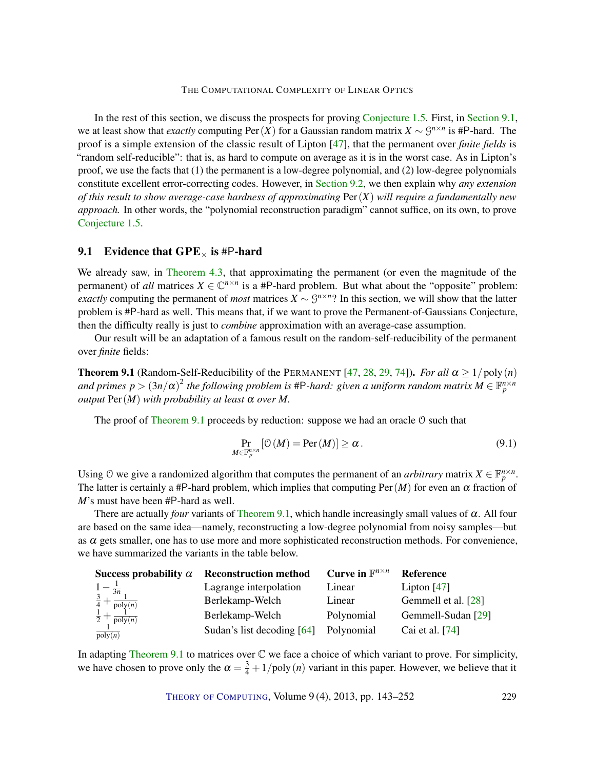<span id="page-86-2"></span>In the rest of this section, we discuss the prospects for proving [Conjecture](#page-10-2) [1.5.](#page-10-2) First, in [Section](#page-86-0) [9.1,](#page-86-0) we at least show that *exactly* computing Per(*X*) for a Gaussian random matrix  $X \sim \mathcal{G}^{n \times n}$  is #P-hard. The proof is a simple extension of the classic result of Lipton [\[47\]](#page-106-1), that the permanent over *finite fields* is "random self-reducible": that is, as hard to compute on average as it is in the worst case. As in Lipton's proof, we use the facts that (1) the permanent is a low-degree polynomial, and (2) low-degree polynomials constitute excellent error-correcting codes. However, in [Section](#page-90-0) [9.2,](#page-90-0) we then explain why *any extension of this result to show average-case hardness of approximating* Per(*X*) *will require a fundamentally new approach.* In other words, the "polynomial reconstruction paradigm" cannot suffice, on its own, to prove [Conjecture](#page-10-2) [1.5.](#page-10-2)

## <span id="page-86-0"></span>9.1 Evidence that  $\text{GPE}_{\times}$  is #P-hard

We already saw, in [Theorem](#page-33-0) [4.3,](#page-33-0) that approximating the permanent (or even the magnitude of the permanent) of *all* matrices  $X \in \mathbb{C}^{n \times n}$  is a #P-hard problem. But what about the "opposite" problem: *exactly* computing the permanent of *most* matrices  $X \sim \mathcal{G}^{n \times n}$ ? In this section, we will show that the latter problem is #P-hard as well. This means that, if we want to prove the Permanent-of-Gaussians Conjecture, then the difficulty really is just to *combine* approximation with an average-case assumption.

Our result will be an adaptation of a famous result on the random-self-reducibility of the permanent over *finite* fields:

<span id="page-86-1"></span>**Theorem 9.1** (Random-Self-Reducibility of the PERMANENT [\[47,](#page-106-1) [28,](#page-105-5) [29,](#page-105-6) [74\]](#page-108-1)). *For all*  $\alpha \geq 1/\text{poly}(n)$ and primes  $p > (3n/\alpha)^2$  the following problem is #P-hard: given a uniform random matrix  $M \in \mathbb{F}_p^{n \times n}$ *output*  $\text{Per}(M)$  *with probability at least*  $\alpha$  *over*  $M$ *.* 

The proof of [Theorem](#page-86-1) [9.1](#page-86-1) proceeds by reduction: suppose we had an oracle  $\theta$  such that

$$
\Pr_{M \in \mathbb{F}_p^{n \times n}} \left[ \mathcal{O} \left( M \right) = \text{Per} \left( M \right) \right] \ge \alpha \,. \tag{9.1}
$$

Using 0 we give a randomized algorithm that computes the permanent of an *arbitrary* matrix  $X \in \mathbb{F}_p^{n \times n}$ . The latter is certainly a #P-hard problem, which implies that computing Per $(M)$  for even an  $\alpha$  fraction of *M*'s must have been #P-hard as well.

There are actually *four* variants of [Theorem](#page-86-1) [9.1,](#page-86-1) which handle increasingly small values of  $\alpha$ . All four are based on the same idea—namely, reconstructing a low-degree polynomial from noisy samples—but as  $\alpha$  gets smaller, one has to use more and more sophisticated reconstruction methods. For convenience, we have summarized the variants in the table below.

| Success probability $\alpha$                                                  | <b>Reconstruction method</b>          | Curve in $\mathbb{F}^{n \times n}$ | Reference           |
|-------------------------------------------------------------------------------|---------------------------------------|------------------------------------|---------------------|
| $\frac{1}{3} - \frac{1}{3n}$                                                  | Lagrange interpolation                | Linear                             | Lipton $[47]$       |
| $\frac{2}{4} + \frac{1}{\text{poly}(n)}$                                      | Berlekamp-Welch                       | Linear                             | Gemmell et al. [28] |
| $\overline{2} + \frac{\overline{p} \cdot \overline{p}}{p} \cdot \overline{p}$ | Berlekamp-Welch                       | Polynomial                         | Gemmell-Sudan [29]  |
| $\overline{\text{poly}(n)}$                                                   | Sudan's list decoding [64] Polynomial |                                    | Cai et al. [74]     |

In adapting [Theorem](#page-86-1) [9.1](#page-86-1) to matrices over  $\mathbb C$  we face a choice of which variant to prove. For simplicity, we have chosen to prove only the  $\alpha = \frac{3}{4} + 1$ /poly $(n)$  variant in this paper. However, we believe that it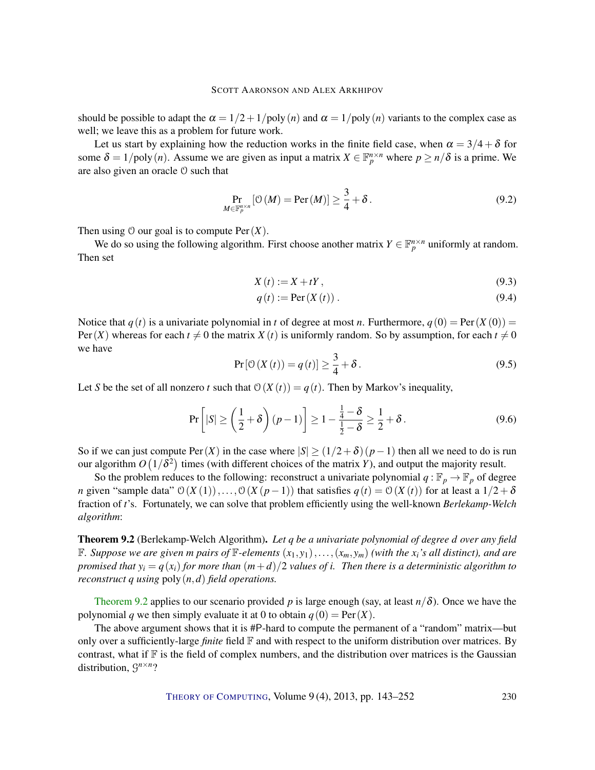should be possible to adapt the  $\alpha = 1/2 + 1/poly(n)$  and  $\alpha = 1/poly(n)$  variants to the complex case as well; we leave this as a problem for future work.

Let us start by explaining how the reduction works in the finite field case, when  $\alpha = 3/4 + \delta$  for some  $\delta = 1/\text{poly}(n)$ . Assume we are given as input a matrix  $X \in \mathbb{F}_p^{n \times n}$  where  $p \ge n/\delta$  is a prime. We are also given an oracle O such that

$$
\Pr_{M \in \mathbb{F}_p^{n \times n}} \left[ \mathcal{O} \left( M \right) = \text{Per} \left( M \right) \right] \ge \frac{3}{4} + \delta \,. \tag{9.2}
$$

Then using  $\mathcal O$  our goal is to compute Per $(X)$ .

We do so using the following algorithm. First choose another matrix  $Y \in \mathbb{F}_p^{n \times n}$  uniformly at random. Then set

$$
X(t) := X + tY, \tag{9.3}
$$

$$
q(t) := \operatorname{Per}(X(t)).\tag{9.4}
$$

Notice that  $q(t)$  is a univariate polynomial in *t* of degree at most *n*. Furthermore,  $q(0) = Per(X(0)) =$ Per(*X*) whereas for each  $t \neq 0$  the matrix  $X(t)$  is uniformly random. So by assumption, for each  $t \neq 0$ we have

$$
Pr[O(X(t)) = q(t)] \ge \frac{3}{4} + \delta.
$$
 (9.5)

Let *S* be the set of all nonzero *t* such that  $O(X(t)) = q(t)$ . Then by Markov's inequality,

$$
\Pr\left[|S| \ge \left(\frac{1}{2} + \delta\right)(p-1)\right] \ge 1 - \frac{\frac{1}{4} - \delta}{\frac{1}{2} - \delta} \ge \frac{1}{2} + \delta. \tag{9.6}
$$

So if we can just compute Per(*X*) in the case where  $|S| \ge (1/2 + \delta)(p-1)$  then all we need to do is run our algorithm  $O(1/\delta^2)$  times (with different choices of the matrix *Y*), and output the majority result.

So the problem reduces to the following: reconstruct a univariate polynomial  $q : \mathbb{F}_p \to \mathbb{F}_p$  of degree *n* given "sample data"  $O(X(1)),...,O(X(p-1))$  that satisfies  $q(t) = O(X(t))$  for at least a  $1/2+\delta$ fraction of *t*'s. Fortunately, we can solve that problem efficiently using the well-known *Berlekamp-Welch algorithm*:

<span id="page-87-0"></span>Theorem 9.2 (Berlekamp-Welch Algorithm). *Let q be a univariate polynomial of degree d over any field* F. Suppose we are given *m* pairs of  $\mathbb{F}$ -elements  $(x_1, y_1), \ldots, (x_m, y_m)$  (with the  $x_i$ 's all distinct), and are *promised that*  $y_i = q(x_i)$  *for more than*  $(m+d)/2$  *values of i. Then there is a deterministic algorithm to reconstruct q using* poly(*n*,*d*) *field operations.*

[Theorem](#page-87-0) [9.2](#page-87-0) applies to our scenario provided *p* is large enough (say, at least *n*/δ). Once we have the polynomial *q* we then simply evaluate it at 0 to obtain  $q(0) = \text{Per}(X)$ .

The above argument shows that it is #P-hard to compute the permanent of a "random" matrix—but only over a sufficiently-large *finite* field F and with respect to the uniform distribution over matrices. By contrast, what if  $\mathbb F$  is the field of complex numbers, and the distribution over matrices is the Gaussian distribution, G *n*×*n* ?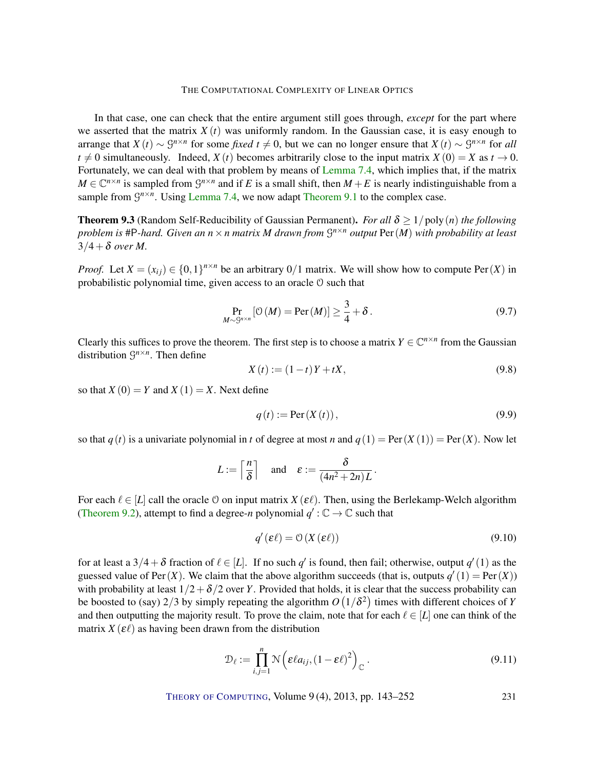In that case, one can check that the entire argument still goes through, *except* for the part where we asserted that the matrix  $X(t)$  was uniformly random. In the Gaussian case, it is easy enough to arrange that  $X(t) \sim \mathcal{G}^{n \times n}$  for some *fixed*  $t \neq 0$ , but we can no longer ensure that  $X(t) \sim \mathcal{G}^{n \times n}$  for *all*  $t \neq 0$  simultaneously. Indeed, *X* (*t*) becomes arbitrarily close to the input matrix *X* (0) = *X* as  $t \to 0$ . Fortunately, we can deal with that problem by means of [Lemma](#page-69-0) [7.4,](#page-69-0) which implies that, if the matrix  $M \in \mathbb{C}^{n \times n}$  is sampled from  $\mathcal{G}^{n \times n}$  and if *E* is a small shift, then  $M + E$  is nearly indistinguishable from a sample from  $\mathcal{G}^{n \times n}$ . Using [Lemma](#page-69-0) [7.4,](#page-69-0) we now adapt [Theorem](#page-86-1) [9.1](#page-86-1) to the complex case.

<span id="page-88-0"></span>**Theorem 9.3** (Random Self-Reducibility of Gaussian Permanent). *For all*  $\delta \geq 1/\text{poly}(n)$  *the following problem is* #P*-hard. Given an n*×*n matrix M drawn from* G *<sup>n</sup>*×*<sup>n</sup> output* Per(*M*) *with probability at least*  $3/4+\delta$  *over M.* 

*Proof.* Let  $X = (x_{ij}) \in \{0,1\}^{n \times n}$  be an arbitrary  $0/1$  matrix. We will show how to compute Per $(X)$  in probabilistic polynomial time, given access to an oracle O such that

$$
\Pr_{M \sim \mathcal{G}^{n \times n}} \left[ \mathcal{O} \left( M \right) = \text{Per} \left( M \right) \right] \ge \frac{3}{4} + \delta. \tag{9.7}
$$

Clearly this suffices to prove the theorem. The first step is to choose a matrix  $Y \in \mathbb{C}^{n \times n}$  from the Gaussian distribution  $\mathcal{G}^{n \times n}$ . Then define

$$
X(t) := (1 - t)Y + tX,
$$
\n(9.8)

so that  $X(0) = Y$  and  $X(1) = X$ . Next define

$$
q(t) := \operatorname{Per}(X(t)),\tag{9.9}
$$

.

so that  $q(t)$  is a univariate polynomial in *t* of degree at most *n* and  $q(1) = \text{Per}(X(1)) = \text{Per}(X)$ . Now let

$$
L := \left\lceil \frac{n}{\delta} \right\rceil \quad \text{and} \quad \varepsilon := \frac{\delta}{(4n^2 + 2n)L}
$$

For each  $\ell \in [L]$  call the oracle O on input matrix  $X(\epsilon \ell)$ . Then, using the Berlekamp-Welch algorithm [\(Theorem](#page-87-0) [9.2\)](#page-87-0), attempt to find a degree-*n* polynomial  $q' : \mathbb{C} \to \mathbb{C}$  such that

$$
q'(\varepsilon \ell) = \mathcal{O}(X(\varepsilon \ell))
$$
\n(9.10)

for at least a  $3/4 + \delta$  fraction of  $\ell \in [L]$ . If no such  $q'$  is found, then fail; otherwise, output  $q'(1)$  as the guessed value of Per(*X*). We claim that the above algorithm succeeds (that is, outputs  $q'(1) = Per(X)$ ) with probability at least  $1/2+\delta/2$  over *Y*. Provided that holds, it is clear that the success probability can be boosted to (say)  $2/3$  by simply repeating the algorithm  $O(1/\delta^2)$  times with different choices of *Y* and then outputting the majority result. To prove the claim, note that for each  $\ell \in [L]$  one can think of the matrix  $X(\varepsilon\ell)$  as having been drawn from the distribution

$$
\mathcal{D}_{\ell} := \prod_{i,j=1}^{n} \mathcal{N}\left(\varepsilon \ell a_{ij}, (1-\varepsilon \ell)^{2}\right)_{\mathbb{C}}.
$$
\n(9.11)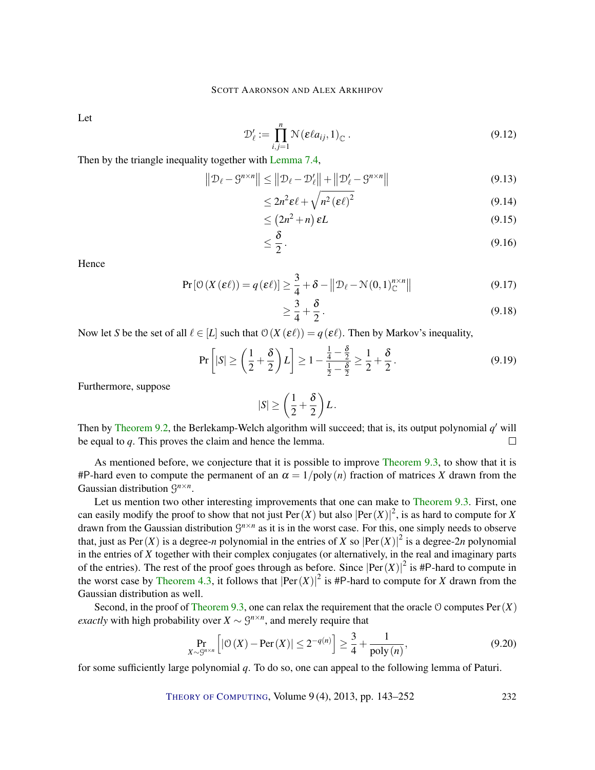Let

$$
\mathcal{D}'_{\ell} := \prod_{i,j=1}^{n} \mathcal{N}(\varepsilon \ell a_{ij}, 1)_{\mathbb{C}}.
$$
\n(9.12)

Then by the triangle inequality together with [Lemma](#page-69-0) [7.4,](#page-69-0)

$$
\left\|\mathcal{D}_{\ell} - \mathcal{G}^{n \times n}\right\| \le \left\|\mathcal{D}_{\ell} - \mathcal{D}'_{\ell}\right\| + \left\|\mathcal{D}'_{\ell} - \mathcal{G}^{n \times n}\right\| \tag{9.13}
$$

$$
\leq 2n^2 \varepsilon \ell + \sqrt{n^2 (\varepsilon \ell)^2} \tag{9.14}
$$

$$
\leq (2n^2 + n) \, \varepsilon L \tag{9.15}
$$

$$
\leq \frac{\delta}{2}.\tag{9.16}
$$

Hence

$$
Pr\left[\mathcal{O}\left(X\left(\mathcal{E}\ell\right)\right) = q\left(\mathcal{E}\ell\right)\right] \ge \frac{3}{4} + \delta - \left\|\mathcal{D}_{\ell} - \mathcal{N}\left(0,1\right)_{\mathbb{C}}^{n \times n}\right\| \tag{9.17}
$$

$$
\geq \frac{3}{4} + \frac{\delta}{2} \,. \tag{9.18}
$$

Now let *S* be the set of all  $\ell \in [L]$  such that  $\mathcal{O}(X(\epsilon \ell)) = q(\epsilon \ell)$ . Then by Markov's inequality,

$$
\Pr\left[|S| \ge \left(\frac{1}{2} + \frac{\delta}{2}\right)L\right] \ge 1 - \frac{\frac{1}{4} - \frac{\delta}{2}}{\frac{1}{2} - \frac{\delta}{2}} \ge \frac{1}{2} + \frac{\delta}{2}.
$$
\n(9.19)

Furthermore, suppose

$$
|S| \ge \left(\frac{1}{2} + \frac{\delta}{2}\right)L.
$$

Then by [Theorem](#page-87-0) [9.2,](#page-87-0) the Berlekamp-Welch algorithm will succeed; that is, its output polynomial  $q'$  will be equal to *q*. This proves the claim and hence the lemma.  $\Box$ 

As mentioned before, we conjecture that it is possible to improve [Theorem](#page-88-0) [9.3,](#page-88-0) to show that it is  $\#P$ -hard even to compute the permanent of an  $\alpha = 1/\text{poly}(n)$  fraction of matrices *X* drawn from the Gaussian distribution  $\mathcal{G}^{n \times n}$ .

Let us mention two other interesting improvements that one can make to [Theorem](#page-88-0) [9.3.](#page-88-0) First, one can easily modify the proof to show that not just  $Per(X)$  but also  $|Per(X)|^2$ , is as hard to compute for *X* drawn from the Gaussian distribution  $\mathcal{G}^{n \times n}$  as it is in the worst case. For this, one simply needs to observe that, just as Per $(X)$  is a degree-*n* polynomial in the entries of *X* so  $|Per(X)|^2$  is a degree-2*n* polynomial in the entries of *X* together with their complex conjugates (or alternatively, in the real and imaginary parts of the entries). The rest of the proof goes through as before. Since  $|\text{Per}(X)|^2$  is #P-hard to compute in the worst case by [Theorem](#page-33-0) [4.3,](#page-33-0) it follows that  $|\text{Per}(X)|^2$  is #P-hard to compute for *X* drawn from the Gaussian distribution as well.

Second, in the proof of [Theorem](#page-88-0) [9.3,](#page-88-0) one can relax the requirement that the oracle  $\mathcal O$  computes Per $(X)$ *exactly* with high probability over  $X \sim \mathcal{G}^{n \times n}$ , and merely require that

$$
\Pr_{X \sim \mathcal{G}^{n \times n}} \left[ |\mathcal{O}(X) - \text{Per}(X)| \le 2^{-q(n)} \right] \ge \frac{3}{4} + \frac{1}{\text{poly}(n)},\tag{9.20}
$$

for some sufficiently large polynomial *q*. To do so, one can appeal to the following lemma of Paturi.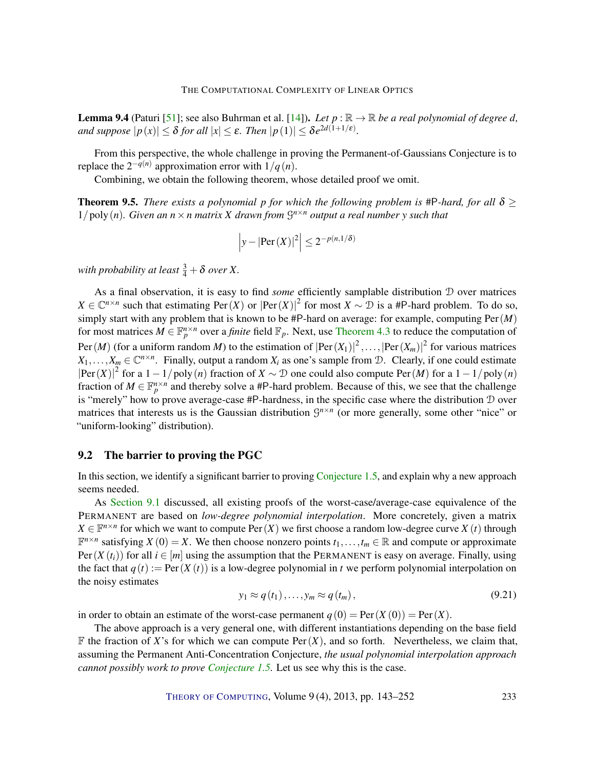<span id="page-90-1"></span>**Lemma 9.4** (Paturi [\[51\]](#page-107-0); see also Buhrman et al. [\[14\]](#page-104-1)). *Let*  $p : \mathbb{R} \to \mathbb{R}$  *be a real polynomial of degree d, and suppose*  $|p(x)| \leq \delta$  *for all*  $|x| \leq \varepsilon$ *. Then*  $|p(1)| \leq \delta e^{2d(1+1/\varepsilon)}$ *.* 

From this perspective, the whole challenge in proving the Permanent-of-Gaussians Conjecture is to replace the  $2^{-q(n)}$  approximation error with  $1/q(n)$ .

Combining, we obtain the following theorem, whose detailed proof we omit.

**Theorem 9.5.** *There exists a polynomial p for which the following problem is* #P-hard, for all  $\delta \geq$  $1/poly(n)$ *. Given an n* × *n matrix X drawn from*  $G^{n\times n}$  *output a real number y such that* 

$$
\left|y - \left|\text{Per}\left(X\right)\right|^2\right| \le 2^{-p(n,1/\delta)}
$$

with probability at least  $\frac{3}{4} + \delta$  over X.

As a final observation, it is easy to find *some* efficiently samplable distribution D over matrices  $X \in \mathbb{C}^{n \times n}$  such that estimating Per $(X)$  or  $|\text{Per}(X)|^2$  for most  $X \sim \mathcal{D}$  is a #P-hard problem. To do so, simply start with any problem that is known to be #P-hard on average: for example, computing Per(*M*) for most matrices  $M \in \mathbb{F}_p^{n \times n}$  over a *finite* field  $\mathbb{F}_p$ . Next, use [Theorem](#page-33-0) [4.3](#page-33-0) to reduce the computation of Per(*M*) (for a uniform random *M*) to the estimation of  $|Per(X_1)|^2$ ,...,  $|Per(X_m)|^2$  for various matrices  $X_1, \ldots, X_m \in \mathbb{C}^{n \times n}$ . Finally, output a random  $X_i$  as one's sample from D. Clearly, if one could estimate  $|\text{Per}(X)|^2$  for a 1 - 1/poly(*n*) fraction of *X* ~  $\mathcal D$  one could also compute Per(*M*) for a 1 - 1/poly(*n*) fraction of  $M \in \mathbb{F}_p^{n \times n}$  and thereby solve a #P-hard problem. Because of this, we see that the challenge is "merely" how to prove average-case #P-hardness, in the specific case where the distribution D over matrices that interests us is the Gaussian distribution  $\mathcal{G}^{n \times n}$  (or more generally, some other "nice" or "uniform-looking" distribution).

## <span id="page-90-0"></span>9.2 The barrier to proving the PGC

In this section, we identify a significant barrier to proving [Conjecture](#page-10-2) [1.5,](#page-10-2) and explain why a new approach seems needed.

As [Section](#page-86-0) [9.1](#page-86-0) discussed, all existing proofs of the worst-case/average-case equivalence of the PERMANENT are based on *low-degree polynomial interpolation*. More concretely, given a matrix  $X \in \mathbb{F}^{n \times n}$  for which we want to compute Per $(X)$  we first choose a random low-degree curve *X*  $(t)$  through  $\mathbb{F}^{n \times n}$  satisfying  $X(0) = X$ . We then choose nonzero points  $t_1, \ldots, t_m \in \mathbb{R}$  and compute or approximate Per( $X(t_i)$ ) for all  $i \in [m]$  using the assumption that the PERMANENT is easy on average. Finally, using the fact that  $q(t) := \text{Per}(X(t))$  is a low-degree polynomial in *t* we perform polynomial interpolation on the noisy estimates

$$
y_1 \approx q(t_1), \dots, y_m \approx q(t_m), \qquad (9.21)
$$

in order to obtain an estimate of the worst-case permanent  $q(0) = Per(X(0)) = Per(X)$ .

The above approach is a very general one, with different instantiations depending on the base field  $\mathbb F$  the fraction of *X*'s for which we can compute Per $(X)$ , and so forth. Nevertheless, we claim that, assuming the Permanent Anti-Concentration Conjecture, *the usual polynomial interpolation approach cannot possibly work to prove [Conjecture](#page-10-2) [1.5.](#page-10-2)* Let us see why this is the case.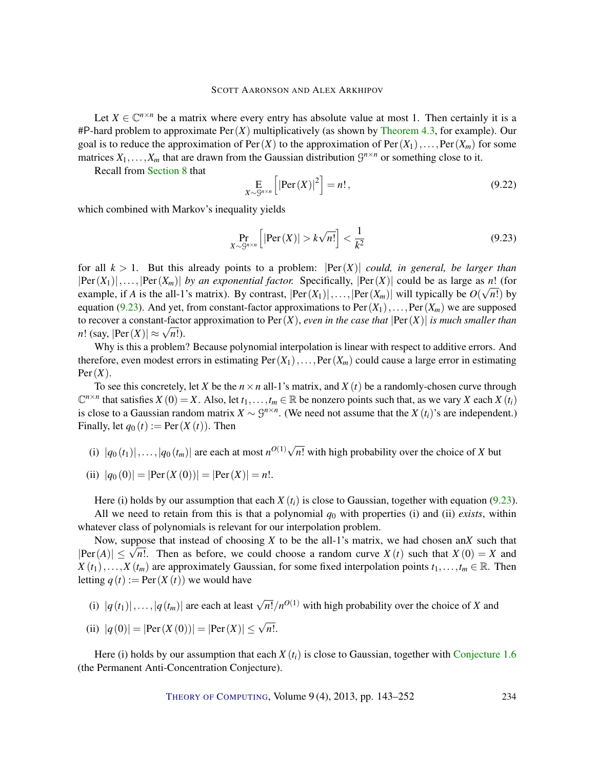Let  $X \in \mathbb{C}^{n \times n}$  be a matrix where every entry has absolute value at most 1. Then certainly it is a #P-hard problem to approximate Per(*X*) multiplicatively (as shown by [Theorem](#page-33-0) [4.3,](#page-33-0) for example). Our goal is to reduce the approximation of Per $(X)$  to the approximation of Per $(X_1), \ldots$ , Per $(X_m)$  for some matrices  $X_1, \ldots, X_m$  that are drawn from the Gaussian distribution  $\mathcal{G}^{n \times n}$  or something close to it.

Recall from [Section](#page-75-1) [8](#page-75-1) that

$$
\underset{X \sim \mathcal{G}^{n \times n}}{\mathbf{E}} \left[ \left| \text{Per}(X) \right|^2 \right] = n!, \tag{9.22}
$$

which combined with Markov's inequality yields

<span id="page-91-0"></span>
$$
\Pr_{X \sim \mathcal{G}^{n \times n}} \left[ \left| \text{Per}(X) \right| > k \sqrt{n!} \right] < \frac{1}{k^2} \tag{9.23}
$$

for all  $k > 1$ . But this already points to a problem:  $|\text{Per}(X)|$  *could, in general, be larger than*  $|\text{Per}(X_1)|, \ldots, |\text{Per}(X_m)|$  *by an exponential factor.* Specifically,  $|\text{Per}(X)|$  could be as large as *n*! (for example, if *A* is the all-1's matrix). By contrast,  $|\text{Per}(X_1)|, \ldots, |\text{Per}(X_m)|$  will typically be  $O(\sqrt{n!})$  by equation [\(9.23\)](#page-91-0). And yet, from constant-factor approximations to Per $(X_1), \ldots$ , Per $(X_m)$  we are supposed to recover a constant-factor approximation to  $Per(X)$ , *even in the case that*  $|Per(X)|$  *is much smaller than*  $n!$  (say,  $|\text{Per}(X)| \approx \sqrt{n!}$ ).

Why is this a problem? Because polynomial interpolation is linear with respect to additive errors. And therefore, even modest errors in estimating  $Per(X_1), \ldots, Per(X_m)$  could cause a large error in estimating  $Per(X)$ .

To see this concretely, let *X* be the  $n \times n$  all-1's matrix, and *X* (*t*) be a randomly-chosen curve through  $\mathbb{C}^{n \times n}$  that satisfies *X* (0) = *X*. Also, let  $t_1, \ldots, t_m \in \mathbb{R}$  be nonzero points such that, as we vary *X* each *X* ( $t_i$ ) is close to a Gaussian random matrix  $X \sim \mathcal{G}^{n \times n}$ . (We need not assume that the  $X(t_i)$ 's are independent.) Finally, let  $q_0(t) := \text{Per}(X(t))$ . Then

- (i)  $|q_0(t_1)|, ..., |q_0(t_m)|$  are each at most  $n^{O(1)}\sqrt{m}$ *n*! with high probability over the choice of *X* but
- (ii)  $|q_0(0)| = |\text{Per}(X(0))| = |\text{Per}(X)| = n!$ .

Here (i) holds by our assumption that each  $X(t_i)$  is close to Gaussian, together with equation [\(9.23\)](#page-91-0). All we need to retain from this is that a polynomial  $q_0$  with properties (i) and (ii) *exists*, within whatever class of polynomials is relevant for our interpolation problem.

Now, suppose that instead of choosing *X* to be the all-1's matrix, we had chosen an*X* such that  $|\text{Per}(A)| \le \sqrt{n!}$ . Then as before, we could choose a random curve  $X(t)$  such that  $X(0) = X$  and  $X(t_1),...,X(t_m)$  are approximately Gaussian, for some fixed interpolation points  $t_1,...,t_m \in \mathbb{R}$ . Then letting  $q(t) := \text{Per}(X(t))$  we would have

(i) 
$$
|q(t_1)|, \ldots, |q(t_m)|
$$
 are each at least  $\sqrt{n!}/n^{O(1)}$  with high probability over the choice of X and

(ii) 
$$
|q(0)| = |\text{Per}(X(0))| = |\text{Per}(X)| \le \sqrt{n!}
$$
.

Here (i) holds by our assumption that each *X* (*ti*) is close to Gaussian, together with [Conjecture](#page-10-0) [1.6](#page-10-0) (the Permanent Anti-Concentration Conjecture).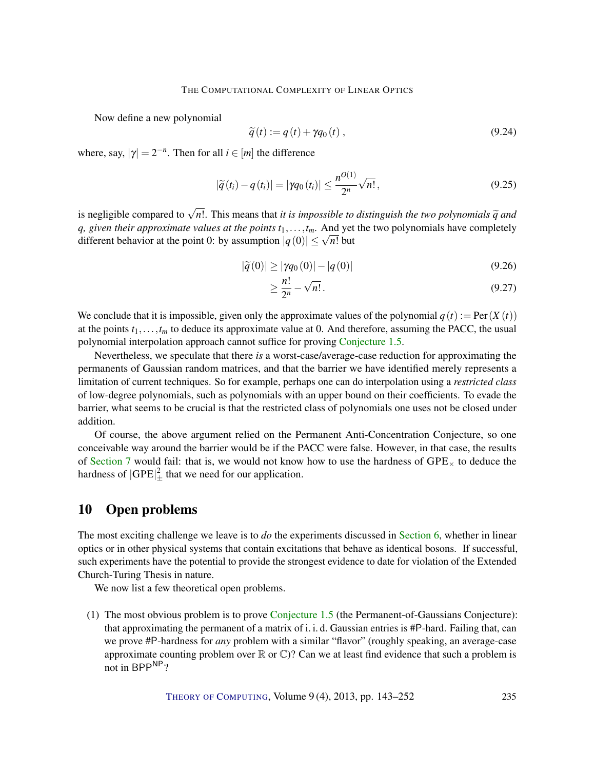Now define a new polynomial

$$
\widetilde{q}(t) := q(t) + \gamma q_0(t) , \qquad (9.24)
$$

where, say,  $|\gamma| = 2^{-n}$ . Then for all  $i \in [m]$  the difference

$$
|\widetilde{q}(t_i) - q(t_i)| = |\gamma q_0(t_i)| \le \frac{n^{O(1)}}{2^n} \sqrt{n!},
$$
\n(9.25)

is negligible compared to  $\sqrt{n!}$ . This means that *it is impossible to distinguish the two polynomials*  $\tilde{q}$  and  $q$  and  $q$  and  $q$  and  $q$  and  $q$  and  $q$  and  $q$  and  $q$  and  $q$  and  $q$  and  $q$  and  $q$  and  $q$  and *q, given their approximate values at the points*  $t_1, \ldots, t_m$ . And yet the two polynomials have completely different behavior at the point 0: by assumption  $|q(0)| \leq \sqrt{n!}$  but

$$
|\tilde{q}(0)| \ge |\gamma q_0(0)| - |q(0)| \tag{9.26}
$$

$$
\geq \frac{n!}{2^n} - \sqrt{n!} \,. \tag{9.27}
$$

We conclude that it is impossible, given only the approximate values of the polynomial  $q(t) := \text{Per}(X(t))$ at the points  $t_1, \ldots, t_m$  to deduce its approximate value at 0. And therefore, assuming the PACC, the usual polynomial interpolation approach cannot suffice for proving [Conjecture](#page-10-2) [1.5.](#page-10-2)

Nevertheless, we speculate that there *is* a worst-case/average-case reduction for approximating the permanents of Gaussian random matrices, and that the barrier we have identified merely represents a limitation of current techniques. So for example, perhaps one can do interpolation using a *restricted class* of low-degree polynomials, such as polynomials with an upper bound on their coefficients. To evade the barrier, what seems to be crucial is that the restricted class of polynomials one uses not be closed under addition.

Of course, the above argument relied on the Permanent Anti-Concentration Conjecture, so one conceivable way around the barrier would be if the PACC were false. However, in that case, the results of [Section](#page-61-0) [7](#page-61-0) would fail: that is, we would not know how to use the hardness of  $GPE<sub>x</sub>$  to deduce the hardness of  $|GPE|_{\pm}^2$  that we need for our application.

# 10 Open problems

The most exciting challenge we leave is to *do* the experiments discussed in [Section](#page-53-0) [6,](#page-53-0) whether in linear optics or in other physical systems that contain excitations that behave as identical bosons. If successful, such experiments have the potential to provide the strongest evidence to date for violation of the Extended Church-Turing Thesis in nature.

We now list a few theoretical open problems.

(1) The most obvious problem is to prove [Conjecture](#page-10-2) [1.5](#page-10-2) (the Permanent-of-Gaussians Conjecture): that approximating the permanent of a matrix of i. i. d. Gaussian entries is #P-hard. Failing that, can we prove #P-hardness for *any* problem with a similar "flavor" (roughly speaking, an average-case approximate counting problem over  $\mathbb R$  or  $\mathbb C$ ? Can we at least find evidence that such a problem is not in BPPNP?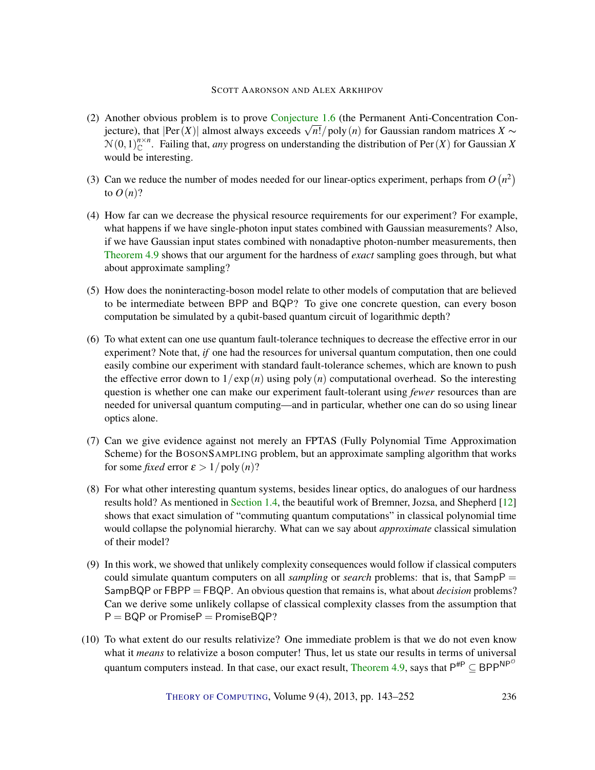- <span id="page-93-0"></span>(2) Another obvious problem is to prove [Conjecture](#page-10-0) [1.6](#page-10-0) (the Permanent Anti-Concentration Con-Another obvious problem is to prove Conjecture 1.6 (the Permanent Anti-Concentration Conjecture), that  $|\text{Per}(X)|$  almost always exceeds  $\sqrt{n!}/poly(n)$  for Gaussian random matrices  $X \sim$  $\mathcal{N}(0,1)_{\mathbb{C}}^{n\times n}$ . Failing that, *any* progress on understanding the distribution of Per(*X*) for Gaussian *X* would be interesting.
- (3) Can we reduce the number of modes needed for our linear-optics experiment, perhaps from  $O(n^2)$ to  $O(n)$ ?
- (4) How far can we decrease the physical resource requirements for our experiment? For example, what happens if we have single-photon input states combined with Gaussian measurements? Also, if we have Gaussian input states combined with nonadaptive photon-number measurements, then [Theorem](#page-39-0) [4.9](#page-39-0) shows that our argument for the hardness of *exact* sampling goes through, but what about approximate sampling?
- (5) How does the noninteracting-boson model relate to other models of computation that are believed to be intermediate between BPP and BQP? To give one concrete question, can every boson computation be simulated by a qubit-based quantum circuit of logarithmic depth?
- (6) To what extent can one use quantum fault-tolerance techniques to decrease the effective error in our experiment? Note that, *if* one had the resources for universal quantum computation, then one could easily combine our experiment with standard fault-tolerance schemes, which are known to push the effective error down to  $1/\exp(n)$  using poly (*n*) computational overhead. So the interesting question is whether one can make our experiment fault-tolerant using *fewer* resources than are needed for universal quantum computing—and in particular, whether one can do so using linear optics alone.
- (7) Can we give evidence against not merely an FPTAS (Fully Polynomial Time Approximation Scheme) for the BOSONSAMPLING problem, but an approximate sampling algorithm that works for some *fixed* error  $\varepsilon > 1/poly(n)$ ?
- (8) For what other interesting quantum systems, besides linear optics, do analogues of our hardness results hold? As mentioned in [Section](#page-13-0) [1.4,](#page-13-0) the beautiful work of Bremner, Jozsa, and Shepherd [\[12\]](#page-104-2) shows that exact simulation of "commuting quantum computations" in classical polynomial time would collapse the polynomial hierarchy. What can we say about *approximate* classical simulation of their model?
- (9) In this work, we showed that unlikely complexity consequences would follow if classical computers could simulate quantum computers on all *sampling* or *search* problems: that is, that SampP = SampBQP or FBPP = FBQP. An obvious question that remains is, what about *decision* problems? Can we derive some unlikely collapse of classical complexity classes from the assumption that  $P = BQP$  or Promise $P = P$ romise $BQP$ ?
- (10) To what extent do our results relativize? One immediate problem is that we do not even know what it *means* to relativize a boson computer! Thus, let us state our results in terms of universal quantum computers instead. In that case, our exact result, [Theorem](#page-39-0) [4.9,](#page-39-0) says that  $P^{HP} \subseteq BPP^{NP^{\circ}}$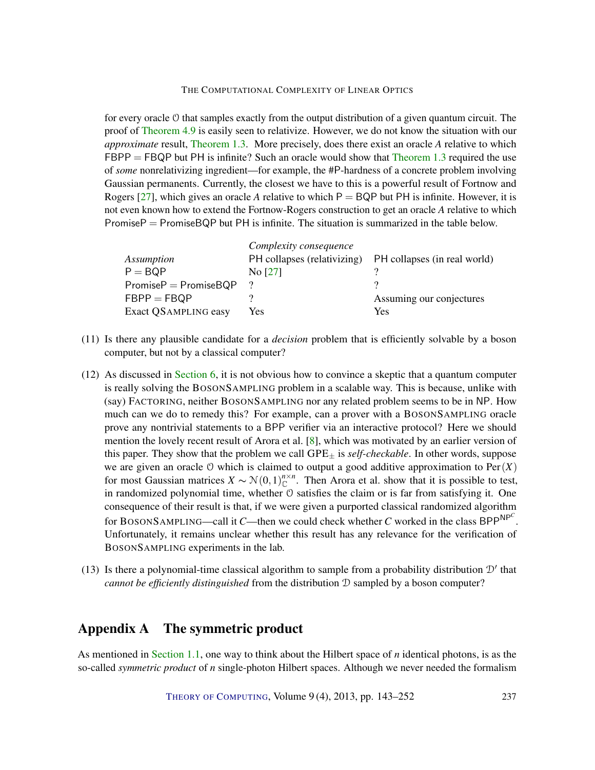<span id="page-94-0"></span>for every oracle O that samples exactly from the output distribution of a given quantum circuit. The proof of [Theorem](#page-39-0) [4.9](#page-39-0) is easily seen to relativize. However, we do not know the situation with our *approximate* result, [Theorem](#page-9-0) [1.3.](#page-9-0) More precisely, does there exist an oracle *A* relative to which  $FBPP = FBQP$  but PH is infinite? Such an oracle would show that [Theorem](#page-9-0) [1.3](#page-9-0) required the use of *some* nonrelativizing ingredient—for example, the #P-hardness of a concrete problem involving Gaussian permanents. Currently, the closest we have to this is a powerful result of Fortnow and Rogers [\[27\]](#page-105-7), which gives an oracle *A* relative to which  $P = BQP$  but PH is infinite. However, it is not even known how to extend the Fortnow-Rogers construction to get an oracle *A* relative to which  $P$ romise $P = P$ romise $BQP$  but PH is infinite. The situation is summarized in the table below.

|                                 | Complexity consequence      |                              |
|---------------------------------|-----------------------------|------------------------------|
| Assumption                      | PH collapses (relativizing) | PH collapses (in real world) |
| $P = BQP$                       | No [27]                     |                              |
| $P$ romise $P = P$ romise $BQP$ | 9                           |                              |
| $FBPP = FBQP$                   |                             | Assuming our conjectures     |
| Exact QSAMPLING easy            | Yes                         | Yes                          |

- (11) Is there any plausible candidate for a *decision* problem that is efficiently solvable by a boson computer, but not by a classical computer?
- (12) As discussed in [Section](#page-53-0) [6,](#page-53-0) it is not obvious how to convince a skeptic that a quantum computer is really solving the BOSONSAMPLING problem in a scalable way. This is because, unlike with (say) FACTORING, neither BOSONSAMPLING nor any related problem seems to be in NP. How much can we do to remedy this? For example, can a prover with a BOSONSAMPLING oracle prove any nontrivial statements to a BPP verifier via an interactive protocol? Here we should mention the lovely recent result of Arora et al. [\[8\]](#page-103-0), which was motivated by an earlier version of this paper. They show that the problem we call  $\text{GPE}_+$  is *self-checkable*. In other words, suppose we are given an oracle  $\circ$  which is claimed to output a good additive approximation to Per $(X)$ for most Gaussian matrices  $X \sim \mathcal{N}(0,1)_{\mathbb{C}}^{n \times n}$ . Then Arora et al. show that it is possible to test, in randomized polynomial time, whether O satisfies the claim or is far from satisfying it. One consequence of their result is that, if we were given a purported classical randomized algorithm for BOSONSAMPLING—call it *C*—then we could check whether *C* worked in the class BPP<sup>NPC</sup>. Unfortunately, it remains unclear whether this result has any relevance for the verification of BOSONSAMPLING experiments in the lab.
- (13) Is there a polynomial-time classical algorithm to sample from a probability distribution  $\mathcal{D}'$  that *cannot be efficiently distinguished* from the distribution D sampled by a boson computer?

# Appendix A The symmetric product

As mentioned in [Section](#page-4-0) [1.1,](#page-4-0) one way to think about the Hilbert space of *n* identical photons, is as the so-called *symmetric product* of *n* single-photon Hilbert spaces. Although we never needed the formalism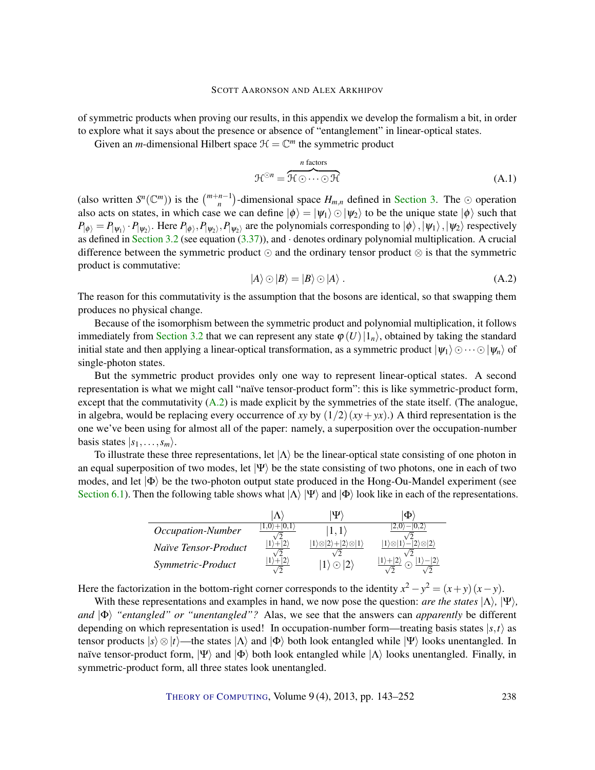of symmetric products when proving our results, in this appendix we develop the formalism a bit, in order to explore what it says about the presence or absence of "entanglement" in linear-optical states.

Given an *m*-dimensional Hilbert space  $\mathcal{H} = \mathbb{C}^m$  the symmetric product

$$
\mathcal{H}^{\odot n} = \overbrace{\mathcal{H} \odot \cdots \odot \mathcal{H}}^{n \text{ factors}}
$$
 (A.1)

(also written  $S^n(\mathbb{C}^m)$ ) is the  $\binom{m+n-1}{n}$ -dimensional space  $H_{m,n}$  defined in [Section](#page-20-0) [3.](#page-20-0) The  $\odot$  operation also acts on states, in which case we can define  $|\phi\rangle = |\psi_1\rangle \odot |\psi_2\rangle$  to be the unique state  $|\phi\rangle$  such that  $P_{|\phi\rangle} = P_{|\psi_1\rangle} \cdot P_{|\psi_2\rangle}$ . Here  $P_{|\phi\rangle}$ ,  $P_{|\psi_2\rangle}$ ,  $P_{|\psi_2\rangle}$  are the polynomials corresponding to  $|\phi\rangle$ ,  $|\psi_1\rangle$ ,  $|\psi_2\rangle$  respectively as defined in [Section](#page-24-0) [3.2](#page-24-0) (see equation  $(3.37)$ ), and  $\cdot$  denotes ordinary polynomial multiplication. A crucial difference between the symmetric product  $\odot$  and the ordinary tensor product  $\otimes$  is that the symmetric product is commutative:

<span id="page-95-0"></span>
$$
|A\rangle \odot |B\rangle = |B\rangle \odot |A\rangle. \tag{A.2}
$$

The reason for this commutativity is the assumption that the bosons are identical, so that swapping them produces no physical change.

Because of the isomorphism between the symmetric product and polynomial multiplication, it follows immediately from [Section](#page-24-0) [3.2](#page-24-0) that we can represent any state  $\varphi(U)|1_n\rangle$ , obtained by taking the standard initial state and then applying a linear-optical transformation, as a symmetric product  $|\psi_1\rangle \odot \cdots \odot |\psi_n\rangle$  of single-photon states.

But the symmetric product provides only one way to represent linear-optical states. A second representation is what we might call "naïve tensor-product form": this is like symmetric-product form, except that the commutativity  $(A.2)$  is made explicit by the symmetries of the state itself. (The analogue, in algebra, would be replacing every occurrence of *xy* by  $(1/2)(xy+yx)$ .) A third representation is the one we've been using for almost all of the paper: namely, a superposition over the occupation-number basis states  $|s_1, \ldots, s_m\rangle$ .

To illustrate these three representations, let  $|\Lambda\rangle$  be the linear-optical state consisting of one photon in an equal superposition of two modes, let  $|\Psi\rangle$  be the state consisting of two photons, one in each of two modes, and let  $|\Phi\rangle$  be the two-photon output state produced in the Hong-Ou-Mandel experiment (see [Section](#page-53-1) [6.1\)](#page-53-1). Then the following table shows what  $|\Lambda\rangle |\Psi\rangle$  and  $|\Phi\rangle$  look like in each of the representations.

|                      | $\Lambda$ | Ψ | Φ |
|----------------------|-----------|---|---|
| Occupation-Number    |           |   |   |
| Naïve Tensor-Product |           |   |   |
| Symmetric-Product    |           |   |   |

Here the factorization in the bottom-right corner corresponds to the identity  $x^2 - y^2 = (x + y)(x - y)$ .

With these representations and examples in hand, we now pose the question: *are the states*  $|\Lambda\rangle$ ,  $|\Psi\rangle$ , *and*  $|Φ$  *"entangled" or "unentangled"?* Alas, we see that the answers can *apparently* be different depending on which representation is used! In occupation-number form—treating basis states  $|s,t\rangle$  as tensor products  $|s\rangle \otimes |t\rangle$ —the states  $|\Lambda\rangle$  and  $|\Phi\rangle$  both look entangled while  $|\Psi\rangle$  looks unentangled. In naïve tensor-product form,  $|\Psi\rangle$  and  $|\Phi\rangle$  both look entangled while  $|\Lambda\rangle$  looks unentangled. Finally, in symmetric-product form, all three states look unentangled.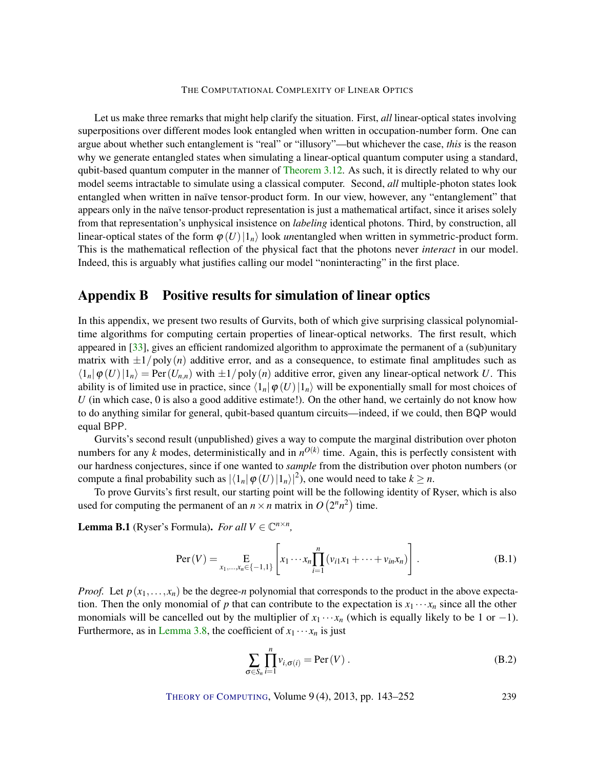<span id="page-96-2"></span>Let us make three remarks that might help clarify the situation. First, *all* linear-optical states involving superpositions over different modes look entangled when written in occupation-number form. One can argue about whether such entanglement is "real" or "illusory"—but whichever the case, *this* is the reason why we generate entangled states when simulating a linear-optical quantum computer using a standard, qubit-based quantum computer in the manner of [Theorem](#page-31-0) [3.12.](#page-31-0) As such, it is directly related to why our model seems intractable to simulate using a classical computer. Second, *all* multiple-photon states look entangled when written in naïve tensor-product form. In our view, however, any "entanglement" that appears only in the naïve tensor-product representation is just a mathematical artifact, since it arises solely from that representation's unphysical insistence on *labeling* identical photons. Third, by construction, all linear-optical states of the form  $\varphi(U)|_{1n}$  look *un*entangled when written in symmetric-product form. This is the mathematical reflection of the physical fact that the photons never *interact* in our model. Indeed, this is arguably what justifies calling our model "noninteracting" in the first place.

# <span id="page-96-0"></span>Appendix B Positive results for simulation of linear optics

In this appendix, we present two results of Gurvits, both of which give surprising classical polynomialtime algorithms for computing certain properties of linear-optical networks. The first result, which appeared in [\[33\]](#page-105-4), gives an efficient randomized algorithm to approximate the permanent of a (sub)unitary matrix with  $\pm 1/poly(n)$  additive error, and as a consequence, to estimate final amplitudes such as  $\langle 1_n|\phi(U)|1_n\rangle = \text{Per}(U_{n,n})$  with  $\pm 1/poly(n)$  additive error, given any linear-optical network *U*. This ability is of limited use in practice, since  $\langle 1_n|\phi(U)|1_n\rangle$  will be exponentially small for most choices of *U* (in which case, 0 is also a good additive estimate!). On the other hand, we certainly do not know how to do anything similar for general, qubit-based quantum circuits—indeed, if we could, then BQP would equal BPP.

Gurvits's second result (unpublished) gives a way to compute the marginal distribution over photon numbers for any *k* modes, deterministically and in  $n^{O(k)}$  time. Again, this is perfectly consistent with our hardness conjectures, since if one wanted to *sample* from the distribution over photon numbers (or compute a final probability such as  $|\langle 1_n|\varphi(U)|1_n\rangle|^2$ ), one would need to take  $k \ge n$ .

To prove Gurvits's first result, our starting point will be the following identity of Ryser, which is also used for computing the permanent of an  $n \times n$  matrix in  $O(2^n n^2)$  time.

<span id="page-96-1"></span>**Lemma B.1** (Ryser's Formula). *For all*  $V \in \mathbb{C}^{n \times n}$ ,

$$
\text{Per}(V) = \underset{x_1, \dots, x_n \in \{-1, 1\}}{\mathbb{E}} \left[ x_1 \cdots x_n \prod_{i=1}^n \left( v_{i1} x_1 + \dots + v_{in} x_n \right) \right].
$$
 (B.1)

*Proof.* Let  $p(x_1,...,x_n)$  be the degree-*n* polynomial that corresponds to the product in the above expectation. Then the only monomial of *p* that can contribute to the expectation is  $x_1 \cdots x_n$  since all the other monomials will be cancelled out by the multiplier of  $x_1 \cdots x_n$  (which is equally likely to be 1 or −1). Furthermore, as in [Lemma](#page-28-0) [3.8,](#page-28-0) the coefficient of  $x_1 \cdots x_n$  is just

$$
\sum_{\sigma \in S_n} \prod_{i=1}^n v_{i,\sigma(i)} = \text{Per}(V) .
$$
 (B.2)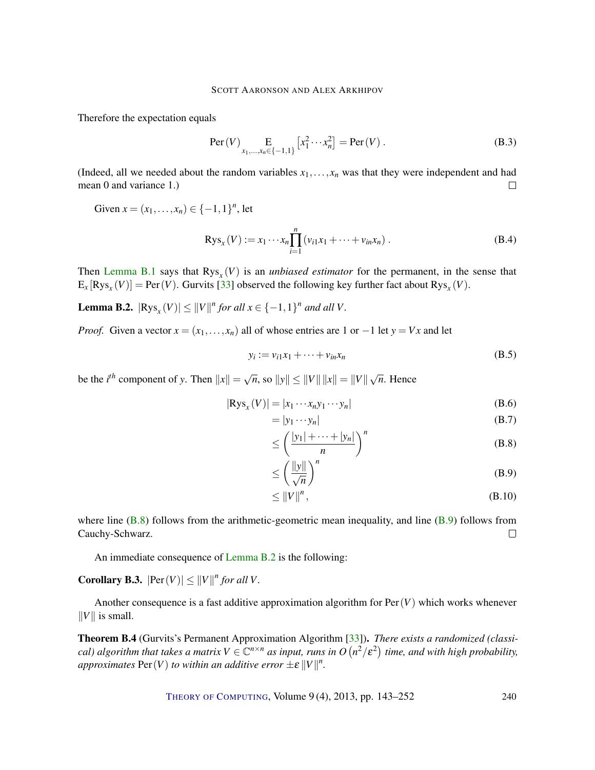<span id="page-97-4"></span>Therefore the expectation equals

$$
\text{Per}(V)\underset{x_1,\dots,x_n \in \{-1,1\}}{\mathbf{E}} \left[ x_1^2 \cdots x_n^2 \right] = \text{Per}(V) . \tag{B.3}
$$

(Indeed, all we needed about the random variables  $x_1, \ldots, x_n$  was that they were independent and had mean 0 and variance 1.)  $\Box$ 

Given 
$$
x = (x_1, ..., x_n) \in \{-1, 1\}^n
$$
, let

$$
Rys_x(V) := x_1 \cdots x_n \prod_{i=1}^n (v_{i1}x_1 + \cdots + v_{in}x_n).
$$
 (B.4)

Then [Lemma](#page-96-1) [B.1](#page-96-1) says that  $Rys_x(V)$  is an *unbiased estimator* for the permanent, in the sense that  $E_x[Rys_x(V)] = Per(V)$ . Gurvits [\[33\]](#page-105-4) observed the following key further fact about  $Rys_x(V)$ .

<span id="page-97-3"></span>**Lemma B.2.**  $|\text{Rys}_x(V)| \le ||V||^n$  for all  $x \in \{-1,1\}^n$  and all V.

*Proof.* Given a vector  $x = (x_1, \ldots, x_n)$  all of whose entries are 1 or −1 let  $y = Vx$  and let

$$
y_i := v_{i1}x_1 + \dots + v_{in}x_n \tag{B.5}
$$

be the *i*<sup>th</sup> component of *y*. Then  $||x|| = \sqrt{n}$ , so  $||y|| \le ||V|| ||x|| = ||V|| \sqrt{n}$ *n*. Hence

$$
|\text{Rys}_x(V)| = |x_1 \cdots x_n y_1 \cdots y_n|
$$
 (B.6)

$$
= |y_1 \cdots y_n|
$$
 (B.7)

<span id="page-97-1"></span>
$$
\leq \left(\frac{|y_1| + \dots + |y_n|}{n}\right)^n \tag{B.8}
$$

<span id="page-97-2"></span>
$$
\leq \left(\frac{\|y\|}{\sqrt{n}}\right)^n\tag{B.9}
$$

$$
\leq \|V\|^n, \tag{B.10}
$$

where line  $(B.8)$  follows from the arithmetic-geometric mean inequality, and line  $(B.9)$  follows from Cauchy-Schwarz.  $\Box$ 

An immediate consequence of [Lemma](#page-97-3) [B.2](#page-97-3) is the following:

**Corollary B.3.**  $|\text{Per}(V)| \le ||V||^n$  for all V.

Another consequence is a fast additive approximation algorithm for Per(*V*) which works whenever  $||V||$  is small.

<span id="page-97-0"></span>Theorem B.4 (Gurvits's Permanent Approximation Algorithm [\[33\]](#page-105-4)). *There exists a randomized (classi*cal) algorithm that takes a matrix  $V\in\mathbb{C}^{n\times n}$  as input, runs in  $O\left(n^2/\varepsilon^2\right)$  time, and with high probability, *approximates*  $\text{Per}(V)$  *to within an additive error*  $\pm \varepsilon ||V||^n$ .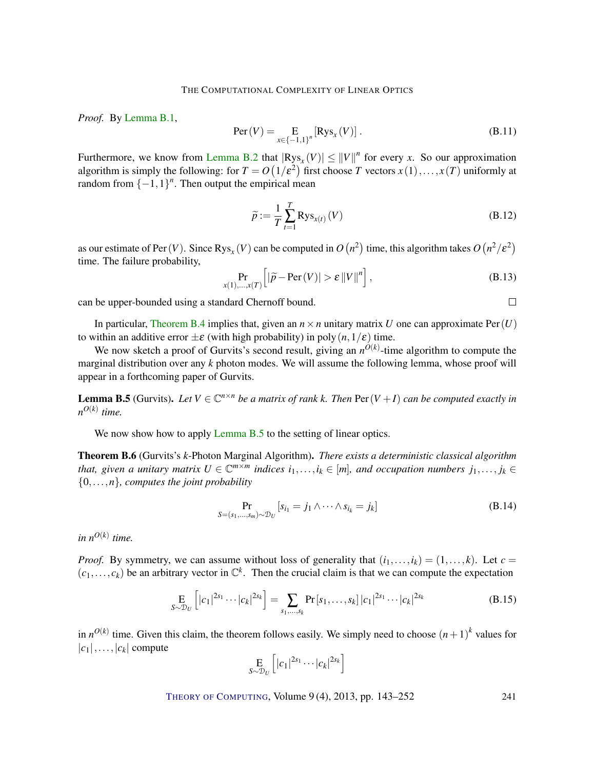*Proof.* By [Lemma](#page-96-1) [B.1,](#page-96-1)

$$
Per(V) = E_{x \in \{-1,1\}^n} [Rys_x(V)].
$$
\n(B.11)

Furthermore, we know from [Lemma](#page-97-3) [B.2](#page-97-3) that  $|\text{Rys}_x(V)| \le ||V||^n$  for every *x*. So our approximation algorithm is simply the following: for  $T = O(1/\varepsilon^2)$  first choose *T* vectors  $x(1),...,x(T)$  uniformly at random from  $\{-1,1\}^n$ . Then output the empirical mean

$$
\widetilde{p} := \frac{1}{T} \sum_{t=1}^{T} \text{Rys}_{x(t)}(V)
$$
\n(B.12)

 $\Box$ 

as our estimate of Per(*V*). Since Rys<sub>*x*</sub>(*V*) can be computed in  $O(n^2)$  time, this algorithm takes  $O(n^2/\epsilon^2)$ time. The failure probability,

$$
\Pr_{x(1),...,x(T)}\left[ \left| \widetilde{p} - \text{Per}\left(V\right) \right| > \varepsilon \left\| V \right\|^n \right],\tag{B.13}
$$

can be upper-bounded using a standard Chernoff bound.

In particular, [Theorem](#page-97-0) [B.4](#page-97-0) implies that, given an  $n \times n$  unitary matrix *U* one can approximate Per(*U*) to within an additive error  $\pm \varepsilon$  (with high probability) in poly  $(n,1/\varepsilon)$  time.

We now sketch a proof of Gurvits's second result, giving an  $n^{O(k)}$ -time algorithm to compute the marginal distribution over any *k* photon modes. We will assume the following lemma, whose proof will appear in a forthcoming paper of Gurvits.

<span id="page-98-0"></span>**Lemma B.5** (Gurvits). Let  $V \in \mathbb{C}^{n \times n}$  be a matrix of rank k. Then  $\text{Per}(V + I)$  can be computed exactly in *n O*(*k*) *time.*

We now show how to apply [Lemma](#page-98-0) [B.5](#page-98-0) to the setting of linear optics.

Theorem B.6 (Gurvits's *k*-Photon Marginal Algorithm). *There exists a deterministic classical algorithm that, given a unitary matrix*  $U \in \mathbb{C}^{m \times m}$  *indices*  $i_1, \ldots, i_k \in [m]$ *, and occupation numbers*  $j_1, \ldots, j_k \in$ {0,...,*n*}*, computes the joint probability*

$$
\Pr_{S=(s_1,...,s_m)\sim \mathcal{D}_U} [s_{i_1} = j_1 \wedge \cdots \wedge s_{i_k} = j_k]
$$
 (B.14)

 $i$ *n*  $n^{O(k)}$  time.

*Proof.* By symmetry, we can assume without loss of generality that  $(i_1,...,i_k) = (1,...,k)$ . Let  $c =$  $(c_1,..., c_k)$  be an arbitrary vector in  $\mathbb{C}^k$ . Then the crucial claim is that we can compute the expectation

$$
\mathop{\mathbf{E}}_{S \sim \mathcal{D}_U} \left[ |c_1|^{2s_1} \cdots |c_k|^{2s_k} \right] = \sum_{s_1, \dots, s_k} \Pr[s_1, \dots, s_k] |c_1|^{2s_1} \cdots |c_k|^{2s_k} \tag{B.15}
$$

in  $n^{O(k)}$  time. Given this claim, the theorem follows easily. We simply need to choose  $(n+1)^k$  values for  $|c_1|, \ldots, |c_k|$  compute

$$
\underset{S \sim \mathcal{D}_U}{\mathbf{E}} \left[ |c_1|^{2s_1} \cdots |c_k|^{2s_k} \right]
$$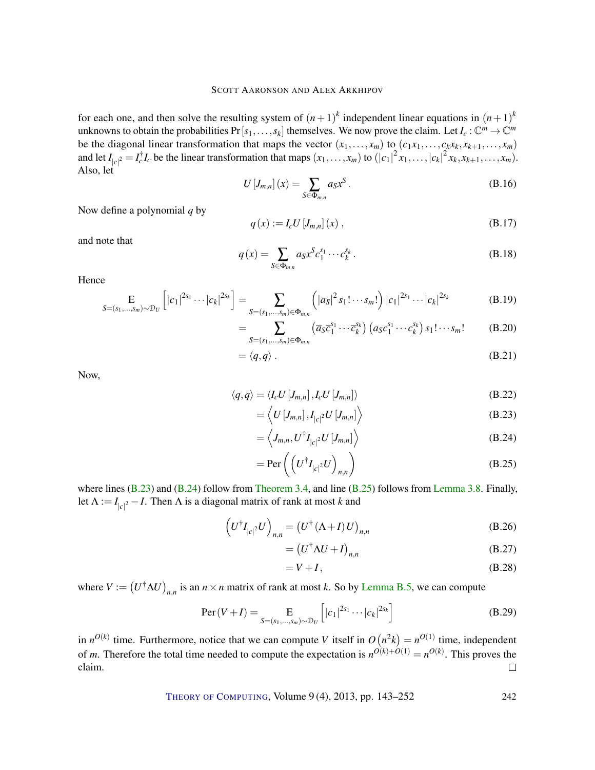for each one, and then solve the resulting system of  $(n+1)^k$  independent linear equations in  $(n+1)^k$ unknowns to obtain the probabilities  $Pr[s_1, \ldots, s_k]$  themselves. We now prove the claim. Let  $I_c: \mathbb{C}^m \to \mathbb{C}^m$ be the diagonal linear transformation that maps the vector  $(x_1, \ldots, x_m)$  to  $(c_1x_1, \ldots, c_kx_k, x_{k+1}, \ldots, x_m)$ and let  $I_{|c|^2} = I_c^{\dagger} I_c$  be the linear transformation that maps  $(x_1, \ldots, x_m)$  to  $(|c_1|^2 x_1, \ldots, |c_k|^2 x_k, x_{k+1}, \ldots, x_m)$ . Also, let

$$
U\left[J_{m,n}\right](x) = \sum_{S \in \Phi_{m,n}} a_S x^S. \tag{B.16}
$$

Now define a polynomial *q* by

$$
q(x) := I_c U [J_{m,n}](x) , \t\t (B.17)
$$

and note that

$$
q(x) = \sum_{S \in \Phi_{m,n}} a_S x^S c_1^{s_1} \cdots c_k^{s_k}.
$$
 (B.18)

Hence

$$
\underset{S=(s_1,\ldots,s_m)\sim\mathcal{D}_U}{\mathbf{E}}\left[|c_1|^{2s_1}\cdots|c_k|^{2s_k}\right] = \sum_{S=(s_1,\ldots,s_m)\in\Phi_{m,n}}\left(|a_S|^2s_1!\cdots s_m!\right)|c_1|^{2s_1}\cdots|c_k|^{2s_k} \tag{B.19}
$$

$$
=\sum_{S=(s_1,\ldots,s_m)\in\Phi_{m,n}}\left(\overline{a}_S\overline{c}_1^{s_1}\cdots\overline{c}_k^{s_k}\right)\left(a_Sc_1^{s_1}\cdots c_k^{s_k}\right)s_1!\cdots s_m! \hspace{1cm} (B.20)
$$

$$
= \langle q, q \rangle . \tag{B.21}
$$

Now,

$$
\langle q, q \rangle = \langle I_c U \left[ J_{m,n} \right], I_c U \left[ J_{m,n} \right] \rangle \tag{B.22}
$$

<span id="page-99-0"></span>
$$
=\left\langle U\left[J_{m,n}\right],I_{|c|^2}U\left[J_{m,n}\right]\right\rangle\tag{B.23}
$$

$$
=\left\langle J_{m,n},U^{\dagger}I_{|c|^{2}}U\left[J_{m,n}\right]\right\rangle
$$
\n(B.24)

<span id="page-99-1"></span>
$$
= \operatorname{Per}\left(\left(U^{\dagger}I_{|c|^2}U\right)_{n,n}\right) \tag{B.25}
$$

where lines  $(B.23)$  and  $(B.24)$  follow from [Theorem](#page-26-0) [3.4,](#page-26-0) and line  $(B.25)$  follows from [Lemma](#page-28-0) [3.8.](#page-28-0) Finally, let  $\Lambda := I_{|c|^2} - I$ . Then  $\Lambda$  is a diagonal matrix of rank at most *k* and

$$
\left(U^{\dagger}I_{|c|^{2}}U\right)_{n,n} = \left(U^{\dagger}\left(\Lambda+I\right)U\right)_{n,n}
$$
\n(B.26)

<span id="page-99-2"></span>
$$
= (U^{\dagger} \Lambda U + I)_{n,n} \tag{B.27}
$$

$$
= V + I, \tag{B.28}
$$

where  $V := (U^{\dagger} \Lambda U)_{n,n}$  is an  $n \times n$  matrix of rank at most *k*. So by [Lemma](#page-98-0) [B.5,](#page-98-0) we can compute

$$
\text{Per}(V+I) = \underset{S=(s_1,\dots,s_m)\sim\mathcal{D}_U}{\mathbb{E}}\left[|c_1|^{2s_1}\cdots|c_k|^{2s_k}\right] \tag{B.29}
$$

in  $n^{O(k)}$  time. Furthermore, notice that we can compute *V* itself in  $O(n^2k) = n^{O(1)}$  time, independent of *m*. Therefore the total time needed to compute the expectation is  $n^{O(k)+O(1)} = n^{O(k)}$ . This proves the claim.  $\Box$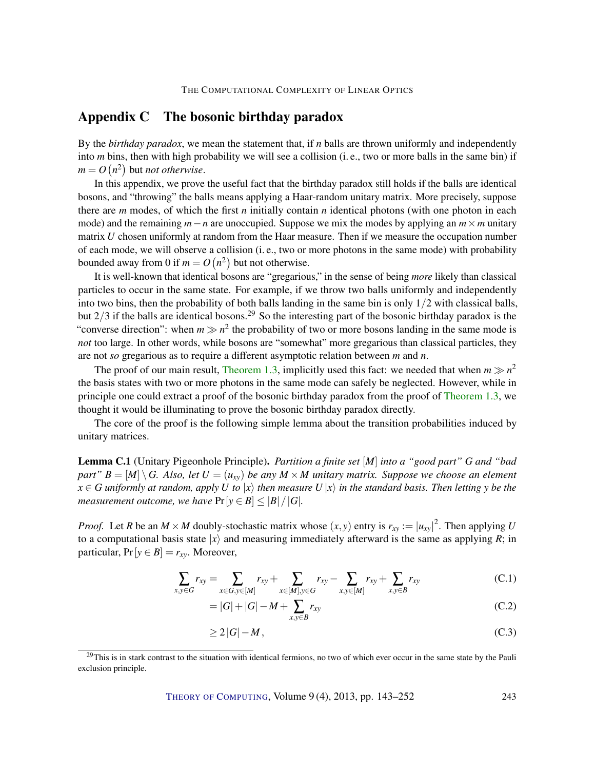# Appendix C The bosonic birthday paradox

By the *birthday paradox*, we mean the statement that, if *n* balls are thrown uniformly and independently into *m* bins, then with high probability we will see a collision (i.e., two or more balls in the same bin) if  $m = O(n^2)$  but *not otherwise*.

In this appendix, we prove the useful fact that the birthday paradox still holds if the balls are identical bosons, and "throwing" the balls means applying a Haar-random unitary matrix. More precisely, suppose there are *m* modes, of which the first *n* initially contain *n* identical photons (with one photon in each mode) and the remaining  $m - n$  are unoccupied. Suppose we mix the modes by applying an  $m \times m$  unitary matrix *U* chosen uniformly at random from the Haar measure. Then if we measure the occupation number of each mode, we will observe a collision (i. e., two or more photons in the same mode) with probability bounded away from 0 if  $m = O(n^2)$  but not otherwise.

It is well-known that identical bosons are "gregarious," in the sense of being *more* likely than classical particles to occur in the same state. For example, if we throw two balls uniformly and independently into two bins, then the probability of both balls landing in the same bin is only  $1/2$  with classical balls, but 2/3 if the balls are identical bosons.<sup>29</sup> So the interesting part of the bosonic birthday paradox is the "converse direction": when  $m \gg n^2$  the probability of two or more bosons landing in the same mode is *not* too large. In other words, while bosons are "somewhat" more gregarious than classical particles, they are not *so* gregarious as to require a different asymptotic relation between *m* and *n*.

The proof of our main result, [Theorem](#page-9-0) [1.3,](#page-9-0) implicitly used this fact: we needed that when  $m \gg n^2$ the basis states with two or more photons in the same mode can safely be neglected. However, while in principle one could extract a proof of the bosonic birthday paradox from the proof of [Theorem](#page-9-0) [1.3,](#page-9-0) we thought it would be illuminating to prove the bosonic birthday paradox directly.

The core of the proof is the following simple lemma about the transition probabilities induced by unitary matrices.

<span id="page-100-2"></span>Lemma C.1 (Unitary Pigeonhole Principle). *Partition a finite set* [*M*] *into a "good part" G and "bad part"*  $B = [M] \setminus G$ . Also, let  $U = (u_{xy})$  be any  $M \times M$  unitary matrix. Suppose we choose an element  $x \in G$  *uniformly at random, apply U* to  $|x\rangle$  *then measure U*  $|x\rangle$  *in the standard basis. Then letting y be the measurement outcome, we have*  $Pr[y \in B] \leq |B| / |G|$ *.* 

*Proof.* Let *R* be an  $M \times M$  doubly-stochastic matrix whose  $(x, y)$  entry is  $r_{xy} := |u_{xy}|^2$ . Then applying *U* to a computational basis state  $|x\rangle$  and measuring immediately afterward is the same as applying *R*; in particular,  $Pr[y \in B] = r_{xy}$ . Moreover,

$$
\sum_{x,y \in G} r_{xy} = \sum_{x \in G, y \in [M]} r_{xy} + \sum_{x \in [M], y \in G} r_{xy} - \sum_{x,y \in [M]} r_{xy} + \sum_{x,y \in B} r_{xy}
$$
(C.1)

<span id="page-100-0"></span>
$$
=|G|+|G|-M+\sum_{x,y\in B}r_{xy}
$$
 (C.2)

<span id="page-100-1"></span>
$$
\geq 2|G|-M,\tag{C.3}
$$

<sup>&</sup>lt;sup>29</sup>This is in stark contrast to the situation with identical fermions, no two of which ever occur in the same state by the Pauli exclusion principle.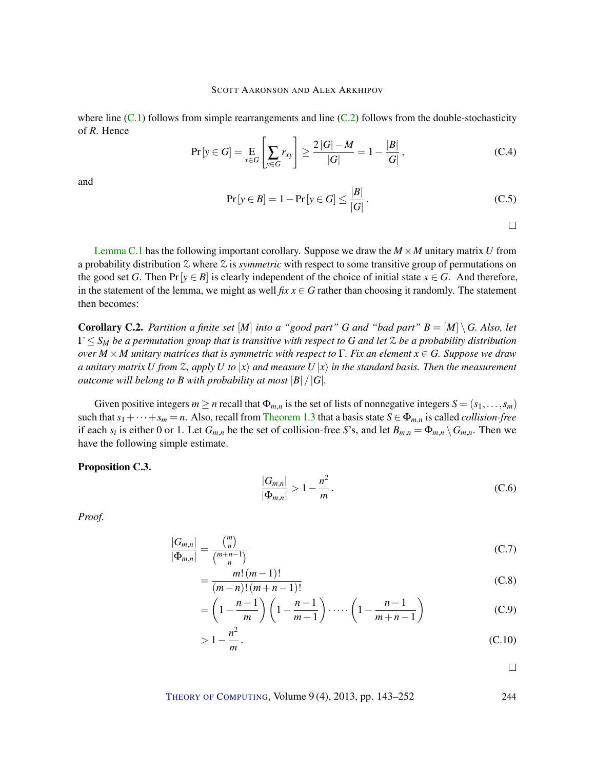where line  $(C.1)$  follows from simple rearrangements and line  $(C.2)$  follows from the double-stochasticity of *R*. Hence

$$
\Pr[y \in G] = \underset{x \in G}{\mathbb{E}} \left[ \sum_{y \in G} r_{xy} \right] \ge \frac{2|G| - M}{|G|} = 1 - \frac{|B|}{|G|},\tag{C.4}
$$

and

$$
Pr[y \in B] = 1 - Pr[y \in G] \le \frac{|B|}{|G|}.
$$
 (C.5)

 $\Box$ 

[Lemma](#page-100-2) [C.1](#page-100-2) has the following important corollary. Suppose we draw the  $M \times M$  unitary matrix U from a probability distribution Z where Z is *symmetric* with respect to some transitive group of permutations on the good set *G*. Then  $Pr[y \in B]$  is clearly independent of the choice of initial state  $x \in G$ . And therefore, in the statement of the lemma, we might as well  $fix x \in G$  rather than choosing it randomly. The statement then becomes:

<span id="page-101-0"></span>**Corollary C.2.** *Partition a finite set* [*M*] *into a "good part" G and "bad part"*  $B = [M] \ G$ *. Also, let* Γ ≤ *S<sup>M</sup> be a permutation group that is transitive with respect to G and let* Z *be a probability distribution over*  $M \times M$  *unitary matrices that is symmetric with respect to*  $\Gamma$ *. Fix an element*  $x \in G$ *. Suppose we draw a* unitary matrix U from  $\&$ , apply U to  $|x\rangle$  and measure U  $|x\rangle$  in the standard basis. Then the measurement *outcome will belong to B with probability at most*  $|B|/|G|$ *.* 

Given positive integers  $m \ge n$  recall that  $\Phi_{m,n}$  is the set of lists of nonnegative integers  $S = (s_1, \ldots, s_m)$ such that  $s_1 + \cdots + s_m = n$ . Also, recall from [Theorem](#page-9-0) [1.3](#page-9-0) that a basis state  $S \in \Phi_{m,n}$  is called *collision-free* if each  $s_i$  is either 0 or 1. Let  $G_{m,n}$  be the set of collision-free *S*'s, and let  $B_{m,n} = \Phi_{m,n} \setminus G_{m,n}$ . Then we have the following simple estimate.

#### <span id="page-101-1"></span>Proposition C.3.

 $>$ 

$$
\frac{|G_{m,n}|}{|\Phi_{m,n}|} > 1 - \frac{n^2}{m}.
$$
\n(C.6)

*Proof.*

$$
\frac{|G_{m,n}|}{|\Phi_{m,n}|} = \frac{\binom{m}{n}}{\binom{m+n-1}{n}}
$$
\n(C.7)

$$
=\frac{m!(m-1)!}{(m-n)!(m+n-1)!}
$$
\n(C.8)

$$
= \left(1 - \frac{n-1}{m}\right) \left(1 - \frac{n-1}{m+1}\right) \cdots \left(1 - \frac{n-1}{m+n-1}\right) \tag{C.9}
$$

$$
1 - \frac{n^2}{m}.\tag{C.10}
$$

 $\Box$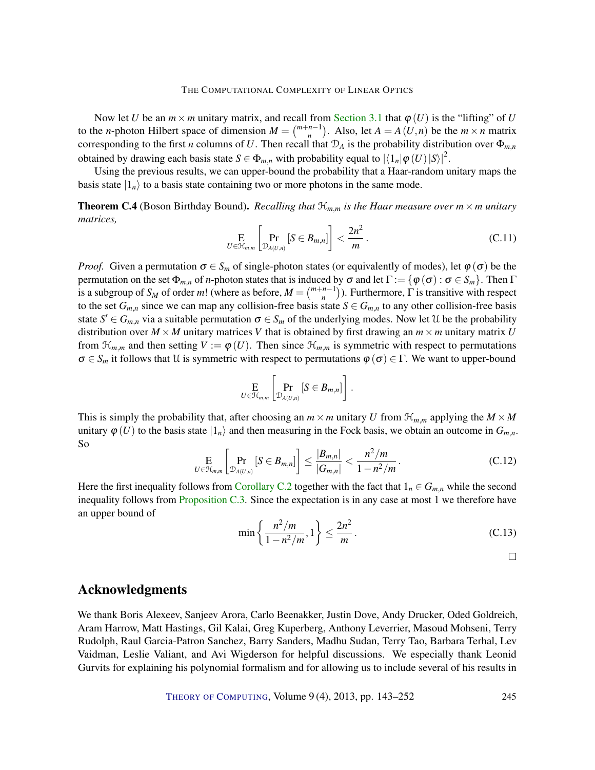Now let *U* be an  $m \times m$  unitary matrix, and recall from [Section](#page-21-0) [3.1](#page-21-0) that  $\varphi(U)$  is the "lifting" of *U* to the *n*-photon Hilbert space of dimension  $M = \binom{m+n-1}{n}$ . Also, let  $A = A(U, n)$  be the  $m \times n$  matrix corresponding to the first *n* columns of *U*. Then recall that  $\mathcal{D}_A$  is the probability distribution over  $\Phi_{m,n}$ obtained by drawing each basis state  $S \in \Phi_{m,n}$  with probability equal to  $|\langle 1_n | \varphi(U) | S \rangle|^2$ .

Using the previous results, we can upper-bound the probability that a Haar-random unitary maps the basis state  $|1_n\rangle$  to a basis state containing two or more photons in the same mode.

**Theorem C.4** (Boson Birthday Bound). *Recalling that*  $\mathcal{H}_{m,m}$  *is the Haar measure over*  $m \times m$  *unitary matrices,*

$$
\mathop{\mathbf{E}}_{U \in \mathcal{H}_{m,m}} \left[ \Pr_{\mathcal{D}_{A(U,n)}} \left[ S \in B_{m,n} \right] \right] < \frac{2n^2}{m} \,. \tag{C.11}
$$

*Proof.* Given a permutation  $\sigma \in S_m$  of single-photon states (or equivalently of modes), let  $\varphi(\sigma)$  be the permutation on the set  $\Phi_{m,n}$  of *n*-photon states that is induced by  $\sigma$  and let  $\Gamma := {\phi(\sigma) : \sigma \in S_m}$ . Then Γ is a subgroup of  $S_M$  of order *m*! (where as before,  $M = \binom{m+n-1}{n}$ ). Furthermore,  $\Gamma$  is transitive with respect to the set  $G_{m,n}$  since we can map any collision-free basis state  $S \in G_{m,n}$  to any other collision-free basis state  $S' \in G_{m,n}$  via a suitable permutation  $\sigma \in S_m$  of the underlying modes. Now let U be the probability distribution over  $M \times M$  unitary matrices *V* that is obtained by first drawing an  $m \times m$  unitary matrix *U* from  $\mathcal{H}_{m,m}$  and then setting  $V := \varphi(U)$ . Then since  $\mathcal{H}_{m,m}$  is symmetric with respect to permutations  $\sigma \in S_m$  it follows that U is symmetric with respect to permutations  $\varphi(\sigma) \in \Gamma$ . We want to upper-bound

$$
\underset{U \in \mathcal{H}_{m,m}}{\mathrm{E}} \left[ \underset{\mathcal{D}_{A(U,n)}}{\mathrm{Pr}} \left[ S \in B_{m,n} \right] \right]
$$

This is simply the probability that, after choosing an  $m \times m$  unitary *U* from  $\mathcal{H}_{m,m}$  applying the  $M \times M$ unitary  $\varphi$  (*U*) to the basis state  $|1_n\rangle$  and then measuring in the Fock basis, we obtain an outcome in  $G_{m,n}$ . So

$$
\mathop{\mathbf{E}}_{U \in \mathcal{H}_{m,m}} \left[ \Pr_{\mathcal{D}_{A(U,n)}} \left[ S \in B_{m,n} \right] \right] \le \frac{|B_{m,n}|}{|G_{m,n}|} < \frac{n^2/m}{1 - n^2/m} \,. \tag{C.12}
$$

.

Here the first inequality follows from [Corollary](#page-101-0) [C.2](#page-101-0) together with the fact that  $1_n \in G_{m,n}$  while the second inequality follows from [Proposition](#page-101-1) [C.3.](#page-101-1) Since the expectation is in any case at most 1 we therefore have an upper bound of

$$
\min\left\{\frac{n^2/m}{1-n^2/m}, 1\right\} \le \frac{2n^2}{m}.
$$
\n(C.13)

 $\Box$ 

## Acknowledgments

We thank Boris Alexeev, Sanjeev Arora, Carlo Beenakker, Justin Dove, Andy Drucker, Oded Goldreich, Aram Harrow, Matt Hastings, Gil Kalai, Greg Kuperberg, Anthony Leverrier, Masoud Mohseni, Terry Rudolph, Raul Garcia-Patron Sanchez, Barry Sanders, Madhu Sudan, Terry Tao, Barbara Terhal, Lev Vaidman, Leslie Valiant, and Avi Wigderson for helpful discussions. We especially thank Leonid Gurvits for explaining his polynomial formalism and for allowing us to include several of his results in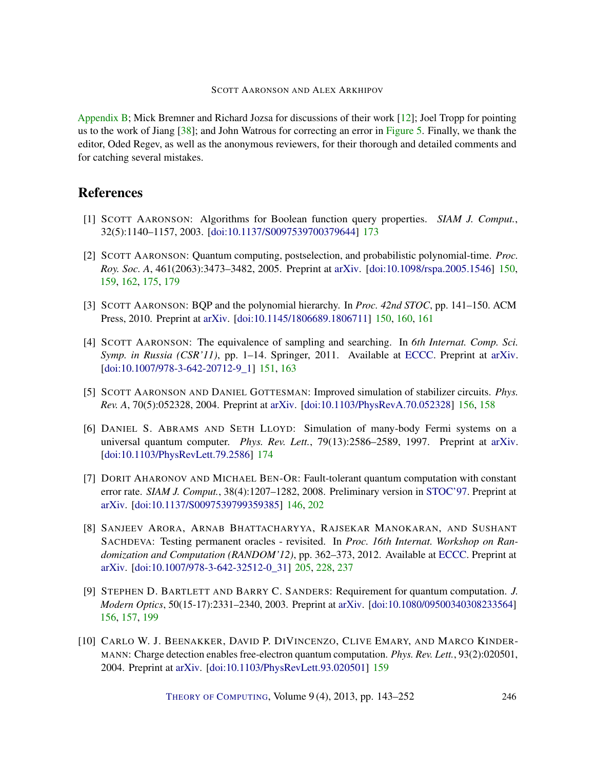<span id="page-103-1"></span>[Appendix](#page-96-0) [B;](#page-96-0) Mick Bremner and Richard Jozsa for discussions of their work [\[12\]](#page-104-2); Joel Tropp for pointing us to the work of Jiang [\[38\]](#page-106-3); and John Watrous for correcting an error in [Figure](#page-77-0) [5.](#page-77-0) Finally, we thank the editor, Oded Regev, as well as the anonymous reviewers, for their thorough and detailed comments and for catching several mistakes.

# References

- [1] SCOTT AARONSON: Algorithms for Boolean function query properties. *SIAM J. Comput.*, 32(5):1140–1157, 2003. [\[doi:10.1137/S0097539700379644\]](http://dx.doi.org/10.1137/S0097539700379644) [173](#page-30-0)
- [2] SCOTT AARONSON: Quantum computing, postselection, and probabilistic polynomial-time. *Proc. Roy. Soc. A*, 461(2063):3473–3482, 2005. Preprint at [arXiv.](http://arxiv.org/abs/quant-ph/0412187) [\[doi:10.1098/rspa.2005.1546\]](http://dx.doi.org/10.1098/rspa.2005.1546) [150,](#page-7-0) [159,](#page-16-0) [162,](#page-19-0) [175,](#page-32-0) [179](#page-36-0)
- [3] SCOTT AARONSON: BQP and the polynomial hierarchy. In *Proc. 42nd STOC*, pp. 141–150. ACM Press, 2010. Preprint at [arXiv.](http://arxiv.org/abs/0910.4698) [\[doi:10.1145/1806689.1806711\]](http://dx.doi.org/10.1145/1806689.1806711) [150,](#page-7-0) [160,](#page-17-0) [161](#page-18-0)
- [4] SCOTT AARONSON: The equivalence of sampling and searching. In *6th Internat. Comp. Sci. Symp. in Russia (CSR'11)*, pp. 1–14. Springer, 2011. Available at [ECCC.](http://eccc.hpi-web.de/report/2010/128/) Preprint at [arXiv.](http://arxiv.org/abs/1009.5104) [\[doi:10.1007/978-3-642-20712-9\\_1\]](http://dx.doi.org/10.1007/978-3-642-20712-9_1) [151,](#page-8-1) [163](#page-20-1)
- [5] SCOTT AARONSON AND DANIEL GOTTESMAN: Improved simulation of stabilizer circuits. *Phys. Rev. A*, 70(5):052328, 2004. Preprint at [arXiv.](http://arxiv.org/abs/quant-ph/0406196) [\[doi:10.1103/PhysRevA.70.052328\]](http://dx.doi.org/10.1103/PhysRevA.70.052328) [156,](#page-13-1) [158](#page-15-0)
- [6] DANIEL S. ABRAMS AND SETH LLOYD: Simulation of many-body Fermi systems on a universal quantum computer. *Phys. Rev. Lett.*, 79(13):2586–2589, 1997. Preprint at [arXiv.](http://arxiv.org/abs/quant-ph/9703054) [\[doi:10.1103/PhysRevLett.79.2586\]](http://dx.doi.org/10.1103/PhysRevLett.79.2586) [174](#page-31-1)
- [7] DORIT AHARONOV AND MICHAEL BEN-OR: Fault-tolerant quantum computation with constant error rate. *SIAM J. Comput.*, 38(4):1207–1282, 2008. Preliminary version in [STOC'97.](http://dx.doi.org/10.1145/258533.258579) Preprint at [arXiv.](http://arxiv.org/abs/quant-ph/9906129) [\[doi:10.1137/S0097539799359385\]](http://dx.doi.org/10.1137/S0097539799359385) [146,](#page-3-0) [202](#page-59-0)
- <span id="page-103-0"></span>[8] SANJEEV ARORA, ARNAB BHATTACHARYYA, RAJSEKAR MANOKARAN, AND SUSHANT SACHDEVA: Testing permanent oracles - revisited. In *Proc. 16th Internat. Workshop on Randomization and Computation (RANDOM'12)*, pp. 362–373, 2012. Available at [ECCC.](http://eccc.hpi-web.de/report/2012/094/) Preprint at [arXiv.](http://arxiv.org/abs/1207.4783) [\[doi:10.1007/978-3-642-32512-0\\_31\]](http://dx.doi.org/10.1007/978-3-642-32512-0_31) [205,](#page-62-1) [228,](#page-85-0) [237](#page-94-0)
- [9] STEPHEN D. BARTLETT AND BARRY C. SANDERS: Requirement for quantum computation. *J. Modern Optics*, 50(15-17):2331–2340, 2003. Preprint at [arXiv.](http://arxiv.org/abs/quant-ph/0302125) [\[doi:10.1080/09500340308233564\]](http://dx.doi.org/10.1080/09500340308233564) [156,](#page-13-1) [157,](#page-14-0) [199](#page-56-0)
- [10] CARLO W. J. BEENAKKER, DAVID P. DIVINCENZO, CLIVE EMARY, AND MARCO KINDER-MANN: Charge detection enables free-electron quantum computation. *Phys. Rev. Lett.*, 93(2):020501, 2004. Preprint at [arXiv.](http://arxiv.org/abs/quant-ph/0401066) [\[doi:10.1103/PhysRevLett.93.020501\]](http://dx.doi.org/10.1103/PhysRevLett.93.020501) [159](#page-16-0)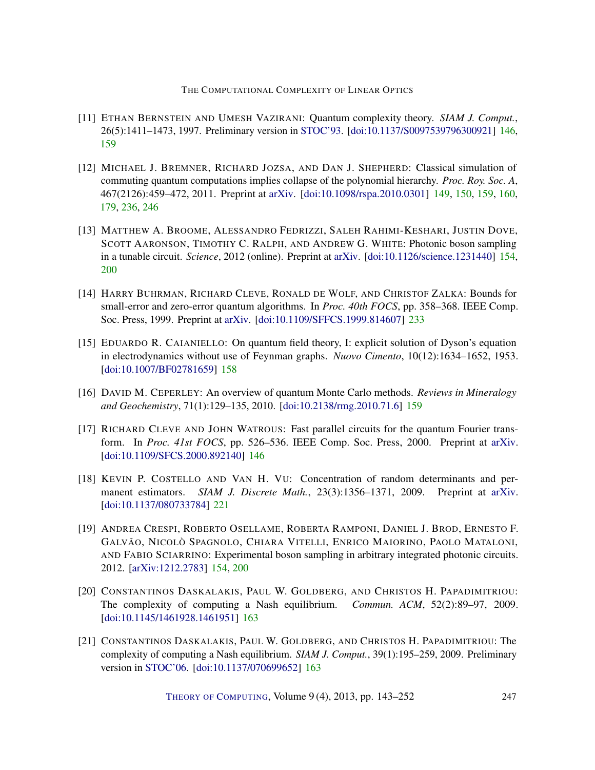- [11] ETHAN BERNSTEIN AND UMESH VAZIRANI: Quantum complexity theory. *SIAM J. Comput.*, 26(5):1411–1473, 1997. Preliminary version in [STOC'93.](http://dx.doi.org/10.1145/167088.167097) [\[doi:10.1137/S0097539796300921\]](http://dx.doi.org/10.1137/S0097539796300921) [146,](#page-3-0) [159](#page-16-0)
- <span id="page-104-2"></span>[12] MICHAEL J. BREMNER, RICHARD JOZSA, AND DAN J. SHEPHERD: Classical simulation of commuting quantum computations implies collapse of the polynomial hierarchy. *Proc. Roy. Soc. A*, 467(2126):459–472, 2011. Preprint at [arXiv.](http://arxiv.org/abs/1005.1407) [\[doi:10.1098/rspa.2010.0301\]](http://dx.doi.org/10.1098/rspa.2010.0301) [149,](#page-6-0) [150,](#page-7-0) [159,](#page-16-0) [160,](#page-17-0) [179,](#page-36-0) [236,](#page-93-0) [246](#page-103-1)
- [13] MATTHEW A. BROOME, ALESSANDRO FEDRIZZI, SALEH RAHIMI-KESHARI, JUSTIN DOVE, SCOTT AARONSON, TIMOTHY C. RALPH, AND ANDREW G. WHITE: Photonic boson sampling in a tunable circuit. *Science*, 2012 (online). Preprint at [arXiv.](http://arxiv.org/abs/1212.2234) [\[doi:10.1126/science.1231440\]](http://dx.doi.org/10.1126/science.1231440) [154,](#page-11-0) [200](#page-57-0)
- <span id="page-104-1"></span>[14] HARRY BUHRMAN, RICHARD CLEVE, RONALD DE WOLF, AND CHRISTOF ZALKA: Bounds for small-error and zero-error quantum algorithms. In *Proc. 40th FOCS*, pp. 358–368. IEEE Comp. Soc. Press, 1999. Preprint at [arXiv.](http://arxiv.org/abs/cs.CC/9904019) [\[doi:10.1109/SFFCS.1999.814607\]](http://dx.doi.org/10.1109/SFFCS.1999.814607) [233](#page-90-1)
- [15] EDUARDO R. CAIANIELLO: On quantum field theory, I: explicit solution of Dyson's equation in electrodynamics without use of Feynman graphs. *Nuovo Cimento*, 10(12):1634–1652, 1953. [\[doi:10.1007/BF02781659\]](http://dx.doi.org/10.1007/BF02781659) [158](#page-15-0)
- [16] DAVID M. CEPERLEY: An overview of quantum Monte Carlo methods. *Reviews in Mineralogy and Geochemistry*, 71(1):129–135, 2010. [\[doi:10.2138/rmg.2010.71.6\]](http://dx.doi.org/10.2138/rmg.2010.71.6) [159](#page-16-0)
- [17] RICHARD CLEVE AND JOHN WATROUS: Fast parallel circuits for the quantum Fourier transform. In *Proc. 41st FOCS*, pp. 526–536. IEEE Comp. Soc. Press, 2000. Preprint at [arXiv.](http://arxiv.org/abs/quant-ph/0006004) [\[doi:10.1109/SFCS.2000.892140\]](http://dx.doi.org/10.1109/SFCS.2000.892140) [146](#page-3-0)
- <span id="page-104-0"></span>[18] KEVIN P. COSTELLO AND VAN H. VU: Concentration of random determinants and permanent estimators. *SIAM J. Discrete Math.*, 23(3):1356–1371, 2009. Preprint at [arXiv.](http://arxiv.org/abs/0905.1909) [\[doi:10.1137/080733784\]](http://dx.doi.org/10.1137/080733784) [221](#page-78-3)
- [19] ANDREA CRESPI, ROBERTO OSELLAME, ROBERTA RAMPONI, DANIEL J. BROD, ERNESTO F. GALVÃO, NICOLÒ SPAGNOLO, CHIARA VITELLI, ENRICO MAIORINO, PAOLO MATALONI, AND FABIO SCIARRINO: Experimental boson sampling in arbitrary integrated photonic circuits. 2012. [\[arXiv:1212.2783\]](http://arxiv.org/abs/1212.2783) [154,](#page-11-0) [200](#page-57-0)
- [20] CONSTANTINOS DASKALAKIS, PAUL W. GOLDBERG, AND CHRISTOS H. PAPADIMITRIOU: The complexity of computing a Nash equilibrium. *Commun. ACM*, 52(2):89–97, 2009. [\[doi:10.1145/1461928.1461951\]](http://dx.doi.org/10.1145/1461928.1461951) [163](#page-20-1)
- [21] CONSTANTINOS DASKALAKIS, PAUL W. GOLDBERG, AND CHRISTOS H. PAPADIMITRIOU: The complexity of computing a Nash equilibrium. *SIAM J. Comput.*, 39(1):195–259, 2009. Preliminary version in [STOC'06.](http://dx.doi.org/10.1145/1132516.1132527) [\[doi:10.1137/070699652\]](http://dx.doi.org/10.1137/070699652) [163](#page-20-1)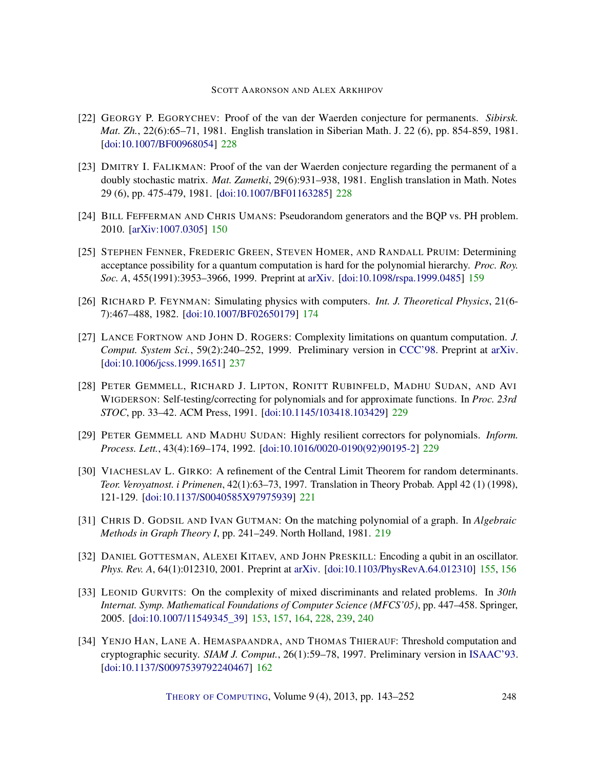- <span id="page-105-3"></span>[22] GEORGY P. EGORYCHEV: Proof of the van der Waerden conjecture for permanents. *Sibirsk. Mat. Zh.*, 22(6):65–71, 1981. English translation in Siberian Math. J. 22 (6), pp. 854-859, 1981. [\[doi:10.1007/BF00968054\]](http://dx.doi.org/10.1007/BF00968054) [228](#page-85-0)
- <span id="page-105-2"></span>[23] DMITRY I. FALIKMAN: Proof of the van der Waerden conjecture regarding the permanent of a doubly stochastic matrix. *Mat. Zametki*, 29(6):931–938, 1981. English translation in Math. Notes 29 (6), pp. 475-479, 1981. [\[doi:10.1007/BF01163285\]](http://dx.doi.org/10.1007/BF01163285) [228](#page-85-0)
- [24] BILL FEFFERMAN AND CHRIS UMANS: Pseudorandom generators and the BQP vs. PH problem. 2010. [\[arXiv:1007.0305\]](http://arxiv.org/abs/1007.0305) [150](#page-7-0)
- [25] STEPHEN FENNER, FREDERIC GREEN, STEVEN HOMER, AND RANDALL PRUIM: Determining acceptance possibility for a quantum computation is hard for the polynomial hierarchy. *Proc. Roy. Soc. A*, 455(1991):3953–3966, 1999. Preprint at [arXiv.](http://arxiv.org/abs/quant-ph/9812056) [\[doi:10.1098/rspa.1999.0485\]](http://dx.doi.org/10.1098/rspa.1999.0485) [159](#page-16-0)
- [26] RICHARD P. FEYNMAN: Simulating physics with computers. *Int. J. Theoretical Physics*, 21(6- 7):467–488, 1982. [\[doi:10.1007/BF02650179\]](http://dx.doi.org/10.1007/BF02650179) [174](#page-31-1)
- <span id="page-105-7"></span>[27] LANCE FORTNOW AND JOHN D. ROGERS: Complexity limitations on quantum computation. *J. Comput. System Sci.*, 59(2):240–252, 1999. Preliminary version in [CCC'98.](http://dx.doi.org/10.1109/CCC.1998.694606) Preprint at [arXiv.](http://arxiv.org/abs/cs.CC/9811023) [\[doi:10.1006/jcss.1999.1651\]](http://dx.doi.org/10.1006/jcss.1999.1651) [237](#page-94-0)
- <span id="page-105-5"></span>[28] PETER GEMMELL, RICHARD J. LIPTON, RONITT RUBINFELD, MADHU SUDAN, AND AVI WIGDERSON: Self-testing/correcting for polynomials and for approximate functions. In *Proc. 23rd STOC*, pp. 33–42. ACM Press, 1991. [\[doi:10.1145/103418.103429\]](http://dx.doi.org/10.1145/103418.103429) [229](#page-86-2)
- <span id="page-105-6"></span>[29] PETER GEMMELL AND MADHU SUDAN: Highly resilient correctors for polynomials. *Inform. Process. Lett.*, 43(4):169–174, 1992. [\[doi:10.1016/0020-0190\(92\)90195-2\]](http://dx.doi.org/10.1016/0020-0190(92)90195-2) [229](#page-86-2)
- <span id="page-105-1"></span>[30] VIACHESLAV L. GIRKO: A refinement of the Central Limit Theorem for random determinants. *Teor. Veroyatnost. i Primenen*, 42(1):63–73, 1997. Translation in Theory Probab. Appl 42 (1) (1998), 121-129. [\[doi:10.1137/S0040585X97975939\]](http://dx.doi.org/10.1137/S0040585X97975939) [221](#page-78-3)
- <span id="page-105-0"></span>[31] CHRIS D. GODSIL AND IVAN GUTMAN: On the matching polynomial of a graph. In *Algebraic Methods in Graph Theory I*, pp. 241–249. North Holland, 1981. [219](#page-76-3)
- [32] DANIEL GOTTESMAN, ALEXEI KITAEV, AND JOHN PRESKILL: Encoding a qubit in an oscillator. *Phys. Rev. A*, 64(1):012310, 2001. Preprint at [arXiv.](http://arxiv.org/abs/quant-ph/0008040) [\[doi:10.1103/PhysRevA.64.012310\]](http://dx.doi.org/10.1103/PhysRevA.64.012310) [155,](#page-12-0) [156](#page-13-1)
- <span id="page-105-4"></span>[33] LEONID GURVITS: On the complexity of mixed discriminants and related problems. In *30th Internat. Symp. Mathematical Foundations of Computer Science (MFCS'05)*, pp. 447–458. Springer, 2005. [\[doi:10.1007/11549345\\_39\]](http://dx.doi.org/10.1007/11549345_39) [153,](#page-10-3) [157,](#page-14-0) [164,](#page-21-1) [228,](#page-85-0) [239,](#page-96-2) [240](#page-97-4)
- [34] YENJO HAN, LANE A. HEMASPAANDRA, AND THOMAS THIERAUF: Threshold computation and cryptographic security. *SIAM J. Comput.*, 26(1):59–78, 1997. Preliminary version in [ISAAC'93.](http://dx.doi.org/10.1007/3-540-57568-5_253) [\[doi:10.1137/S0097539792240467\]](http://dx.doi.org/10.1137/S0097539792240467) [162](#page-19-0)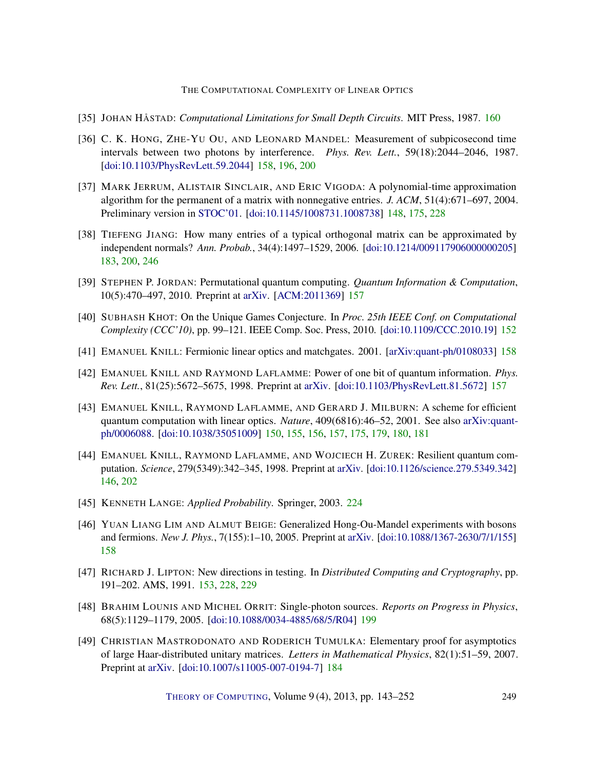- [35] JOHAN HÅSTAD: *Computational Limitations for Small Depth Circuits*. MIT Press, 1987. [160](#page-17-0)
- [36] C. K. HONG, ZHE-YU OU, AND LEONARD MANDEL: Measurement of subpicosecond time intervals between two photons by interference. *Phys. Rev. Lett.*, 59(18):2044–2046, 1987. [\[doi:10.1103/PhysRevLett.59.2044\]](http://dx.doi.org/10.1103/PhysRevLett.59.2044) [158,](#page-15-0) [196,](#page-53-2) [200](#page-57-0)
- <span id="page-106-2"></span>[37] MARK JERRUM, ALISTAIR SINCLAIR, AND ERIC VIGODA: A polynomial-time approximation algorithm for the permanent of a matrix with nonnegative entries. *J. ACM*, 51(4):671–697, 2004. Preliminary version in [STOC'01.](http://dx.doi.org/10.1145/380752.380877) [\[doi:10.1145/1008731.1008738\]](http://dx.doi.org/10.1145/1008731.1008738) [148,](#page-5-0) [175,](#page-32-0) [228](#page-85-0)
- <span id="page-106-3"></span>[38] TIEFENG JIANG: How many entries of a typical orthogonal matrix can be approximated by independent normals? *Ann. Probab.*, 34(4):1497–1529, 2006. [\[doi:10.1214/009117906000000205\]](http://dx.doi.org/10.1214/009117906000000205) [183,](#page-40-1) [200,](#page-57-0) [246](#page-103-1)
- [39] STEPHEN P. JORDAN: Permutational quantum computing. *Quantum Information & Computation*, 10(5):470–497, 2010. Preprint at [arXiv.](http://arxiv.org/abs/0906.2508) [\[ACM:2011369\]](http://portal.acm.org/citation.cfm?id=2011369) [157](#page-14-0)
- [40] SUBHASH KHOT: On the Unique Games Conjecture. In *Proc. 25th IEEE Conf. on Computational Complexity (CCC'10)*, pp. 99–121. IEEE Comp. Soc. Press, 2010. [\[doi:10.1109/CCC.2010.19\]](http://dx.doi.org/10.1109/CCC.2010.19) [152](#page-9-1)
- [41] EMANUEL KNILL: Fermionic linear optics and matchgates. 2001. [\[arXiv:quant-ph/0108033\]](http://arxiv.org/abs/quant-ph/0108033) [158](#page-15-0)
- [42] EMANUEL KNILL AND RAYMOND LAFLAMME: Power of one bit of quantum information. *Phys. Rev. Lett.*, 81(25):5672–5675, 1998. Preprint at [arXiv.](http://arxiv.org/abs/quant-ph/9802037) [\[doi:10.1103/PhysRevLett.81.5672\]](http://dx.doi.org/10.1103/PhysRevLett.81.5672) [157](#page-14-0)
- [43] EMANUEL KNILL, RAYMOND LAFLAMME, AND GERARD J. MILBURN: A scheme for efficient quantum computation with linear optics. *Nature*, 409(6816):46–52, 2001. See also [arXiv:quant](http://arxiv.org/abs/quant-ph/0006088)[ph/0006088.](http://arxiv.org/abs/quant-ph/0006088) [\[doi:10.1038/35051009\]](http://dx.doi.org/10.1038/35051009) [150,](#page-7-0) [155,](#page-12-0) [156,](#page-13-1) [157,](#page-14-0) [175,](#page-32-0) [179,](#page-36-0) [180,](#page-37-0) [181](#page-38-0)
- [44] EMANUEL KNILL, RAYMOND LAFLAMME, AND WOJCIECH H. ZUREK: Resilient quantum computation. *Science*, 279(5349):342–345, 1998. Preprint at [arXiv.](http://arxiv.org/abs/quant-ph/9702058) [\[doi:10.1126/science.279.5349.342\]](http://dx.doi.org/10.1126/science.279.5349.342) [146,](#page-3-0) [202](#page-59-0)
- <span id="page-106-0"></span>[45] KENNETH LANGE: *Applied Probability*. Springer, 2003. [224](#page-81-2)
- [46] YUAN LIANG LIM AND ALMUT BEIGE: Generalized Hong-Ou-Mandel experiments with bosons and fermions. *New J. Phys.*, 7(155):1–10, 2005. Preprint at [arXiv.](http://arxiv.org/abs/quant-ph/0505034) [\[doi:10.1088/1367-2630/7/1/155\]](http://dx.doi.org/10.1088/1367-2630/7/1/155) [158](#page-15-0)
- <span id="page-106-1"></span>[47] RICHARD J. LIPTON: New directions in testing. In *Distributed Computing and Cryptography*, pp. 191–202. AMS, 1991. [153,](#page-10-3) [228,](#page-85-0) [229](#page-86-2)
- [48] BRAHIM LOUNIS AND MICHEL ORRIT: Single-photon sources. *Reports on Progress in Physics*, 68(5):1129–1179, 2005. [\[doi:10.1088/0034-4885/68/5/R04\]](http://dx.doi.org/10.1088/0034-4885/68/5/R04) [199](#page-56-0)
- [49] CHRISTIAN MASTRODONATO AND RODERICH TUMULKA: Elementary proof for asymptotics of large Haar-distributed unitary matrices. *Letters in Mathematical Physics*, 82(1):51–59, 2007. Preprint at [arXiv.](http://arxiv.org/abs/0705.3146) [\[doi:10.1007/s11005-007-0194-7\]](http://dx.doi.org/10.1007/s11005-007-0194-7) [184](#page-41-0)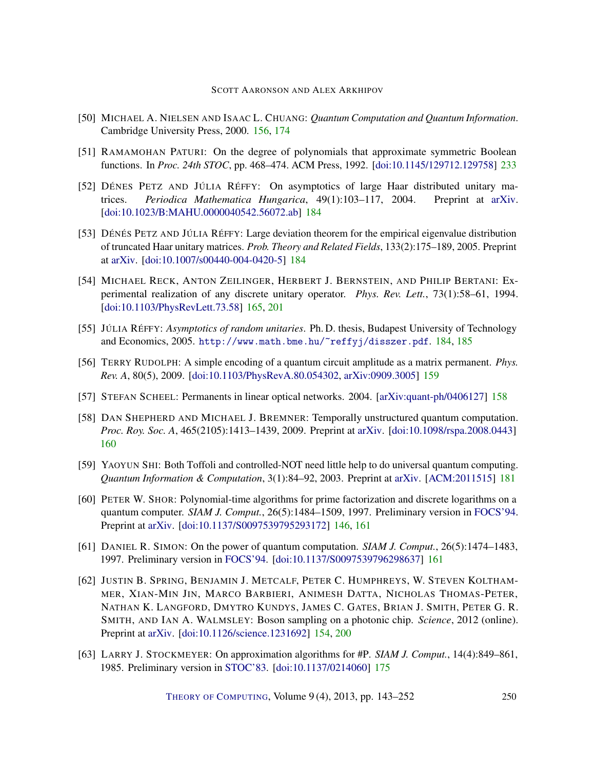- [50] MICHAEL A. NIELSEN AND ISAAC L. CHUANG: *Quantum Computation and Quantum Information*. Cambridge University Press, 2000. [156,](#page-13-1) [174](#page-31-1)
- <span id="page-107-0"></span>[51] RAMAMOHAN PATURI: On the degree of polynomials that approximate symmetric Boolean functions. In *Proc. 24th STOC*, pp. 468–474. ACM Press, 1992. [\[doi:10.1145/129712.129758\]](http://dx.doi.org/10.1145/129712.129758) [233](#page-90-1)
- [52] DÉNES PETZ AND JÚLIA RÉFFY: On asymptotics of large Haar distributed unitary matrices. *Periodica Mathematica Hungarica*, 49(1):103–117, 2004. Preprint at [arXiv.](http://arxiv.org/abs/math/0310338) [\[doi:10.1023/B:MAHU.0000040542.56072.ab\]](http://dx.doi.org/10.1023/B:MAHU.0000040542.56072.ab) [184](#page-41-0)
- [53] DÉNÉS PETZ AND JÚLIA RÉFFY: Large deviation theorem for the empirical eigenvalue distribution of truncated Haar unitary matrices. *Prob. Theory and Related Fields*, 133(2):175–189, 2005. Preprint at [arXiv.](http://arxiv.org/abs/math/0409552) [\[doi:10.1007/s00440-004-0420-5\]](http://dx.doi.org/10.1007/s00440-004-0420-5) [184](#page-41-0)
- [54] MICHAEL RECK, ANTON ZEILINGER, HERBERT J. BERNSTEIN, AND PHILIP BERTANI: Experimental realization of any discrete unitary operator. *Phys. Rev. Lett.*, 73(1):58–61, 1994. [\[doi:10.1103/PhysRevLett.73.58\]](http://dx.doi.org/10.1103/PhysRevLett.73.58) [165,](#page-22-0) [201](#page-58-0)
- [55] JÚLIA RÉFFY: *Asymptotics of random unitaries*. Ph. D. thesis, Budapest University of Technology and Economics, 2005. <http://www.math.bme.hu/~reffyj/disszer.pdf>. [184,](#page-41-0) [185](#page-42-0)
- [56] TERRY RUDOLPH: A simple encoding of a quantum circuit amplitude as a matrix permanent. *Phys. Rev. A*, 80(5), 2009. [\[doi:10.1103/PhysRevA.80.054302,](http://dx.doi.org/10.1103/PhysRevA.80.054302) [arXiv:0909.3005\]](http://arxiv.org/abs/0909.3005) [159](#page-16-0)
- [57] STEFAN SCHEEL: Permanents in linear optical networks. 2004. [\[arXiv:quant-ph/0406127\]](http://arxiv.org/abs/quant-ph/0406127) [158](#page-15-0)
- [58] DAN SHEPHERD AND MICHAEL J. BREMNER: Temporally unstructured quantum computation. *Proc. Roy. Soc. A*, 465(2105):1413–1439, 2009. Preprint at [arXiv.](http://arxiv.org/abs/0809.0847) [\[doi:10.1098/rspa.2008.0443\]](http://dx.doi.org/10.1098/rspa.2008.0443) [160](#page-17-0)
- [59] YAOYUN SHI: Both Toffoli and controlled-NOT need little help to do universal quantum computing. *Quantum Information & Computation*, 3(1):84–92, 2003. Preprint at [arXiv.](http://arxiv.org/abs/quant-ph/0205115) [\[ACM:2011515\]](http://portal.acm.org/citation.cfm?id=2011515) [181](#page-38-0)
- [60] PETER W. SHOR: Polynomial-time algorithms for prime factorization and discrete logarithms on a quantum computer. *SIAM J. Comput.*, 26(5):1484–1509, 1997. Preliminary version in [FOCS'94.](http://dx.doi.org/10.1109/SFCS.1994.365700) Preprint at [arXiv.](http://arxiv.org/abs/quant-ph/9508027) [\[doi:10.1137/S0097539795293172\]](http://dx.doi.org/10.1137/S0097539795293172) [146,](#page-3-0) [161](#page-18-0)
- [61] DANIEL R. SIMON: On the power of quantum computation. *SIAM J. Comput.*, 26(5):1474–1483, 1997. Preliminary version in [FOCS'94.](http://dx.doi.org/10.1109/SFCS.1994.365701) [\[doi:10.1137/S0097539796298637\]](http://dx.doi.org/10.1137/S0097539796298637) [161](#page-18-0)
- [62] JUSTIN B. SPRING, BENJAMIN J. METCALF, PETER C. HUMPHREYS, W. STEVEN KOLTHAM-MER, XIAN-MIN JIN, MARCO BARBIERI, ANIMESH DATTA, NICHOLAS THOMAS-PETER, NATHAN K. LANGFORD, DMYTRO KUNDYS, JAMES C. GATES, BRIAN J. SMITH, PETER G. R. SMITH, AND IAN A. WALMSLEY: Boson sampling on a photonic chip. *Science*, 2012 (online). Preprint at [arXiv.](http://arxiv.org/abs/1212.2622) [\[doi:10.1126/science.1231692\]](http://dx.doi.org/10.1126/science.1231692) [154,](#page-11-0) [200](#page-57-0)
- [63] LARRY J. STOCKMEYER: On approximation algorithms for #P. *SIAM J. Comput.*, 14(4):849–861, 1985. Preliminary version in [STOC'83.](http://dx.doi.org/10.1145/800061.808740) [\[doi:10.1137/0214060\]](http://dx.doi.org/10.1137/0214060) [175](#page-32-0)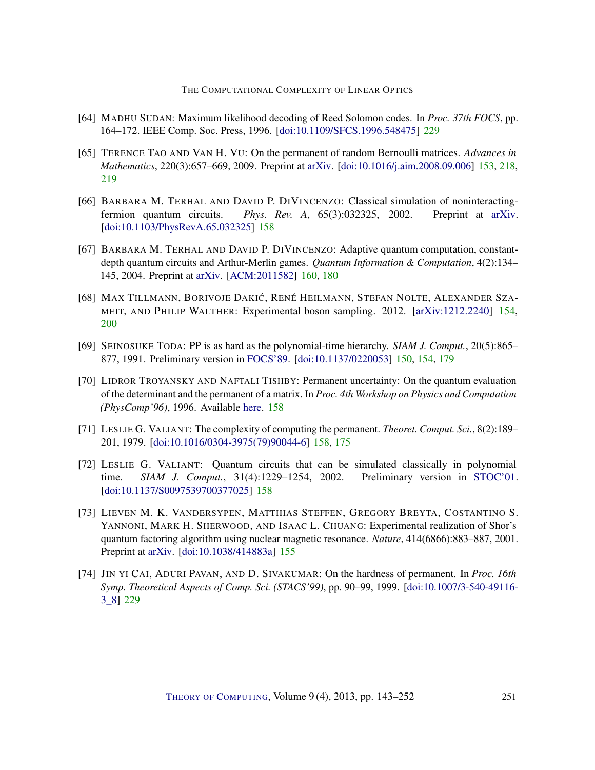## THE COMPUTATIONAL COMPLEXITY OF LINEAR OPTICS

- [64] MADHU SUDAN: Maximum likelihood decoding of Reed Solomon codes. In *Proc. 37th FOCS*, pp. 164–172. IEEE Comp. Soc. Press, 1996. [\[doi:10.1109/SFCS.1996.548475\]](http://dx.doi.org/10.1109/SFCS.1996.548475) [229](#page-86-0)
- [65] TERENCE TAO AND VAN H. VU: On the permanent of random Bernoulli matrices. *Advances in Mathematics*, 220(3):657–669, 2009. Preprint at [arXiv.](http://arxiv.org/abs/0804.2362) [\[doi:10.1016/j.aim.2008.09.006\]](http://dx.doi.org/10.1016/j.aim.2008.09.006) [153,](#page-10-0) [218,](#page-75-0) [219](#page-76-0)
- [66] BARBARA M. TERHAL AND DAVID P. DIVINCENZO: Classical simulation of noninteractingfermion quantum circuits. *Phys. Rev. A*, 65(3):032325, 2002. Preprint at [arXiv.](http://arxiv.org/abs/quant-ph/0108010) [\[doi:10.1103/PhysRevA.65.032325\]](http://dx.doi.org/10.1103/PhysRevA.65.032325) [158](#page-15-0)
- [67] BARBARA M. TERHAL AND DAVID P. DIVINCENZO: Adaptive quantum computation, constantdepth quantum circuits and Arthur-Merlin games. *Quantum Information & Computation*, 4(2):134– 145, 2004. Preprint at [arXiv.](http://arxiv.org/abs/quant-ph/0205133) [\[ACM:2011582\]](http://portal.acm.org/citation.cfm?id=2011582) [160,](#page-17-0) [180](#page-37-0)
- [68] MAX TILLMANN, BORIVOJE DAKIC´ , RENÉ HEILMANN, STEFAN NOLTE, ALEXANDER SZA-MEIT, AND PHILIP WALTHER: Experimental boson sampling. 2012. [\[arXiv:1212.2240\]](http://arxiv.org/abs/1212.2240) [154,](#page-11-0) [200](#page-57-0)
- [69] SEINOSUKE TODA: PP is as hard as the polynomial-time hierarchy. *SIAM J. Comput.*, 20(5):865– 877, 1991. Preliminary version in [FOCS'89.](http://dx.doi.org/10.1109/SFCS.1989.63527) [\[doi:10.1137/0220053\]](http://dx.doi.org/10.1137/0220053) [150,](#page-7-0) [154,](#page-11-0) [179](#page-36-0)
- [70] LIDROR TROYANSKY AND NAFTALI TISHBY: Permanent uncertainty: On the quantum evaluation of the determinant and the permanent of a matrix. In *Proc. 4th Workshop on Physics and Computation (PhysComp'96)*, 1996. Available [here.](http://www.cs.huji.ac.il/labs/learning/Papers/perm.pdf) [158](#page-15-0)
- [71] LESLIE G. VALIANT: The complexity of computing the permanent. *Theoret. Comput. Sci.*, 8(2):189– 201, 1979. [\[doi:10.1016/0304-3975\(79\)90044-6\]](http://dx.doi.org/10.1016/0304-3975(79)90044-6) [158,](#page-15-0) [175](#page-32-0)
- [72] LESLIE G. VALIANT: Quantum circuits that can be simulated classically in polynomial time. *SIAM J. Comput.*, 31(4):1229–1254, 2002. Preliminary version in [STOC'01.](http://dx.doi.org/10.1145/380752.380785) [\[doi:10.1137/S0097539700377025\]](http://dx.doi.org/10.1137/S0097539700377025) [158](#page-15-0)
- [73] LIEVEN M. K. VANDERSYPEN, MATTHIAS STEFFEN, GREGORY BREYTA, COSTANTINO S. YANNONI, MARK H. SHERWOOD, AND ISAAC L. CHUANG: Experimental realization of Shor's quantum factoring algorithm using nuclear magnetic resonance. *Nature*, 414(6866):883–887, 2001. Preprint at [arXiv.](http://arxiv.org/abs/quant-ph/0112176) [\[doi:10.1038/414883a\]](http://dx.doi.org/10.1038/414883a) [155](#page-12-0)
- [74] JIN YI CAI, ADURI PAVAN, AND D. SIVAKUMAR: On the hardness of permanent. In *Proc. 16th Symp. Theoretical Aspects of Comp. Sci. (STACS'99)*, pp. 90–99, 1999. [\[doi:10.1007/3-540-49116-](http://dx.doi.org/10.1007/3-540-49116-3_8) [3\\_8\]](http://dx.doi.org/10.1007/3-540-49116-3_8) [229](#page-86-0)